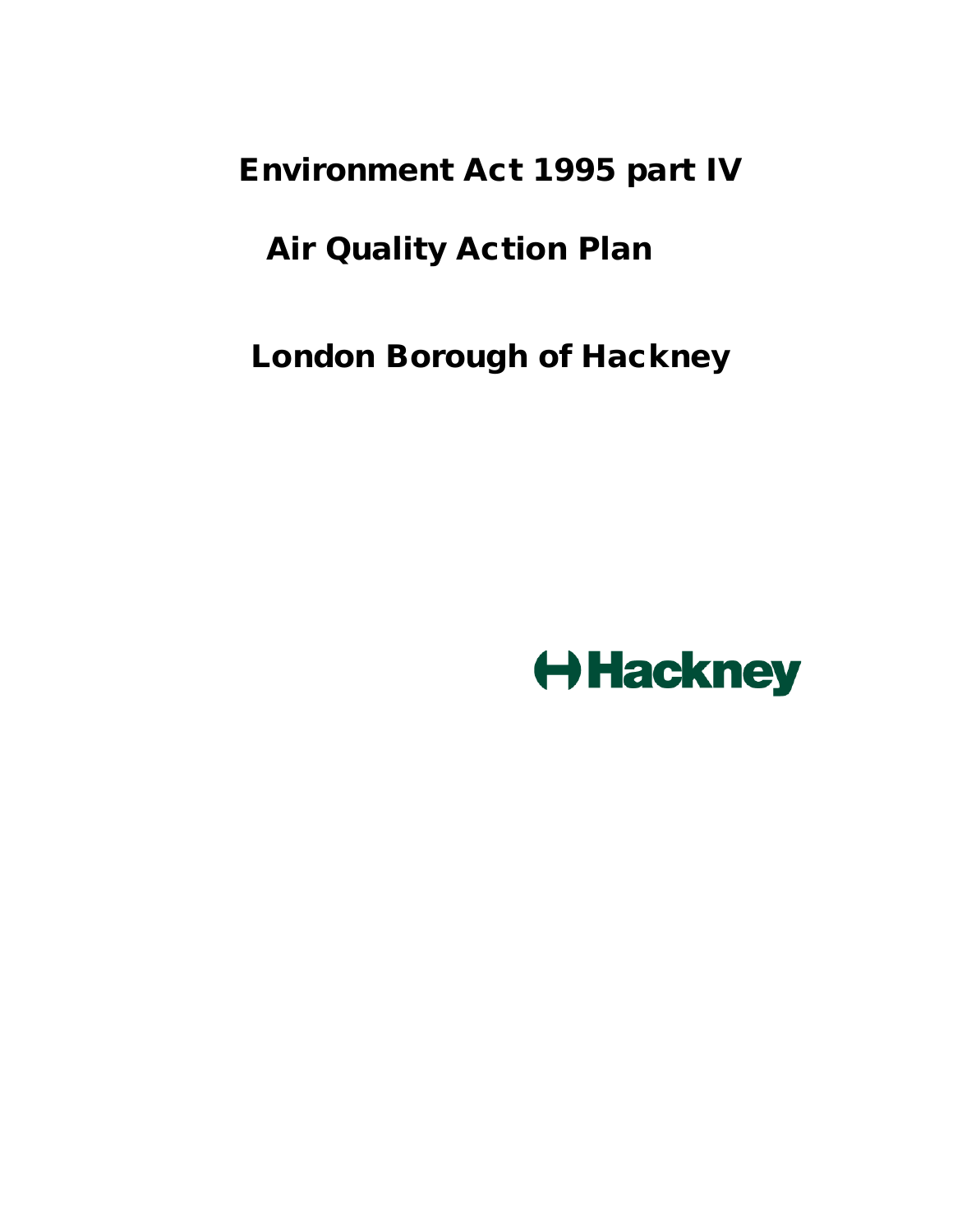Environment Act 1995 part IV

# Air Quality Action Plan

London Borough of Hackney

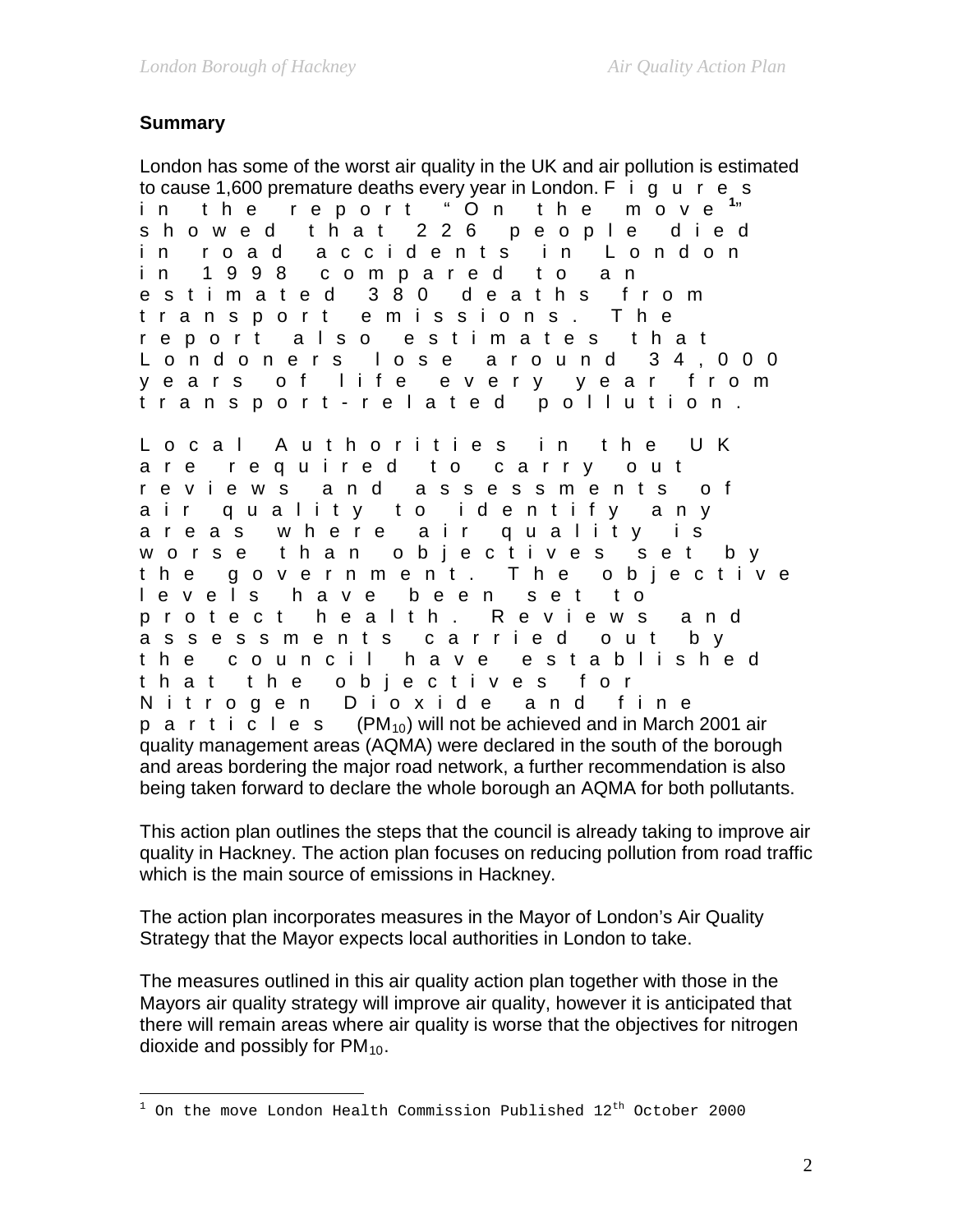# **Summary**

London has some of the worst air quality in the UK and air pollution is estimated to cause 1,600 premature deaths every year in London.  $F$  i g u r e s in the report " On the move **[1](#page-1-0)** m o v  $e^{-1}$ showed that 226 people died in road accidents in London in 1998 compared to an estimated 380 deaths from transport emissions. The report also estimates that Londoners lose around 34,000 years of life every year from transport - related pollution.

Local Authorities in the UK are required to carry out reviews and assessments of air quality to identify any are as where air quality is worse than objectives set by the government. The objective levels have been set to protect health. Reviews and assessments carried out by the council have established that the objectives for Nitrogen Dioxide and fine p a r t i  $\tilde{c}$  l e s (PM<sub>10</sub>) will not be achieved and in March 2001 air quality management areas (AQMA) were declared in the south of the borough and areas bordering the major road network, a further recommendation is also being taken forward to declare the whole borough an AQMA for both pollutants.

This action plan outlines the steps that the council is already taking to improve air quality in Hackney. The action plan focuses on reducing pollution from road traffic which is the main source of emissions in Hackney.

The action plan incorporates measures in the Mayor of London's Air Quality Strategy that the Mayor expects local authorities in London to take.

The measures outlined in this air quality action plan together with those in the Mayors air quality strategy will improve air quality, however it is anticipated that there will remain areas where air quality is worse that the objectives for nitrogen dioxide and possibly for  $PM_{10}$ .

<span id="page-1-0"></span> $\overline{a}$  $1$  On the move London Health Commission Published  $12^{\text{th}}$  October 2000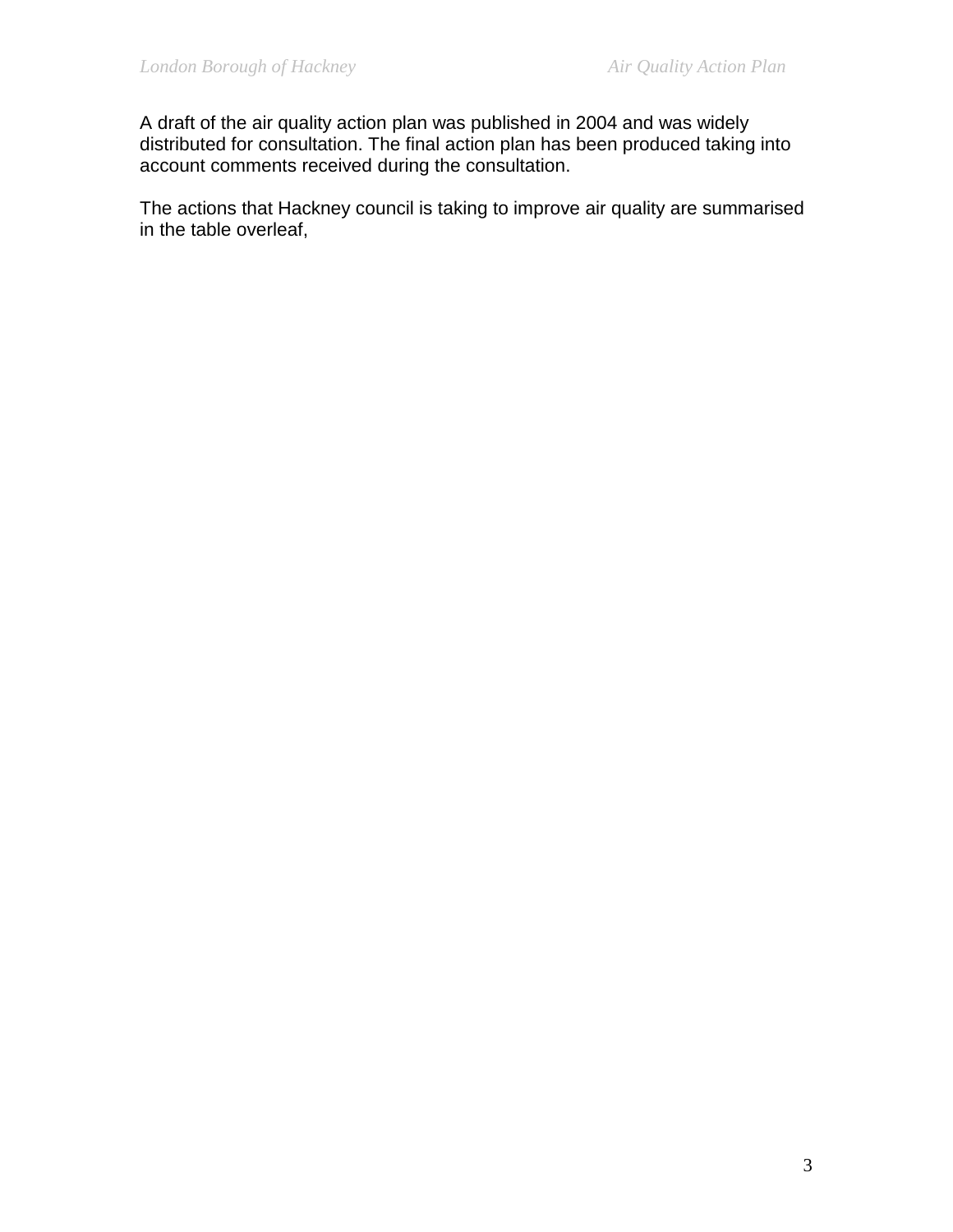A draft of the air quality action plan was published in 2004 and was widely distributed for consultation. The final action plan has been produced taking into account comments received during the consultation.

The actions that Hackney council is taking to improve air quality are summarised in the table overleaf,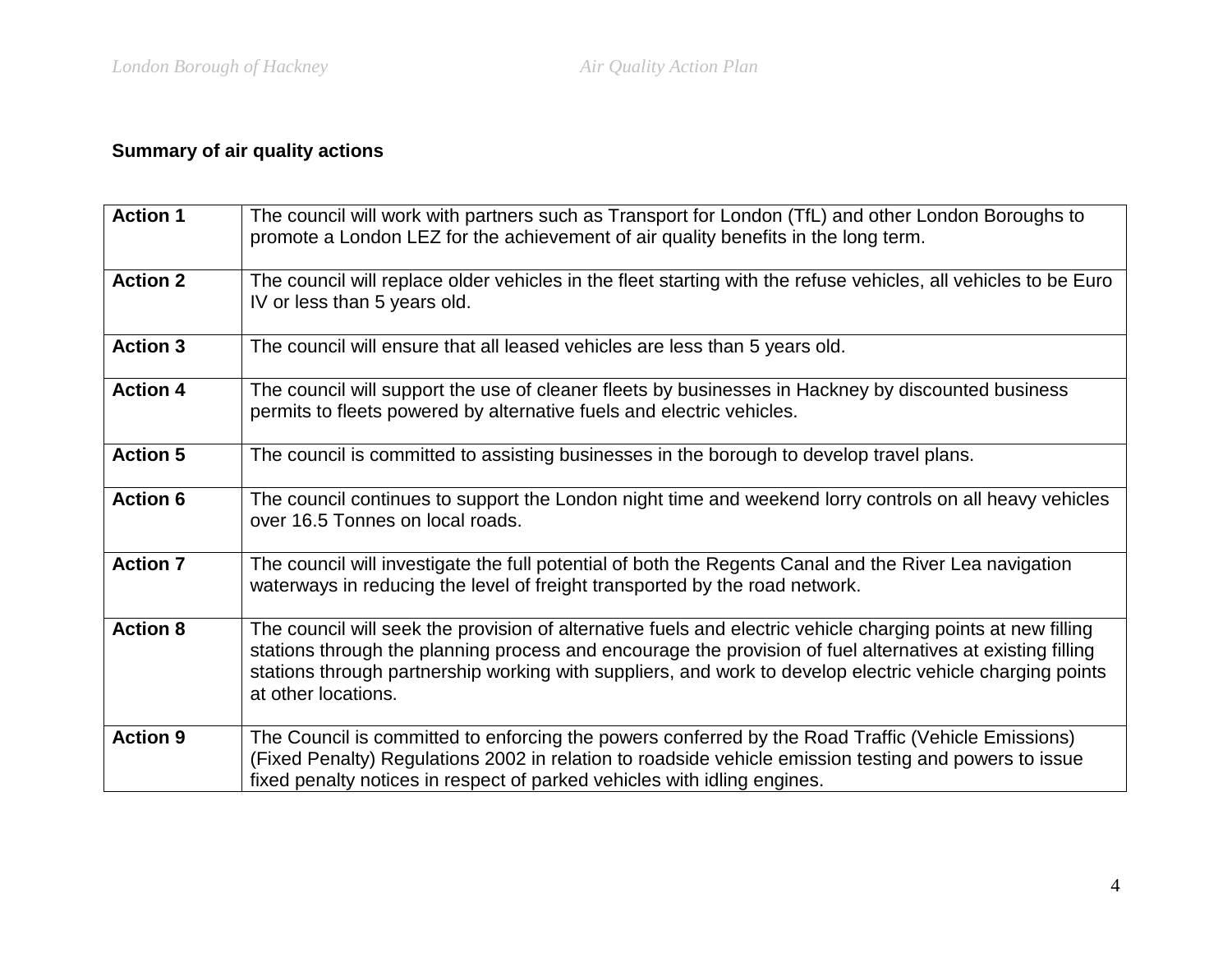# **Summary of air quality actions**

| <b>Action 1</b> | The council will work with partners such as Transport for London (TfL) and other London Boroughs to<br>promote a London LEZ for the achievement of air quality benefits in the long term.                                                                                                                                                                      |
|-----------------|----------------------------------------------------------------------------------------------------------------------------------------------------------------------------------------------------------------------------------------------------------------------------------------------------------------------------------------------------------------|
| <b>Action 2</b> | The council will replace older vehicles in the fleet starting with the refuse vehicles, all vehicles to be Euro<br>IV or less than 5 years old.                                                                                                                                                                                                                |
| <b>Action 3</b> | The council will ensure that all leased vehicles are less than 5 years old.                                                                                                                                                                                                                                                                                    |
| <b>Action 4</b> | The council will support the use of cleaner fleets by businesses in Hackney by discounted business<br>permits to fleets powered by alternative fuels and electric vehicles.                                                                                                                                                                                    |
| <b>Action 5</b> | The council is committed to assisting businesses in the borough to develop travel plans.                                                                                                                                                                                                                                                                       |
| <b>Action 6</b> | The council continues to support the London night time and weekend lorry controls on all heavy vehicles<br>over 16.5 Tonnes on local roads.                                                                                                                                                                                                                    |
| <b>Action 7</b> | The council will investigate the full potential of both the Regents Canal and the River Lea navigation<br>waterways in reducing the level of freight transported by the road network.                                                                                                                                                                          |
| <b>Action 8</b> | The council will seek the provision of alternative fuels and electric vehicle charging points at new filling<br>stations through the planning process and encourage the provision of fuel alternatives at existing filling<br>stations through partnership working with suppliers, and work to develop electric vehicle charging points<br>at other locations. |
| <b>Action 9</b> | The Council is committed to enforcing the powers conferred by the Road Traffic (Vehicle Emissions)<br>(Fixed Penalty) Regulations 2002 in relation to roadside vehicle emission testing and powers to issue<br>fixed penalty notices in respect of parked vehicles with idling engines.                                                                        |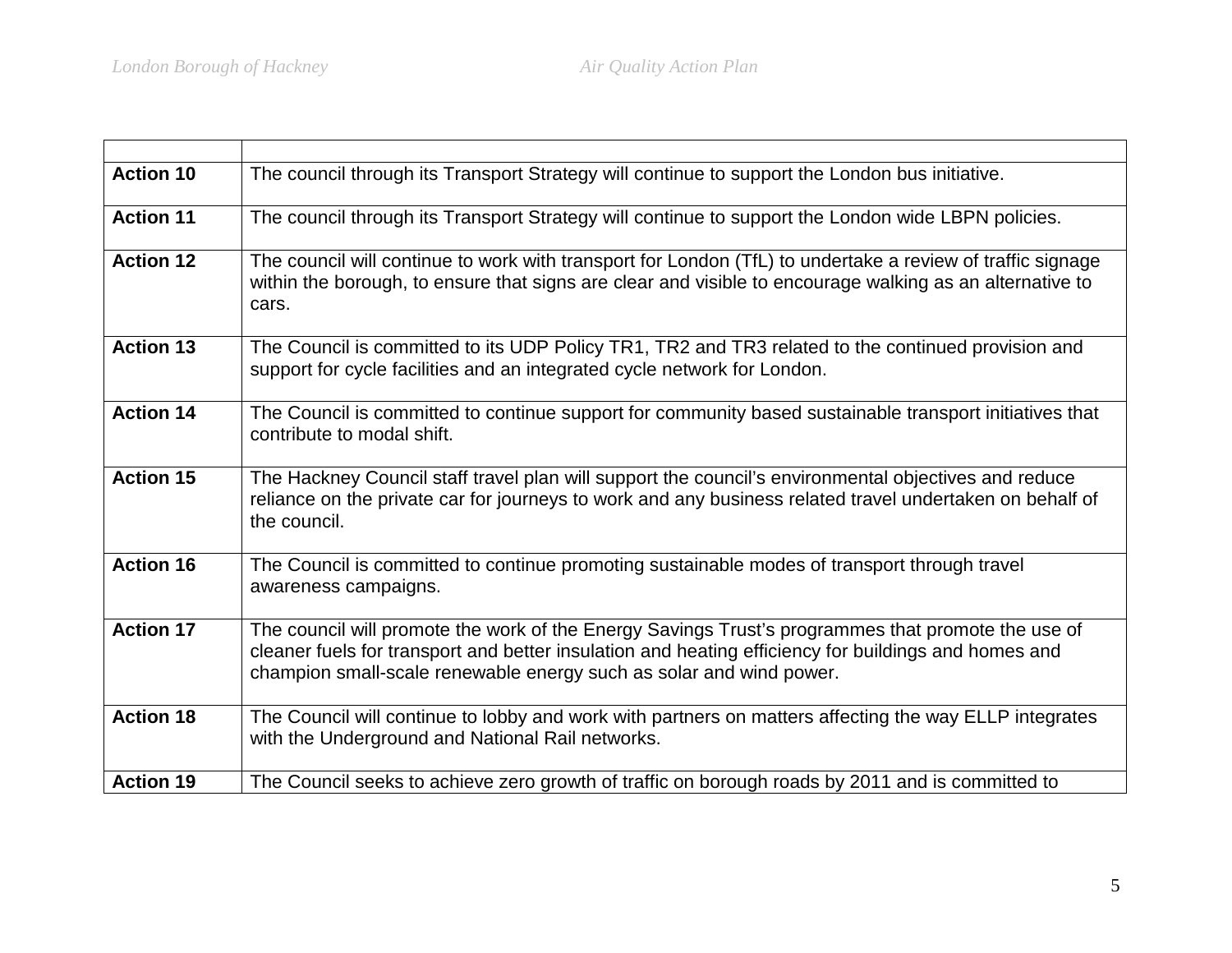| <b>Action 10</b> | The council through its Transport Strategy will continue to support the London bus initiative.                                                                                                                                                                                    |
|------------------|-----------------------------------------------------------------------------------------------------------------------------------------------------------------------------------------------------------------------------------------------------------------------------------|
| <b>Action 11</b> | The council through its Transport Strategy will continue to support the London wide LBPN policies.                                                                                                                                                                                |
| <b>Action 12</b> | The council will continue to work with transport for London (TfL) to undertake a review of traffic signage<br>within the borough, to ensure that signs are clear and visible to encourage walking as an alternative to<br>cars.                                                   |
| <b>Action 13</b> | The Council is committed to its UDP Policy TR1, TR2 and TR3 related to the continued provision and<br>support for cycle facilities and an integrated cycle network for London.                                                                                                    |
| <b>Action 14</b> | The Council is committed to continue support for community based sustainable transport initiatives that<br>contribute to modal shift.                                                                                                                                             |
| <b>Action 15</b> | The Hackney Council staff travel plan will support the council's environmental objectives and reduce<br>reliance on the private car for journeys to work and any business related travel undertaken on behalf of<br>the council.                                                  |
| <b>Action 16</b> | The Council is committed to continue promoting sustainable modes of transport through travel<br>awareness campaigns.                                                                                                                                                              |
| <b>Action 17</b> | The council will promote the work of the Energy Savings Trust's programmes that promote the use of<br>cleaner fuels for transport and better insulation and heating efficiency for buildings and homes and<br>champion small-scale renewable energy such as solar and wind power. |
| <b>Action 18</b> | The Council will continue to lobby and work with partners on matters affecting the way ELLP integrates<br>with the Underground and National Rail networks.                                                                                                                        |
| <b>Action 19</b> | The Council seeks to achieve zero growth of traffic on borough roads by 2011 and is committed to                                                                                                                                                                                  |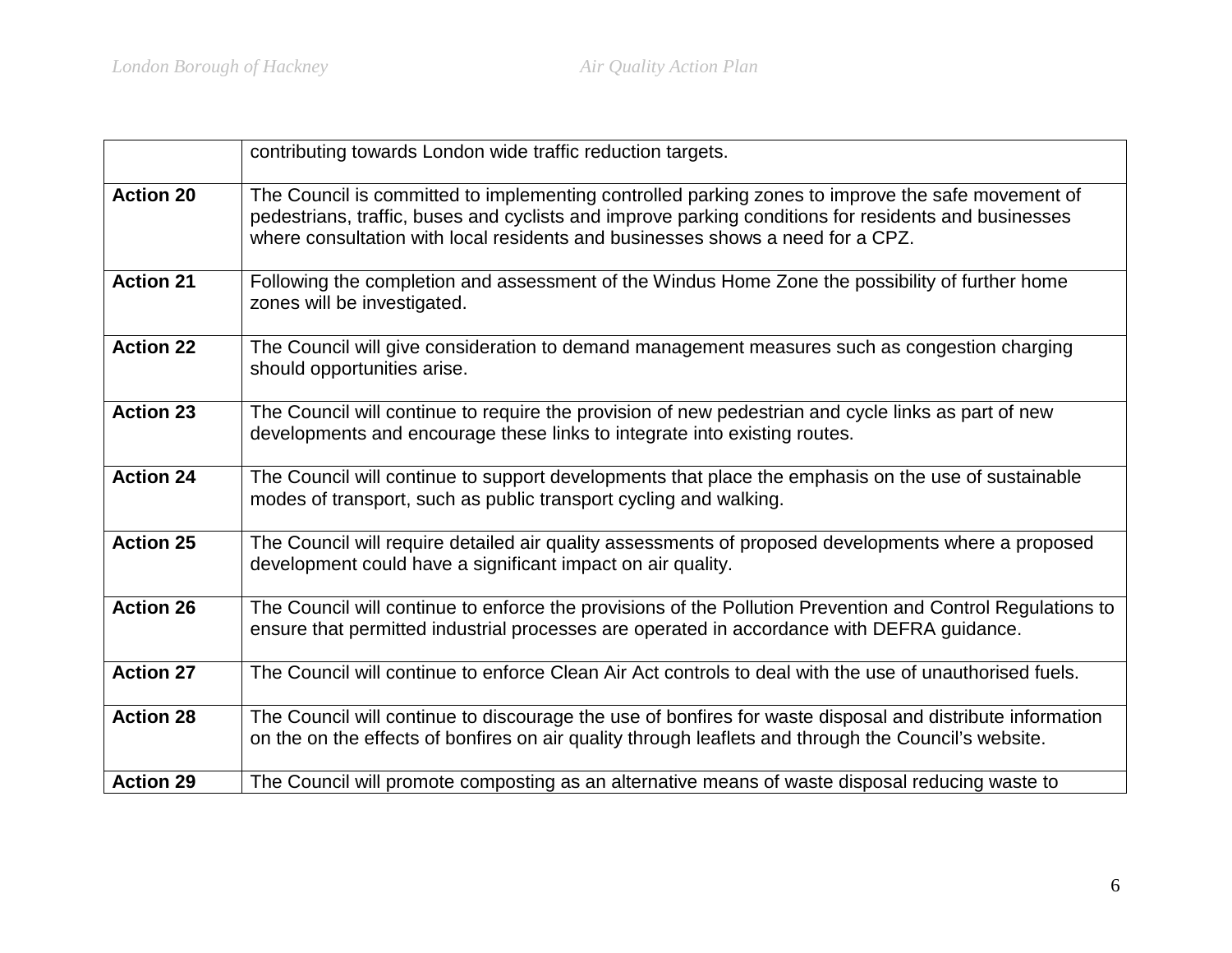|                  | contributing towards London wide traffic reduction targets.                                                                                                                                                                                                                                 |
|------------------|---------------------------------------------------------------------------------------------------------------------------------------------------------------------------------------------------------------------------------------------------------------------------------------------|
| <b>Action 20</b> | The Council is committed to implementing controlled parking zones to improve the safe movement of<br>pedestrians, traffic, buses and cyclists and improve parking conditions for residents and businesses<br>where consultation with local residents and businesses shows a need for a CPZ. |
| <b>Action 21</b> | Following the completion and assessment of the Windus Home Zone the possibility of further home<br>zones will be investigated.                                                                                                                                                              |
| <b>Action 22</b> | The Council will give consideration to demand management measures such as congestion charging<br>should opportunities arise.                                                                                                                                                                |
| <b>Action 23</b> | The Council will continue to require the provision of new pedestrian and cycle links as part of new<br>developments and encourage these links to integrate into existing routes.                                                                                                            |
| <b>Action 24</b> | The Council will continue to support developments that place the emphasis on the use of sustainable<br>modes of transport, such as public transport cycling and walking.                                                                                                                    |
| <b>Action 25</b> | The Council will require detailed air quality assessments of proposed developments where a proposed<br>development could have a significant impact on air quality.                                                                                                                          |
| <b>Action 26</b> | The Council will continue to enforce the provisions of the Pollution Prevention and Control Regulations to<br>ensure that permitted industrial processes are operated in accordance with DEFRA guidance.                                                                                    |
| <b>Action 27</b> | The Council will continue to enforce Clean Air Act controls to deal with the use of unauthorised fuels.                                                                                                                                                                                     |
| <b>Action 28</b> | The Council will continue to discourage the use of bonfires for waste disposal and distribute information<br>on the on the effects of bonfires on air quality through leaflets and through the Council's website.                                                                           |
| <b>Action 29</b> | The Council will promote composting as an alternative means of waste disposal reducing waste to                                                                                                                                                                                             |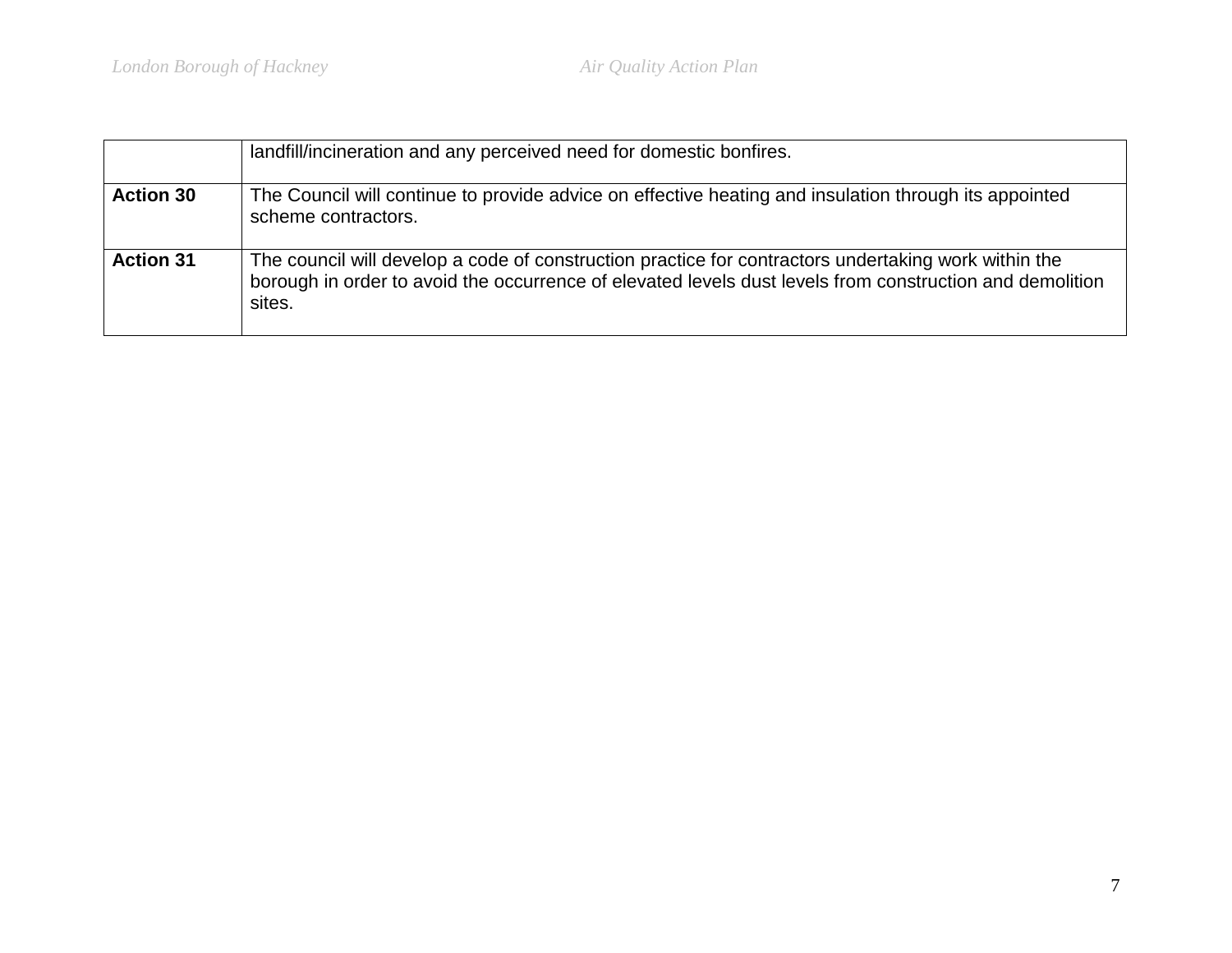|                  | landfill/incineration and any perceived need for domestic bonfires.                                                                                                                                                        |
|------------------|----------------------------------------------------------------------------------------------------------------------------------------------------------------------------------------------------------------------------|
| <b>Action 30</b> | The Council will continue to provide advice on effective heating and insulation through its appointed<br>scheme contractors.                                                                                               |
| <b>Action 31</b> | The council will develop a code of construction practice for contractors undertaking work within the<br>borough in order to avoid the occurrence of elevated levels dust levels from construction and demolition<br>sites. |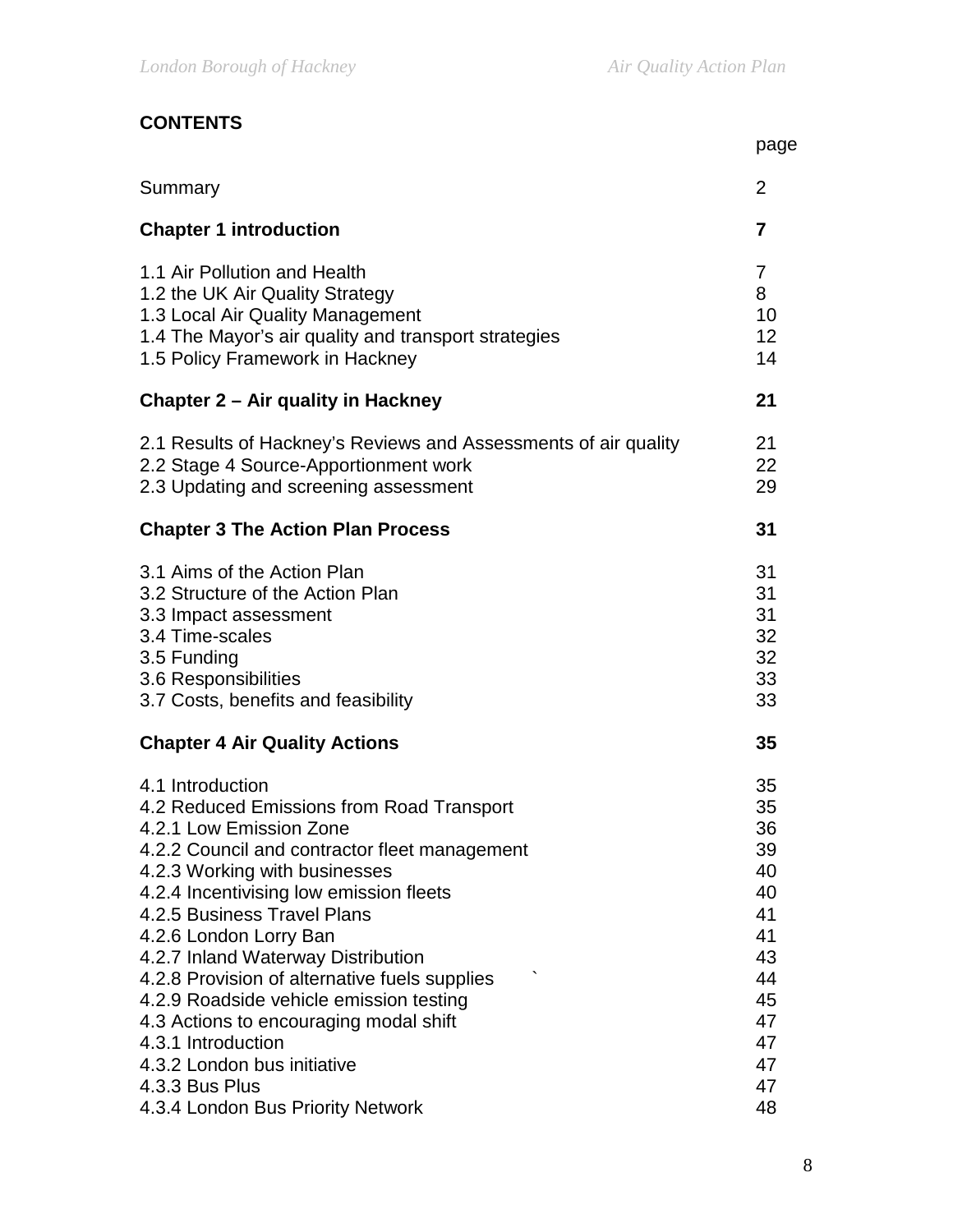# **CONTENTS**

|                                                                                                                                                                                                                       | page                                   |
|-----------------------------------------------------------------------------------------------------------------------------------------------------------------------------------------------------------------------|----------------------------------------|
| Summary                                                                                                                                                                                                               | $\overline{2}$                         |
| <b>Chapter 1 introduction</b>                                                                                                                                                                                         | 7                                      |
| 1.1 Air Pollution and Health<br>1.2 the UK Air Quality Strategy<br>1.3 Local Air Quality Management<br>1.4 The Mayor's air quality and transport strategies<br>1.5 Policy Framework in Hackney                        | 7<br>8<br>10<br>12<br>14               |
| Chapter 2 – Air quality in Hackney                                                                                                                                                                                    | 21                                     |
| 2.1 Results of Hackney's Reviews and Assessments of air quality<br>2.2 Stage 4 Source-Apportionment work<br>2.3 Updating and screening assessment                                                                     | 21<br>22<br>29                         |
| <b>Chapter 3 The Action Plan Process</b>                                                                                                                                                                              | 31                                     |
| 3.1 Aims of the Action Plan<br>3.2 Structure of the Action Plan<br>3.3 Impact assessment<br>3.4 Time-scales<br>3.5 Funding<br>3.6 Responsibilities<br>3.7 Costs, benefits and feasibility                             | 31<br>31<br>31<br>32<br>32<br>33<br>33 |
| <b>Chapter 4 Air Quality Actions</b>                                                                                                                                                                                  | 35                                     |
| 4.1 Introduction<br>4.2 Reduced Emissions from Road Transport<br>4.2.1 Low Emission Zone<br>4.2.2 Council and contractor fleet management<br>4.2.3 Working with businesses<br>4.2.4 Incentivising low emission fleets | 35<br>35<br>36<br>39<br>40<br>40       |
| 4.2.5 Business Travel Plans<br>4.2.6 London Lorry Ban<br>4.2.7 Inland Waterway Distribution<br>4.2.8 Provision of alternative fuels supplies                                                                          | 41<br>41<br>43<br>44                   |
| 4.2.9 Roadside vehicle emission testing<br>4.3 Actions to encouraging modal shift<br>4.3.1 Introduction<br>4.3.2 London bus initiative<br>4.3.3 Bus Plus                                                              | 45<br>47<br>47<br>47<br>47             |
| 4.3.4 London Bus Priority Network                                                                                                                                                                                     | 48                                     |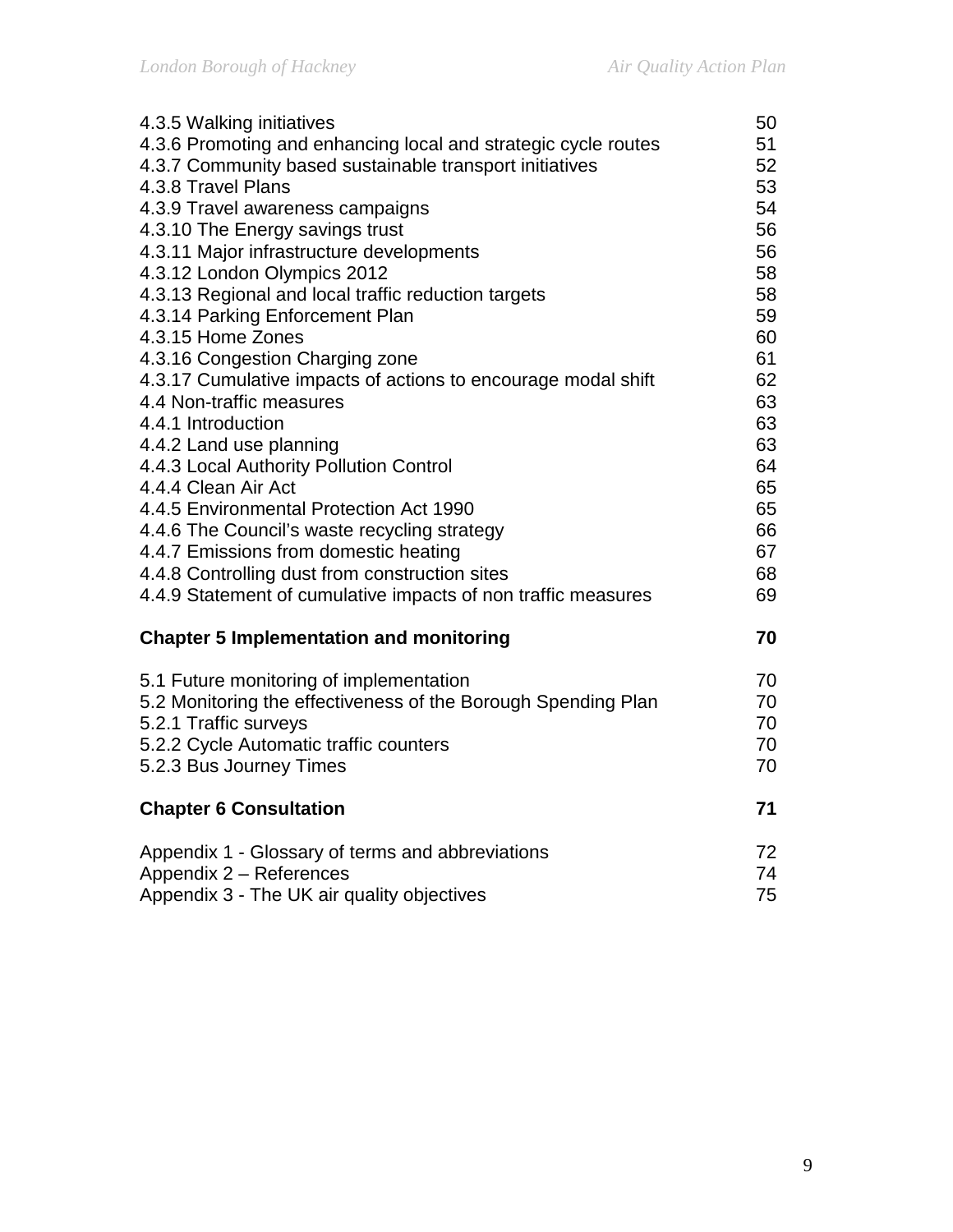| 4.3.5 Walking initiatives                                                                                | 50       |
|----------------------------------------------------------------------------------------------------------|----------|
| 4.3.6 Promoting and enhancing local and strategic cycle routes                                           | 51       |
| 4.3.7 Community based sustainable transport initiatives                                                  | 52       |
| 4.3.8 Travel Plans                                                                                       | 53       |
| 4.3.9 Travel awareness campaigns                                                                         | 54       |
| 4.3.10 The Energy savings trust                                                                          | 56       |
| 4.3.11 Major infrastructure developments                                                                 | 56       |
| 4.3.12 London Olympics 2012                                                                              | 58       |
| 4.3.13 Regional and local traffic reduction targets                                                      | 58       |
| 4.3.14 Parking Enforcement Plan                                                                          | 59       |
| 4.3.15 Home Zones                                                                                        | 60       |
| 4.3.16 Congestion Charging zone                                                                          | 61       |
| 4.3.17 Cumulative impacts of actions to encourage modal shift                                            | 62       |
| 4.4 Non-traffic measures                                                                                 | 63       |
| 4.4.1 Introduction                                                                                       | 63       |
| 4.4.2 Land use planning                                                                                  | 63       |
| 4.4.3 Local Authority Pollution Control                                                                  | 64       |
| 4.4.4 Clean Air Act                                                                                      | 65       |
| 4.4.5 Environmental Protection Act 1990                                                                  | 65       |
| 4.4.6 The Council's waste recycling strategy                                                             | 66       |
| 4.4.7 Emissions from domestic heating                                                                    | 67       |
| 4.4.8 Controlling dust from construction sites                                                           | 68       |
| 4.4.9 Statement of cumulative impacts of non traffic measures                                            | 69       |
|                                                                                                          |          |
| <b>Chapter 5 Implementation and monitoring</b>                                                           | 70       |
|                                                                                                          | 70       |
| 5.1 Future monitoring of implementation<br>5.2 Monitoring the effectiveness of the Borough Spending Plan | 70       |
| 5.2.1 Traffic surveys                                                                                    | 70       |
|                                                                                                          | 70       |
| 5.2.2 Cycle Automatic traffic counters                                                                   | 70       |
| 5.2.3 Bus Journey Times                                                                                  |          |
| <b>Chapter 6 Consultation</b>                                                                            | 71       |
|                                                                                                          |          |
| Appendix 1 - Glossary of terms and abbreviations                                                         | 72<br>74 |
| Appendix 2 - References<br>Appendix 3 - The UK air quality objectives                                    | 75       |
|                                                                                                          |          |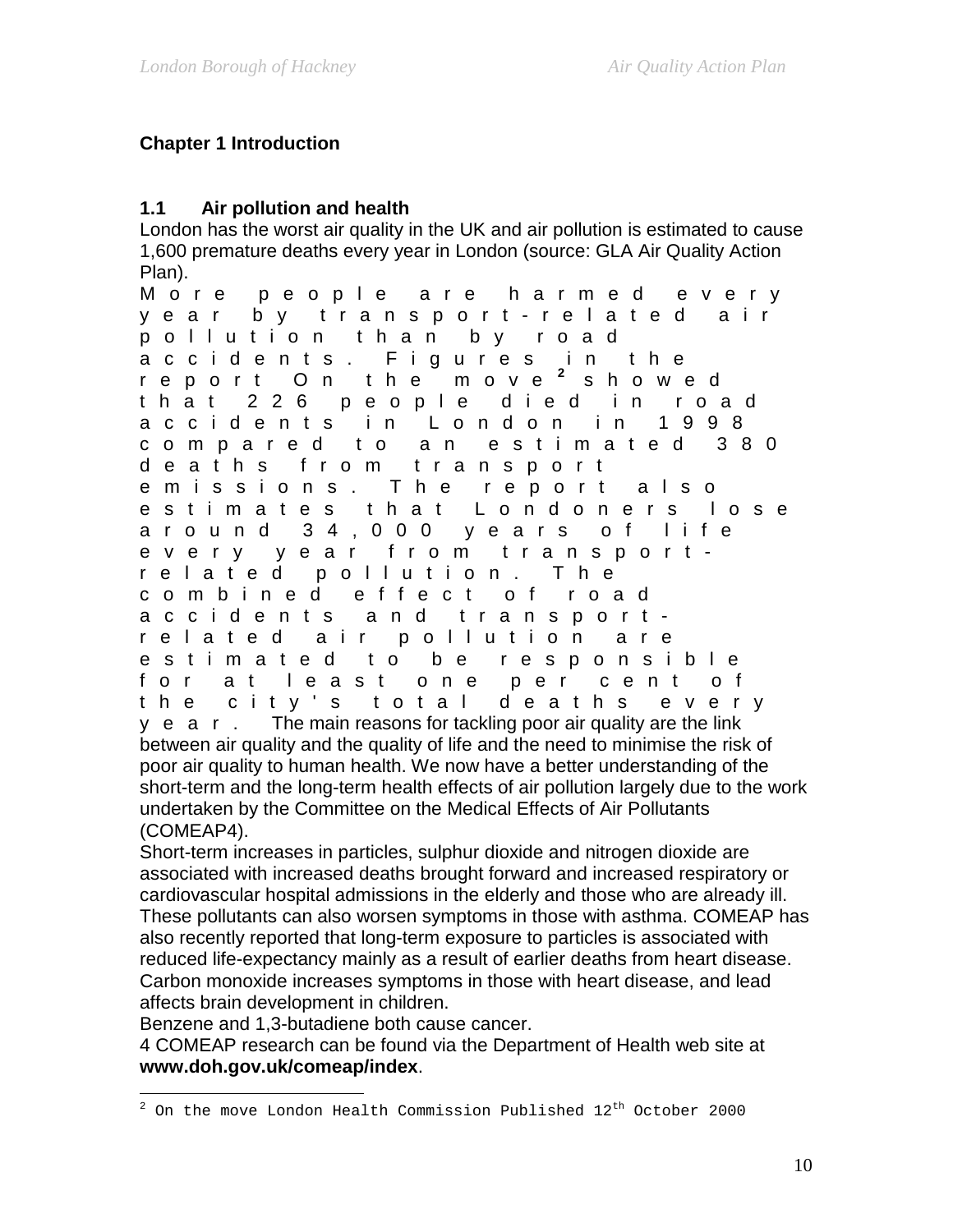# **Chapter 1 Introduction**

# **1.1 Air pollution and health**

London has the worst air quality in the UK and air pollution is estimated to cause 1,600 premature deaths every year in London (source: GLA Air Quality Action Plan).

More people are harmed every year by transport - related air pollution than by road accidents. Figures in the report On the move **[2](#page-9-0)** showed that 226 people died in road accidents in London in 1998 compared to an estimated 380 deaths from transport emissions. The report also estimates that Londoners lose around 34,000 years of life every year from transport related pollution. The combined effect of road accidents and transport related air pollution are estimated to be respon sible for at least one per cent of the city's total deaths every y e a r. The main reasons for tackling poor air quality are the link between air quality and the quality of life and the need to minimise the risk of poor air quality to human health. We now have a better understanding of the short-term and the long-term health effects of air pollution largely due to the work undertaken by the Committee on the Medical Effects of Air Pollutants (COMEAP4).

Short-term increases in particles, sulphur dioxide and nitrogen dioxide are associated with increased deaths brought forward and increased respiratory or cardiovascular hospital admissions in the elderly and those who are already ill. These pollutants can also worsen symptoms in those with asthma. COMEAP has also recently reported that long-term exposure to particles is associated with reduced life-expectancy mainly as a result of earlier deaths from heart disease. Carbon monoxide increases symptoms in those with heart disease, and lead affects brain development in children.

Benzene and 1,3-butadiene both cause cancer.

4 COMEAP research can be found via the Department of Health web site at **www.doh.gov.uk/comeap/index**.

<span id="page-9-0"></span> $\overline{a}$  $^2$  On the move London Health Commission Published  $12^{\text{th}}$  October 2000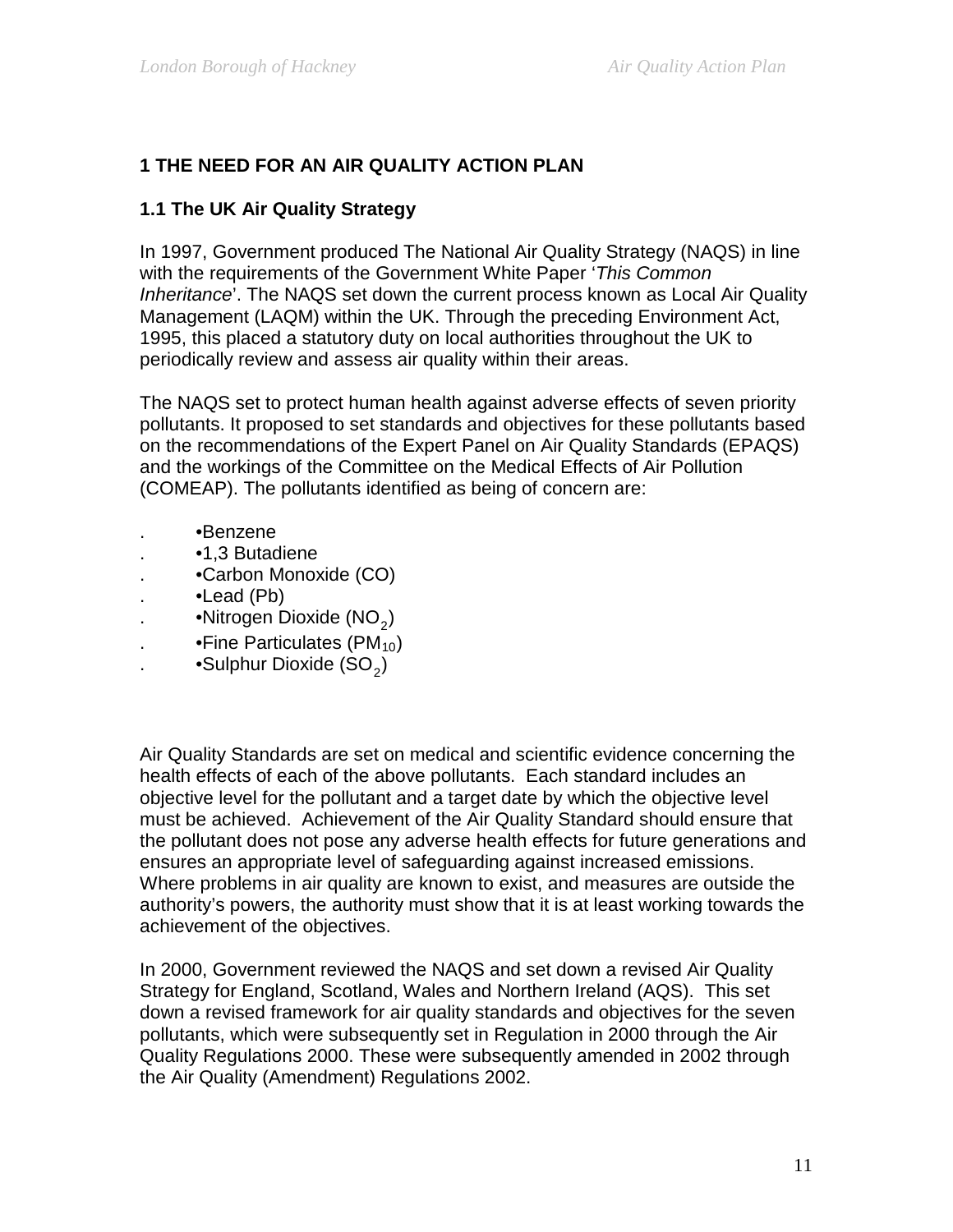# **1 THE NEED FOR AN AIR QUALITY ACTION PLAN**

#### **1.1 The UK Air Quality Strategy**

In 1997, Government produced The National Air Quality Strategy (NAQS) in line with the requirements of the Government White Paper '*This Common Inheritance*'. The NAQS set down the current process known as Local Air Quality Management (LAQM) within the UK. Through the preceding Environment Act, 1995, this placed a statutory duty on local authorities throughout the UK to periodically review and assess air quality within their areas.

The NAQS set to protect human health against adverse effects of seven priority pollutants. It proposed to set standards and objectives for these pollutants based on the recommendations of the Expert Panel on Air Quality Standards (EPAQS) and the workings of the Committee on the Medical Effects of Air Pollution (COMEAP). The pollutants identified as being of concern are:

- . •Benzene
- . •1,3 Butadiene
- . •Carbon Monoxide (CO)
- . •Lead (Pb)
- . • Nitrogen Dioxide  $(NO<sub>2</sub>)$
- . •Fine Particulates  $(PM_{10})$
- . •Sulphur Dioxide  $(SO_2)$

Air Quality Standards are set on medical and scientific evidence concerning the health effects of each of the above pollutants. Each standard includes an objective level for the pollutant and a target date by which the objective level must be achieved. Achievement of the Air Quality Standard should ensure that the pollutant does not pose any adverse health effects for future generations and ensures an appropriate level of safeguarding against increased emissions. Where problems in air quality are known to exist, and measures are outside the authority's powers, the authority must show that it is at least working towards the achievement of the objectives.

In 2000, Government reviewed the NAQS and set down a revised Air Quality Strategy for England, Scotland, Wales and Northern Ireland (AQS). This set down a revised framework for air quality standards and objectives for the seven pollutants, which were subsequently set in Regulation in 2000 through the Air Quality Regulations 2000. These were subsequently amended in 2002 through the Air Quality (Amendment) Regulations 2002.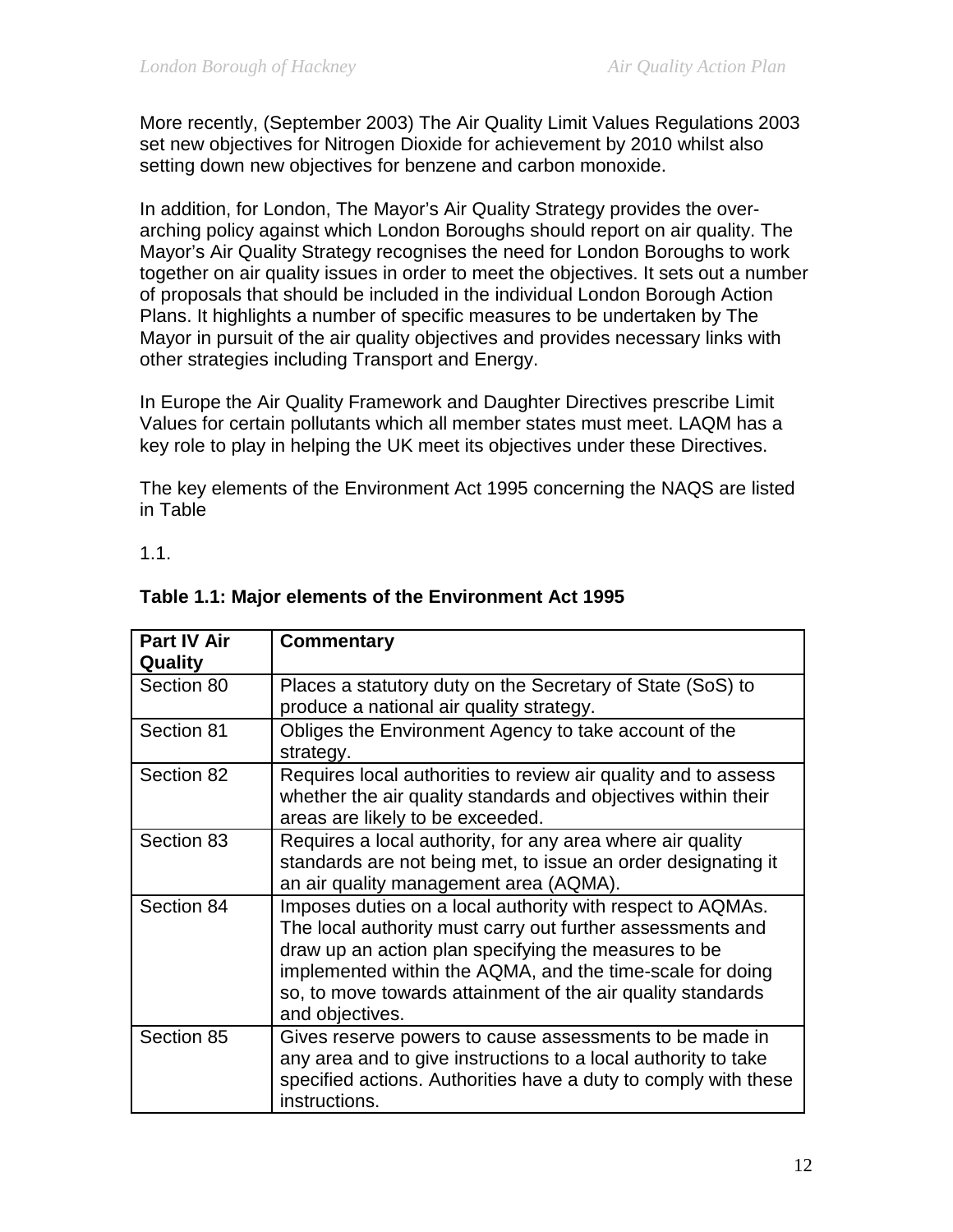More recently, (September 2003) The Air Quality Limit Values Regulations 2003 set new objectives for Nitrogen Dioxide for achievement by 2010 whilst also setting down new objectives for benzene and carbon monoxide.

In addition, for London, The Mayor's Air Quality Strategy provides the overarching policy against which London Boroughs should report on air quality. The Mayor's Air Quality Strategy recognises the need for London Boroughs to work together on air quality issues in order to meet the objectives. It sets out a number of proposals that should be included in the individual London Borough Action Plans. It highlights a number of specific measures to be undertaken by The Mayor in pursuit of the air quality objectives and provides necessary links with other strategies including Transport and Energy.

In Europe the Air Quality Framework and Daughter Directives prescribe Limit Values for certain pollutants which all member states must meet. LAQM has a key role to play in helping the UK meet its objectives under these Directives.

The key elements of the Environment Act 1995 concerning the NAQS are listed in Table

1.1.

| <b>Part IV Air</b><br><b>Quality</b> | <b>Commentary</b>                                                                                                                                                                                                                                                                                                               |  |  |
|--------------------------------------|---------------------------------------------------------------------------------------------------------------------------------------------------------------------------------------------------------------------------------------------------------------------------------------------------------------------------------|--|--|
| Section 80                           | Places a statutory duty on the Secretary of State (SoS) to<br>produce a national air quality strategy.                                                                                                                                                                                                                          |  |  |
| Section 81                           | Obliges the Environment Agency to take account of the<br>strategy.                                                                                                                                                                                                                                                              |  |  |
| Section 82                           | Requires local authorities to review air quality and to assess<br>whether the air quality standards and objectives within their<br>areas are likely to be exceeded.                                                                                                                                                             |  |  |
| Section 83                           | Requires a local authority, for any area where air quality<br>standards are not being met, to issue an order designating it<br>an air quality management area (AQMA).                                                                                                                                                           |  |  |
| Section 84                           | Imposes duties on a local authority with respect to AQMAs.<br>The local authority must carry out further assessments and<br>draw up an action plan specifying the measures to be<br>implemented within the AQMA, and the time-scale for doing<br>so, to move towards attainment of the air quality standards<br>and objectives. |  |  |
| Section 85                           | Gives reserve powers to cause assessments to be made in<br>any area and to give instructions to a local authority to take<br>specified actions. Authorities have a duty to comply with these<br>instructions.                                                                                                                   |  |  |

# **Table 1.1: Major elements of the Environment Act 1995**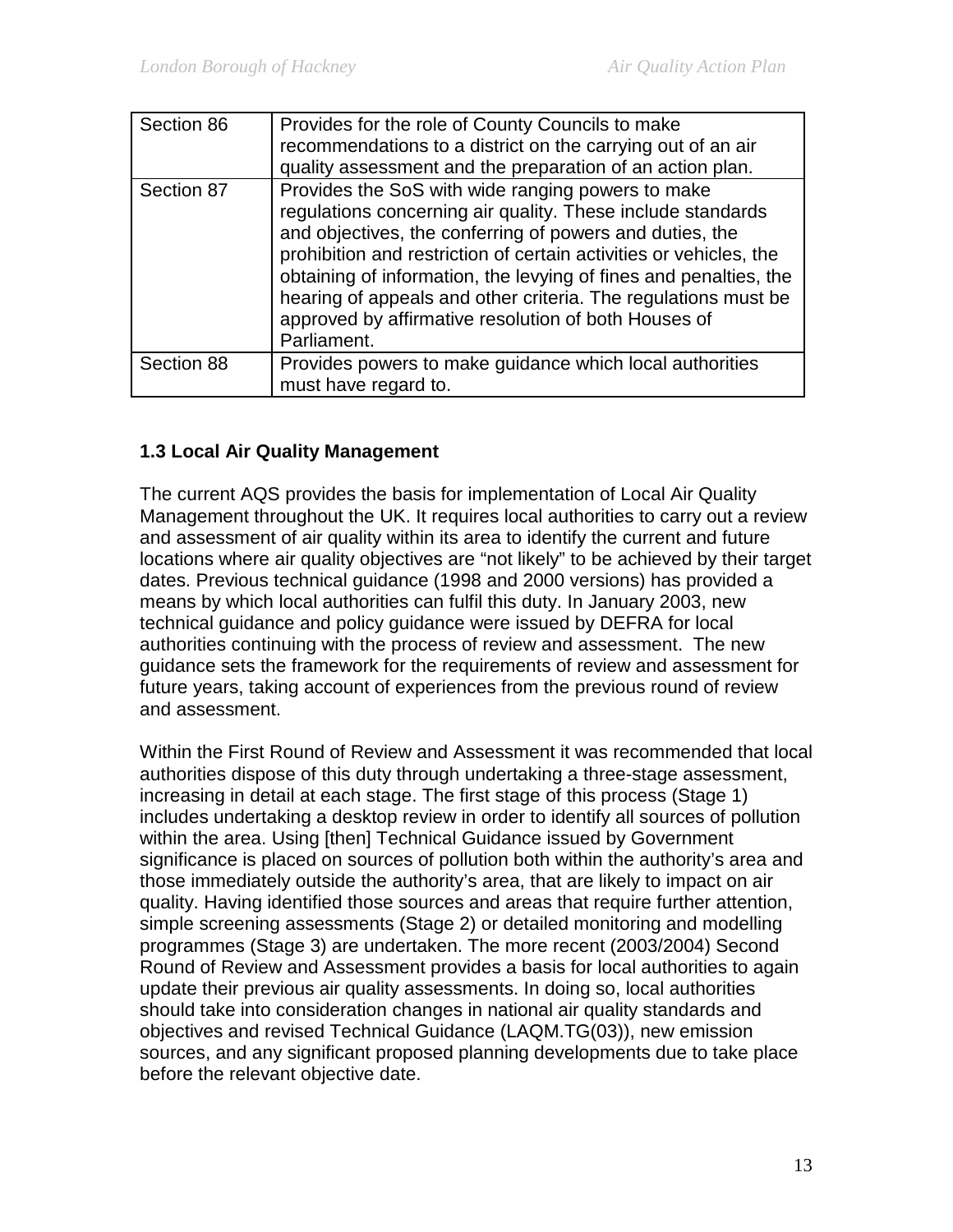| Section 86 | Provides for the role of County Councils to make<br>recommendations to a district on the carrying out of an air<br>quality assessment and the preparation of an action plan.                                                                                                                                                                                                                                                                                     |
|------------|------------------------------------------------------------------------------------------------------------------------------------------------------------------------------------------------------------------------------------------------------------------------------------------------------------------------------------------------------------------------------------------------------------------------------------------------------------------|
| Section 87 | Provides the SoS with wide ranging powers to make<br>regulations concerning air quality. These include standards<br>and objectives, the conferring of powers and duties, the<br>prohibition and restriction of certain activities or vehicles, the<br>obtaining of information, the levying of fines and penalties, the<br>hearing of appeals and other criteria. The regulations must be<br>approved by affirmative resolution of both Houses of<br>Parliament. |
| Section 88 | Provides powers to make guidance which local authorities<br>must have regard to.                                                                                                                                                                                                                                                                                                                                                                                 |

#### **1.3 Local Air Quality Management**

The current AQS provides the basis for implementation of Local Air Quality Management throughout the UK. It requires local authorities to carry out a review and assessment of air quality within its area to identify the current and future locations where air quality objectives are "not likely" to be achieved by their target dates. Previous technical guidance (1998 and 2000 versions) has provided a means by which local authorities can fulfil this duty. In January 2003, new technical guidance and policy guidance were issued by DEFRA for local authorities continuing with the process of review and assessment. The new guidance sets the framework for the requirements of review and assessment for future years, taking account of experiences from the previous round of review and assessment.

Within the First Round of Review and Assessment it was recommended that local authorities dispose of this duty through undertaking a three-stage assessment, increasing in detail at each stage. The first stage of this process (Stage 1) includes undertaking a desktop review in order to identify all sources of pollution within the area. Using [then] Technical Guidance issued by Government significance is placed on sources of pollution both within the authority's area and those immediately outside the authority's area, that are likely to impact on air quality. Having identified those sources and areas that require further attention, simple screening assessments (Stage 2) or detailed monitoring and modelling programmes (Stage 3) are undertaken. The more recent (2003/2004) Second Round of Review and Assessment provides a basis for local authorities to again update their previous air quality assessments. In doing so, local authorities should take into consideration changes in national air quality standards and objectives and revised Technical Guidance (LAQM.TG(03)), new emission sources, and any significant proposed planning developments due to take place before the relevant objective date.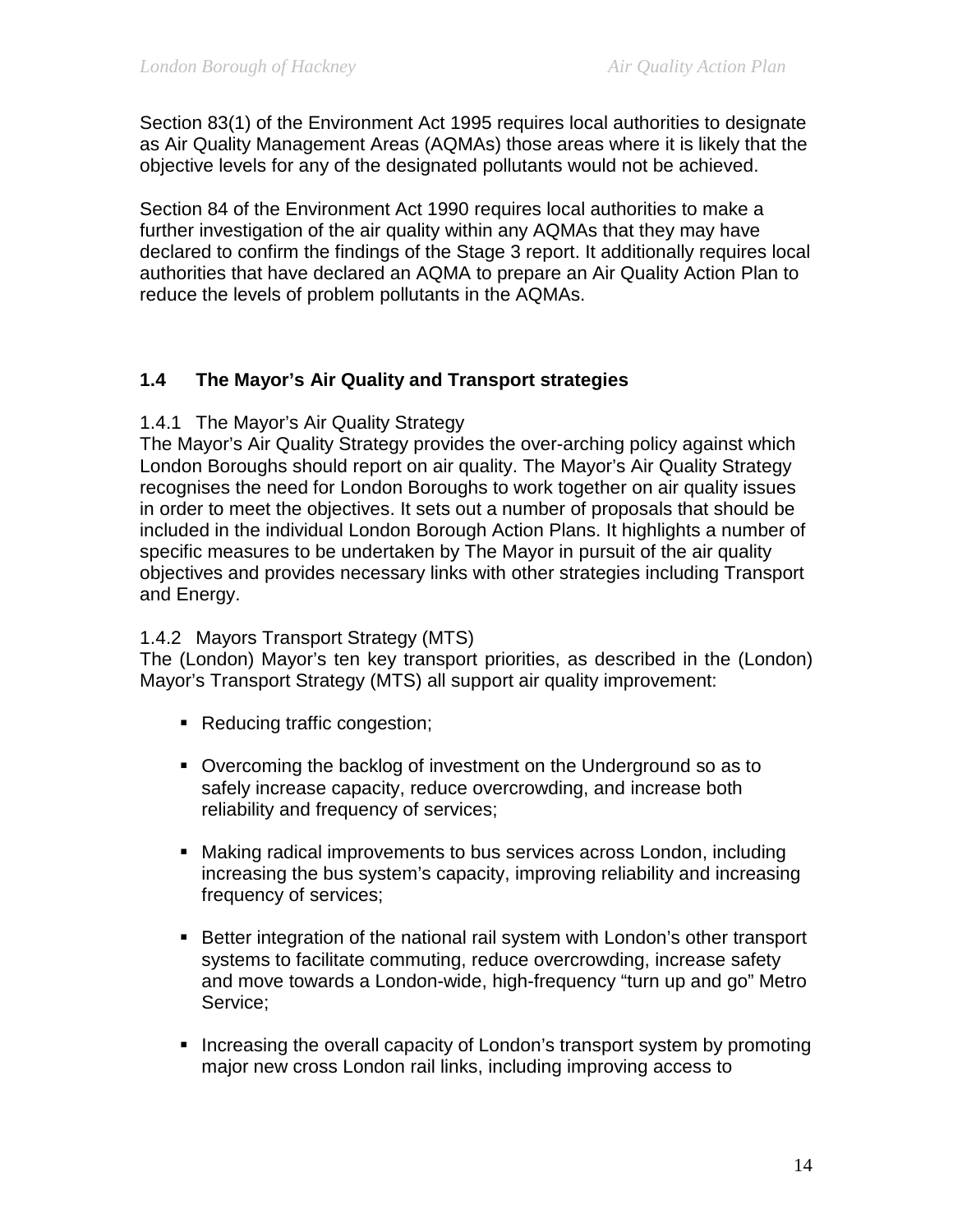Section 83(1) of the Environment Act 1995 requires local authorities to designate as Air Quality Management Areas (AQMAs) those areas where it is likely that the objective levels for any of the designated pollutants would not be achieved.

Section 84 of the Environment Act 1990 requires local authorities to make a further investigation of the air quality within any AQMAs that they may have declared to confirm the findings of the Stage 3 report. It additionally requires local authorities that have declared an AQMA to prepare an Air Quality Action Plan to reduce the levels of problem pollutants in the AQMAs.

# **1.4 The Mayor's Air Quality and Transport strategies**

#### 1.4.1 The Mayor's Air Quality Strategy

The Mayor's Air Quality Strategy provides the over-arching policy against which London Boroughs should report on air quality. The Mayor's Air Quality Strategy recognises the need for London Boroughs to work together on air quality issues in order to meet the objectives. It sets out a number of proposals that should be included in the individual London Borough Action Plans. It highlights a number of specific measures to be undertaken by The Mayor in pursuit of the air quality objectives and provides necessary links with other strategies including Transport and Energy.

#### 1.4.2 Mayors Transport Strategy (MTS)

The (London) Mayor's ten key transport priorities, as described in the (London) Mayor's Transport Strategy (MTS) all support air quality improvement:

- Reducing traffic congestion;
- Overcoming the backlog of investment on the Underground so as to safely increase capacity, reduce overcrowding, and increase both reliability and frequency of services;
- Making radical improvements to bus services across London, including increasing the bus system's capacity, improving reliability and increasing frequency of services;
- **Better integration of the national rail system with London's other transport** systems to facilitate commuting, reduce overcrowding, increase safety and move towards a London-wide, high-frequency "turn up and go" Metro Service;
- Increasing the overall capacity of London's transport system by promoting major new cross London rail links, including improving access to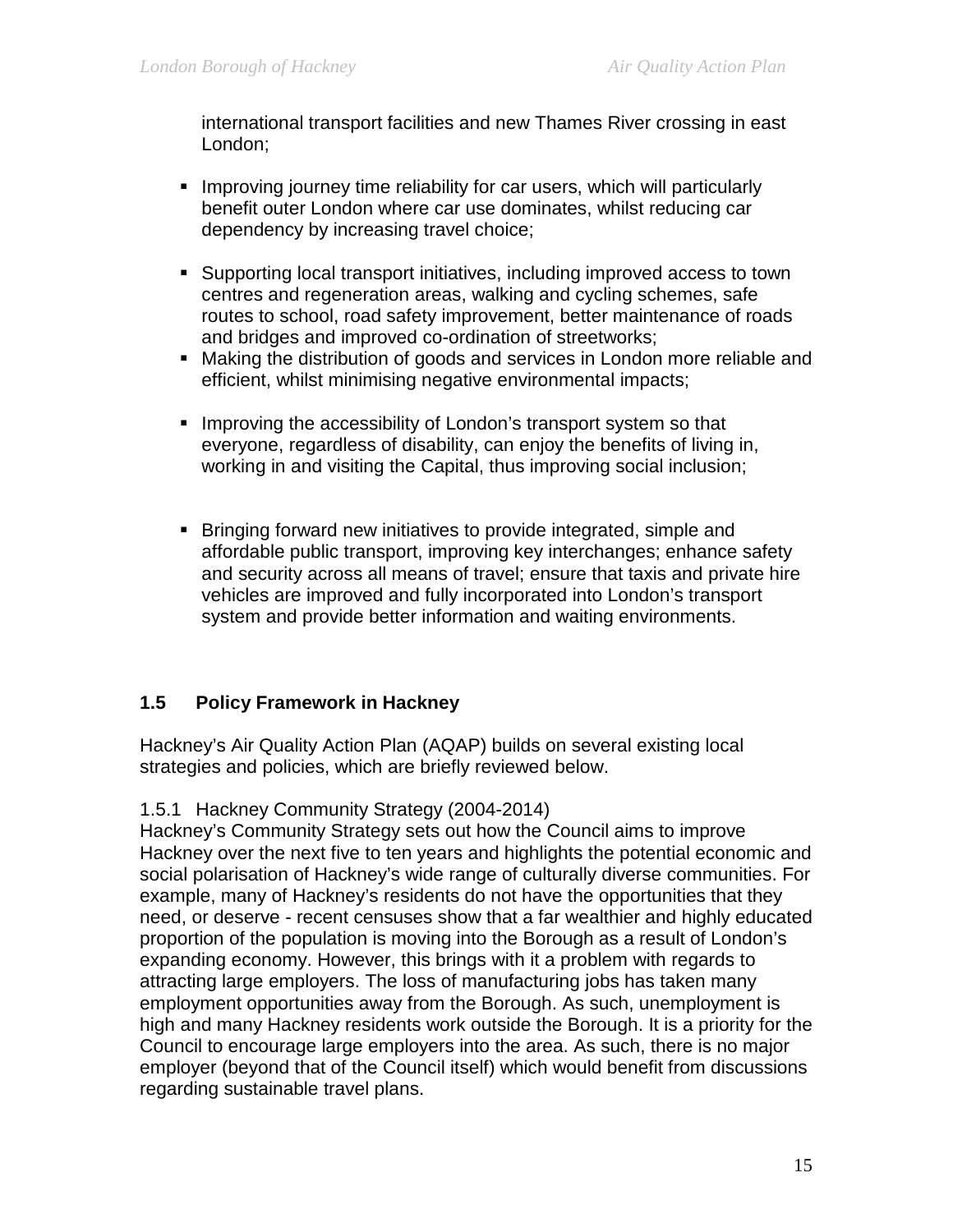international transport facilities and new Thames River crossing in east London;

- **IMPROVIGUATE:** Improving journey time reliability for car users, which will particularly benefit outer London where car use dominates, whilst reducing car dependency by increasing travel choice;
- Supporting local transport initiatives, including improved access to town centres and regeneration areas, walking and cycling schemes, safe routes to school, road safety improvement, better maintenance of roads and bridges and improved co-ordination of streetworks;
- Making the distribution of goods and services in London more reliable and efficient, whilst minimising negative environmental impacts;
- **Improving the accessibility of London's transport system so that** everyone, regardless of disability, can enjoy the benefits of living in, working in and visiting the Capital, thus improving social inclusion;
- **Bringing forward new initiatives to provide integrated, simple and** affordable public transport, improving key interchanges; enhance safety and security across all means of travel; ensure that taxis and private hire vehicles are improved and fully incorporated into London's transport system and provide better information and waiting environments.

#### **1.5 Policy Framework in Hackney**

Hackney's Air Quality Action Plan (AQAP) builds on several existing local strategies and policies, which are briefly reviewed below.

#### 1.5.1 Hackney Community Strategy (2004-2014)

Hackney's Community Strategy sets out how the Council aims to improve Hackney over the next five to ten years and highlights the potential economic and social polarisation of Hackney's wide range of culturally diverse communities. For example, many of Hackney's residents do not have the opportunities that they need, or deserve - recent censuses show that a far wealthier and highly educated proportion of the population is moving into the Borough as a result of London's expanding economy. However, this brings with it a problem with regards to attracting large employers. The loss of manufacturing jobs has taken many employment opportunities away from the Borough. As such, unemployment is high and many Hackney residents work outside the Borough. It is a priority for the Council to encourage large employers into the area. As such, there is no major employer (beyond that of the Council itself) which would benefit from discussions regarding sustainable travel plans.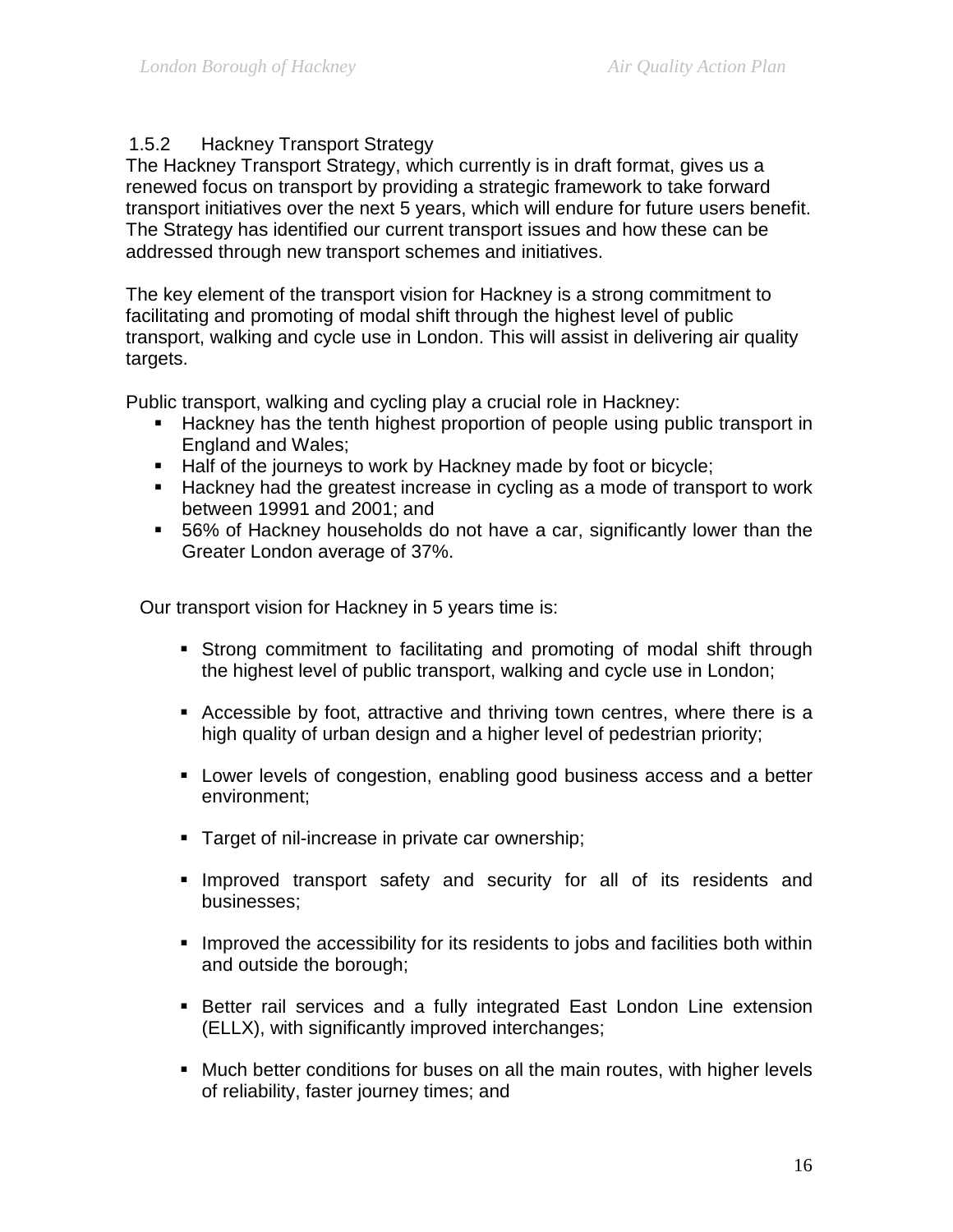# 1.5.2 Hackney Transport Strategy

The Hackney Transport Strategy, which currently is in draft format, gives us a renewed focus on transport by providing a strategic framework to take forward transport initiatives over the next 5 years, which will endure for future users benefit. The Strategy has identified our current transport issues and how these can be addressed through new transport schemes and initiatives.

The key element of the transport vision for Hackney is a strong commitment to facilitating and promoting of modal shift through the highest level of public transport, walking and cycle use in London. This will assist in delivering air quality targets.

Public transport, walking and cycling play a crucial role in Hackney:

- Hackney has the tenth highest proportion of people using public transport in England and Wales;
- Half of the journeys to work by Hackney made by foot or bicycle;
- **Hackney had the greatest increase in cycling as a mode of transport to work** between 19991 and 2001; and
- 56% of Hackney households do not have a car, significantly lower than the Greater London average of 37%.

Our transport vision for Hackney in 5 years time is:

- Strong commitment to facilitating and promoting of modal shift through the highest level of public transport, walking and cycle use in London;
- Accessible by foot, attractive and thriving town centres, where there is a high quality of urban design and a higher level of pedestrian priority;
- Lower levels of congestion, enabling good business access and a better environment;
- **Target of nil-increase in private car ownership;**
- **Improved transport safety and security for all of its residents and** businesses;
- **IMPROVED the accessibility for its residents to jobs and facilities both within** and outside the borough;
- Better rail services and a fully integrated East London Line extension (ELLX), with significantly improved interchanges;
- Much better conditions for buses on all the main routes, with higher levels of reliability, faster journey times; and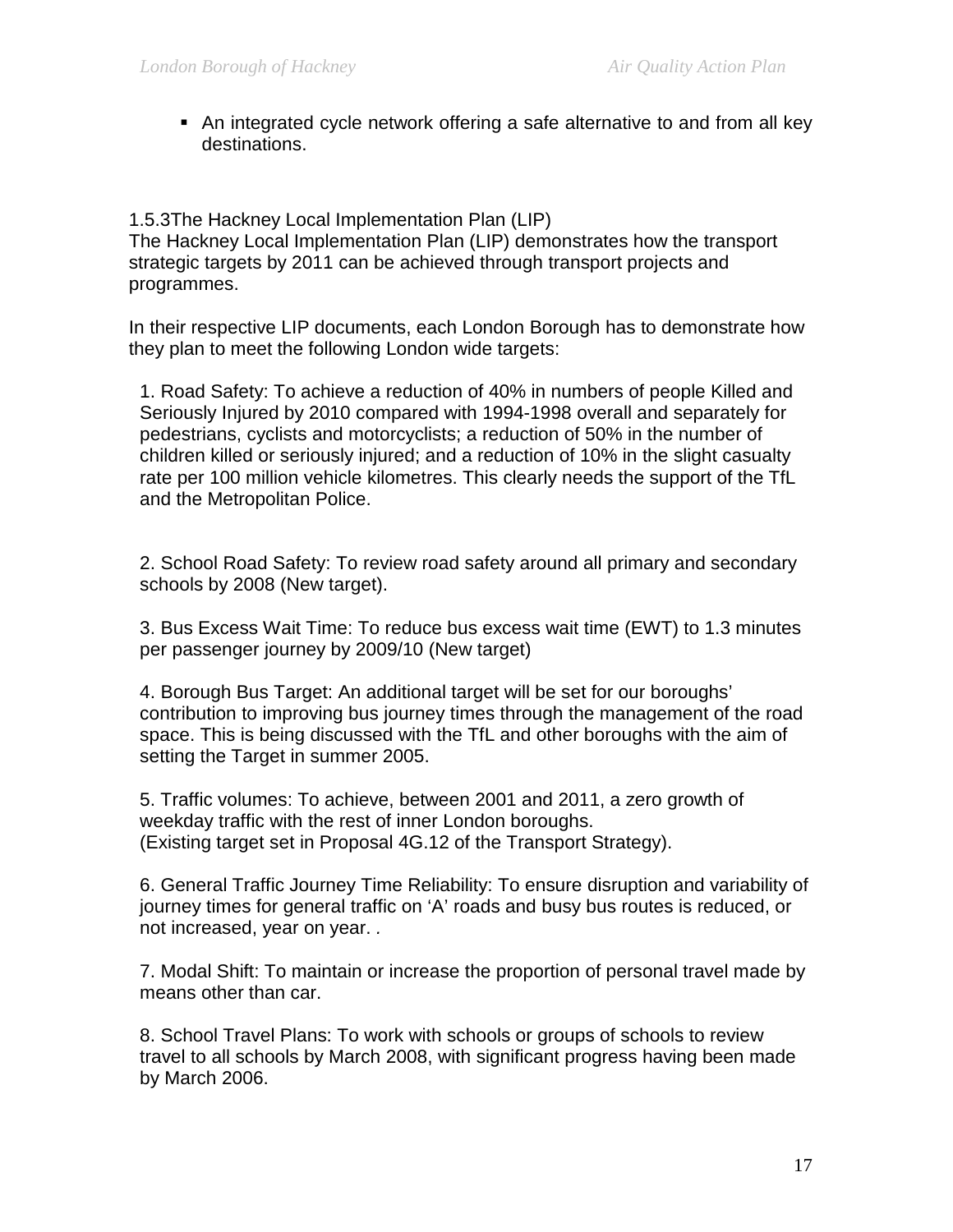An integrated cycle network offering a safe alternative to and from all key destinations. **I**

1.5.3The Hackney Local Implementation Plan (LIP) The Hackney Local Implementation Plan (LIP) demonstrates how the transport strategic targets by 2011 can be achieved through transport projects and programmes.

In their respective LIP documents, each London Borough has to demonstrate how they plan to meet the following London wide targets:

1. Road Safety: To achieve a reduction of 40% in numbers of people Killed and Seriously Injured by 2010 compared with 1994-1998 overall and separately for pedestrians, cyclists and motorcyclists; a reduction of 50% in the number of children killed or seriously injured; and a reduction of 10% in the slight casualty rate per 100 million vehicle kilometres. This clearly needs the support of the TfL and the Metropolitan Police.

2. School Road Safety: To review road safety around all primary and secondary schools by 2008 (New target).

3. Bus Excess Wait Time: To reduce bus excess wait time (EWT) to 1.3 minutes per passenger journey by 2009/10 (New target)

4. Borough Bus Target: An additional target will be set for our boroughs' contribution to improving bus journey times through the management of the road space. This is being discussed with the TfL and other boroughs with the aim of setting the Target in summer 2005.

5. Traffic volumes: To achieve, between 2001 and 2011, a zero growth of weekday traffic with the rest of inner London boroughs. (Existing target set in Proposal 4G.12 of the Transport Strategy).

6. General Traffic Journey Time Reliability: To ensure disruption and variability of journey times for general traffic on 'A' roads and busy bus routes is reduced, or not increased, year on year. *.*

7. Modal Shift: To maintain or increase the proportion of personal travel made by means other than car.

8. School Travel Plans: To work with schools or groups of schools to review travel to all schools by March 2008, with significant progress having been made by March 2006.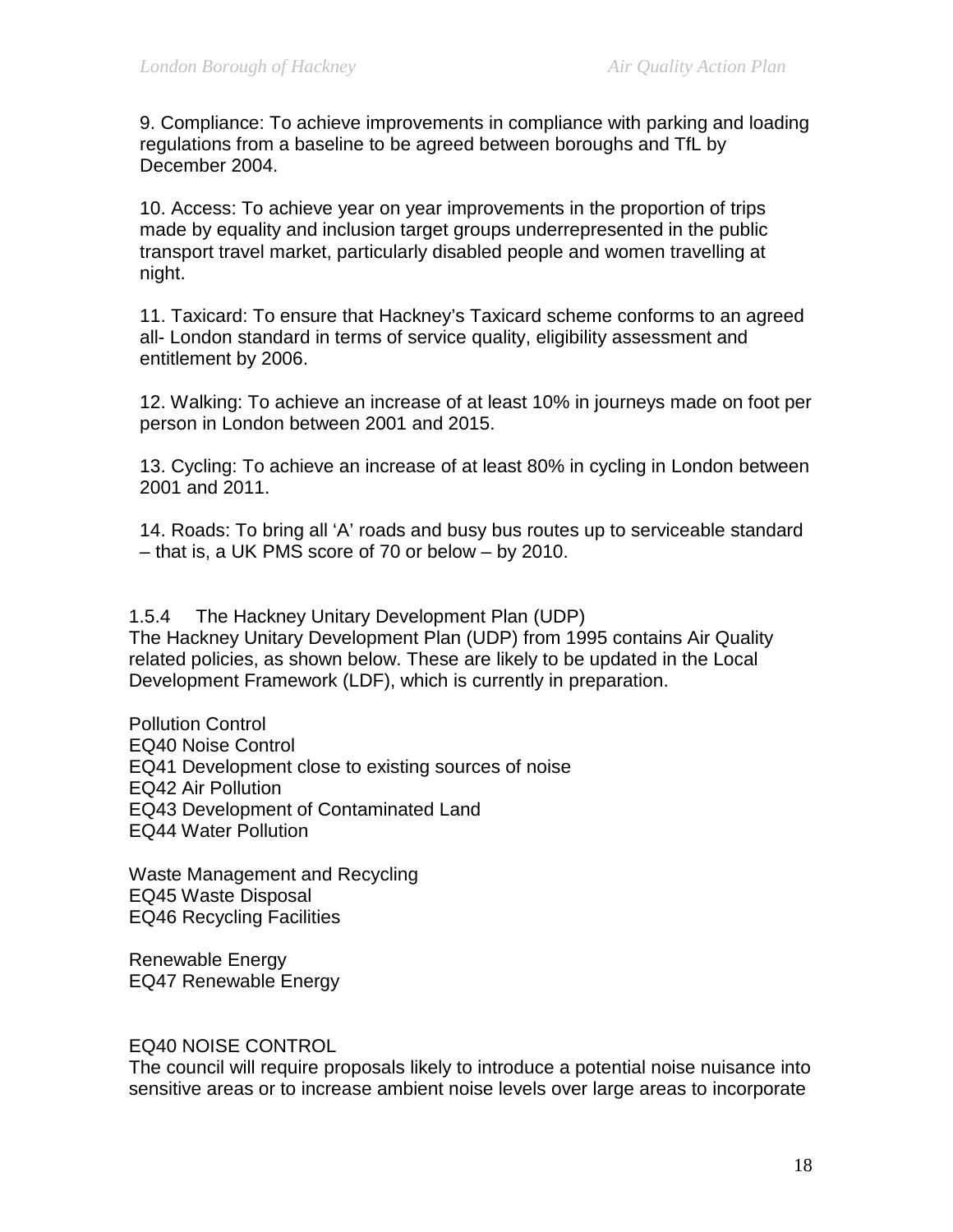9. Compliance: To achieve improvements in compliance with parking and loading regulations from a baseline to be agreed between boroughs and TfL by December 2004.

10. Access: To achieve year on year improvements in the proportion of trips made by equality and inclusion target groups underrepresented in the public transport travel market, particularly disabled people and women travelling at night.

11. Taxicard: To ensure that Hackney's Taxicard scheme conforms to an agreed all- London standard in terms of service quality, eligibility assessment and entitlement by 2006.

12. Walking: To achieve an increase of at least 10% in journeys made on foot per person in London between 2001 and 2015.

13. Cycling: To achieve an increase of at least 80% in cycling in London between 2001 and 2011.

14. Roads: To bring all 'A' roads and busy bus routes up to serviceable standard – that is, a UK PMS score of 70 or below – by 2010.

1.5.4 The Hackney Unitary Development Plan (UDP)

The Hackney Unitary Development Plan (UDP) from 1995 contains Air Quality related policies, as shown below. These are likely to be updated in the Local Development Framework (LDF), which is currently in preparation.

Pollution Control EQ40 Noise Control EQ41 Development close to existing sources of noise EQ42 Air Pollution EQ43 Development of Contaminated Land EQ44 Water Pollution

Waste Management and Recycling EQ45 Waste Disposal EQ46 Recycling Facilities

Renewable Energy EQ47 Renewable Energy

EQ40 NOISE CONTROL

The council will require proposals likely to introduce a potential noise nuisance into sensitive areas or to increase ambient noise levels over large areas to incorporate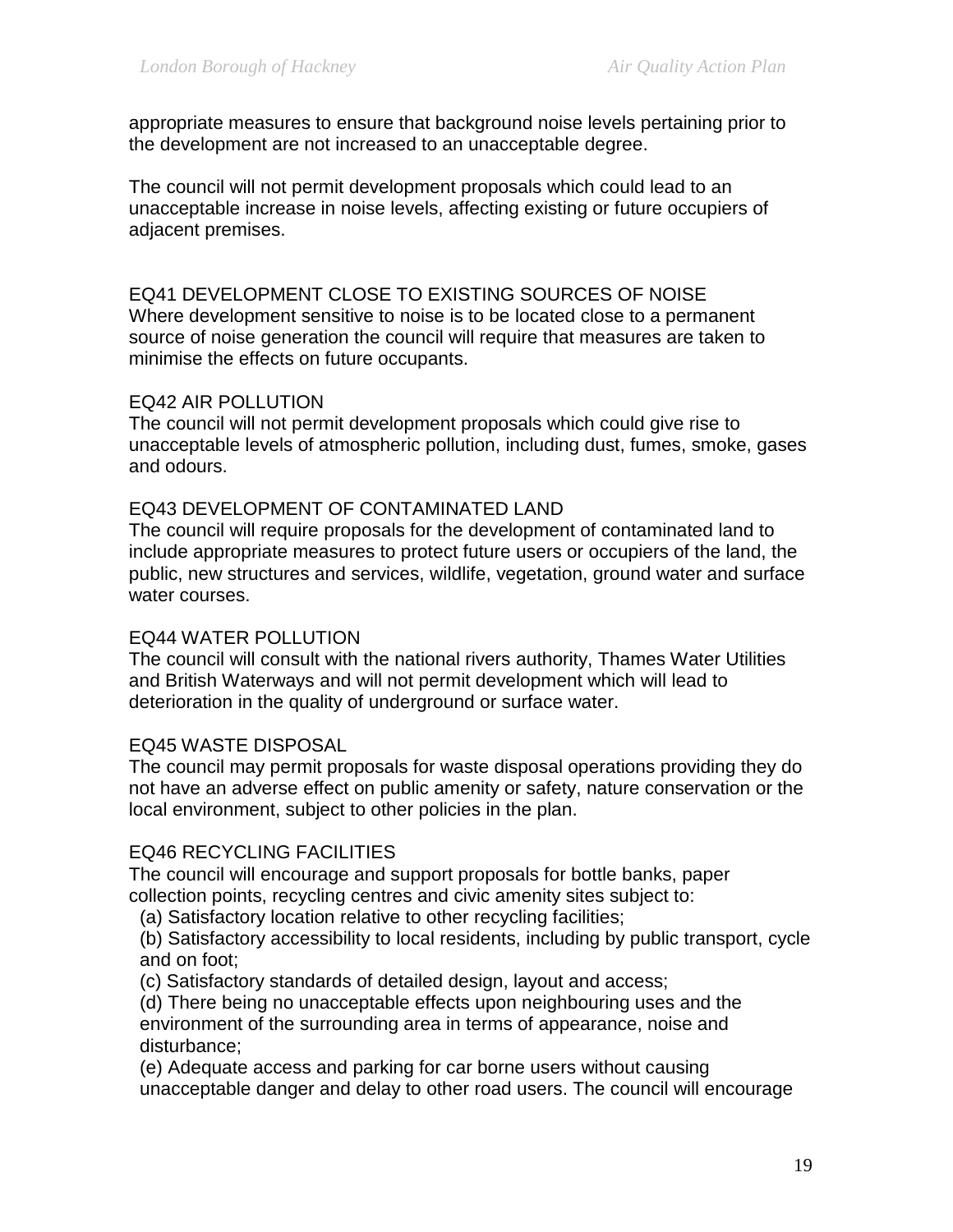appropriate measures to ensure that background noise levels pertaining prior to the development are not increased to an unacceptable degree.

The council will not permit development proposals which could lead to an unacceptable increase in noise levels, affecting existing or future occupiers of adjacent premises.

EQ41 DEVELOPMENT CLOSE TO EXISTING SOURCES OF NOISE Where development sensitive to noise is to be located close to a permanent source of noise generation the council will require that measures are taken to minimise the effects on future occupants.

#### EQ42 AIR POLLUTION

The council will not permit development proposals which could give rise to unacceptable levels of atmospheric pollution, including dust, fumes, smoke, gases and odours.

#### EQ43 DEVELOPMENT OF CONTAMINATED LAND

The council will require proposals for the development of contaminated land to include appropriate measures to protect future users or occupiers of the land, the public, new structures and services, wildlife, vegetation, ground water and surface water courses.

#### EQ44 WATER POLLUTION

The council will consult with the national rivers authority, Thames Water Utilities and British Waterways and will not permit development which will lead to deterioration in the quality of underground or surface water.

#### EQ45 WASTE DISPOSAL

The council may permit proposals for waste disposal operations providing they do not have an adverse effect on public amenity or safety, nature conservation or the local environment, subject to other policies in the plan.

#### EQ46 RECYCLING FACILITIES

The council will encourage and support proposals for bottle banks, paper collection points, recycling centres and civic amenity sites subject to:

(a) Satisfactory location relative to other recycling facilities;

(b) Satisfactory accessibility to local residents, including by public transport, cycle and on foot;

(c) Satisfactory standards of detailed design, layout and access;

(d) There being no unacceptable effects upon neighbouring uses and the environment of the surrounding area in terms of appearance, noise and disturbance;

(e) Adequate access and parking for car borne users without causing unacceptable danger and delay to other road users. The council will encourage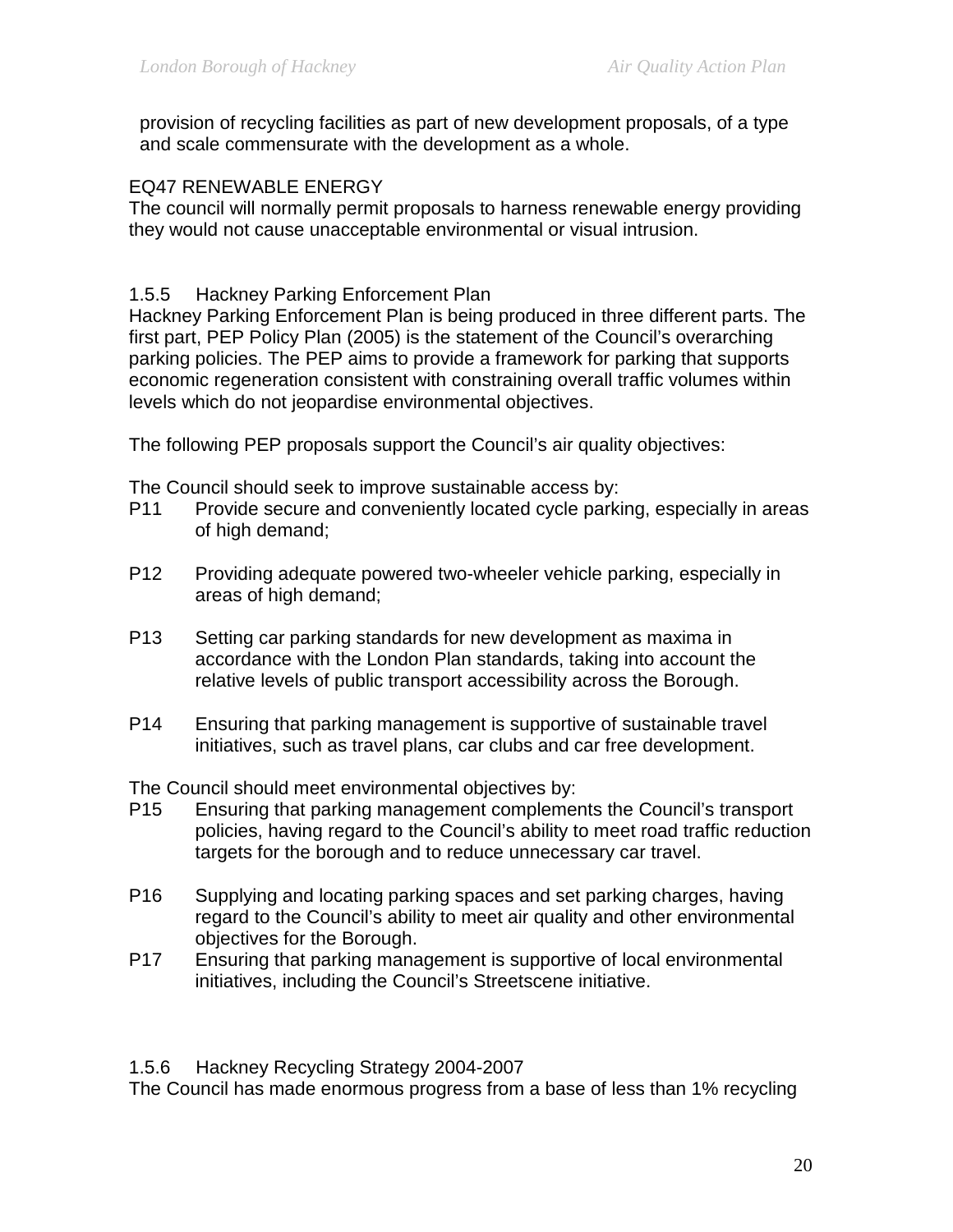provision of recycling facilities as part of new development proposals, of a type and scale commensurate with the development as a whole.

#### EQ47 RENEWABLE ENERGY

The council will normally permit proposals to harness renewable energy providing they would not cause unacceptable environmental or visual intrusion.

#### 1.5.5 Hackney Parking Enforcement Plan

Hackney Parking Enforcement Plan is being produced in three different parts. The first part, PEP Policy Plan (2005) is the statement of the Council's overarching parking policies. The PEP aims to provide a framework for parking that supports economic regeneration consistent with constraining overall traffic volumes within levels which do not jeopardise environmental objectives.

The following PEP proposals support the Council's air quality objectives:

The Council should seek to improve sustainable access by:

- P11 Provide secure and conveniently located cycle parking, especially in areas of high demand;
- P12 Providing adequate powered two-wheeler vehicle parking, especially in areas of high demand;
- P13 Setting car parking standards for new development as maxima in accordance with the London Plan standards, taking into account the relative levels of public transport accessibility across the Borough.
- P14 Ensuring that parking management is supportive of sustainable travel initiatives, such as travel plans, car clubs and car free development.

The Council should meet environmental objectives by:

- P15 Ensuring that parking management complements the Council's transport policies, having regard to the Council's ability to meet road traffic reduction targets for the borough and to reduce unnecessary car travel.
- P16 Supplying and locating parking spaces and set parking charges, having regard to the Council's ability to meet air quality and other environmental objectives for the Borough.
- P17 Ensuring that parking management is supportive of local environmental initiatives, including the Council's Streetscene initiative.

#### 1.5.6 Hackney Recycling Strategy 2004-2007

The Council has made enormous progress from a base of less than 1% recycling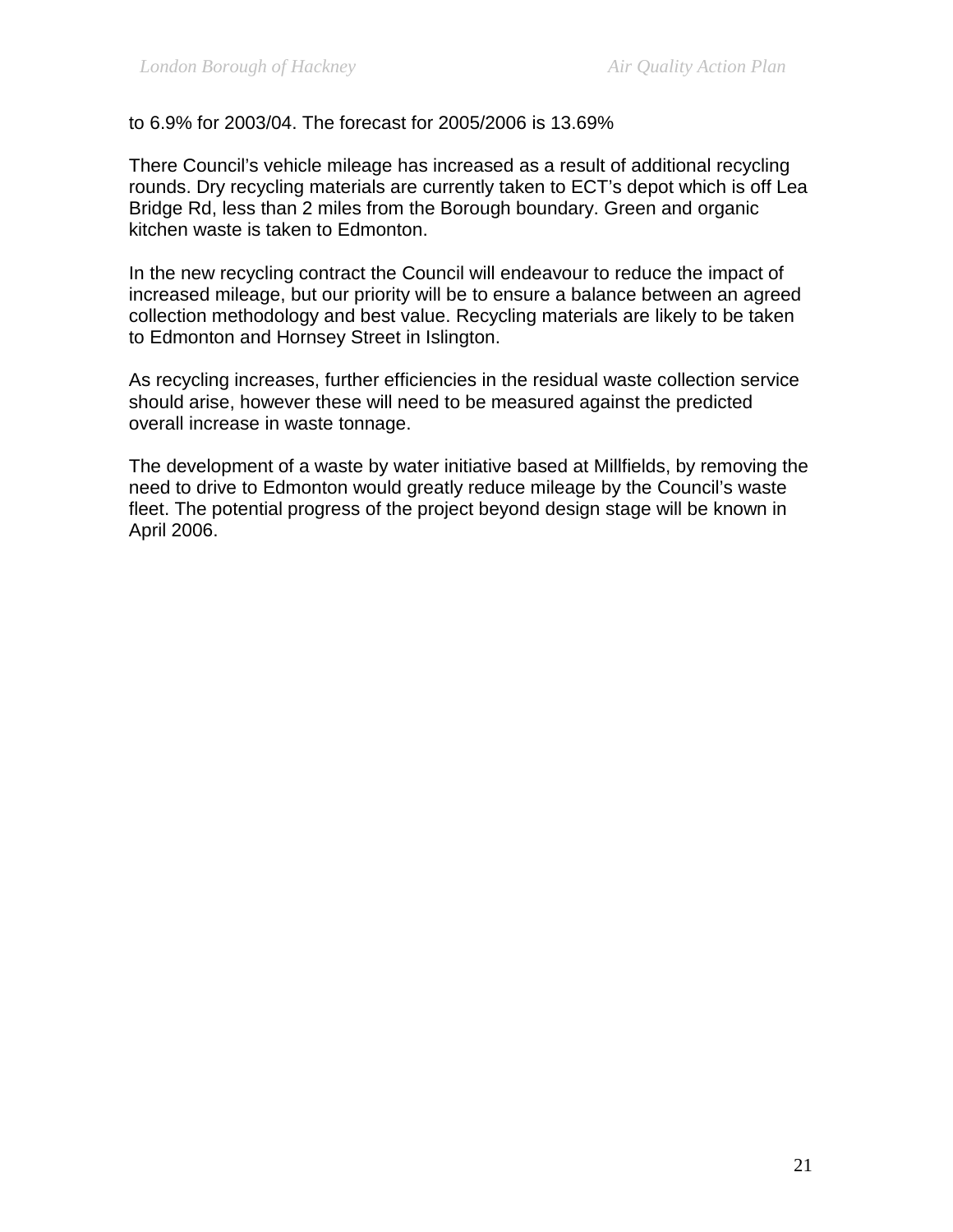#### to 6.9% for 2003/04. The forecast for 2005/2006 is 13.69%

There Council's vehicle mileage has increased as a result of additional recycling rounds. Dry recycling materials are currently taken to ECT's depot which is off Lea Bridge Rd, less than 2 miles from the Borough boundary. Green and organic kitchen waste is taken to Edmonton.

In the new recycling contract the Council will endeavour to reduce the impact of increased mileage, but our priority will be to ensure a balance between an agreed collection methodology and best value. Recycling materials are likely to be taken to Edmonton and Hornsey Street in Islington.

As recycling increases, further efficiencies in the residual waste collection service should arise, however these will need to be measured against the predicted overall increase in waste tonnage.

The development of a waste by water initiative based at Millfields, by removing the need to drive to Edmonton would greatly reduce mileage by the Council's waste fleet. The potential progress of the project beyond design stage will be known in April 2006.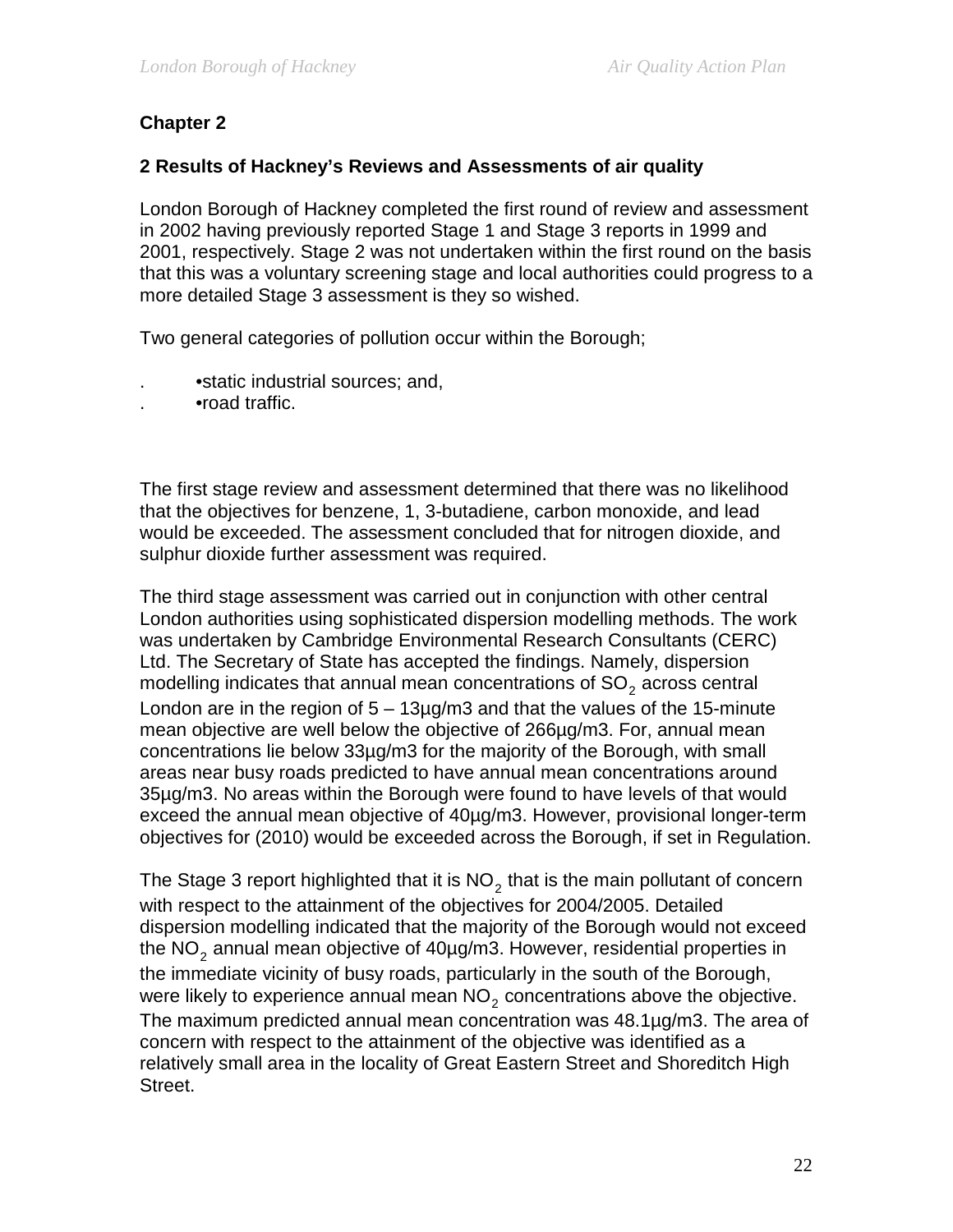# **Chapter 2**

#### **2 Results of Hackney's Reviews and Assessments of air quality**

London Borough of Hackney completed the first round of review and assessment in 2002 having previously reported Stage 1 and Stage 3 reports in 1999 and 2001, respectively. Stage 2 was not undertaken within the first round on the basis that this was a voluntary screening stage and local authorities could progress to a more detailed Stage 3 assessment is they so wished.

Two general categories of pollution occur within the Borough;

- . •static industrial sources; and,
- . •road traffic.

The first stage review and assessment determined that there was no likelihood that the objectives for benzene, 1, 3-butadiene, carbon monoxide, and lead would be exceeded. The assessment concluded that for nitrogen dioxide, and sulphur dioxide further assessment was required.

The third stage assessment was carried out in conjunction with other central London authorities using sophisticated dispersion modelling methods. The work was undertaken by Cambridge Environmental Research Consultants (CERC) Ltd. The Secretary of State has accepted the findings. Namely, dispersion modelling indicates that annual mean concentrations of  $SO<sub>2</sub>$  across central London are in the region of  $5 - 13\mu$ g/m3 and that the values of the 15-minute mean objective are well below the objective of 266µg/m3. For, annual mean concentrations lie below 33µg/m3 for the majority of the Borough, with small areas near busy roads predicted to have annual mean concentrations around 35µg/m3. No areas within the Borough were found to have levels of that would exceed the annual mean objective of 40µg/m3. However, provisional longer-term objectives for (2010) would be exceeded across the Borough, if set in Regulation.

The Stage 3 report highlighted that it is  $NO<sub>2</sub>$  that is the main pollutant of concern with respect to the attainment of the objectives for 2004/2005. Detailed dispersion modelling indicated that the majority of the Borough would not exceed the  $NO<sub>2</sub>$  annual mean objective of 40 $\mu$ g/m3. However, residential properties in the immediate vicinity of busy roads, particularly in the south of the Borough, were likely to experience annual mean  $NO<sub>2</sub>$  concentrations above the objective. The maximum predicted annual mean concentration was 48.1µg/m3. The area of concern with respect to the attainment of the objective was identified as a relatively small area in the locality of Great Eastern Street and Shoreditch High Street.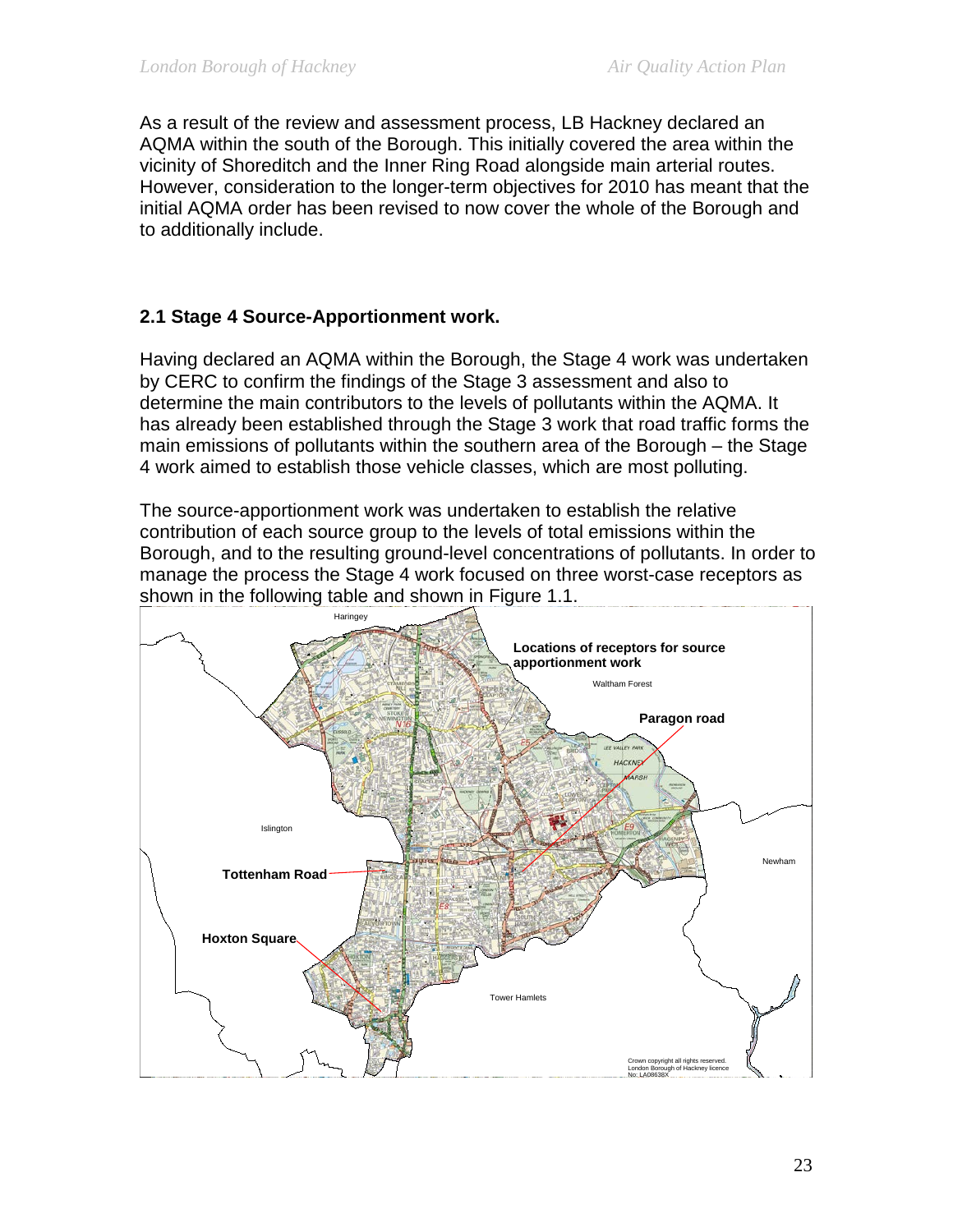As a result of the review and assessment process, LB Hackney declared an AQMA within the south of the Borough. This initially covered the area within the vicinity of Shoreditch and the Inner Ring Road alongside main arterial routes. However, consideration to the longer-term objectives for 2010 has meant that the initial AQMA order has been revised to now cover the whole of the Borough and to additionally include.

# **2.1 Stage 4 Source-Apportionment work.**

Having declared an AQMA within the Borough, the Stage 4 work was undertaken by CERC to confirm the findings of the Stage 3 assessment and also to determine the main contributors to the levels of pollutants within the AQMA. It has already been established through the Stage 3 work that road traffic forms the main emissions of pollutants within the southern area of the Borough – the Stage 4 work aimed to establish those vehicle classes, which are most polluting.

The source-apportionment work was undertaken to establish the relative contribution of each source group to the levels of total emissions within the Borough, and to the resulting ground-level concentrations of pollutants. In order to manage the process the Stage 4 work focused on three worst-case receptors as shown in the following table and shown in Figure 1.1.

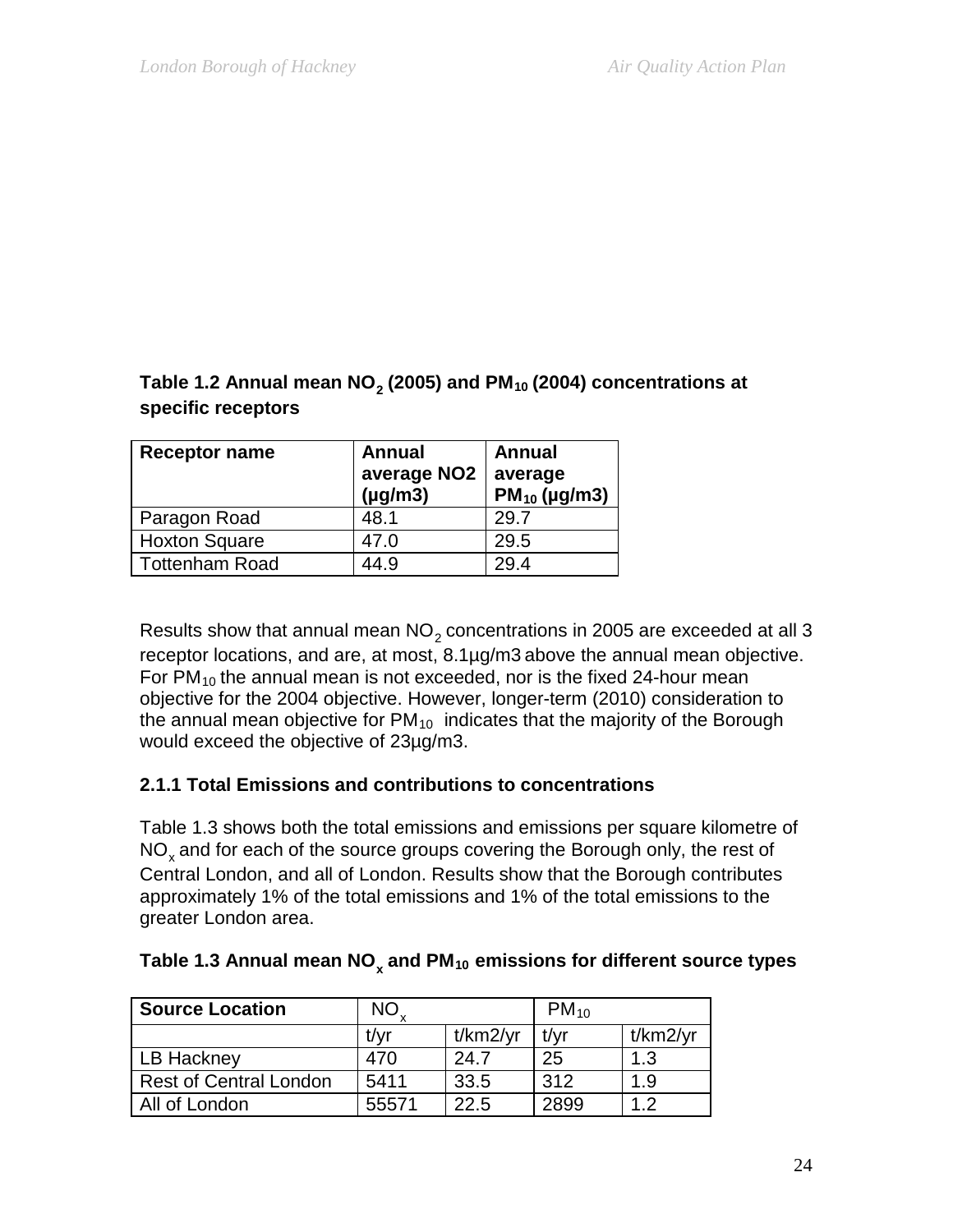# Table 1.2 Annual mean NO<sub>2</sub> (2005) and PM<sub>10</sub> (2004) concentrations at **specific receptors**

| <b>Receptor name</b>  | <b>Annual</b><br>average NO <sub>2</sub><br>$(\mu g/m3)$ | Annual<br>average<br>$PM_{10}$ (µg/m3) |
|-----------------------|----------------------------------------------------------|----------------------------------------|
| Paragon Road          | 48.1                                                     | 29.7                                   |
| <b>Hoxton Square</b>  | 47.0                                                     | 29.5                                   |
| <b>Tottenham Road</b> | 44.9                                                     | 29.4                                   |

Results show that annual mean  $NO<sub>2</sub>$  concentrations in 2005 are exceeded at all 3 receptor locations, and are, at most, 8.1µg/m3 above the annual mean objective. For  $PM_{10}$  the annual mean is not exceeded, nor is the fixed 24-hour mean objective for the 2004 objective. However, longer-term (2010) consideration to the annual mean objective for  $PM_{10}$  indicates that the majority of the Borough would exceed the objective of 23µg/m3.

# **2.1.1 Total Emissions and contributions to concentrations**

Table 1.3 shows both the total emissions and emissions per square kilometre of  $NO<sub>x</sub>$  and for each of the source groups covering the Borough only, the rest of Central London, and all of London. Results show that the Borough contributes approximately 1% of the total emissions and 1% of the total emissions to the greater London area.

| <b>Source Location</b>        | NO.   |          | $PM_{10}$ |          |
|-------------------------------|-------|----------|-----------|----------|
|                               | t/vr  | t/km2/yr | t/vr      | t/km2/yr |
| LB Hackney                    | 470   | 24.7     | 25        | 1.3      |
| <b>Rest of Central London</b> | 5411  | 33.5     | 312       | 1.9      |
| All of London                 | 55571 | 22.5     | 2899      | 12       |

# Table 1.3 Annual mean NO<sub>x</sub> and PM<sub>10</sub> emissions for different source types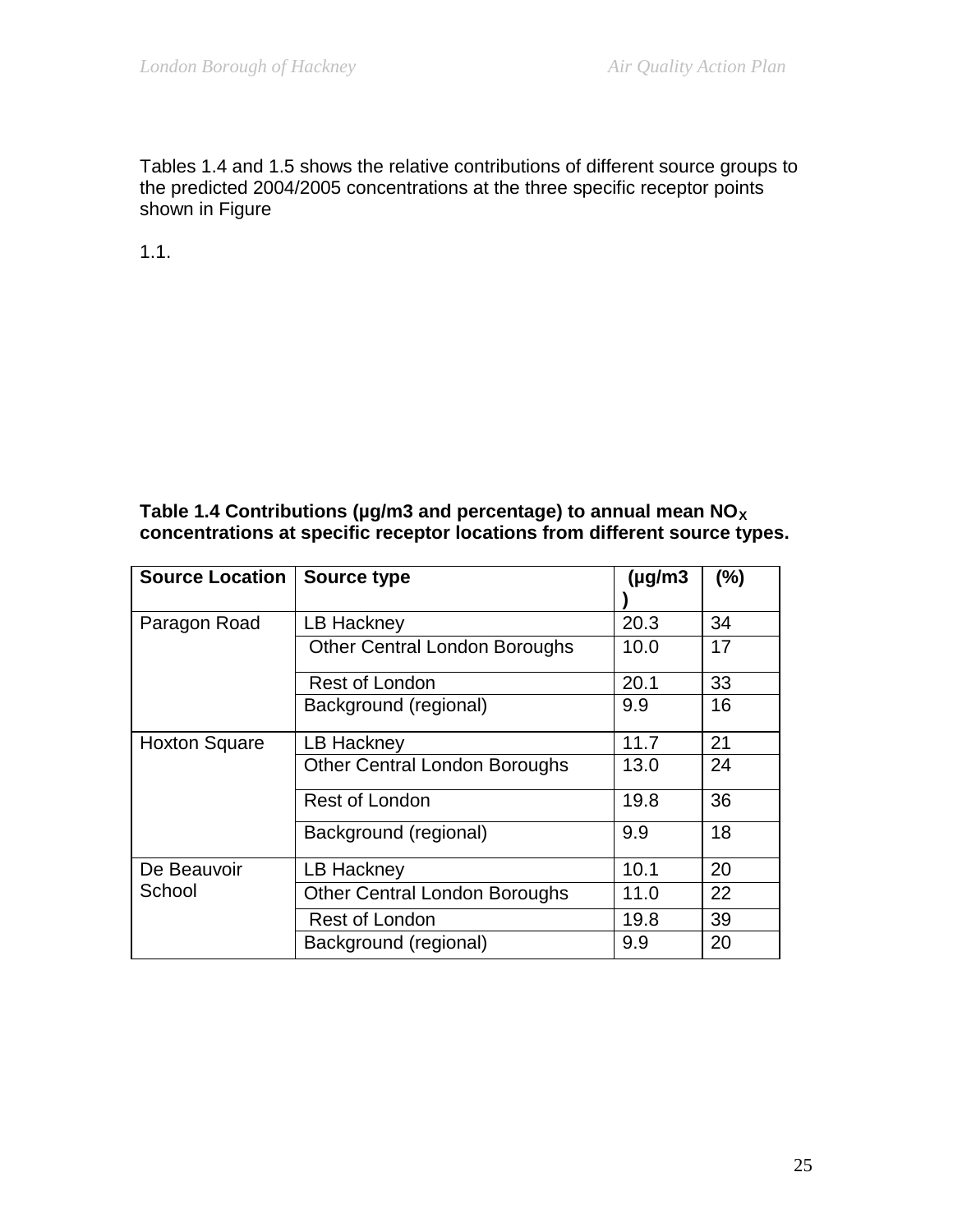Tables 1.4 and 1.5 shows the relative contributions of different source groups to the predicted 2004/2005 concentrations at the three specific receptor points shown in Figure

1.1.

#### Table 1.4 Contributions (µg/m3 and percentage) to annual mean NO<sub>x</sub> **concentrations at specific receptor locations from different source types.**

| <b>Source Location</b> | <b>Source type</b>                   | $(\mu g/m3)$ | (%) |
|------------------------|--------------------------------------|--------------|-----|
| Paragon Road           | LB Hackney                           | 20.3         | 34  |
|                        | <b>Other Central London Boroughs</b> | 10.0         | 17  |
|                        | Rest of London                       | 20.1         | 33  |
|                        | Background (regional)                | 9.9          | 16  |
| <b>Hoxton Square</b>   | LB Hackney                           | 11.7         | 21  |
|                        | <b>Other Central London Boroughs</b> | 13.0         | 24  |
|                        | Rest of London                       | 19.8         | 36  |
|                        | Background (regional)                | 9.9          | 18  |
| De Beauvoir            | LB Hackney                           | 10.1         | 20  |
| School                 | <b>Other Central London Boroughs</b> | 11.0         | 22  |
|                        | Rest of London                       | 19.8         | 39  |
|                        | Background (regional)                | 9.9          | 20  |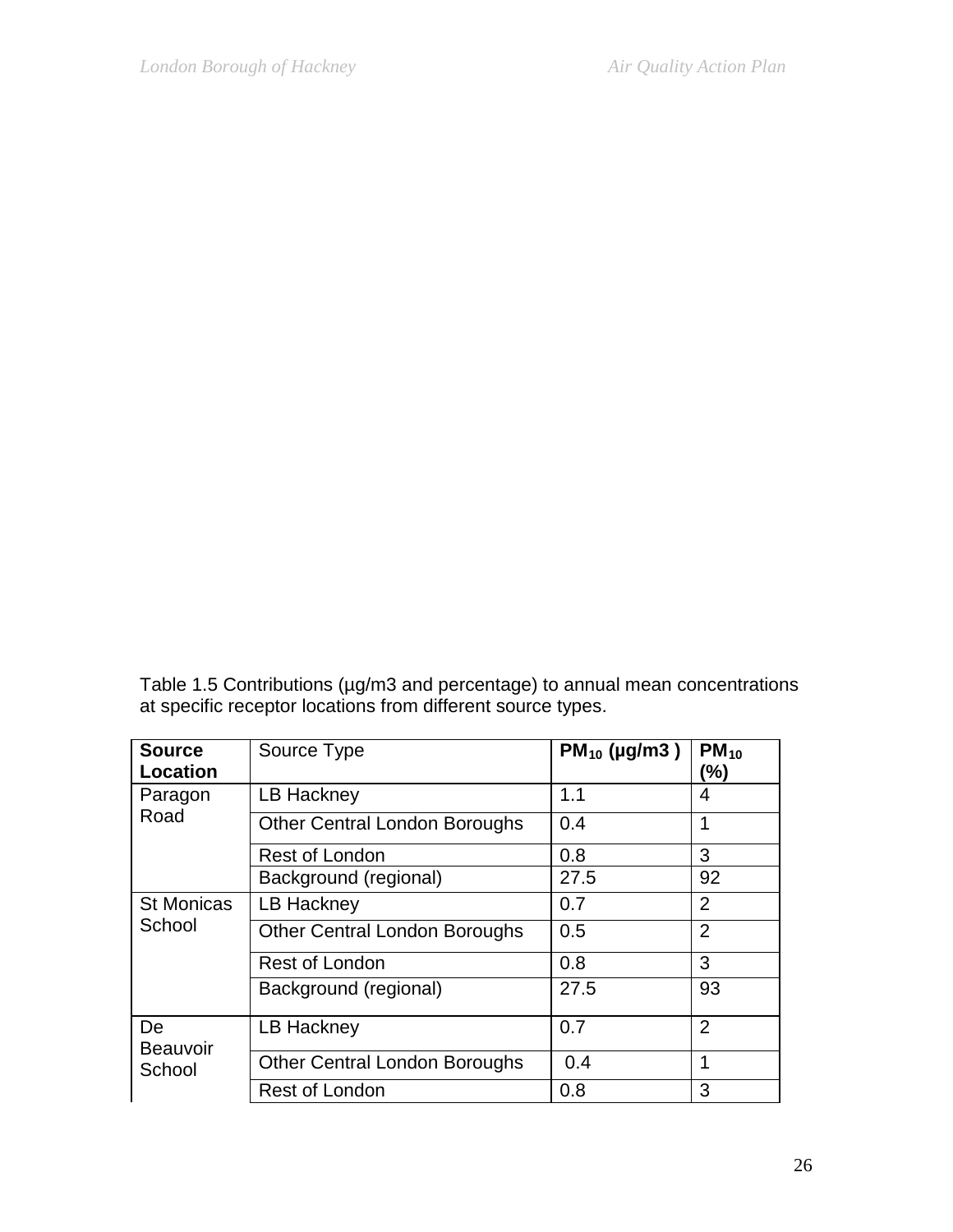Table 1.5 Contributions (µg/m3 and percentage) to annual mean concentrations at specific receptor locations from different source types.

| <b>Source</b><br><b>Location</b> | Source Type                          | $PM_{10}$ (µg/m3) | $PM_{10}$<br>(%) |
|----------------------------------|--------------------------------------|-------------------|------------------|
| Paragon                          | LB Hackney                           | 1.1               | 4                |
| Road                             | <b>Other Central London Boroughs</b> | 0.4               | 1                |
|                                  | Rest of London                       | 0.8               | 3                |
|                                  | Background (regional)                | 27.5              | 92               |
| <b>St Monicas</b><br>School      | <b>LB Hackney</b>                    | 0.7               | $\overline{2}$   |
|                                  | <b>Other Central London Boroughs</b> | 0.5               | $\overline{2}$   |
|                                  | <b>Rest of London</b>                | 0.8               | 3                |
|                                  | Background (regional)                | 27.5              | 93               |
| De<br><b>Beauvoir</b><br>School  | LB Hackney                           | 0.7               | $\overline{2}$   |
|                                  | <b>Other Central London Boroughs</b> | 0.4               | 1                |
|                                  | Rest of London                       | 0.8               | 3                |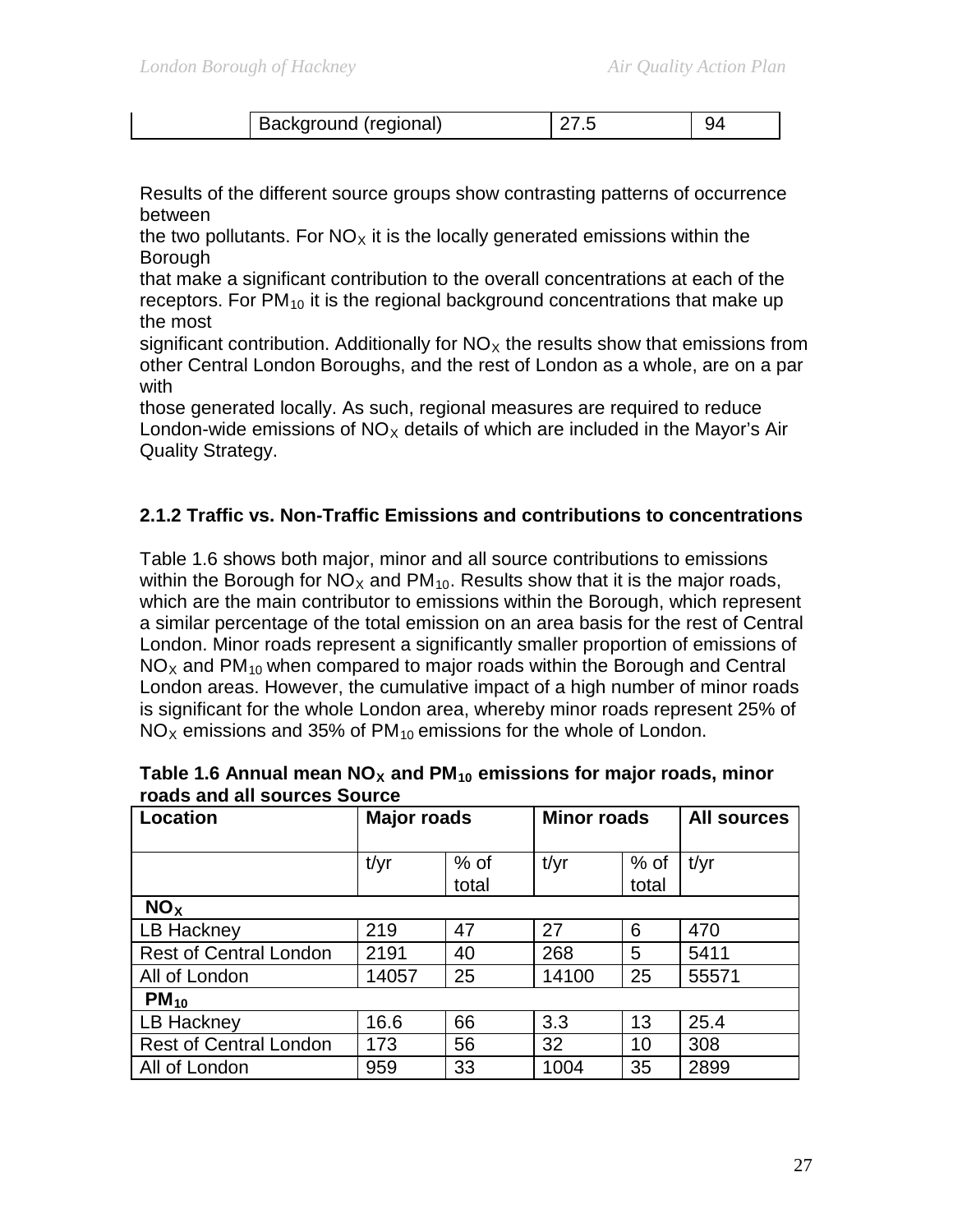| ' Background (regional) |  |
|-------------------------|--|
|                         |  |

Results of the different source groups show contrasting patterns of occurrence between

the two pollutants. For  $NO<sub>X</sub>$  it is the locally generated emissions within the Borough

that make a significant contribution to the overall concentrations at each of the receptors. For  $PM_{10}$  it is the regional background concentrations that make up the most

significant contribution. Additionally for  $NO<sub>x</sub>$  the results show that emissions from other Central London Boroughs, and the rest of London as a whole, are on a par with

those generated locally. As such, regional measures are required to reduce London-wide emissions of  $NO<sub>x</sub>$  details of which are included in the Mayor's Air Quality Strategy.

#### **2.1.2 Traffic vs. Non-Traffic Emissions and contributions to concentrations**

Table 1.6 shows both major, minor and all source contributions to emissions within the Borough for  $NO<sub>X</sub>$  and PM<sub>10</sub>. Results show that it is the major roads, which are the main contributor to emissions within the Borough, which represent a similar percentage of the total emission on an area basis for the rest of Central London. Minor roads represent a significantly smaller proportion of emissions of  $NO<sub>X</sub>$  and PM<sub>10</sub> when compared to major roads within the Borough and Central London areas. However, the cumulative impact of a high number of minor roads is significant for the whole London area, whereby minor roads represent 25% of  $NO<sub>X</sub>$  emissions and 35% of PM<sub>10</sub> emissions for the whole of London.

| <b>Location</b>               | <b>Major roads</b> |                 | <b>Minor roads</b> |               | <b>All sources</b> |
|-------------------------------|--------------------|-----------------|--------------------|---------------|--------------------|
|                               | t/yr               | $%$ of<br>total | t/yr               | % of<br>total | t/yr               |
| NO <sub>x</sub>               |                    |                 |                    |               |                    |
| LB Hackney                    | 219                | 47              | 27                 | 6             | 470                |
| <b>Rest of Central London</b> | 2191               | 40              | 268                | 5             | 5411               |
| All of London                 | 14057              | 25              | 14100              | 25            | 55571              |
| $PM_{10}$                     |                    |                 |                    |               |                    |
| LB Hackney                    | 16.6               | 66              | 3.3                | 13            | 25.4               |
| <b>Rest of Central London</b> | 173                | 56              | 32                 | 10            | 308                |
| All of London                 | 959                | 33              | 1004               | 35            | 2899               |

| Table 1.6 Annual mean NO <sub>x</sub> and PM <sub>10</sub> emissions for major roads, minor |  |
|---------------------------------------------------------------------------------------------|--|
| roads and all sources Source                                                                |  |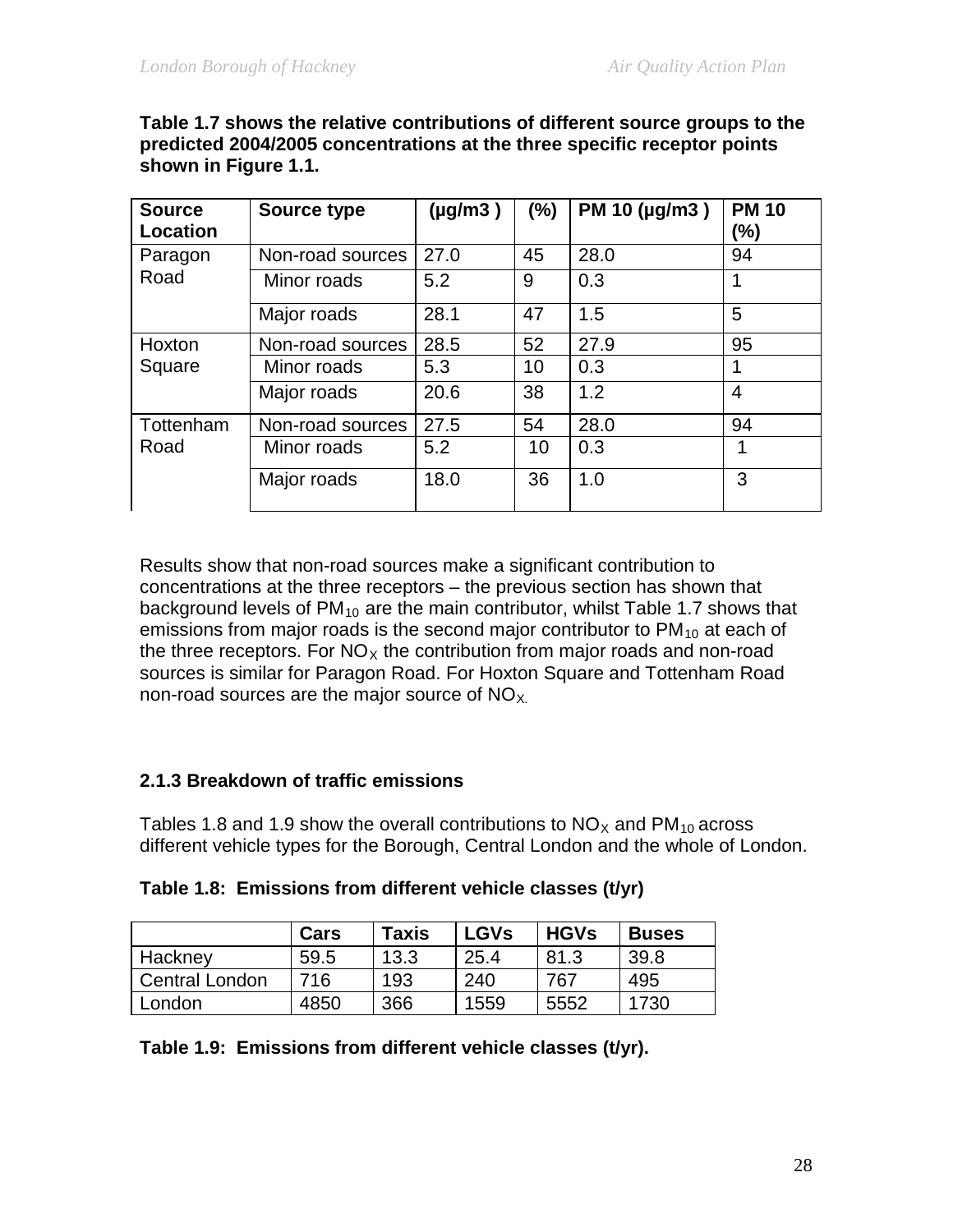| <b>Source</b><br><b>Location</b> | Source type      | $(\mu g/m3)$ | (%) | PM 10 (µg/m3) | <b>PM 10</b><br>$(\%)$ |
|----------------------------------|------------------|--------------|-----|---------------|------------------------|
| Paragon                          | Non-road sources | 27.0         | 45  | 28.0          | 94                     |
| Road                             | Minor roads      | 5.2          | 9   | 0.3           | 1                      |
|                                  | Major roads      | 28.1         | 47  | 1.5           | 5                      |
| Hoxton                           | Non-road sources | 28.5         | 52  | 27.9          | 95                     |
| Square                           | Minor roads      | 5.3          | 10  | 0.3           | 1                      |
|                                  | Major roads      | 20.6         | 38  | 1.2           | $\overline{4}$         |
| Tottenham                        | Non-road sources | 27.5         | 54  | 28.0          | 94                     |
| Road                             | Minor roads      | 5.2          | 10  | 0.3           | 1                      |
|                                  | Major roads      | 18.0         | 36  | 1.0           | 3                      |

**Table 1.7 shows the relative contributions of different source groups to the predicted 2004/2005 concentrations at the three specific receptor points shown in Figure 1.1.** 

Results show that non-road sources make a significant contribution to concentrations at the three receptors – the previous section has shown that background levels of  $PM_{10}$  are the main contributor, whilst Table 1.7 shows that emissions from major roads is the second major contributor to  $PM_{10}$  at each of the three receptors. For  $NO<sub>x</sub>$  the contribution from major roads and non-road sources is similar for Paragon Road. For Hoxton Square and Tottenham Road non-road sources are the major source of  $NO_{X}$ .

#### **2.1.3 Breakdown of traffic emissions**

Tables 1.8 and 1.9 show the overall contributions to  $NO<sub>X</sub>$  and PM<sub>10</sub> across different vehicle types for the Borough, Central London and the whole of London.

|  | Table 1.8: Emissions from different vehicle classes (t/yr) |  |  |  |
|--|------------------------------------------------------------|--|--|--|
|--|------------------------------------------------------------|--|--|--|

|                       | Cars | Taxis | <b>LGVs</b> | <b>HGVs</b> | <b>Buses</b> |
|-----------------------|------|-------|-------------|-------------|--------------|
| Hackney               | 59.5 | 13.3  | 25.4        | 81.3        | 39.8         |
| <b>Central London</b> | 716  | 193   | 240         | 767         | 495          |
| London                | 4850 | 366   | 1559        | 5552        | 1730         |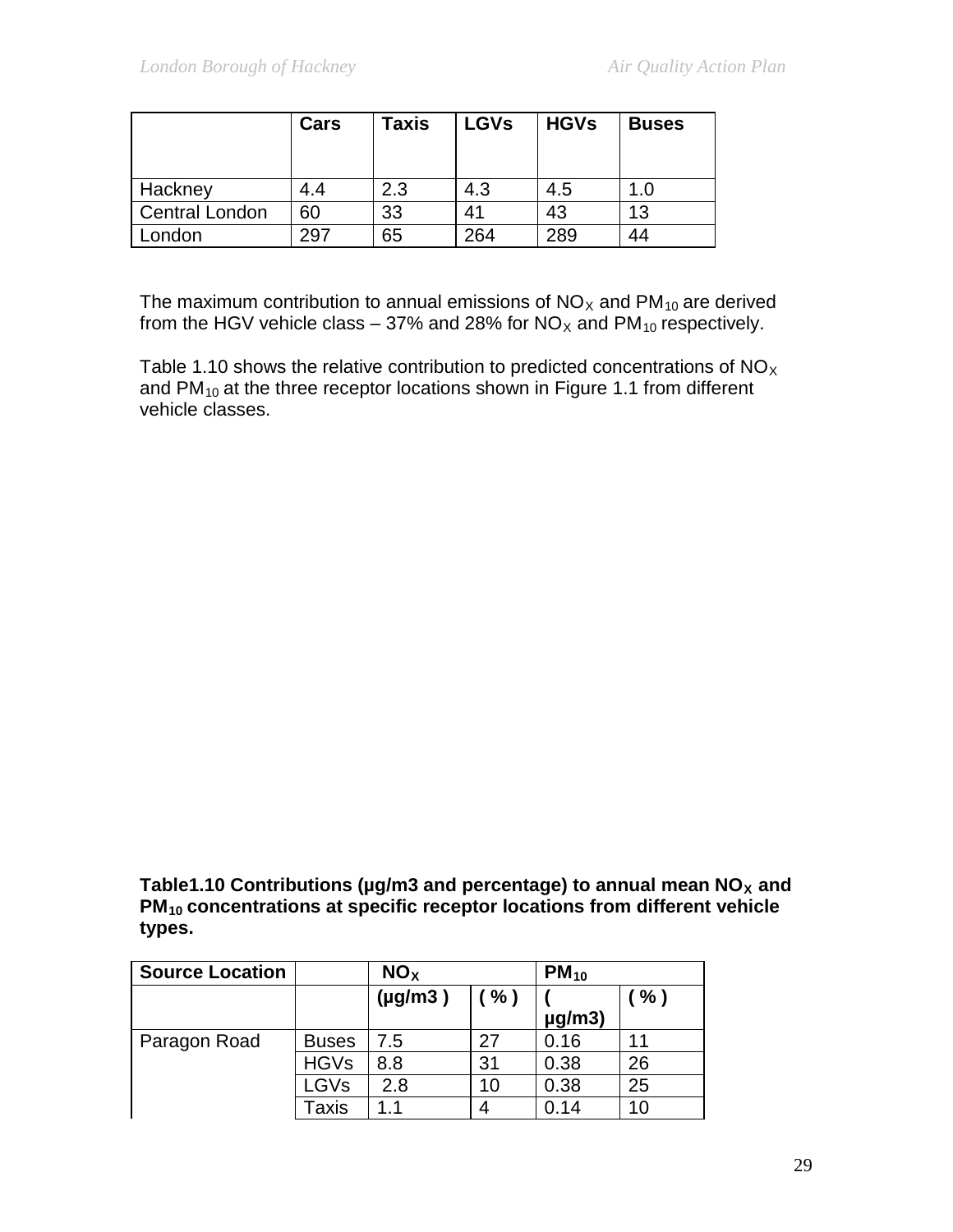|                       | Cars | Taxis | <b>LGVs</b> | <b>HGVs</b> | <b>Buses</b> |
|-----------------------|------|-------|-------------|-------------|--------------|
| Hackney               | 4.4  | 2.3   | 4.3         | 4.5         | 1.0          |
| <b>Central London</b> | 60   | 33    | 41          | 43          | 13           |
| London                | 297  | 65    | 264         | 289         | 44           |

The maximum contribution to annual emissions of  $NO<sub>X</sub>$  and  $PM<sub>10</sub>$  are derived from the HGV vehicle class – 37% and 28% for  $NO_{X}$  and PM<sub>10</sub> respectively.

Table 1.10 shows the relative contribution to predicted concentrations of  $NO<sub>X</sub>$ and  $PM_{10}$  at the three receptor locations shown in Figure 1.1 from different vehicle classes.

Table1.10 Contributions ( $\mu$ g/m3 and percentage) to annual mean  $NO_{X}$  and **PM10 concentrations at specific receptor locations from different vehicle types.** 

| <b>Source Location</b> |              | NO <sub>x</sub> |      | $PM_{10}$   |     |
|------------------------|--------------|-----------------|------|-------------|-----|
|                        |              | $(\mu g/m3)$    | ( %) | $\mu$ g/m3) | (%) |
| Paragon Road           | <b>Buses</b> | 7.5             | 27   | 0.16        | 11  |
|                        | <b>HGVs</b>  | 8.8             | 31   | 0.38        | 26  |
|                        | LGVs         | 2.8             | 10   | 0.38        | 25  |
|                        | Taxis        | 1.1             |      | 0.14        | 10  |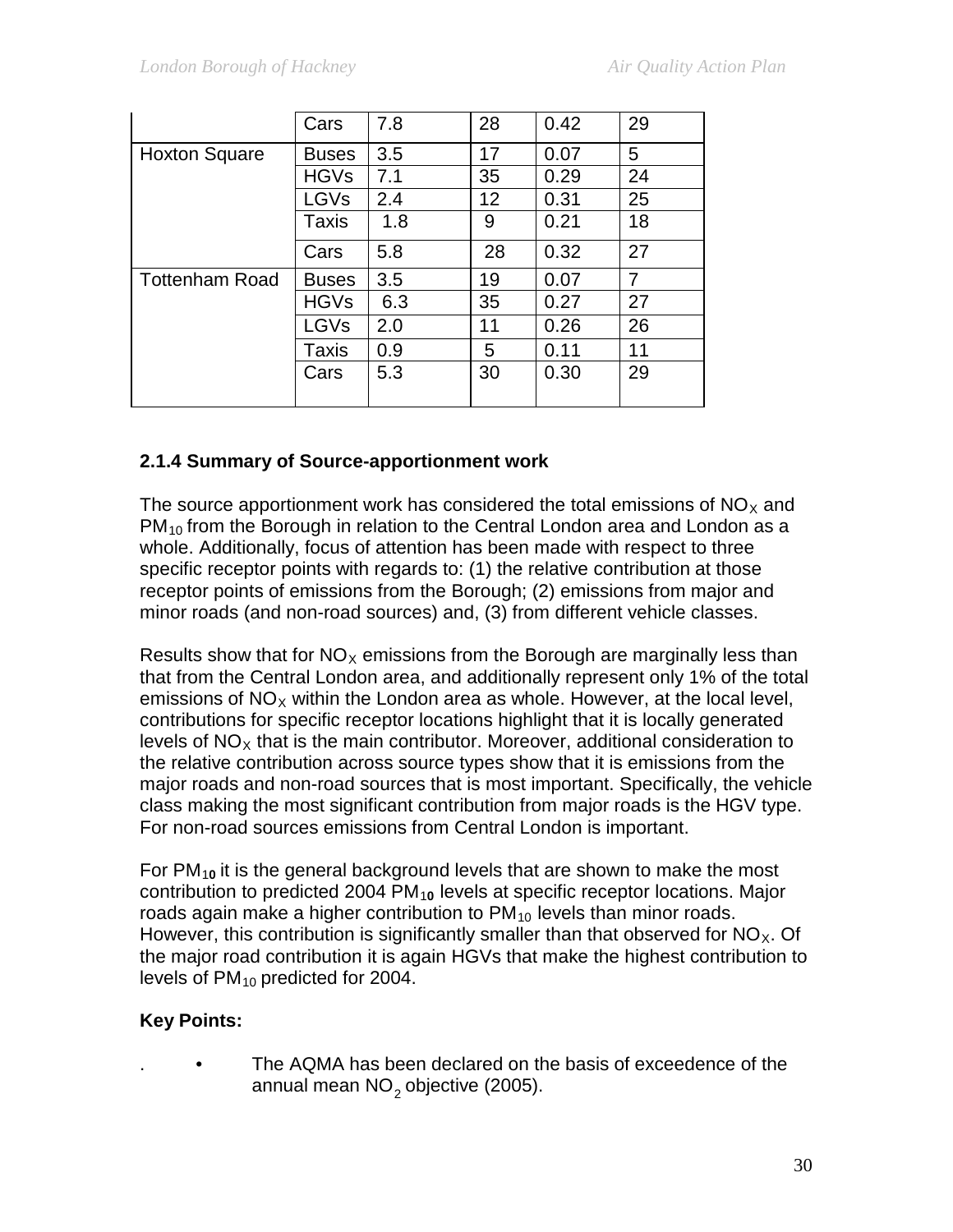|                       | Cars         | 7.8 | 28              | 0.42 | 29 |
|-----------------------|--------------|-----|-----------------|------|----|
| <b>Hoxton Square</b>  | <b>Buses</b> | 3.5 | 17              | 0.07 | 5  |
|                       | <b>HGVs</b>  | 7.1 | 35              | 0.29 | 24 |
|                       | <b>LGVs</b>  | 2.4 | 12 <sup>2</sup> | 0.31 | 25 |
|                       | <b>Taxis</b> | 1.8 | 9               | 0.21 | 18 |
|                       | Cars         | 5.8 | 28              | 0.32 | 27 |
| <b>Tottenham Road</b> | <b>Buses</b> | 3.5 | 19              | 0.07 | 7  |
|                       | <b>HGVs</b>  | 6.3 | 35              | 0.27 | 27 |
|                       | LGVs         | 2.0 | 11              | 0.26 | 26 |
|                       | Taxis        | 0.9 | 5               | 0.11 | 11 |
|                       | Cars         | 5.3 | 30              | 0.30 | 29 |

# **2.1.4 Summary of Source-apportionment work**

The source apportionment work has considered the total emissions of  $NO<sub>x</sub>$  and  $PM_{10}$  from the Borough in relation to the Central London area and London as a whole. Additionally, focus of attention has been made with respect to three specific receptor points with regards to: (1) the relative contribution at those receptor points of emissions from the Borough; (2) emissions from major and minor roads (and non-road sources) and, (3) from different vehicle classes.

Results show that for  $NO<sub>x</sub>$  emissions from the Borough are marginally less than that from the Central London area, and additionally represent only 1% of the total emissions of  $NO<sub>X</sub>$  within the London area as whole. However, at the local level, contributions for specific receptor locations highlight that it is locally generated levels of  $NO<sub>x</sub>$  that is the main contributor. Moreover, additional consideration to the relative contribution across source types show that it is emissions from the major roads and non-road sources that is most important. Specifically, the vehicle class making the most significant contribution from major roads is the HGV type. For non-road sources emissions from Central London is important.

For PM1**0** it is the general background levels that are shown to make the most contribution to predicted 2004 PM<sub>10</sub> levels at specific receptor locations. Major roads again make a higher contribution to  $PM_{10}$  levels than minor roads. However, this contribution is significantly smaller than that observed for  $NO<sub>X</sub>$ . Of the major road contribution it is again HGVs that make the highest contribution to levels of  $PM_{10}$  predicted for 2004.

# **Key Points:**

The AQMA has been declared on the basis of exceedence of the annual mean  $NO<sub>2</sub>$  objective (2005).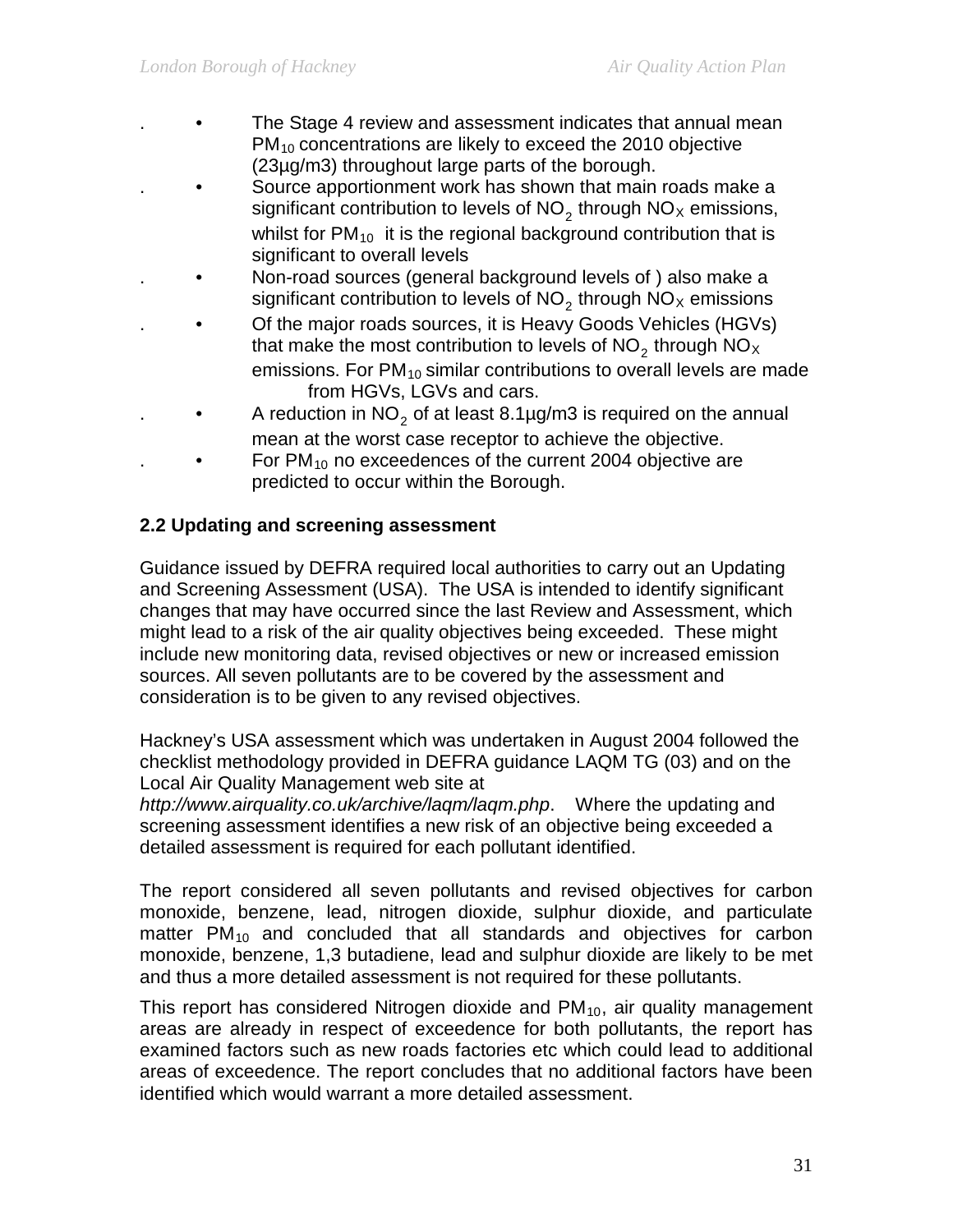- The Stage 4 review and assessment indicates that annual mean  $PM_{10}$  concentrations are likely to exceed the 2010 objective (23µg/m3) throughout large parts of the borough.
- . Source apportionment work has shown that main roads make a significant contribution to levels of  $NO<sub>2</sub>$  through  $NO<sub>X</sub>$  emissions, whilst for  $PM_{10}$  it is the regional background contribution that is significant to overall levels
- Non-road sources (general background levels of ) also make a significant contribution to levels of  $NO<sub>2</sub>$  through  $NO<sub>X</sub>$  emissions
- Of the major roads sources, it is Heavy Goods Vehicles (HGVs) that make the most contribution to levels of  $NO<sub>2</sub>$  through  $NO<sub>X</sub>$ emissions. For  $PM_{10}$  similar contributions to overall levels are made from HGVs, LGVs and cars.
	- A reduction in  $NO<sub>2</sub>$  of at least 8.1µg/m3 is required on the annual mean at the worst case receptor to achieve the objective.
	- For  $PM_{10}$  no exceedences of the current 2004 objective are predicted to occur within the Borough.

# **2.2 Updating and screening assessment**

Guidance issued by DEFRA required local authorities to carry out an Updating and Screening Assessment (USA). The USA is intended to identify significant changes that may have occurred since the last Review and Assessment, which might lead to a risk of the air quality objectives being exceeded. These might include new monitoring data, revised objectives or new or increased emission sources. All seven pollutants are to be covered by the assessment and consideration is to be given to any revised objectives.

Hackney's USA assessment which was undertaken in August 2004 followed the checklist methodology provided in DEFRA guidance LAQM TG (03) and on the Local Air Quality Management web site at

*http://www.airquality.co.uk/archive/laqm/laqm.php*. Where the updating and screening assessment identifies a new risk of an objective being exceeded a detailed assessment is required for each pollutant identified.

The report considered all seven pollutants and revised objectives for carbon monoxide, benzene, lead, nitrogen dioxide, sulphur dioxide, and particulate matter  $PM_{10}$  and concluded that all standards and objectives for carbon monoxide, benzene, 1,3 butadiene, lead and sulphur dioxide are likely to be met and thus a more detailed assessment is not required for these pollutants.

This report has considered Nitrogen dioxide and  $PM_{10}$ , air quality management areas are already in respect of exceedence for both pollutants, the report has examined factors such as new roads factories etc which could lead to additional areas of exceedence. The report concludes that no additional factors have been identified which would warrant a more detailed assessment.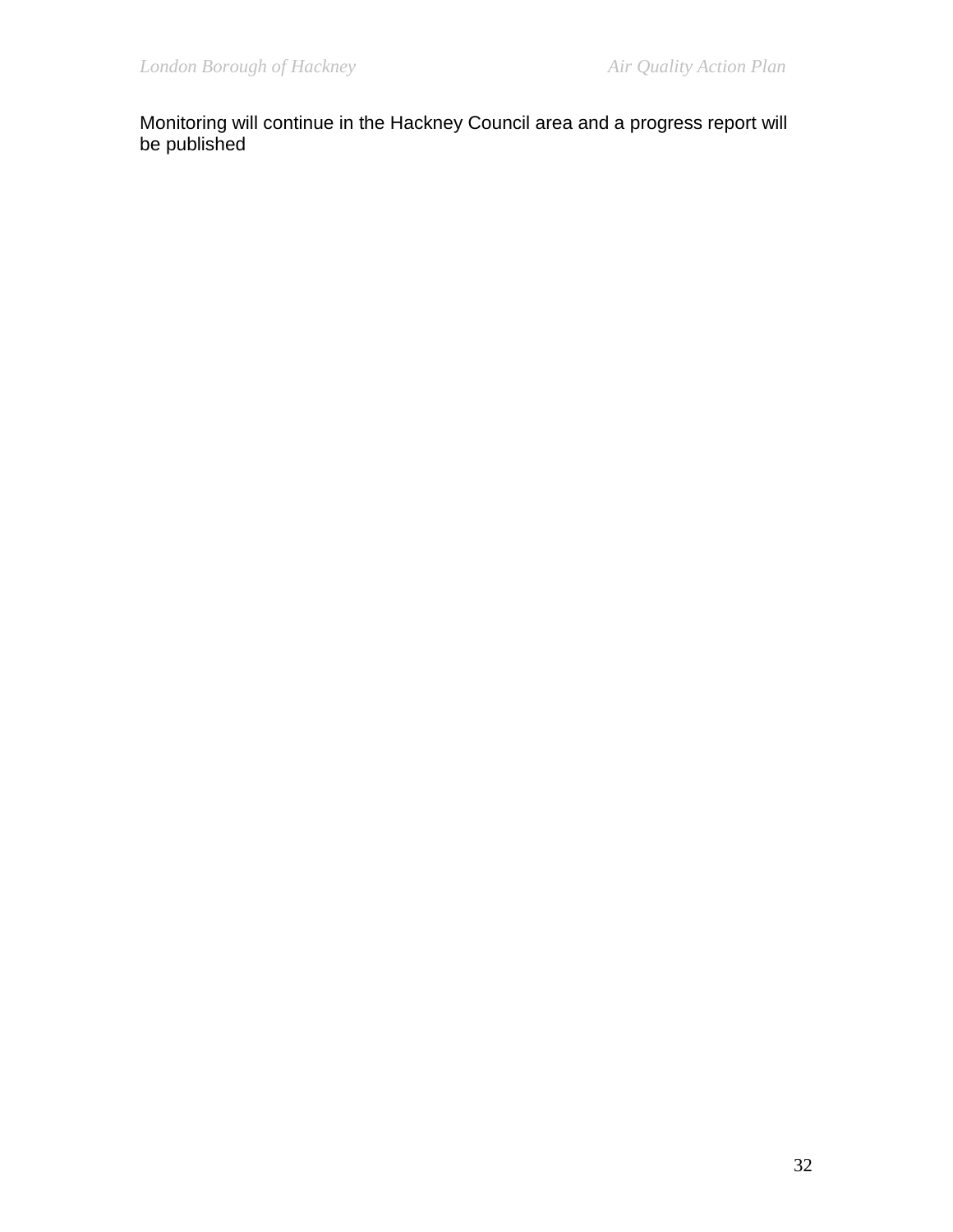Monitoring will continue in the Hackney Council area and a progress report will be published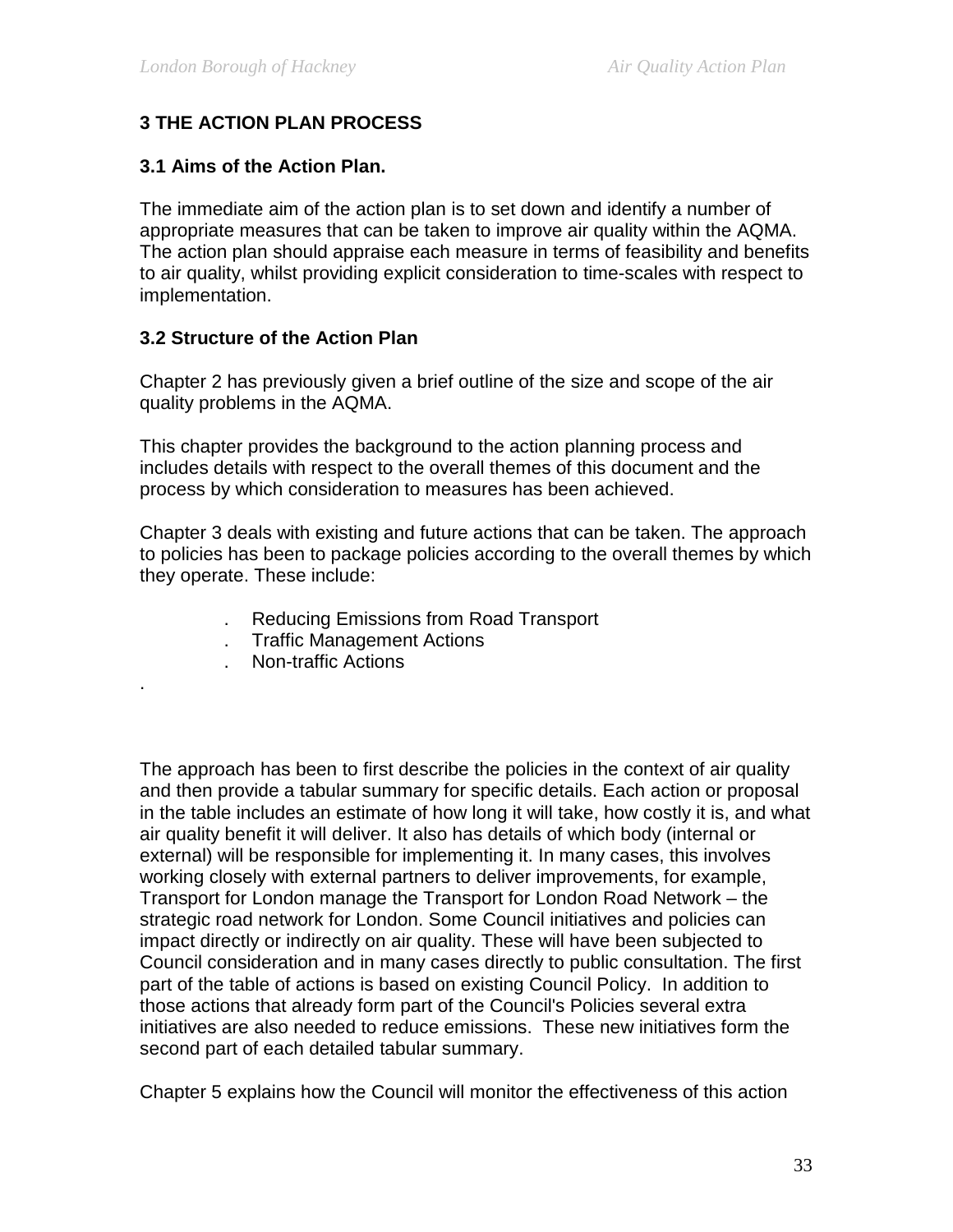# **3 THE ACTION PLAN PROCESS**

#### **3.1 Aims of the Action Plan.**

The immediate aim of the action plan is to set down and identify a number of appropriate measures that can be taken to improve air quality within the AQMA. The action plan should appraise each measure in terms of feasibility and benefits to air quality, whilst providing explicit consideration to time-scales with respect to implementation.

#### **3.2 Structure of the Action Plan**

Chapter 2 has previously given a brief outline of the size and scope of the air quality problems in the AQMA.

This chapter provides the background to the action planning process and includes details with respect to the overall themes of this document and the process by which consideration to measures has been achieved.

Chapter 3 deals with existing and future actions that can be taken. The approach to policies has been to package policies according to the overall themes by which they operate. These include:

- . Reducing Emissions from Road Transport
- . Traffic Management Actions
- . Non-traffic Actions

.

The approach has been to first describe the policies in the context of air quality and then provide a tabular summary for specific details. Each action or proposal in the table includes an estimate of how long it will take, how costly it is, and what air quality benefit it will deliver. It also has details of which body (internal or external) will be responsible for implementing it. In many cases, this involves working closely with external partners to deliver improvements, for example, Transport for London manage the Transport for London Road Network – the strategic road network for London. Some Council initiatives and policies can impact directly or indirectly on air quality. These will have been subjected to Council consideration and in many cases directly to public consultation. The first part of the table of actions is based on existing Council Policy. In addition to those actions that already form part of the Council's Policies several extra initiatives are also needed to reduce emissions. These new initiatives form the second part of each detailed tabular summary.

Chapter 5 explains how the Council will monitor the effectiveness of this action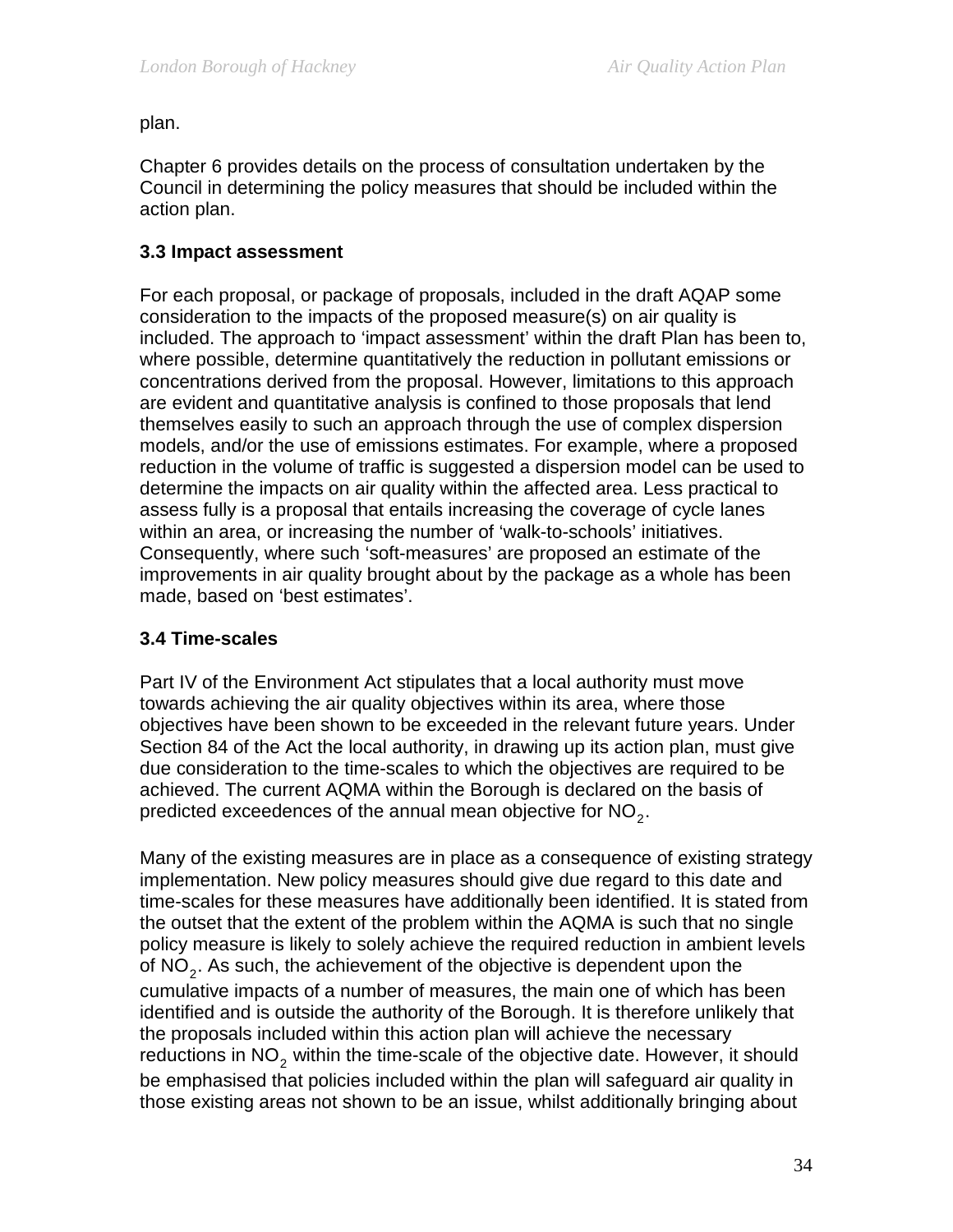plan.

Chapter 6 provides details on the process of consultation undertaken by the Council in determining the policy measures that should be included within the action plan.

# **3.3 Impact assessment**

For each proposal, or package of proposals, included in the draft AQAP some consideration to the impacts of the proposed measure(s) on air quality is included. The approach to 'impact assessment' within the draft Plan has been to, where possible, determine quantitatively the reduction in pollutant emissions or concentrations derived from the proposal. However, limitations to this approach are evident and quantitative analysis is confined to those proposals that lend themselves easily to such an approach through the use of complex dispersion models, and/or the use of emissions estimates. For example, where a proposed reduction in the volume of traffic is suggested a dispersion model can be used to determine the impacts on air quality within the affected area. Less practical to assess fully is a proposal that entails increasing the coverage of cycle lanes within an area, or increasing the number of 'walk-to-schools' initiatives. Consequently, where such 'soft-measures' are proposed an estimate of the improvements in air quality brought about by the package as a whole has been made, based on 'best estimates'.

#### **3.4 Time-scales**

Part IV of the Environment Act stipulates that a local authority must move towards achieving the air quality objectives within its area, where those objectives have been shown to be exceeded in the relevant future years. Under Section 84 of the Act the local authority, in drawing up its action plan, must give due consideration to the time-scales to which the objectives are required to be achieved. The current AQMA within the Borough is declared on the basis of predicted exceedences of the annual mean objective for  $NO<sub>2</sub>$ .

Many of the existing measures are in place as a consequence of existing strategy implementation. New policy measures should give due regard to this date and time-scales for these measures have additionally been identified. It is stated from the outset that the extent of the problem within the AQMA is such that no single policy measure is likely to solely achieve the required reduction in ambient levels of  $NO<sub>2</sub>$ . As such, the achievement of the objective is dependent upon the cumulative impacts of a number of measures, the main one of which has been identified and is outside the authority of the Borough. It is therefore unlikely that the proposals included within this action plan will achieve the necessary reductions in  $NO<sub>2</sub>$  within the time-scale of the objective date. However, it should be emphasised that policies included within the plan will safeguard air quality in those existing areas not shown to be an issue, whilst additionally bringing about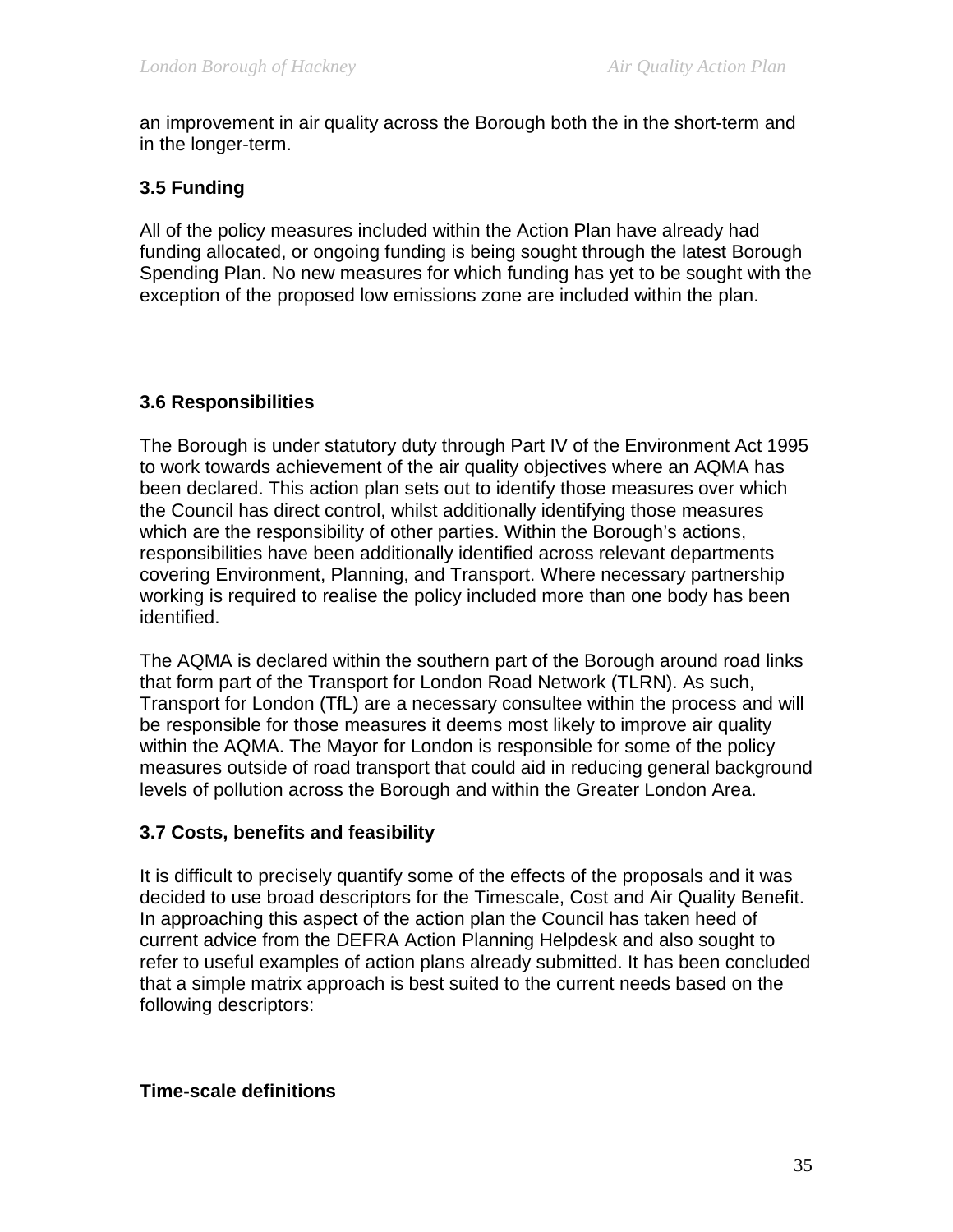an improvement in air quality across the Borough both the in the short-term and in the longer-term.

# **3.5 Funding**

All of the policy measures included within the Action Plan have already had funding allocated, or ongoing funding is being sought through the latest Borough Spending Plan. No new measures for which funding has yet to be sought with the exception of the proposed low emissions zone are included within the plan.

# **3.6 Responsibilities**

The Borough is under statutory duty through Part IV of the Environment Act 1995 to work towards achievement of the air quality objectives where an AQMA has been declared. This action plan sets out to identify those measures over which the Council has direct control, whilst additionally identifying those measures which are the responsibility of other parties. Within the Borough's actions, responsibilities have been additionally identified across relevant departments covering Environment, Planning, and Transport. Where necessary partnership working is required to realise the policy included more than one body has been identified.

The AQMA is declared within the southern part of the Borough around road links that form part of the Transport for London Road Network (TLRN). As such, Transport for London (TfL) are a necessary consultee within the process and will be responsible for those measures it deems most likely to improve air quality within the AQMA. The Mayor for London is responsible for some of the policy measures outside of road transport that could aid in reducing general background levels of pollution across the Borough and within the Greater London Area.

#### **3.7 Costs, benefits and feasibility**

It is difficult to precisely quantify some of the effects of the proposals and it was decided to use broad descriptors for the Timescale, Cost and Air Quality Benefit. In approaching this aspect of the action plan the Council has taken heed of current advice from the DEFRA Action Planning Helpdesk and also sought to refer to useful examples of action plans already submitted. It has been concluded that a simple matrix approach is best suited to the current needs based on the following descriptors:

#### **Time-scale definitions**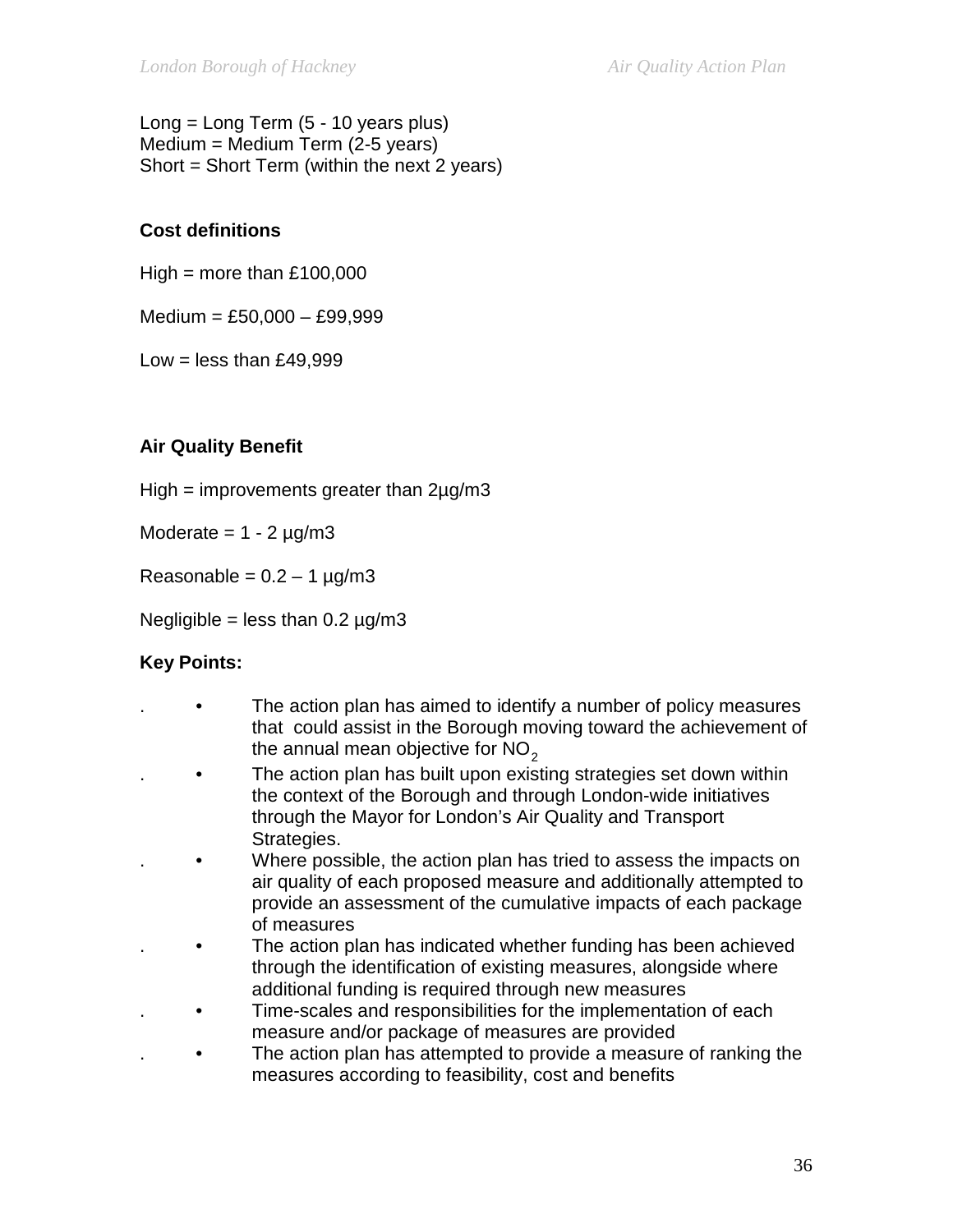Long = Long Term (5 - 10 years plus) Medium = Medium Term (2-5 years) Short = Short Term (within the next 2 years)

# **Cost definitions**

 $High = more than £100,000$ 

Medium = £50,000 – £99,999

Low = less than  $£49,999$ 

# **Air Quality Benefit**

High = improvements greater than 2µg/m3

Moderate  $= 1 - 2$  µg/m3

Reasonable =  $0.2 - 1$  µg/m3

Negligible = less than  $0.2 \mu$ g/m3

# **Key Points:**

- The action plan has aimed to identify a number of policy measures that could assist in the Borough moving toward the achievement of the annual mean objective for  $NO<sub>2</sub>$
- . The action plan has built upon existing strategies set down within the context of the Borough and through London-wide initiatives through the Mayor for London's Air Quality and Transport Strategies.
	- Where possible, the action plan has tried to assess the impacts on air quality of each proposed measure and additionally attempted to provide an assessment of the cumulative impacts of each package of measures
- . The action plan has indicated whether funding has been achieved through the identification of existing measures, alongside where additional funding is required through new measures
- . Time-scales and responsibilities for the implementation of each measure and/or package of measures are provided
- . The action plan has attempted to provide a measure of ranking the measures according to feasibility, cost and benefits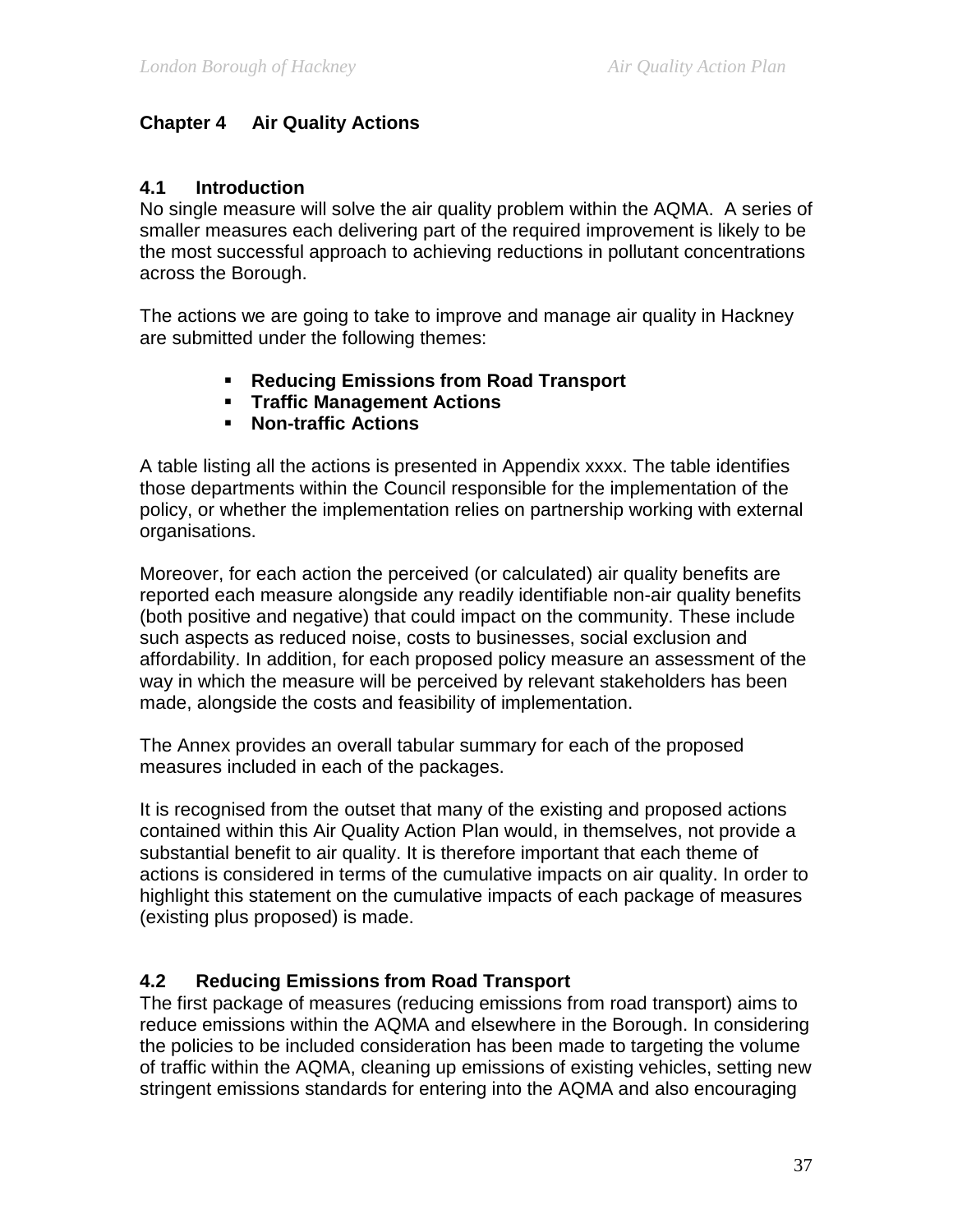### **Chapter 4 Air Quality Actions**

### **4.1 Introduction**

No single measure will solve the air quality problem within the AQMA. A series of smaller measures each delivering part of the required improvement is likely to be the most successful approach to achieving reductions in pollutant concentrations across the Borough.

The actions we are going to take to improve and manage air quality in Hackney are submitted under the following themes:

- **Reducing Emissions from Road Transport**
- **Traffic Management Actions**
- **Non-traffic Actions**

A table listing all the actions is presented in Appendix xxxx. The table identifies those departments within the Council responsible for the implementation of the policy, or whether the implementation relies on partnership working with external organisations.

Moreover, for each action the perceived (or calculated) air quality benefits are reported each measure alongside any readily identifiable non-air quality benefits (both positive and negative) that could impact on the community. These include such aspects as reduced noise, costs to businesses, social exclusion and affordability. In addition, for each proposed policy measure an assessment of the way in which the measure will be perceived by relevant stakeholders has been made, alongside the costs and feasibility of implementation.

The Annex provides an overall tabular summary for each of the proposed measures included in each of the packages.

It is recognised from the outset that many of the existing and proposed actions contained within this Air Quality Action Plan would, in themselves, not provide a substantial benefit to air quality. It is therefore important that each theme of actions is considered in terms of the cumulative impacts on air quality. In order to highlight this statement on the cumulative impacts of each package of measures (existing plus proposed) is made.

### **4.2 Reducing Emissions from Road Transport**

The first package of measures (reducing emissions from road transport) aims to reduce emissions within the AQMA and elsewhere in the Borough. In considering the policies to be included consideration has been made to targeting the volume of traffic within the AQMA, cleaning up emissions of existing vehicles, setting new stringent emissions standards for entering into the AQMA and also encouraging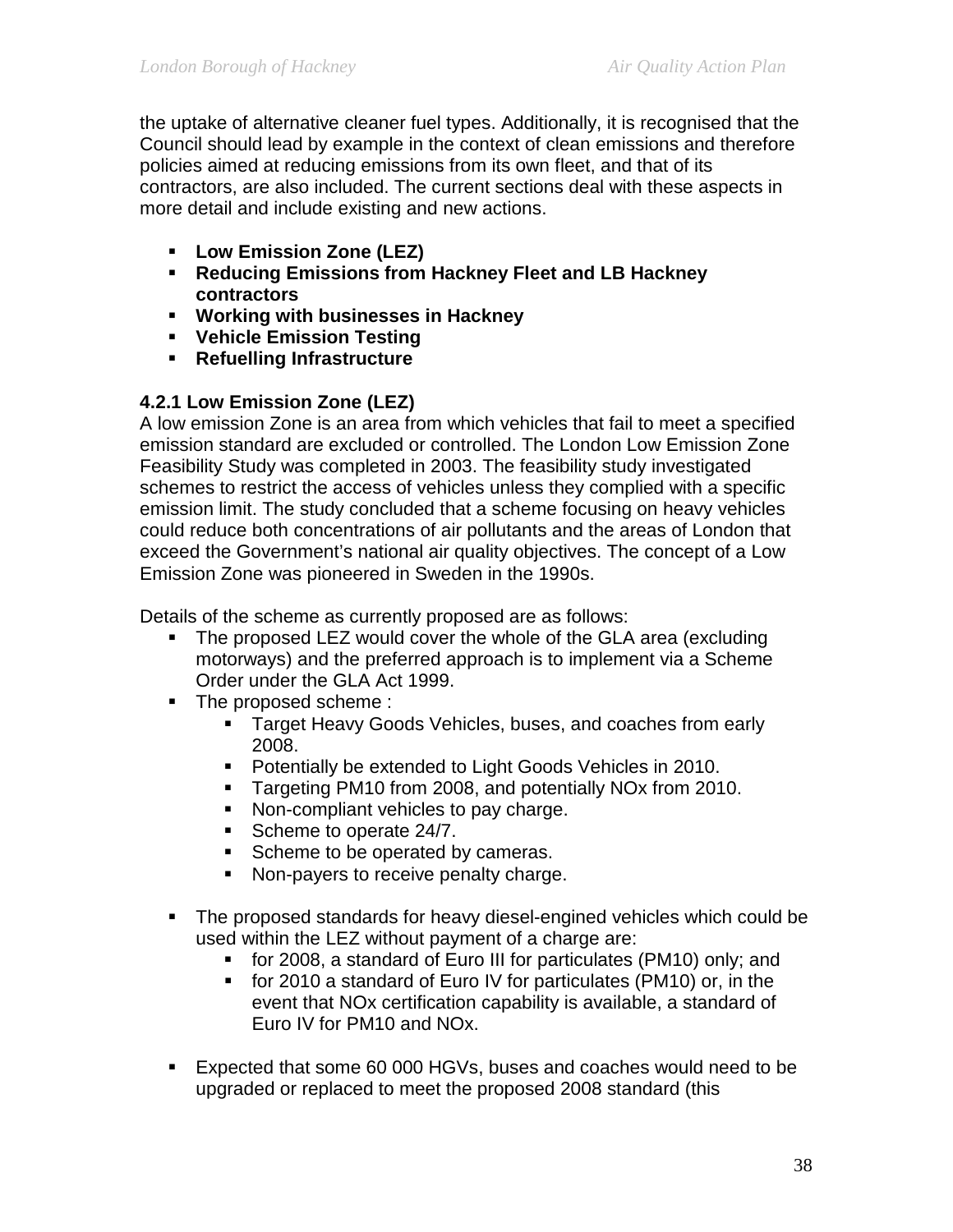the uptake of alternative cleaner fuel types. Additionally, it is recognised that the Council should lead by example in the context of clean emissions and therefore policies aimed at reducing emissions from its own fleet, and that of its contractors, are also included. The current sections deal with these aspects in more detail and include existing and new actions.

- **Low Emission Zone (LEZ)**
- **Reducing Emissions from Hackney Fleet and LB Hackney contractors**
- **Working with businesses in Hackney**
- **Vehicle Emission Testing**
- **Refuelling Infrastructure**

# **4.2.1 Low Emission Zone (LEZ)**

A low emission Zone is an area from which vehicles that fail to meet a specified emission standard are excluded or controlled. The London Low Emission Zone Feasibility Study was completed in 2003. The feasibility study investigated schemes to restrict the access of vehicles unless they complied with a specific emission limit. The study concluded that a scheme focusing on heavy vehicles could reduce both concentrations of air pollutants and the areas of London that exceed the Government's national air quality objectives. The concept of a Low Emission Zone was pioneered in Sweden in the 1990s.

Details of the scheme as currently proposed are as follows:

- The proposed LEZ would cover the whole of the GLA area (excluding motorways) and the preferred approach is to implement via a Scheme Order under the GLA Act 1999.
- The proposed scheme :
	- **Target Heavy Goods Vehicles, buses, and coaches from early** 2008.
	- **Potentially be extended to Light Goods Vehicles in 2010.**
	- **Targeting PM10 from 2008, and potentially NOx from 2010.**
	- Non-compliant vehicles to pay charge.
	- Scheme to operate 24/7.
	- Scheme to be operated by cameras.
	- Non-payers to receive penalty charge.
- The proposed standards for heavy diesel-engined vehicles which could be used within the LEZ without payment of a charge are:
	- for 2008, a standard of Euro III for particulates (PM10) only; and
	- for 2010 a standard of Euro IV for particulates (PM10) or, in the event that NOx certification capability is available, a standard of Euro IV for PM10 and NOx.
- Expected that some 60 000 HGVs, buses and coaches would need to be upgraded or replaced to meet the proposed 2008 standard (this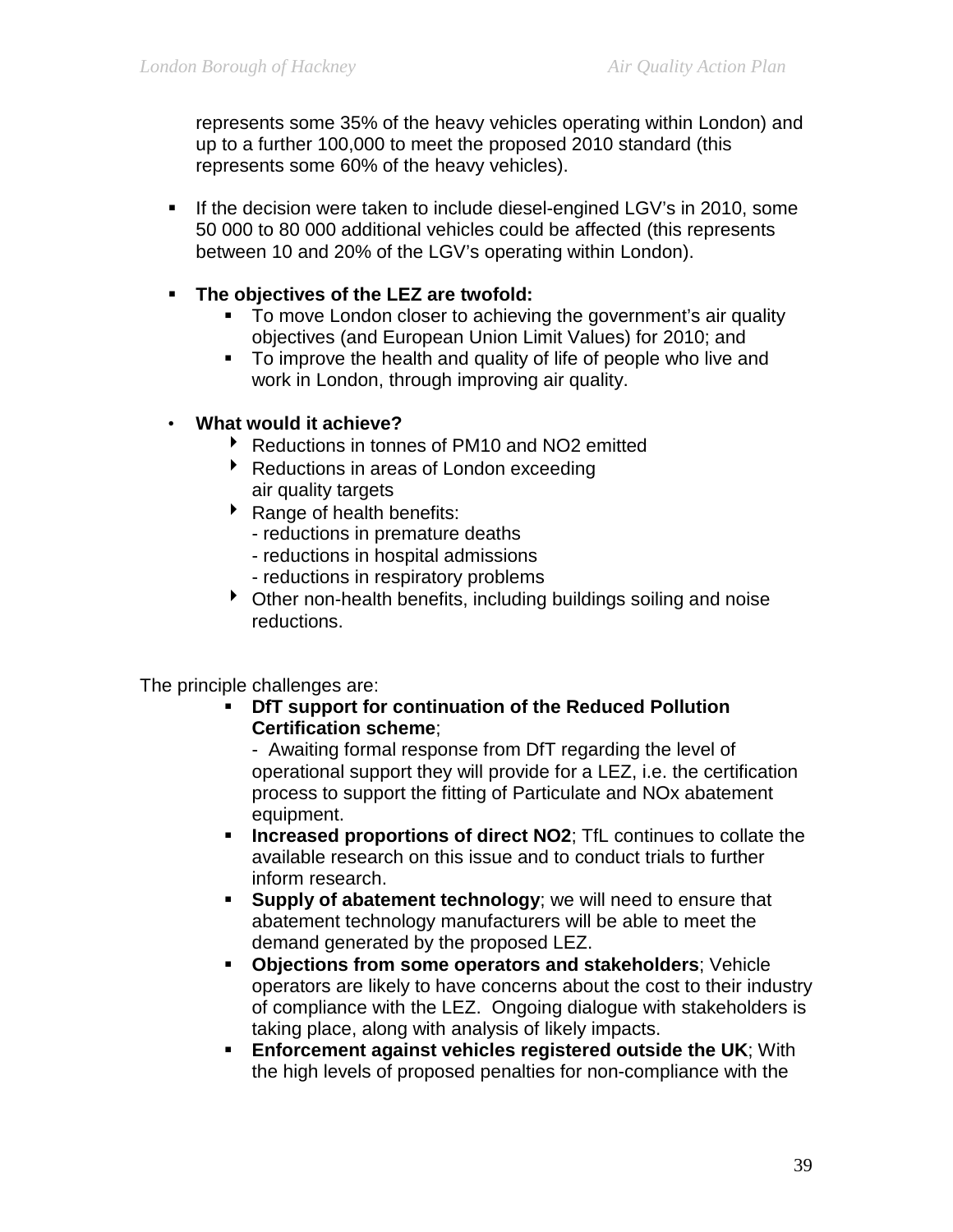represents some 35% of the heavy vehicles operating within London) and up to a further 100,000 to meet the proposed 2010 standard (this represents some 60% of the heavy vehicles).

- If the decision were taken to include diesel-engined LGV's in 2010, some 50 000 to 80 000 additional vehicles could be affected (this represents between 10 and 20% of the LGV's operating within London).
- **The objectives of the LEZ are twofold:**
	- To move London closer to achieving the government's air quality objectives (and European Union Limit Values) for 2010; and
	- To improve the health and quality of life of people who live and work in London, through improving air quality.
- **What would it achieve?**
	- ▶ Reductions in tonnes of PM10 and NO2 emitted
	- ▶ Reductions in areas of London exceeding air quality targets
	- ▶ Range of health benefits:
		- reductions in premature deaths
		- reductions in hospital admissions
		- reductions in respiratory problems
	- Other non-health benefits, including buildings soiling and noise reductions.

The principle challenges are:

 **DfT support for continuation of the Reduced Pollution Certification scheme**;

- Awaiting formal response from DfT regarding the level of operational support they will provide for a LEZ, i.e. the certification process to support the fitting of Particulate and NOx abatement equipment.

- **Increased proportions of direct NO2**; TfL continues to collate the available research on this issue and to conduct trials to further inform research.
- **Supply of abatement technology;** we will need to ensure that abatement technology manufacturers will be able to meet the demand generated by the proposed LEZ.
- **Objections from some operators and stakeholders**; Vehicle operators are likely to have concerns about the cost to their industry of compliance with the LEZ. Ongoing dialogue with stakeholders is taking place, along with analysis of likely impacts.
- **Enforcement against vehicles registered outside the UK**; With the high levels of proposed penalties for non-compliance with the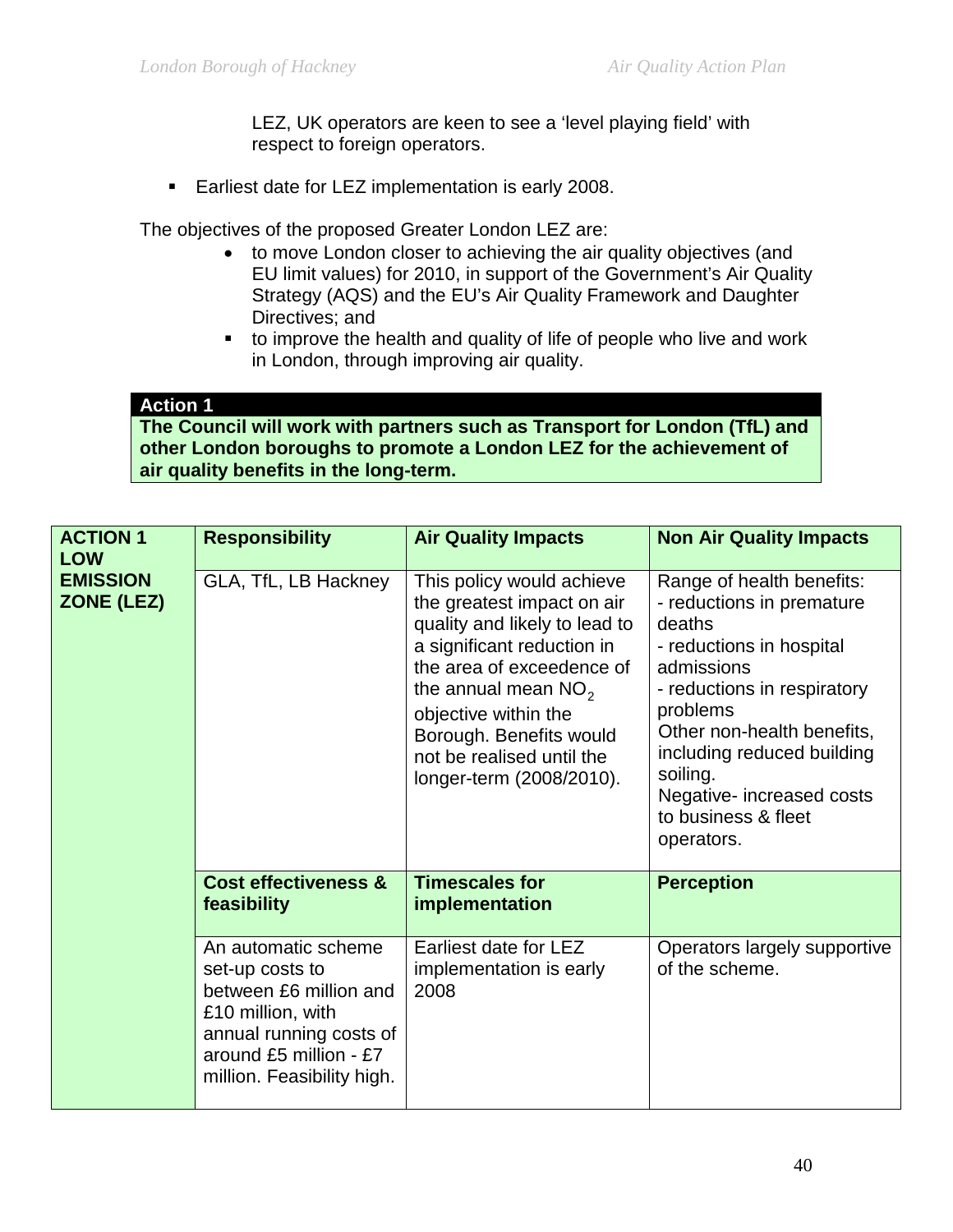LEZ, UK operators are keen to see a 'level playing field' with respect to foreign operators.

**Earliest date for LEZ implementation is early 2008.** 

The objectives of the proposed Greater London LEZ are:

- to move London closer to achieving the air quality objectives (and EU limit values) for 2010, in support of the Government's Air Quality Strategy (AQS) and the EU's Air Quality Framework and Daughter Directives; and
- to improve the health and quality of life of people who live and work in London, through improving air quality.

#### **Action 1**

**The Council will work with partners such as Transport for London (TfL) and other London boroughs to promote a London LEZ for the achievement of air quality benefits in the long-term.** 

| <b>ACTION 1</b><br><b>LOW</b> | <b>Responsibility</b>                                                                                                                                                    | <b>Air Quality Impacts</b>                                                                                                                                                                                                                                                               | <b>Non Air Quality Impacts</b>                                                                                                                                                                                                                                                                  |
|-------------------------------|--------------------------------------------------------------------------------------------------------------------------------------------------------------------------|------------------------------------------------------------------------------------------------------------------------------------------------------------------------------------------------------------------------------------------------------------------------------------------|-------------------------------------------------------------------------------------------------------------------------------------------------------------------------------------------------------------------------------------------------------------------------------------------------|
| <b>EMISSION</b><br>ZONE (LEZ) | GLA, TfL, LB Hackney                                                                                                                                                     | This policy would achieve<br>the greatest impact on air<br>quality and likely to lead to<br>a significant reduction in<br>the area of exceedence of<br>the annual mean $NO2$<br>objective within the<br>Borough. Benefits would<br>not be realised until the<br>longer-term (2008/2010). | Range of health benefits:<br>- reductions in premature<br>deaths<br>- reductions in hospital<br>admissions<br>- reductions in respiratory<br>problems<br>Other non-health benefits,<br>including reduced building<br>soiling.<br>Negative- increased costs<br>to business & fleet<br>operators. |
|                               | <b>Cost effectiveness &amp;</b><br>feasibility                                                                                                                           | <b>Timescales for</b><br>implementation                                                                                                                                                                                                                                                  | <b>Perception</b>                                                                                                                                                                                                                                                                               |
|                               | An automatic scheme<br>set-up costs to<br>between £6 million and<br>£10 million, with<br>annual running costs of<br>around £5 million - £7<br>million. Feasibility high. | Earliest date for LEZ<br>implementation is early<br>2008                                                                                                                                                                                                                                 | Operators largely supportive<br>of the scheme.                                                                                                                                                                                                                                                  |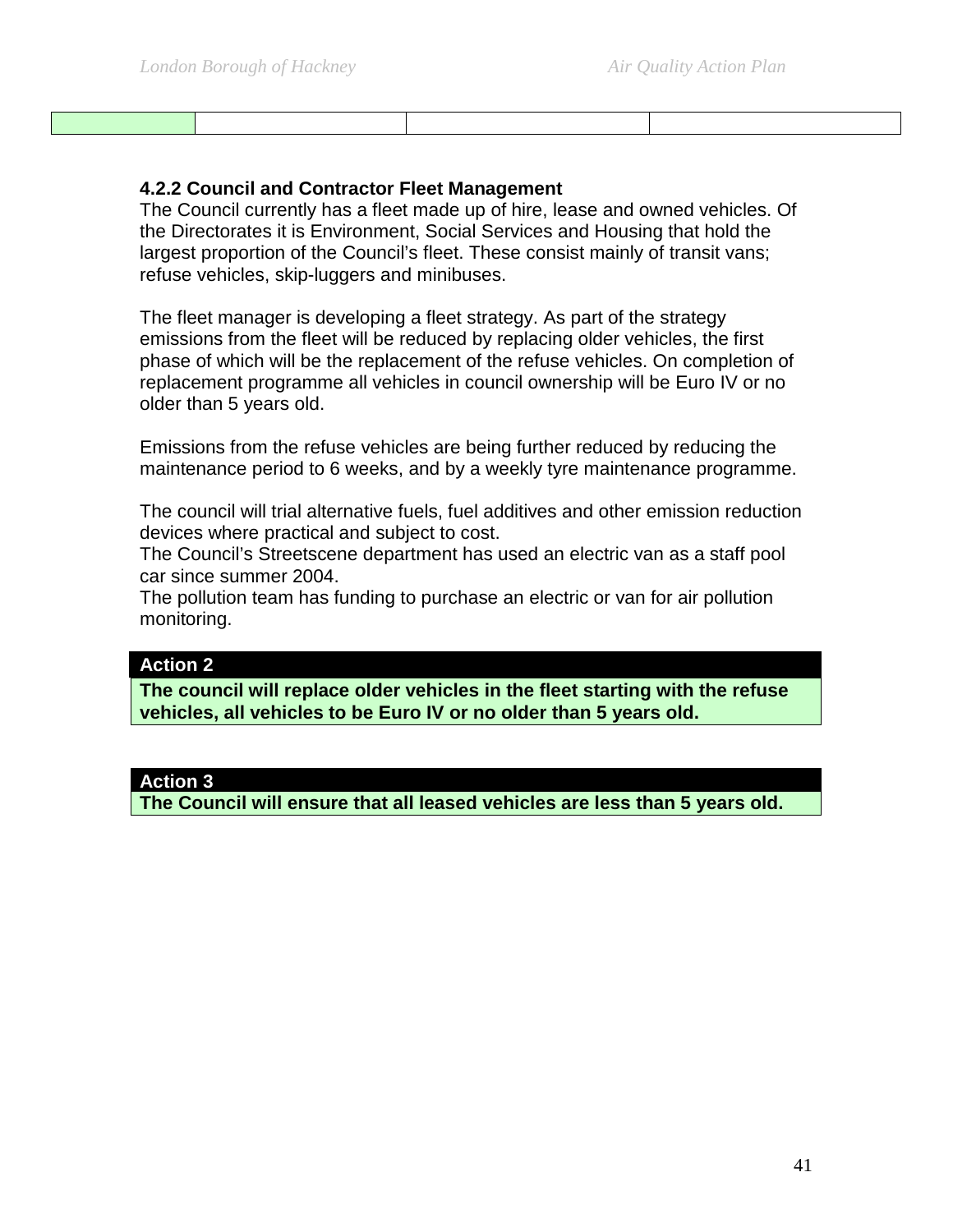#### **4.2.2 Council and Contractor Fleet Management**

The Council currently has a fleet made up of hire, lease and owned vehicles. Of the Directorates it is Environment, Social Services and Housing that hold the largest proportion of the Council's fleet. These consist mainly of transit vans; refuse vehicles, skip-luggers and minibuses.

The fleet manager is developing a fleet strategy. As part of the strategy emissions from the fleet will be reduced by replacing older vehicles, the first phase of which will be the replacement of the refuse vehicles. On completion of replacement programme all vehicles in council ownership will be Euro IV or no older than 5 years old.

Emissions from the refuse vehicles are being further reduced by reducing the maintenance period to 6 weeks, and by a weekly tyre maintenance programme.

The council will trial alternative fuels, fuel additives and other emission reduction devices where practical and subject to cost.

The Council's Streetscene department has used an electric van as a staff pool car since summer 2004.

The pollution team has funding to purchase an electric or van for air pollution monitoring.

#### **Action 2**

**The council will replace older vehicles in the fleet starting with the refuse vehicles, all vehicles to be Euro IV or no older than 5 years old.** 

#### **Action 3**

**The Council will ensure that all leased vehicles are less than 5 years old.**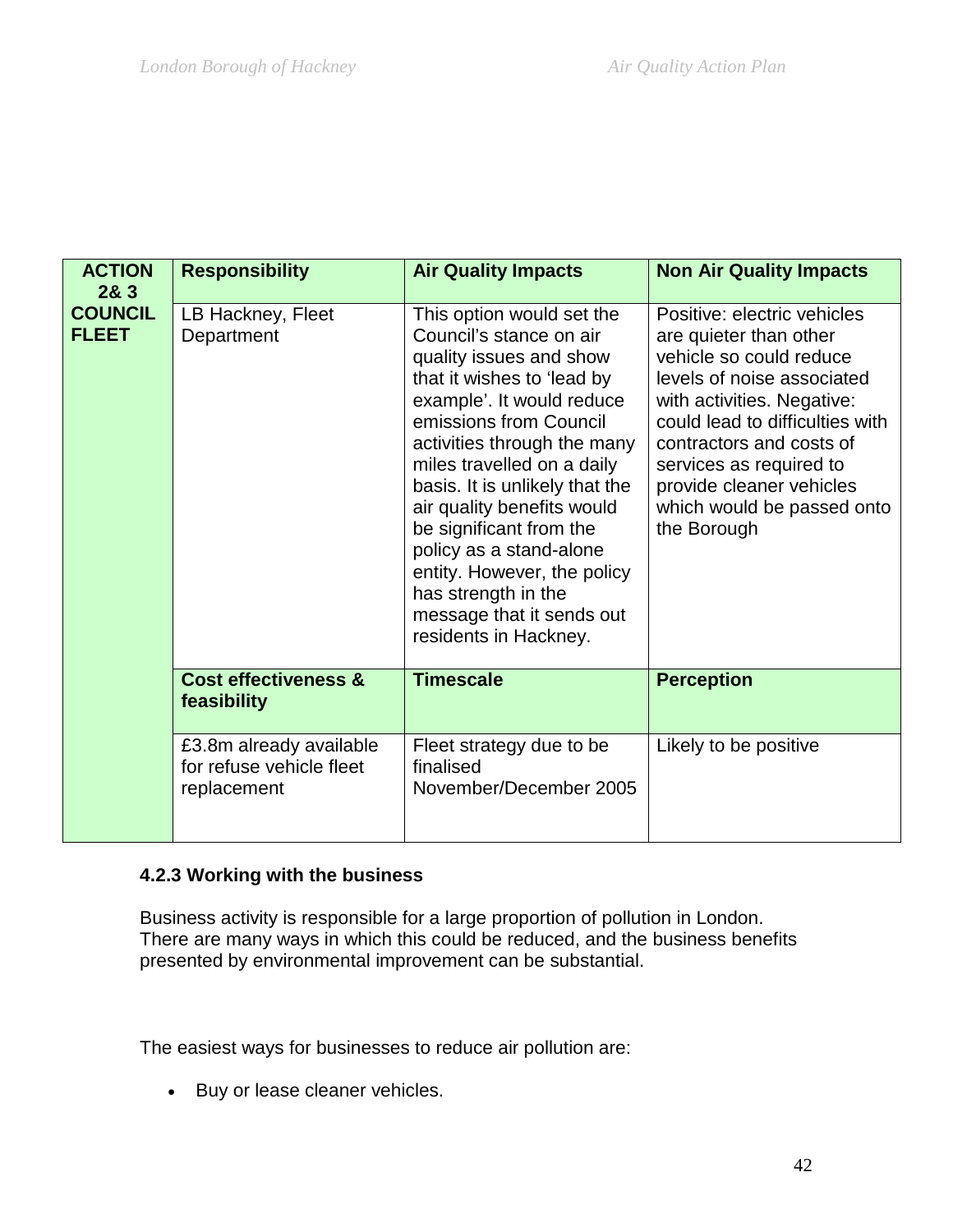| <b>ACTION</b><br>283           | <b>Responsibility</b>                                              | <b>Air Quality Impacts</b>                                                                                                                                                                                                                                                                                                                                                                                                                                          | <b>Non Air Quality Impacts</b>                                                                                                                                                                                                                                                                                  |
|--------------------------------|--------------------------------------------------------------------|---------------------------------------------------------------------------------------------------------------------------------------------------------------------------------------------------------------------------------------------------------------------------------------------------------------------------------------------------------------------------------------------------------------------------------------------------------------------|-----------------------------------------------------------------------------------------------------------------------------------------------------------------------------------------------------------------------------------------------------------------------------------------------------------------|
| <b>COUNCIL</b><br><b>FLEET</b> | LB Hackney, Fleet<br>Department                                    | This option would set the<br>Council's stance on air<br>quality issues and show<br>that it wishes to 'lead by<br>example'. It would reduce<br>emissions from Council<br>activities through the many<br>miles travelled on a daily<br>basis. It is unlikely that the<br>air quality benefits would<br>be significant from the<br>policy as a stand-alone<br>entity. However, the policy<br>has strength in the<br>message that it sends out<br>residents in Hackney. | Positive: electric vehicles<br>are quieter than other<br>vehicle so could reduce<br>levels of noise associated<br>with activities. Negative:<br>could lead to difficulties with<br>contractors and costs of<br>services as required to<br>provide cleaner vehicles<br>which would be passed onto<br>the Borough |
|                                | <b>Cost effectiveness &amp;</b><br>feasibility                     | <b>Timescale</b>                                                                                                                                                                                                                                                                                                                                                                                                                                                    | <b>Perception</b>                                                                                                                                                                                                                                                                                               |
|                                | £3.8m already available<br>for refuse vehicle fleet<br>replacement | Fleet strategy due to be<br>finalised<br>November/December 2005                                                                                                                                                                                                                                                                                                                                                                                                     | Likely to be positive                                                                                                                                                                                                                                                                                           |

# **4.2.3 Working with the business**

Business activity is responsible for a large proportion of pollution in London. There are many ways in which this could be reduced, and the business benefits presented by environmental improvement can be substantial.

The easiest ways for businesses to reduce air pollution are:

• Buy or lease [cleaner vehicles.](http://www.london.gov.uk/mayor/environment/air_quality/mayor/clean_veh.jsp)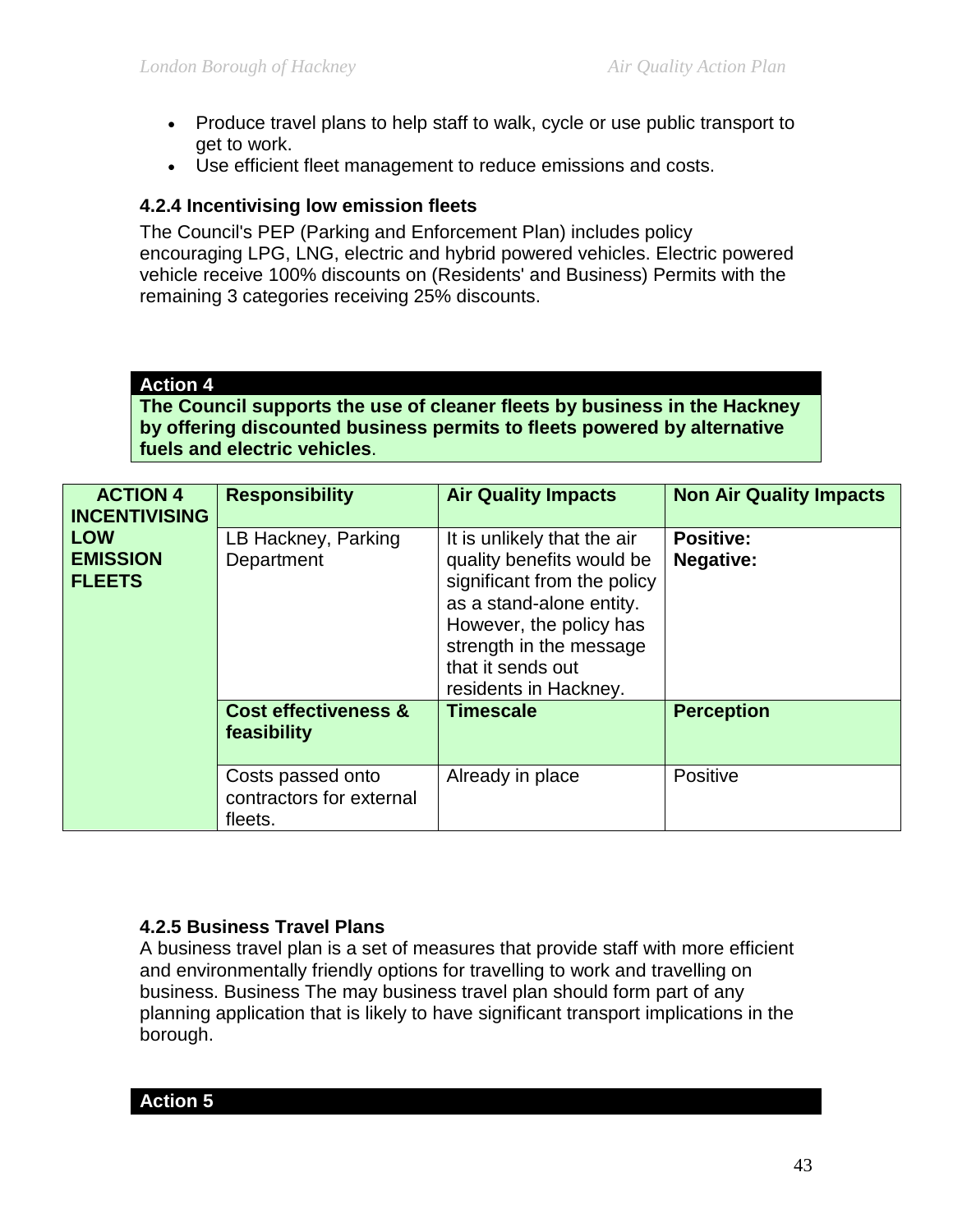- Produce [travel plans](http://www.london.gov.uk/mayor/environment/air_quality/business/biz_plans.jsp) to help staff to walk, cycle or use public transport to get to work.
- Use [efficient fleet management](http://www.london.gov.uk/mayor/environment/air_quality/business/biz_fleet.jsp) to reduce emissions and costs.

### **4.2.4 Incentivising low emission fleets**

The Council's PEP (Parking and Enforcement Plan) includes policy encouraging LPG, LNG, electric and hybrid powered vehicles. Electric powered vehicle receive 100% discounts on (Residents' and Business) Permits with the remaining 3 categories receiving 25% discounts.

### **Action 4**

**The Council supports the use of cleaner fleets by business in the Hackney by offering discounted business permits to fleets powered by alternative fuels and electric vehicles**.

| <b>ACTION 4</b><br><b>INCENTIVISING</b>        | <b>Responsibility</b>                                    | <b>Air Quality Impacts</b>                                                                                                                                                                                              | <b>Non Air Quality Impacts</b>       |
|------------------------------------------------|----------------------------------------------------------|-------------------------------------------------------------------------------------------------------------------------------------------------------------------------------------------------------------------------|--------------------------------------|
| <b>LOW</b><br><b>EMISSION</b><br><b>FLEETS</b> | LB Hackney, Parking<br>Department                        | It is unlikely that the air<br>quality benefits would be<br>significant from the policy<br>as a stand-alone entity.<br>However, the policy has<br>strength in the message<br>that it sends out<br>residents in Hackney. | <b>Positive:</b><br><b>Negative:</b> |
|                                                | <b>Cost effectiveness &amp;</b><br>feasibility           | <b>Timescale</b>                                                                                                                                                                                                        | <b>Perception</b>                    |
|                                                | Costs passed onto<br>contractors for external<br>fleets. | Already in place                                                                                                                                                                                                        | Positive                             |

### **4.2.5 Business Travel Plans**

A business travel plan is a set of measures that provide staff with more efficient and environmentally friendly options for travelling to work and travelling on business. Business The may business travel plan should form part of any planning application that is likely to have significant transport implications in the borough.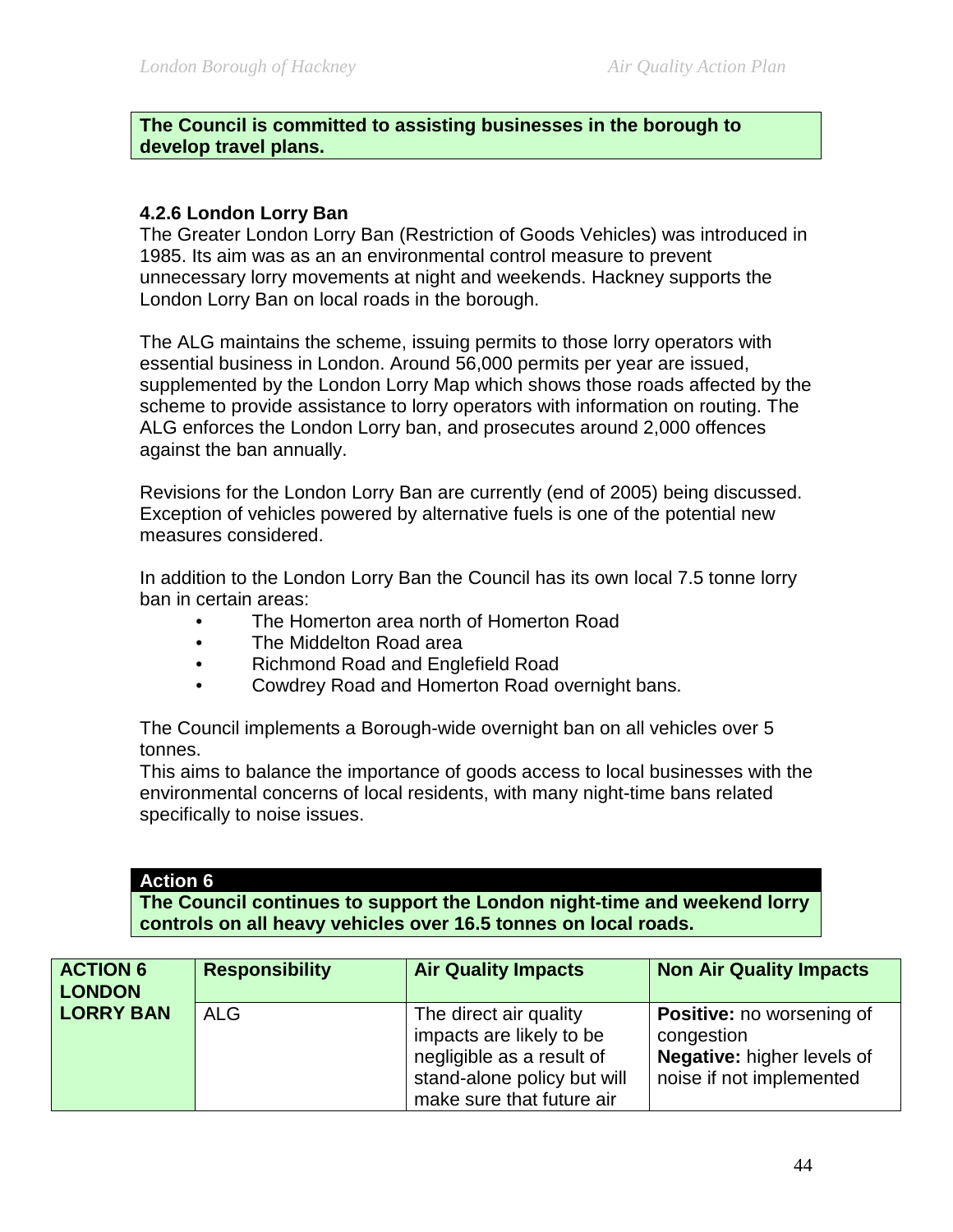#### **The Council is committed to assisting businesses in the borough to develop travel plans.**

### **4.2.6 London Lorry Ban**

The Greater London Lorry Ban (Restriction of Goods Vehicles) was introduced in 1985. Its aim was as an an environmental control measure to prevent unnecessary lorry movements at night and weekends. Hackney supports the London Lorry Ban on local roads in the borough.

The ALG maintains the scheme, issuing permits to those lorry operators with essential business in London. Around 56,000 permits per year are issued, supplemented by the London Lorry Map which shows those roads affected by the scheme to provide assistance to lorry operators with information on routing. The ALG enforces the London Lorry ban, and prosecutes around 2,000 offences against the ban annually.

Revisions for the London Lorry Ban are currently (end of 2005) being discussed. Exception of vehicles powered by alternative fuels is one of the potential new measures considered.

In addition to the London Lorry Ban the Council has its own local 7.5 tonne lorry ban in certain areas:

- The Homerton area north of Homerton Road
- The Middelton Road area
- Richmond Road and Englefield Road
- Cowdrey Road and Homerton Road overnight bans.

The Council implements a Borough-wide overnight ban on all vehicles over 5 tonnes.

This aims to balance the importance of goods access to local businesses with the environmental concerns of local residents, with many night-time bans related specifically to noise issues.

### **Action 6**

**The Council continues to support the London night-time and weekend lorry controls on all heavy vehicles over 16.5 tonnes on local roads.** 

| <b>ACTION 6</b><br><b>LONDON</b> | <b>Responsibility</b> | <b>Air Quality Impacts</b>                                                                                                                  | <b>Non Air Quality Impacts</b>                                                                                  |
|----------------------------------|-----------------------|---------------------------------------------------------------------------------------------------------------------------------------------|-----------------------------------------------------------------------------------------------------------------|
| <b>LORRY BAN</b>                 | <b>ALG</b>            | The direct air quality<br>impacts are likely to be<br>negligible as a result of<br>stand-alone policy but will<br>make sure that future air | <b>Positive:</b> no worsening of<br>congestion<br><b>Negative:</b> higher levels of<br>noise if not implemented |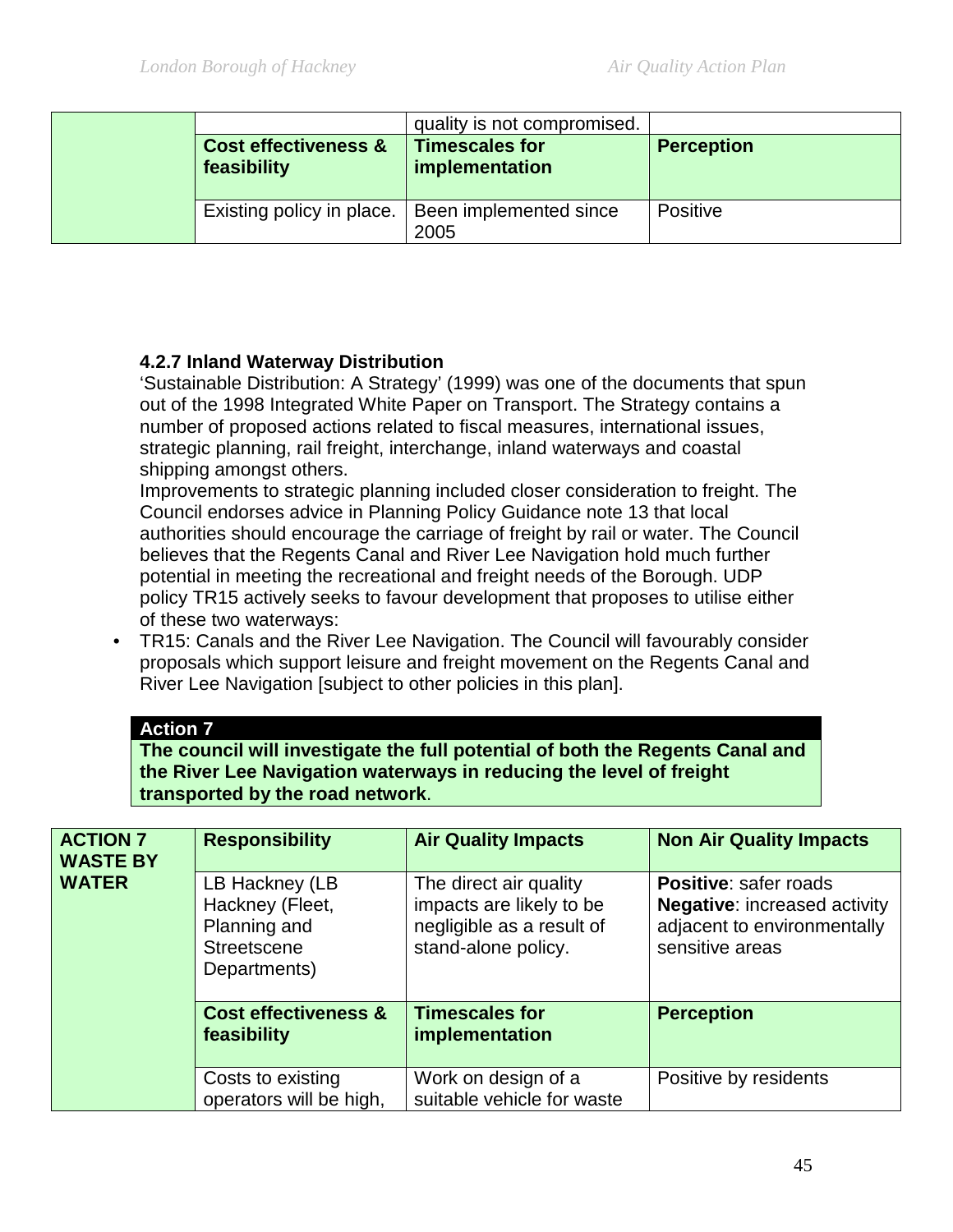|  |                                                | quality is not compromised.             |                   |
|--|------------------------------------------------|-----------------------------------------|-------------------|
|  | <b>Cost effectiveness &amp;</b><br>feasibility | <b>Timescales for</b><br>implementation | <b>Perception</b> |
|  | Existing policy in place.                      | Been implemented since<br>2005          | Positive          |

# **4.2.7 Inland Waterway Distribution**

'Sustainable Distribution: A Strategy' (1999) was one of the documents that spun out of the 1998 Integrated White Paper on Transport. The Strategy contains a number of proposed actions related to fiscal measures, international issues, strategic planning, rail freight, interchange, inland waterways and coastal shipping amongst others.

Improvements to strategic planning included closer consideration to freight. The Council endorses advice in Planning Policy Guidance note 13 that local authorities should encourage the carriage of freight by rail or water. The Council believes that the Regents Canal and River Lee Navigation hold much further potential in meeting the recreational and freight needs of the Borough. UDP policy TR15 actively seeks to favour development that proposes to utilise either of these two waterways:

• TR15: Canals and the River Lee Navigation. The Council will favourably consider proposals which support leisure and freight movement on the Regents Canal and River Lee Navigation [subject to other policies in this plan].

#### **Action 7**

**The council will investigate the full potential of both the Regents Canal and the River Lee Navigation waterways in reducing the level of freight transported by the road network**.

| <b>ACTION 7</b><br><b>WASTE BY</b> | <b>Responsibility</b>                                                                   | <b>Air Quality Impacts</b>                                                                             | <b>Non Air Quality Impacts</b>                                                                                        |
|------------------------------------|-----------------------------------------------------------------------------------------|--------------------------------------------------------------------------------------------------------|-----------------------------------------------------------------------------------------------------------------------|
| <b>WATER</b>                       | LB Hackney (LB<br>Hackney (Fleet,<br>Planning and<br><b>Streetscene</b><br>Departments) | The direct air quality<br>impacts are likely to be<br>negligible as a result of<br>stand-alone policy. | <b>Positive: safer roads</b><br><b>Negative: increased activity</b><br>adjacent to environmentally<br>sensitive areas |
|                                    | <b>Cost effectiveness &amp;</b><br>feasibility                                          | <b>Timescales for</b><br>implementation                                                                | <b>Perception</b>                                                                                                     |
|                                    | Costs to existing<br>operators will be high,                                            | Work on design of a<br>suitable vehicle for waste                                                      | Positive by residents                                                                                                 |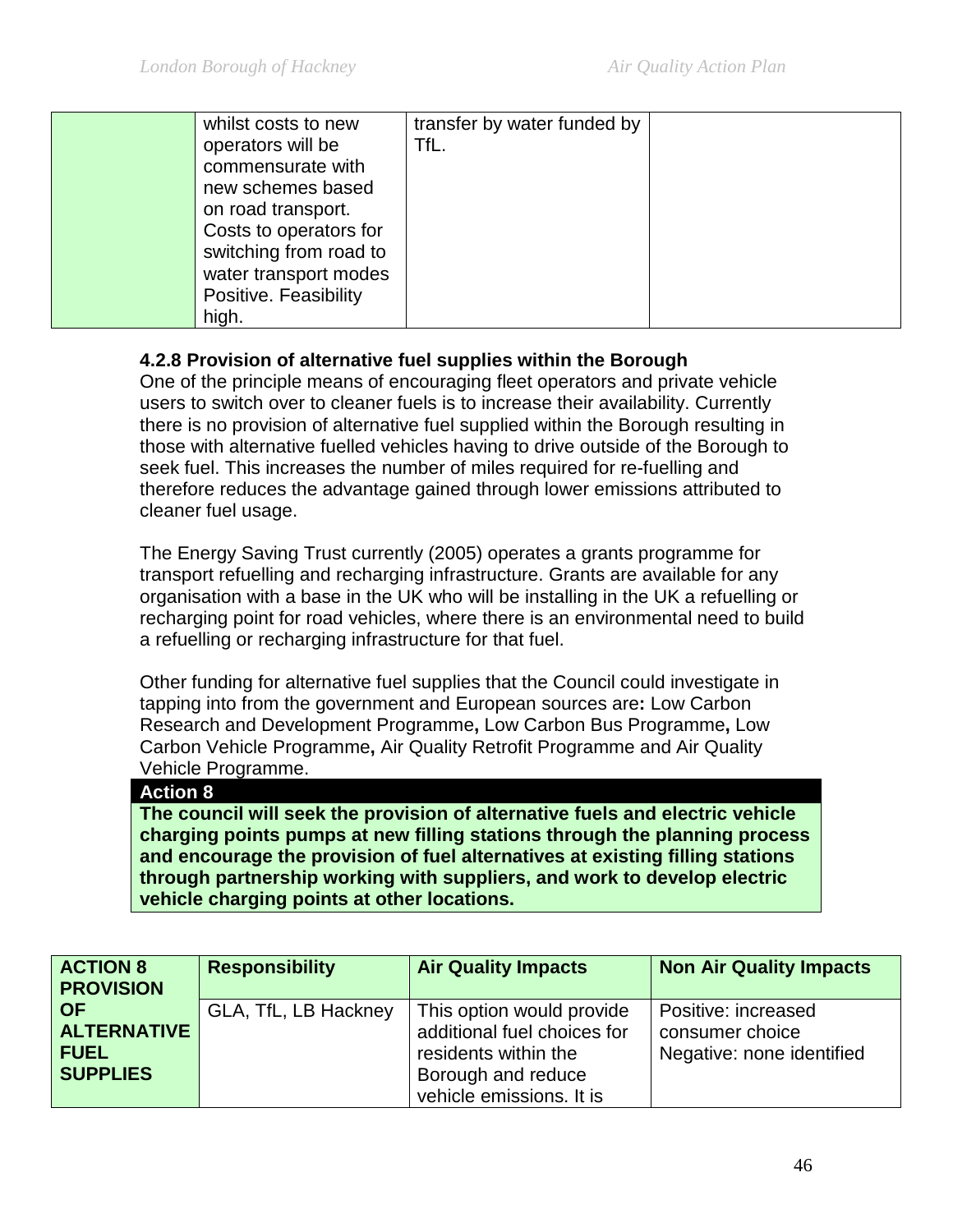| whilst costs to new    | transfer by water funded by |  |
|------------------------|-----------------------------|--|
| operators will be      | TfL.                        |  |
| commensurate with      |                             |  |
| new schemes based      |                             |  |
| on road transport.     |                             |  |
| Costs to operators for |                             |  |
| switching from road to |                             |  |
| water transport modes  |                             |  |
|                        |                             |  |
| high.                  |                             |  |
|                        | Positive. Feasibility       |  |

# **4.2.8 Provision of alternative fuel supplies within the Borough**

One of the principle means of encouraging fleet operators and private vehicle users to switch over to cleaner fuels is to increase their availability. Currently there is no provision of alternative fuel supplied within the Borough resulting in those with alternative fuelled vehicles having to drive outside of the Borough to seek fuel. This increases the number of miles required for re-fuelling and therefore reduces the advantage gained through lower emissions attributed to cleaner fuel usage.

The Energy Saving Trust currently (2005) operates a grants programme for transport refuelling and recharging infrastructure. Grants are available for any organisation with a base in the UK who will be installing in the UK a refuelling or recharging point for road vehicles, where there is an environmental need to build a refuelling or recharging infrastructure for that fuel.

Other funding for alternative fuel supplies that the Council could investigate in tapping into from the government and European sources are**:** Low Carbon Research and Development Programme**,** Low Carbon Bus Programme**,** Low Carbon Vehicle Programme**,** Air Quality Retrofit Programme and Air Quality Vehicle Programme.

#### **Action 8**

**The council will seek the provision of alternative fuels and electric vehicle charging points pumps at new filling stations through the planning process and encourage the provision of fuel alternatives at existing filling stations through partnership working with suppliers, and work to develop electric vehicle charging points at other locations.**

| <b>ACTION 8</b><br><b>PROVISION</b>                               | <b>Responsibility</b> | <b>Air Quality Impacts</b>                                                                                                         | <b>Non Air Quality Impacts</b>                                      |
|-------------------------------------------------------------------|-----------------------|------------------------------------------------------------------------------------------------------------------------------------|---------------------------------------------------------------------|
| <b>OF</b><br><b>ALTERNATIVE</b><br><b>FUEL</b><br><b>SUPPLIES</b> | GLA, TfL, LB Hackney  | This option would provide<br>additional fuel choices for<br>residents within the<br>Borough and reduce<br>vehicle emissions. It is | Positive: increased<br>consumer choice<br>Negative: none identified |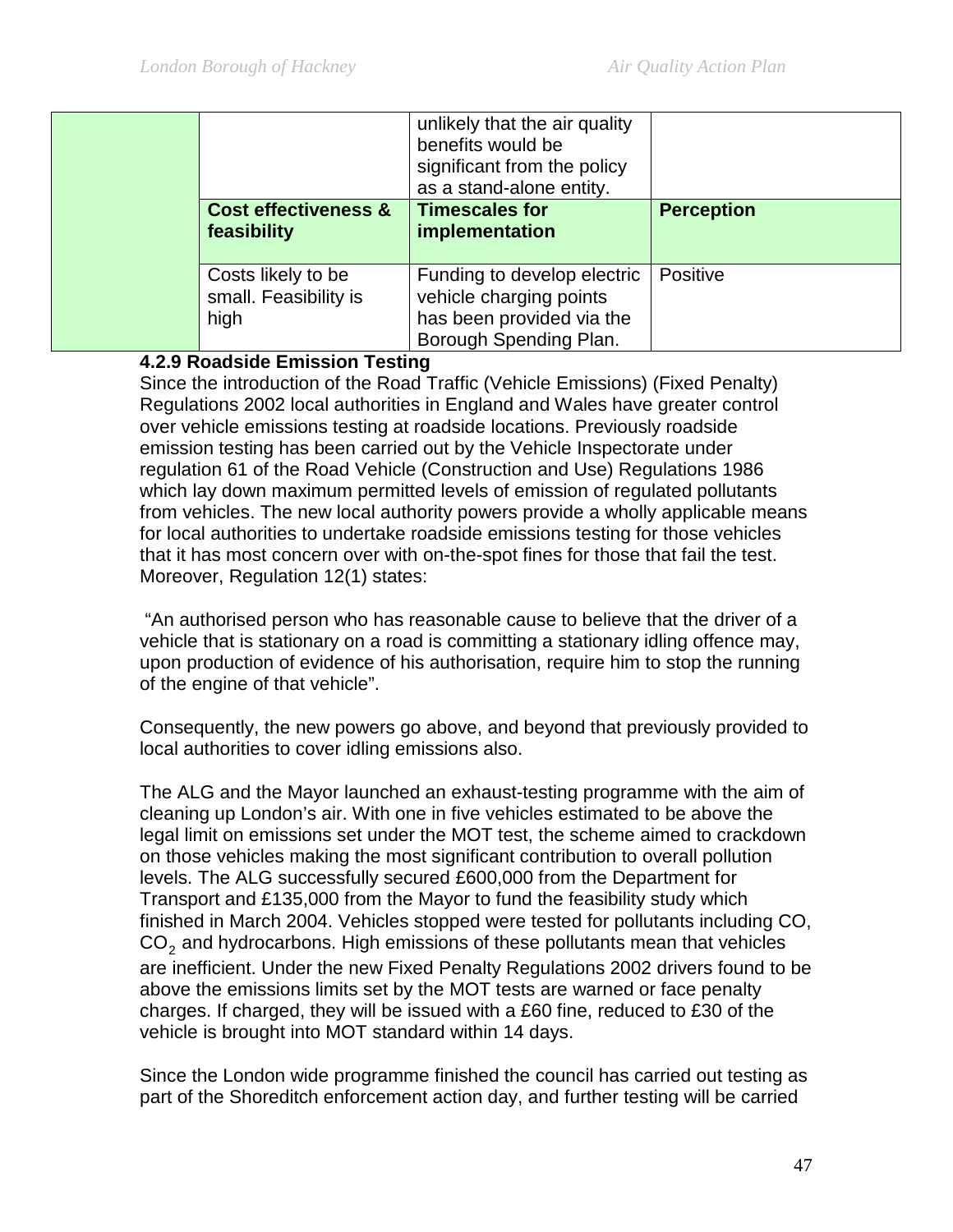|                                                     | unlikely that the air quality<br>benefits would be<br>significant from the policy<br>as a stand-alone entity. |                   |
|-----------------------------------------------------|---------------------------------------------------------------------------------------------------------------|-------------------|
| <b>Cost effectiveness &amp;</b><br>feasibility      | <b>Timescales for</b><br>implementation                                                                       | <b>Perception</b> |
| Costs likely to be<br>small. Feasibility is<br>high | Funding to develop electric<br>vehicle charging points<br>has been provided via the<br>Borough Spending Plan. | Positive          |

### **4.2.9 Roadside Emission Testing**

Since the introduction of the Road Traffic (Vehicle Emissions) (Fixed Penalty) Regulations 2002 local authorities in England and Wales have greater control over vehicle emissions testing at roadside locations. Previously roadside emission testing has been carried out by the Vehicle Inspectorate under regulation 61 of the Road Vehicle (Construction and Use) Regulations 1986 which lay down maximum permitted levels of emission of regulated pollutants from vehicles. The new local authority powers provide a wholly applicable means for local authorities to undertake roadside emissions testing for those vehicles that it has most concern over with on-the-spot fines for those that fail the test. Moreover, Regulation 12(1) states:

"An authorised person who has reasonable cause to believe that the driver of a vehicle that is stationary on a road is committing a stationary idling offence may, upon production of evidence of his authorisation, require him to stop the running of the engine of that vehicle".

Consequently, the new powers go above, and beyond that previously provided to local authorities to cover idling emissions also.

The ALG and the Mayor launched an exhaust-testing programme with the aim of cleaning up London's air. With one in five vehicles estimated to be above the legal limit on emissions set under the MOT test, the scheme aimed to crackdown on those vehicles making the most significant contribution to overall pollution levels. The ALG successfully secured £600,000 from the Department for Transport and £135,000 from the Mayor to fund the feasibility study which finished in March 2004. Vehicles stopped were tested for pollutants including CO, CO<sub>2</sub> and hydrocarbons. High emissions of these pollutants mean that vehicles are inefficient. Under the new Fixed Penalty Regulations 2002 drivers found to be above the emissions limits set by the MOT tests are warned or face penalty charges. If charged, they will be issued with a £60 fine, reduced to £30 of the vehicle is brought into MOT standard within 14 days.

Since the London wide programme finished the council has carried out testing as part of the Shoreditch enforcement action day, and further testing will be carried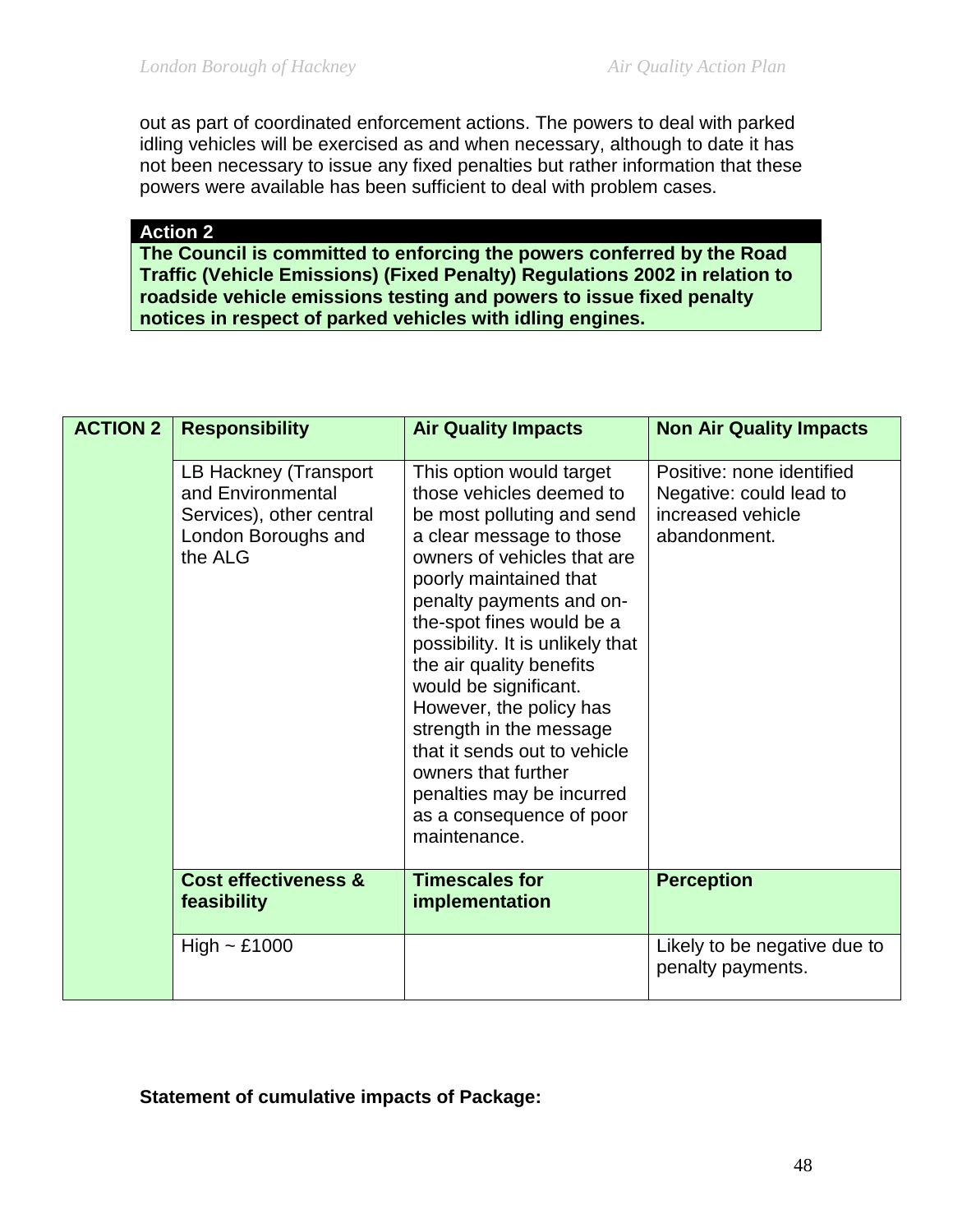out as part of coordinated enforcement actions. The powers to deal with parked idling vehicles will be exercised as and when necessary, although to date it has not been necessary to issue any fixed penalties but rather information that these powers were available has been sufficient to deal with problem cases.

**Action 2**

**The Council is committed to enforcing the powers conferred by the Road Traffic (Vehicle Emissions) (Fixed Penalty) Regulations 2002 in relation to roadside vehicle emissions testing and powers to issue fixed penalty notices in respect of parked vehicles with idling engines.**

| <b>ACTION 2</b> | <b>Responsibility</b>                                                                                    | <b>Air Quality Impacts</b>                                                                                                                                                                                                                                                                                                                                                                                                                                                                                      | <b>Non Air Quality Impacts</b>                                                            |
|-----------------|----------------------------------------------------------------------------------------------------------|-----------------------------------------------------------------------------------------------------------------------------------------------------------------------------------------------------------------------------------------------------------------------------------------------------------------------------------------------------------------------------------------------------------------------------------------------------------------------------------------------------------------|-------------------------------------------------------------------------------------------|
|                 | LB Hackney (Transport<br>and Environmental<br>Services), other central<br>London Boroughs and<br>the ALG | This option would target<br>those vehicles deemed to<br>be most polluting and send<br>a clear message to those<br>owners of vehicles that are<br>poorly maintained that<br>penalty payments and on-<br>the-spot fines would be a<br>possibility. It is unlikely that<br>the air quality benefits<br>would be significant.<br>However, the policy has<br>strength in the message<br>that it sends out to vehicle<br>owners that further<br>penalties may be incurred<br>as a consequence of poor<br>maintenance. | Positive: none identified<br>Negative: could lead to<br>increased vehicle<br>abandonment. |
|                 | <b>Cost effectiveness &amp;</b><br>feasibility                                                           | <b>Timescales for</b><br>implementation                                                                                                                                                                                                                                                                                                                                                                                                                                                                         | <b>Perception</b>                                                                         |
|                 | High $\sim$ £1000                                                                                        |                                                                                                                                                                                                                                                                                                                                                                                                                                                                                                                 | Likely to be negative due to<br>penalty payments.                                         |

### **Statement of cumulative impacts of Package:**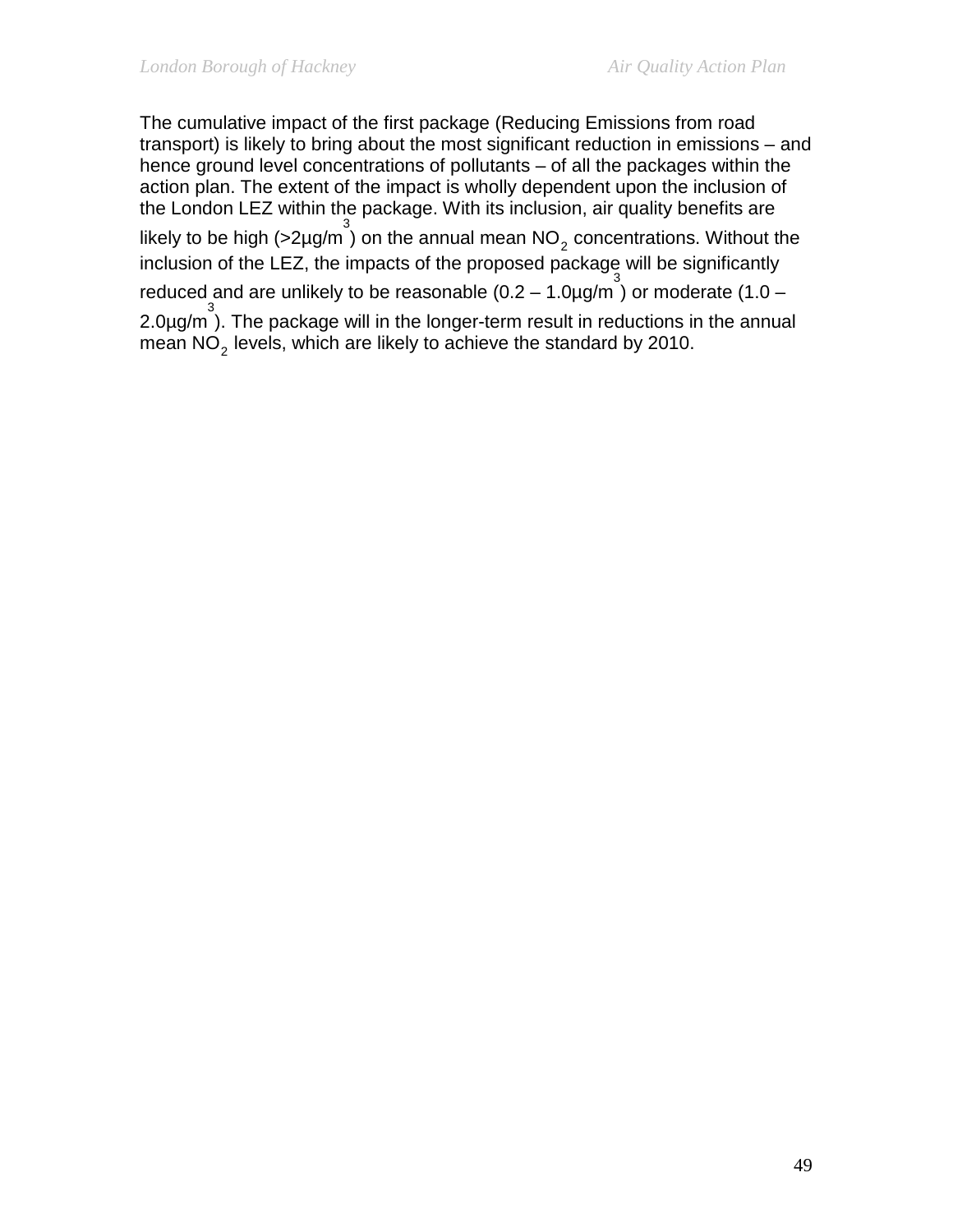The cumulative impact of the first package (Reducing Emissions from road transport) is likely to bring about the most significant reduction in emissions – and hence ground level concentrations of pollutants – of all the packages within the action plan. The extent of the impact is wholly dependent upon the inclusion of the London LEZ within the package. With its inclusion, air quality benefits are likely to be high (>2µg/m<sup>3</sup>) on the annual mean  $NO_2$  concentrations. Without the inclusion of the LEZ, the impacts of the proposed package will be significantly reduced and are unlikely to be reasonable  $(0.2 - 1.0 \mu\text{g/m}^3)$  or moderate  $(1.0 -$ 2.0µg/m 3 ). The package will in the longer-term result in reductions in the annual mean  $NO<sub>2</sub>$  levels, which are likely to achieve the standard by 2010.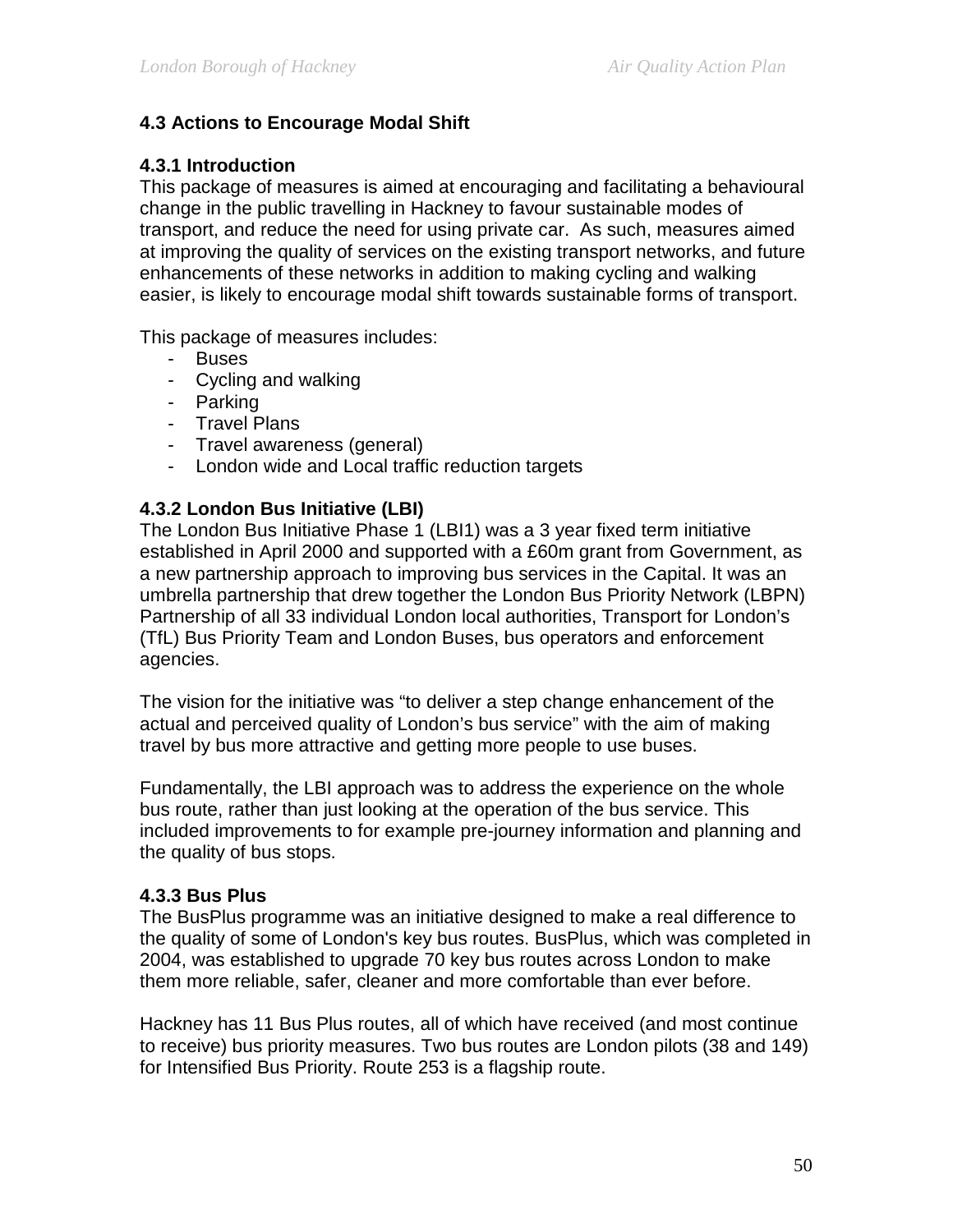### **4.3 Actions to Encourage Modal Shift**

### **4.3.1 Introduction**

This package of measures is aimed at encouraging and facilitating a behavioural change in the public travelling in Hackney to favour sustainable modes of transport, and reduce the need for using private car. As such, measures aimed at improving the quality of services on the existing transport networks, and future enhancements of these networks in addition to making cycling and walking easier, is likely to encourage modal shift towards sustainable forms of transport.

This package of measures includes:

- Buses
- Cycling and walking
- Parking
- Travel Plans
- Travel awareness (general)
- London wide and Local traffic reduction targets

#### **4.3.2 London Bus Initiative (LBI)**

The London Bus Initiative Phase 1 (LBI1) was a 3 year fixed term initiative established in April 2000 and supported with a £60m grant from Government, as a new partnership approach to improving bus services in the Capital. It was an umbrella partnership that drew together the London Bus Priority Network (LBPN) Partnership of all 33 individual London local authorities, Transport for London's (TfL) Bus Priority Team and London Buses, bus operators and enforcement agencies.

The vision for the initiative was "to deliver a step change enhancement of the actual and perceived quality of London's bus service" with the aim of making travel by bus more attractive and getting more people to use buses.

Fundamentally, the LBI approach was to address the experience on the whole bus route, rather than just looking at the operation of the bus service. This included improvements to for example pre-journey information and planning and the quality of bus stops.

#### **4.3.3 Bus Plus**

The BusPlus programme was an initiative designed to make a real difference to the quality of some of London's key bus routes. BusPlus, which was completed in 2004, was established to upgrade 70 key bus routes across London to make them more reliable, safer, cleaner and more comfortable than ever before.

Hackney has 11 Bus Plus routes, all of which have received (and most continue to receive) bus priority measures. Two bus routes are London pilots (38 and 149) for Intensified Bus Priority. Route 253 is a flagship route.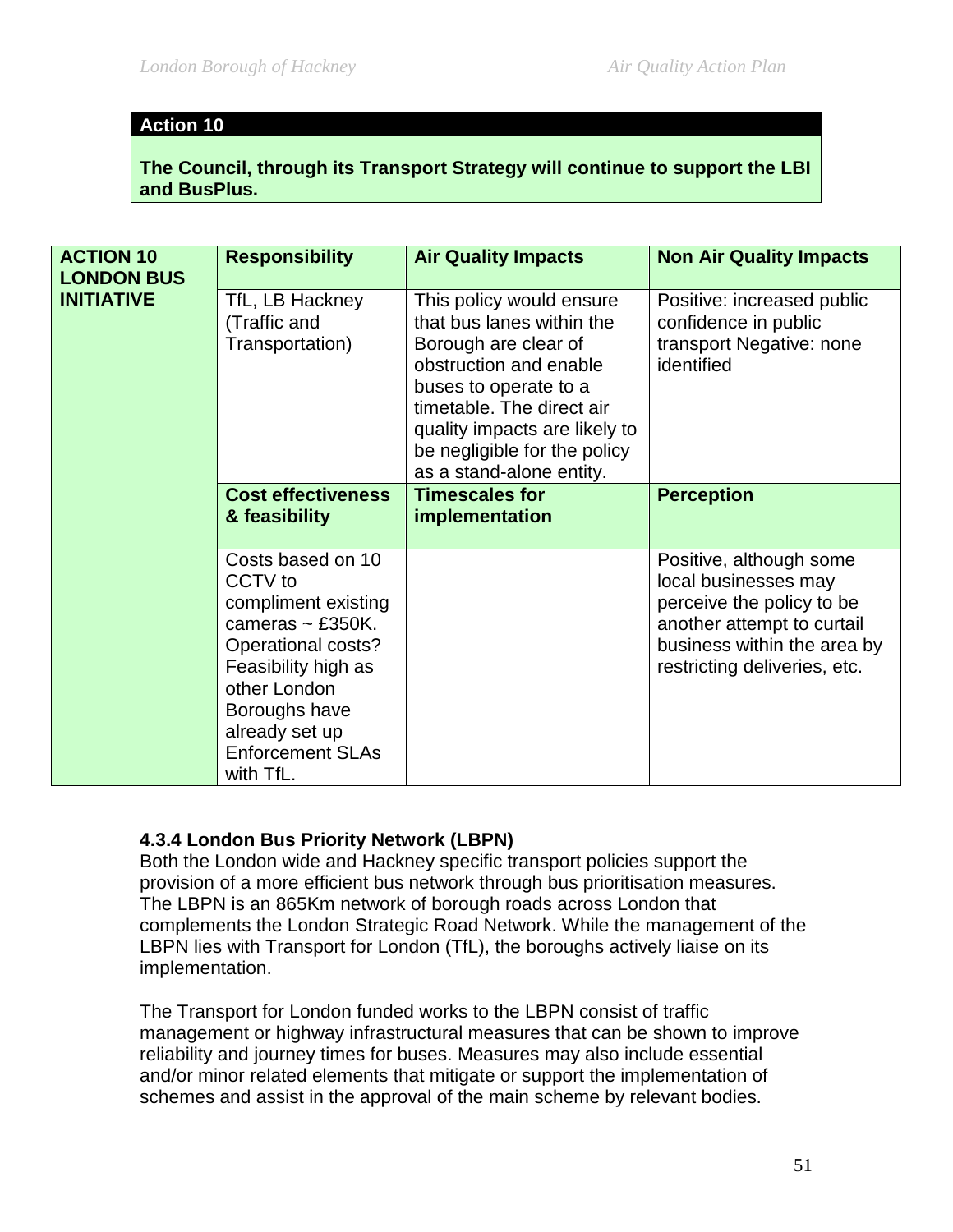### **Action 10**

**The Council, through its Transport Strategy will continue to support the LBI and BusPlus.** 

| <b>ACTION 10</b><br><b>LONDON BUS</b> | <b>Responsibility</b>                                                                                                                                                                                                | <b>Air Quality Impacts</b>                                                                                                                                                                                                                                 | <b>Non Air Quality Impacts</b>                                                                                                                                            |
|---------------------------------------|----------------------------------------------------------------------------------------------------------------------------------------------------------------------------------------------------------------------|------------------------------------------------------------------------------------------------------------------------------------------------------------------------------------------------------------------------------------------------------------|---------------------------------------------------------------------------------------------------------------------------------------------------------------------------|
| <b>INITIATIVE</b>                     | TfL, LB Hackney<br>(Traffic and<br>Transportation)                                                                                                                                                                   | This policy would ensure<br>that bus lanes within the<br>Borough are clear of<br>obstruction and enable<br>buses to operate to a<br>timetable. The direct air<br>quality impacts are likely to<br>be negligible for the policy<br>as a stand-alone entity. | Positive: increased public<br>confidence in public<br>transport Negative: none<br>identified                                                                              |
|                                       | <b>Cost effectiveness</b><br>& feasibility                                                                                                                                                                           | <b>Timescales for</b><br>implementation                                                                                                                                                                                                                    | <b>Perception</b>                                                                                                                                                         |
|                                       | Costs based on 10<br>CCTV to<br>compliment existing<br>cameras $\sim$ £350K.<br>Operational costs?<br>Feasibility high as<br>other London<br>Boroughs have<br>already set up<br><b>Enforcement SLAs</b><br>with TfL. |                                                                                                                                                                                                                                                            | Positive, although some<br>local businesses may<br>perceive the policy to be<br>another attempt to curtail<br>business within the area by<br>restricting deliveries, etc. |

#### **4.3.4 London Bus Priority Network (LBPN)**

Both the London wide and Hackney specific transport policies support the provision of a more efficient bus network through bus prioritisation measures. The LBPN is an 865Km network of borough roads across London that complements the London Strategic Road Network. While the management of the LBPN lies with Transport for London (TfL), the boroughs actively liaise on its implementation.

The Transport for London funded works to the LBPN consist of traffic management or highway infrastructural measures that can be shown to improve reliability and journey times for buses. Measures may also include essential and/or minor related elements that mitigate or support the implementation of schemes and assist in the approval of the main scheme by relevant bodies.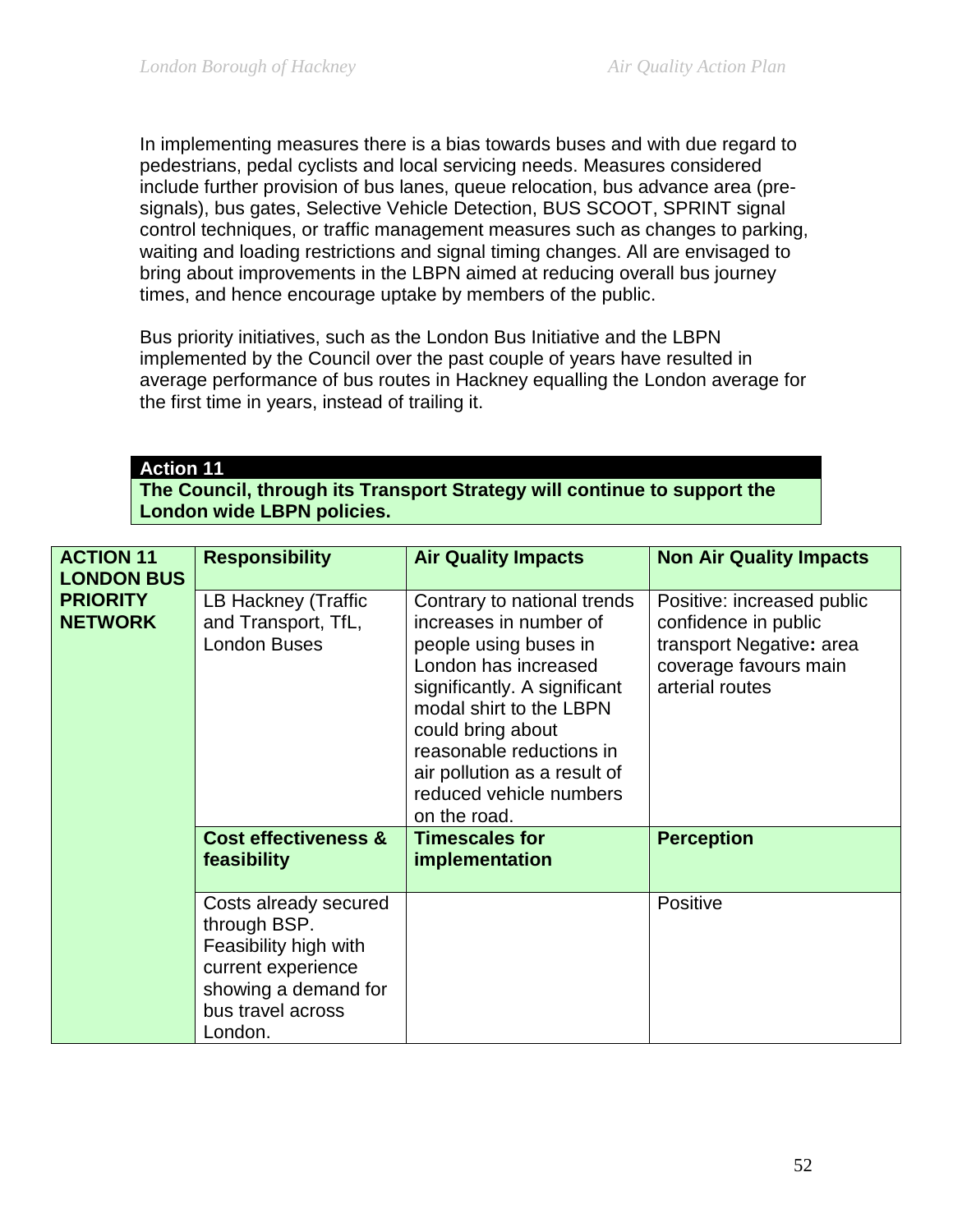In implementing measures there is a bias towards buses and with due regard to pedestrians, pedal cyclists and local servicing needs. Measures considered include further provision of bus lanes, queue relocation, bus advance area (presignals), bus gates, Selective Vehicle Detection, BUS SCOOT, SPRINT signal control techniques, or traffic management measures such as changes to parking, waiting and loading restrictions and signal timing changes. All are envisaged to bring about improvements in the LBPN aimed at reducing overall bus journey times, and hence encourage uptake by members of the public.

Bus priority initiatives, such as the London Bus Initiative and the LBPN implemented by the Council over the past couple of years have resulted in average performance of bus routes in Hackney equalling the London average for the first time in years, instead of trailing it.

# **Action 11**

**The Council, through its Transport Strategy will continue to support the London wide LBPN policies.** 

| <b>ACTION 11</b>                                       | <b>Responsibility</b>                                                                                                                        | <b>Air Quality Impacts</b>                                                                                                                                                                                                                                                                    | <b>Non Air Quality Impacts</b>                                                                                             |
|--------------------------------------------------------|----------------------------------------------------------------------------------------------------------------------------------------------|-----------------------------------------------------------------------------------------------------------------------------------------------------------------------------------------------------------------------------------------------------------------------------------------------|----------------------------------------------------------------------------------------------------------------------------|
| <b>LONDON BUS</b><br><b>PRIORITY</b><br><b>NETWORK</b> | LB Hackney (Traffic<br>and Transport, TfL,<br><b>London Buses</b>                                                                            | Contrary to national trends<br>increases in number of<br>people using buses in<br>London has increased<br>significantly. A significant<br>modal shirt to the LBPN<br>could bring about<br>reasonable reductions in<br>air pollution as a result of<br>reduced vehicle numbers<br>on the road. | Positive: increased public<br>confidence in public<br>transport Negative: area<br>coverage favours main<br>arterial routes |
|                                                        | <b>Cost effectiveness &amp;</b><br>feasibility                                                                                               | <b>Timescales for</b><br>implementation                                                                                                                                                                                                                                                       | <b>Perception</b>                                                                                                          |
|                                                        | Costs already secured<br>through BSP.<br>Feasibility high with<br>current experience<br>showing a demand for<br>bus travel across<br>London. |                                                                                                                                                                                                                                                                                               | Positive                                                                                                                   |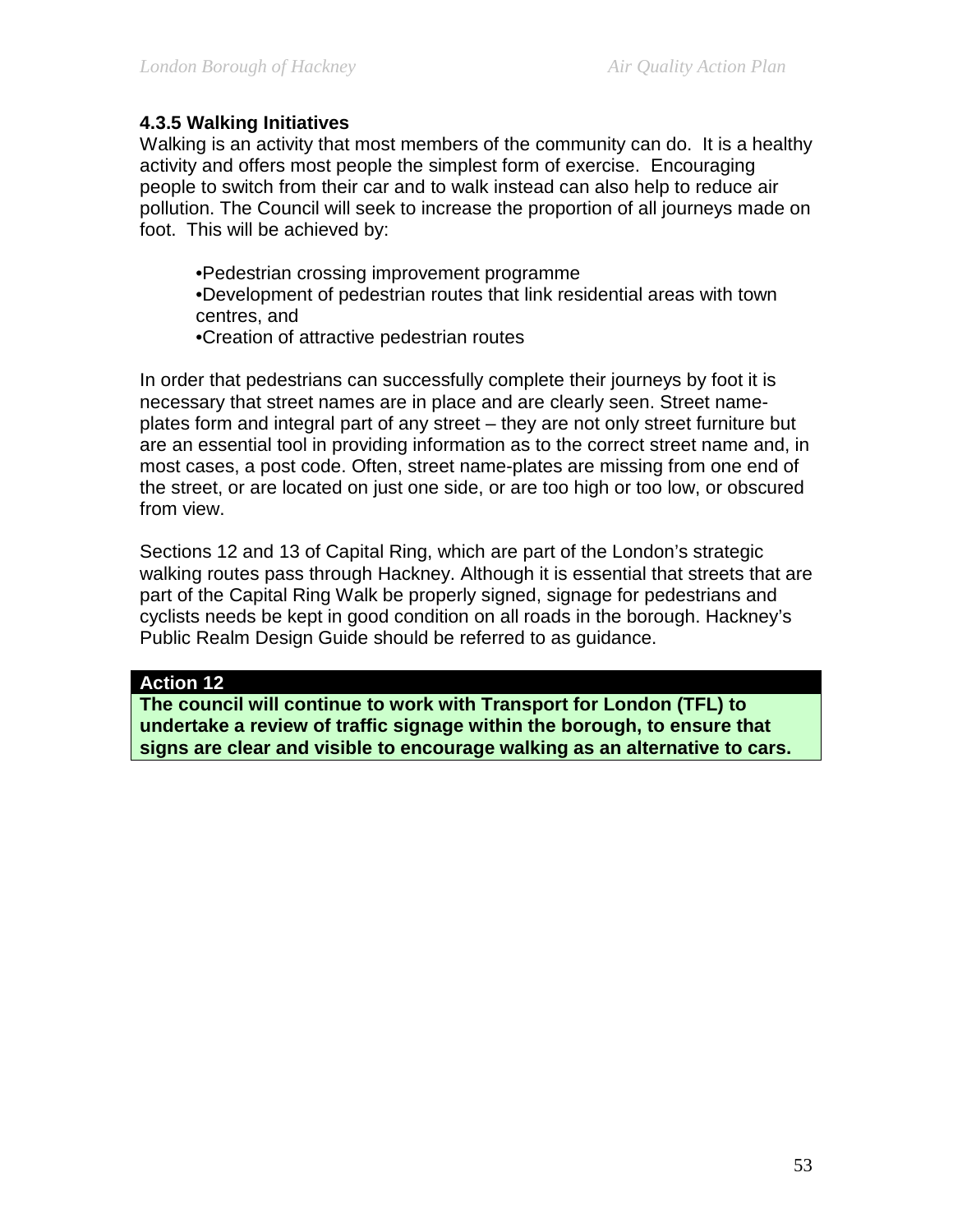### **4.3.5 Walking Initiatives**

Walking is an activity that most members of the community can do. It is a healthy activity and offers most people the simplest form of exercise. Encouraging people to switch from their car and to walk instead can also help to reduce air pollution. The Council will seek to increase the proportion of all journeys made on foot. This will be achieved by:

•Pedestrian crossing improvement programme •Development of pedestrian routes that link residential areas with town centres, and

•Creation of attractive pedestrian routes

In order that pedestrians can successfully complete their journeys by foot it is necessary that street names are in place and are clearly seen. Street nameplates form and integral part of any street – they are not only street furniture but are an essential tool in providing information as to the correct street name and, in most cases, a post code. Often, street name-plates are missing from one end of the street, or are located on just one side, or are too high or too low, or obscured from view.

Sections 12 and 13 of Capital Ring, which are part of the London's strategic walking routes pass through Hackney. Although it is essential that streets that are part of the Capital Ring Walk be properly signed, signage for pedestrians and cyclists needs be kept in good condition on all roads in the borough. Hackney's Public Realm Design Guide should be referred to as guidance.

#### **Action 12**

**The council will continue to work with Transport for London (TFL) to undertake a review of traffic signage within the borough, to ensure that signs are clear and visible to encourage walking as an alternative to cars.**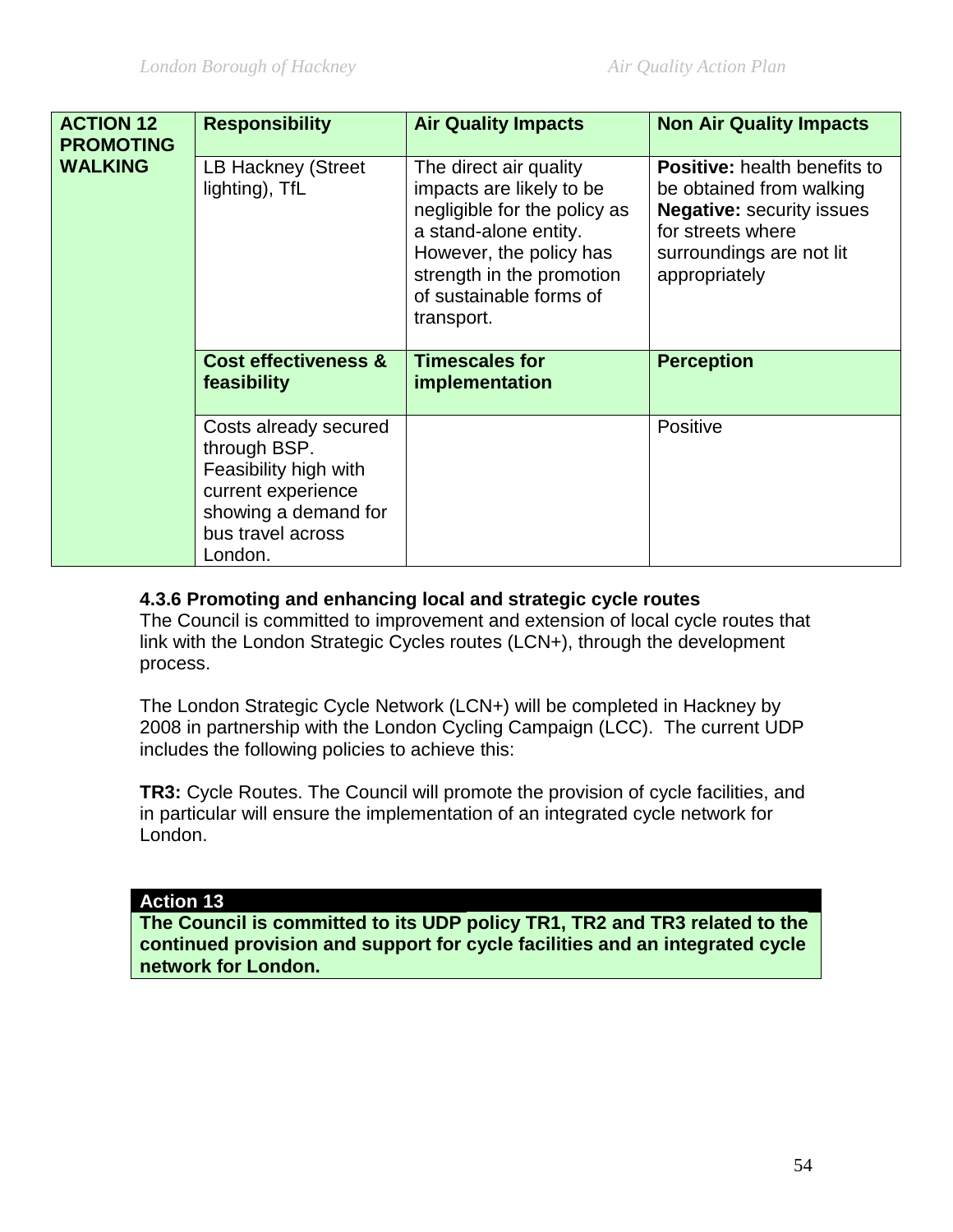| <b>ACTION 12</b><br><b>PROMOTING</b><br><b>WALKING</b> | <b>Responsibility</b>                                                                                                                        | <b>Air Quality Impacts</b>                                                                                                                                                                                   | <b>Non Air Quality Impacts</b>                                                                                                                                        |
|--------------------------------------------------------|----------------------------------------------------------------------------------------------------------------------------------------------|--------------------------------------------------------------------------------------------------------------------------------------------------------------------------------------------------------------|-----------------------------------------------------------------------------------------------------------------------------------------------------------------------|
|                                                        | LB Hackney (Street<br>lighting), TfL                                                                                                         | The direct air quality<br>impacts are likely to be<br>negligible for the policy as<br>a stand-alone entity.<br>However, the policy has<br>strength in the promotion<br>of sustainable forms of<br>transport. | <b>Positive:</b> health benefits to<br>be obtained from walking<br><b>Negative: security issues</b><br>for streets where<br>surroundings are not lit<br>appropriately |
|                                                        | <b>Cost effectiveness &amp;</b><br>feasibility                                                                                               | <b>Timescales for</b><br>implementation                                                                                                                                                                      | <b>Perception</b>                                                                                                                                                     |
|                                                        | Costs already secured<br>through BSP.<br>Feasibility high with<br>current experience<br>showing a demand for<br>bus travel across<br>London. |                                                                                                                                                                                                              | Positive                                                                                                                                                              |

### **4.3.6 Promoting and enhancing local and strategic cycle routes**

The Council is committed to improvement and extension of local cycle routes that link with the London Strategic Cycles routes (LCN+), through the development process.

The London Strategic Cycle Network (LCN+) will be completed in Hackney by 2008 in partnership with the London Cycling Campaign (LCC). The current UDP includes the following policies to achieve this:

**TR3:** Cycle Routes. The Council will promote the provision of cycle facilities, and in particular will ensure the implementation of an integrated cycle network for London.

#### **Action 13**

**The Council is committed to its UDP policy TR1, TR2 and TR3 related to the continued provision and support for cycle facilities and an integrated cycle network for London.**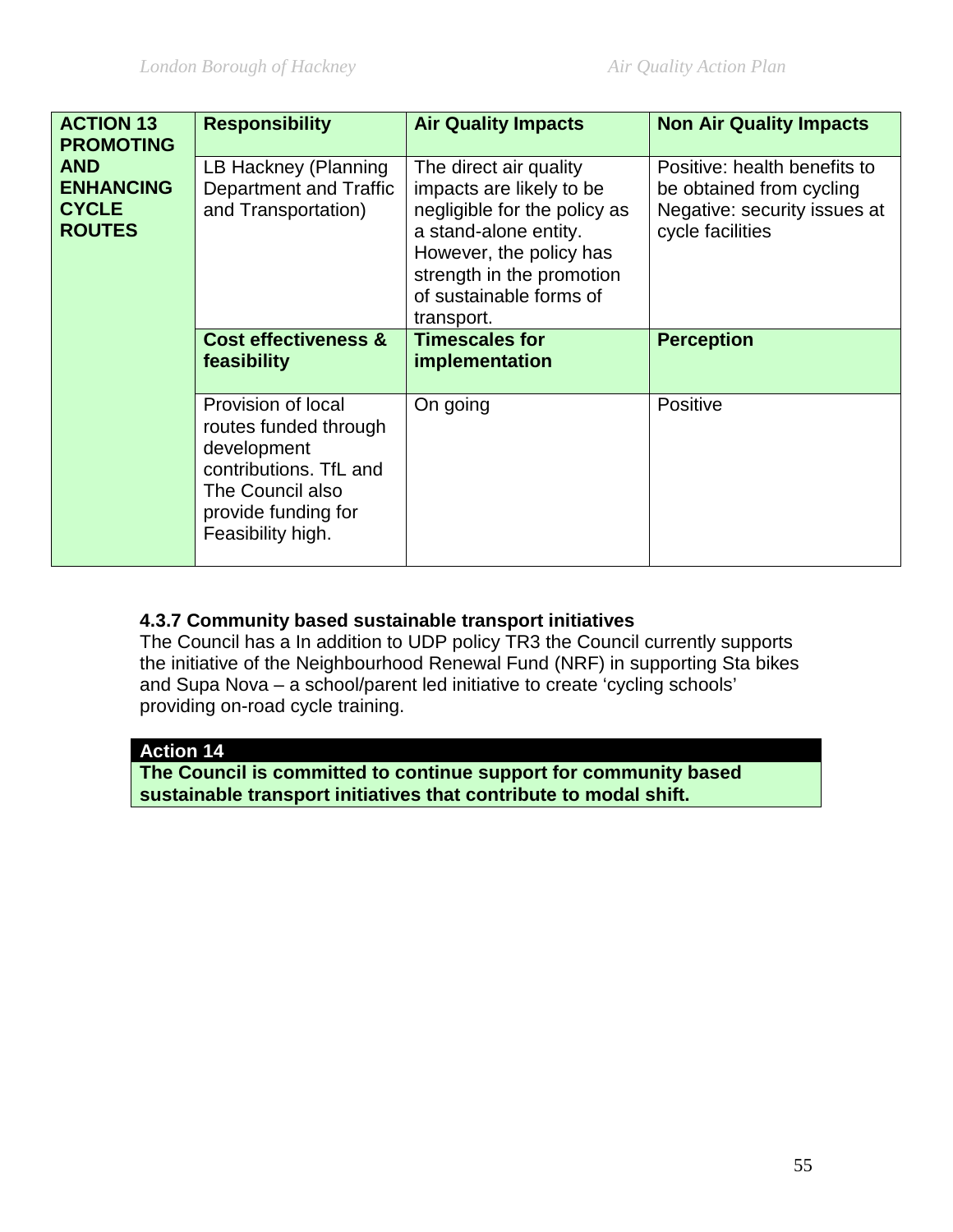| <b>ACTION 13</b><br><b>PROMOTING</b>                            | <b>Responsibility</b>                                                                                                                                | <b>Air Quality Impacts</b>                                                                                                                                                                                   | <b>Non Air Quality Impacts</b>                                                                               |
|-----------------------------------------------------------------|------------------------------------------------------------------------------------------------------------------------------------------------------|--------------------------------------------------------------------------------------------------------------------------------------------------------------------------------------------------------------|--------------------------------------------------------------------------------------------------------------|
| <b>AND</b><br><b>ENHANCING</b><br><b>CYCLE</b><br><b>ROUTES</b> | LB Hackney (Planning<br><b>Department and Traffic</b><br>and Transportation)                                                                         | The direct air quality<br>impacts are likely to be<br>negligible for the policy as<br>a stand-alone entity.<br>However, the policy has<br>strength in the promotion<br>of sustainable forms of<br>transport. | Positive: health benefits to<br>be obtained from cycling<br>Negative: security issues at<br>cycle facilities |
|                                                                 | <b>Cost effectiveness &amp;</b><br>feasibility                                                                                                       | <b>Timescales for</b><br>implementation                                                                                                                                                                      | <b>Perception</b>                                                                                            |
|                                                                 | Provision of local<br>routes funded through<br>development<br>contributions. TfL and<br>The Council also<br>provide funding for<br>Feasibility high. | On going                                                                                                                                                                                                     | Positive                                                                                                     |

### **4.3.7 Community based sustainable transport initiatives**

The Council has a In addition to UDP policy TR3 the Council currently supports the initiative of the Neighbourhood Renewal Fund (NRF) in supporting Sta bikes and Supa Nova – a school/parent led initiative to create 'cycling schools' providing on-road cycle training.

#### **Action 14**

**The Council is committed to continue support for community based sustainable transport initiatives that contribute to modal shift.**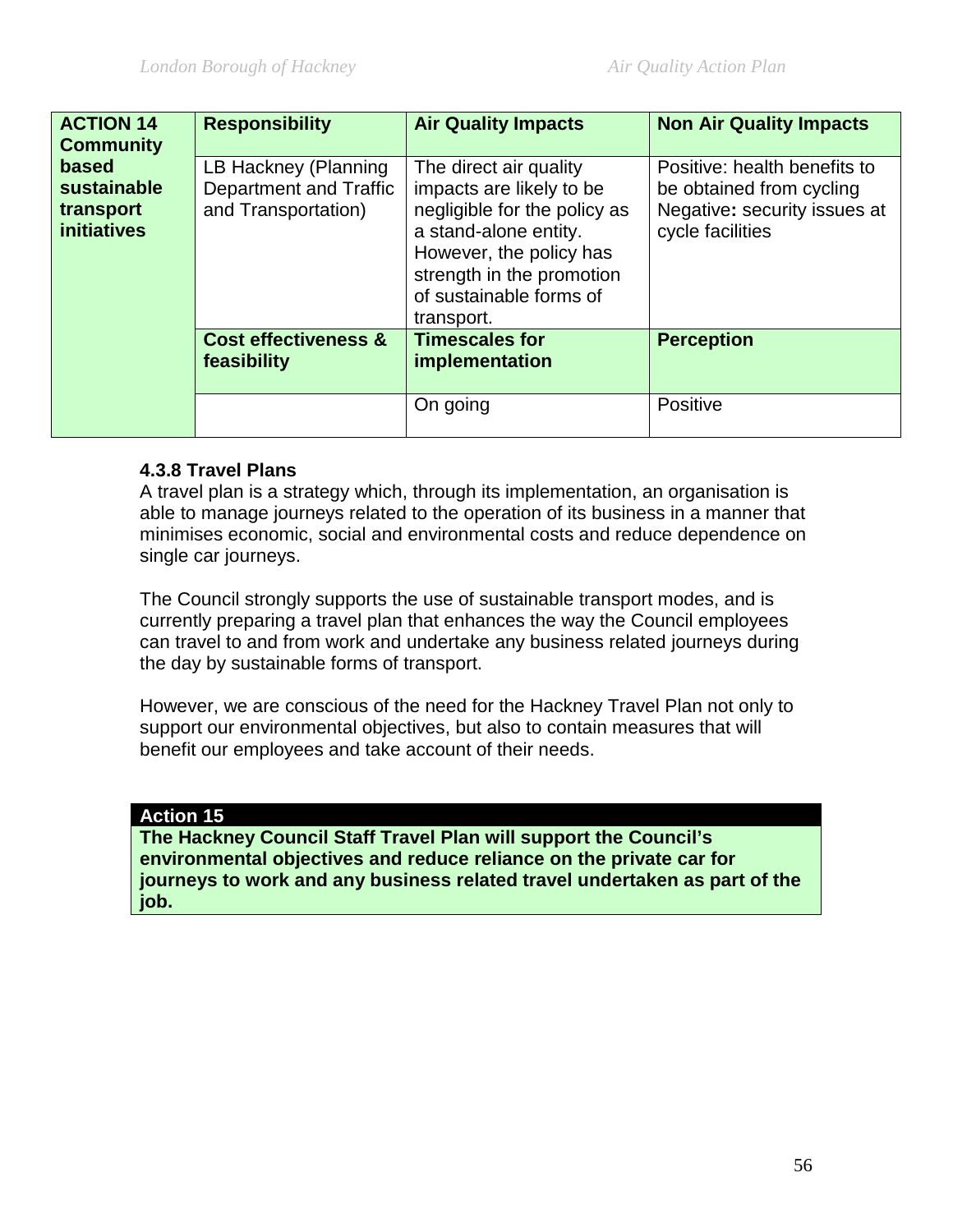| <b>ACTION 14</b><br><b>Community</b>                    | <b>Responsibility</b>                                                 | <b>Air Quality Impacts</b>                                                                                                                                                                                   | <b>Non Air Quality Impacts</b>                                                                               |
|---------------------------------------------------------|-----------------------------------------------------------------------|--------------------------------------------------------------------------------------------------------------------------------------------------------------------------------------------------------------|--------------------------------------------------------------------------------------------------------------|
| based<br>sustainable<br>transport<br><i>initiatives</i> | LB Hackney (Planning<br>Department and Traffic<br>and Transportation) | The direct air quality<br>impacts are likely to be<br>negligible for the policy as<br>a stand-alone entity.<br>However, the policy has<br>strength in the promotion<br>of sustainable forms of<br>transport. | Positive: health benefits to<br>be obtained from cycling<br>Negative: security issues at<br>cycle facilities |
|                                                         | <b>Cost effectiveness &amp;</b><br>feasibility                        | <b>Timescales for</b><br>implementation                                                                                                                                                                      | <b>Perception</b>                                                                                            |
|                                                         |                                                                       | On going                                                                                                                                                                                                     | Positive                                                                                                     |

### **4.3.8 Travel Plans**

A travel plan is a strategy which, through its implementation, an organisation is able to manage journeys related to the operation of its business in a manner that minimises economic, social and environmental costs and reduce dependence on single car journeys.

The Council strongly supports the use of sustainable transport modes, and is currently preparing a travel plan that enhances the way the Council employees can travel to and from work and undertake any business related journeys during the day by sustainable forms of transport.

However, we are conscious of the need for the Hackney Travel Plan not only to support our environmental objectives, but also to contain measures that will benefit our employees and take account of their needs.

#### **Action 15**

**The Hackney Council Staff Travel Plan will support the Council's environmental objectives and reduce reliance on the private car for journeys to work and any business related travel undertaken as part of the job.**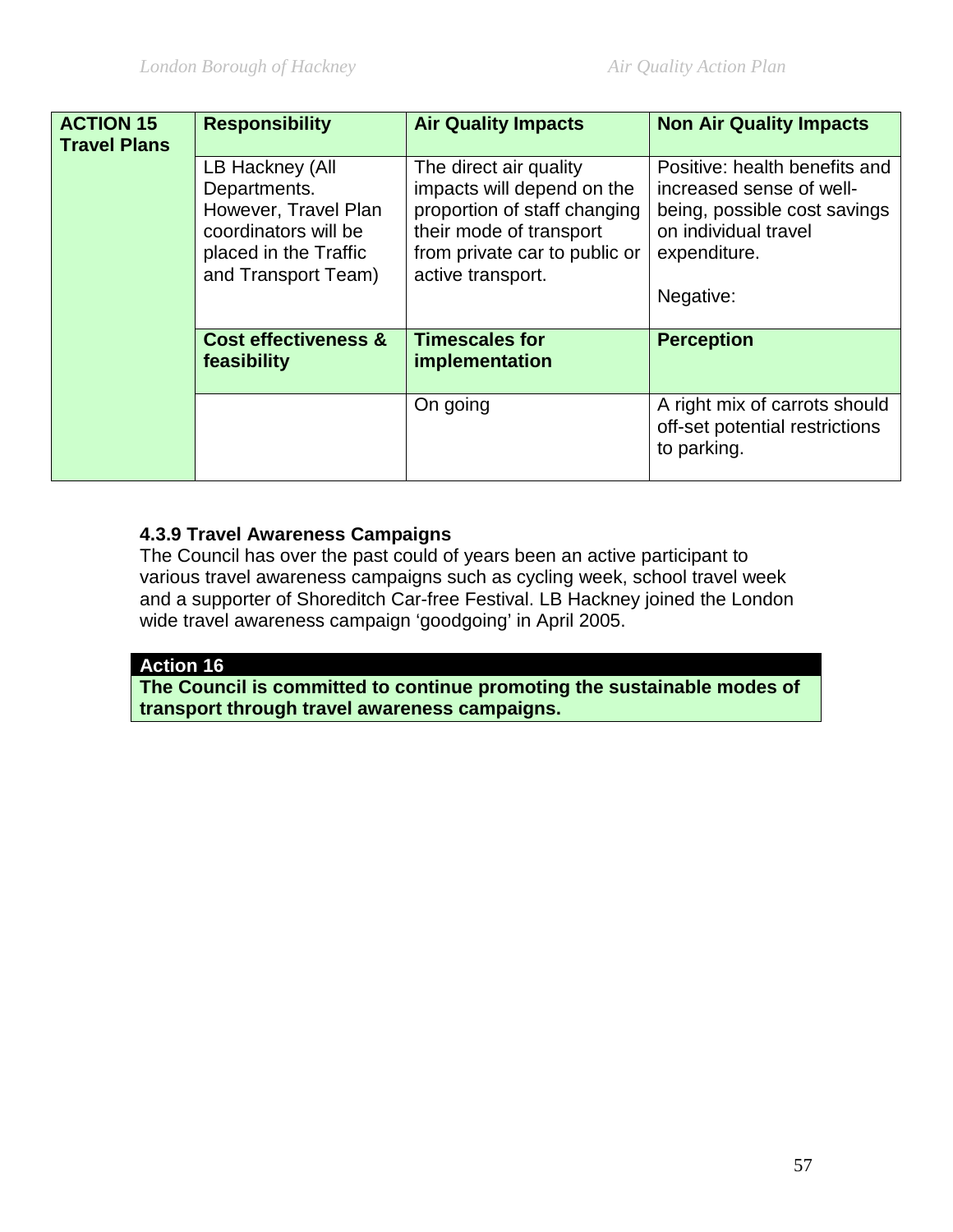| <b>ACTION 15</b><br><b>Travel Plans</b> | <b>Responsibility</b>                                                                                                           | <b>Air Quality Impacts</b>                                                                                                                                            | <b>Non Air Quality Impacts</b>                                                                                                                 |
|-----------------------------------------|---------------------------------------------------------------------------------------------------------------------------------|-----------------------------------------------------------------------------------------------------------------------------------------------------------------------|------------------------------------------------------------------------------------------------------------------------------------------------|
|                                         | LB Hackney (All<br>Departments.<br>However, Travel Plan<br>coordinators will be<br>placed in the Traffic<br>and Transport Team) | The direct air quality<br>impacts will depend on the<br>proportion of staff changing<br>their mode of transport<br>from private car to public or<br>active transport. | Positive: health benefits and<br>increased sense of well-<br>being, possible cost savings<br>on individual travel<br>expenditure.<br>Negative: |
|                                         | <b>Cost effectiveness &amp;</b><br>feasibility                                                                                  | <b>Timescales for</b><br>implementation                                                                                                                               | <b>Perception</b>                                                                                                                              |
|                                         |                                                                                                                                 | On going                                                                                                                                                              | A right mix of carrots should<br>off-set potential restrictions<br>to parking.                                                                 |

# **4.3.9 Travel Awareness Campaigns**

The Council has over the past could of years been an active participant to various travel awareness campaigns such as cycling week, school travel week and a supporter of Shoreditch Car-free Festival. LB Hackney joined the London wide travel awareness campaign 'goodgoing' in April 2005.

#### **Action 16**

**The Council is committed to continue promoting the sustainable modes of transport through travel awareness campaigns.**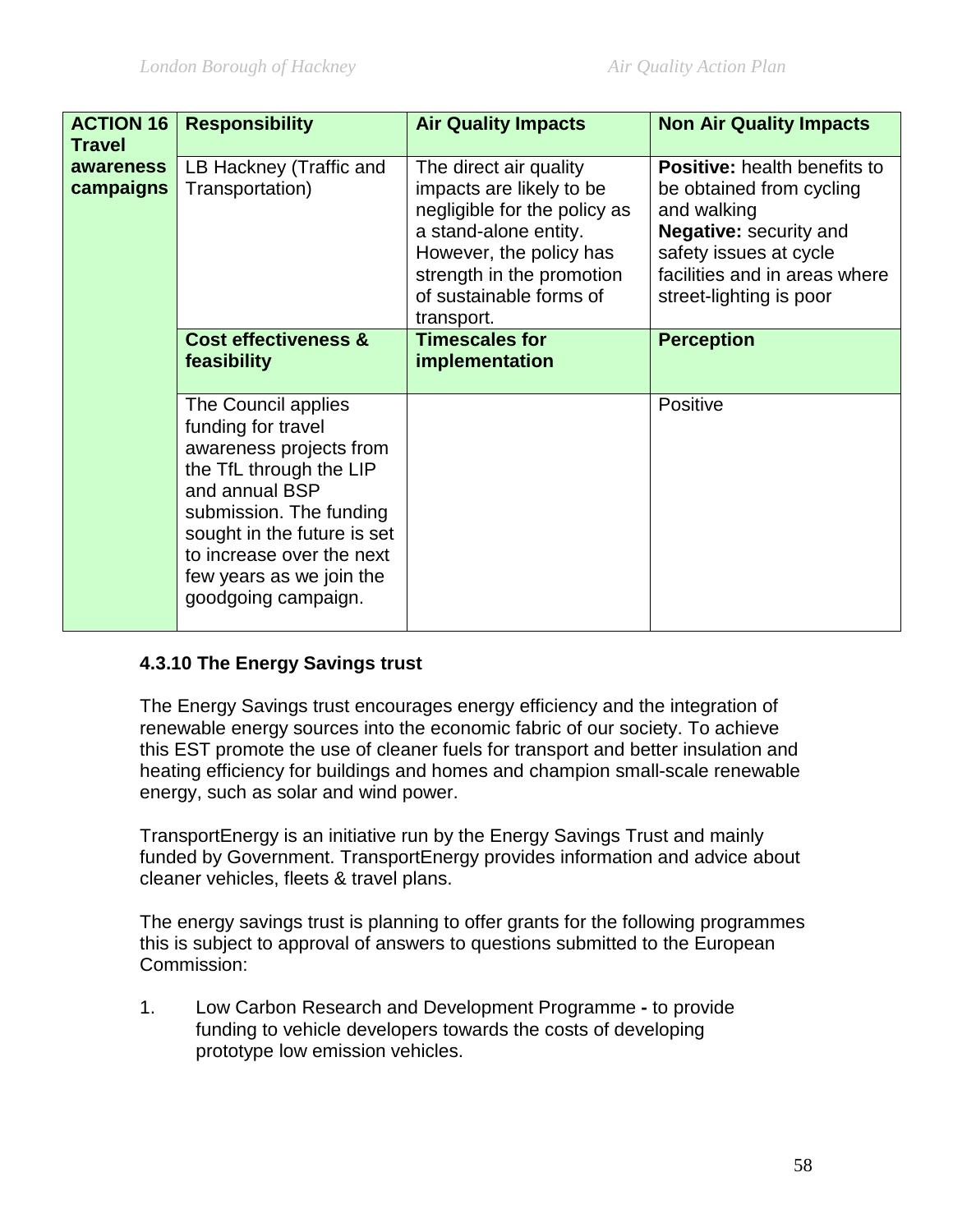| <b>ACTION 16</b> | <b>Responsibility</b>                                                                                                                                                                                                                                       | <b>Air Quality Impacts</b>                                                                                                                                                         | <b>Non Air Quality Impacts</b>                                                                                                                          |
|------------------|-------------------------------------------------------------------------------------------------------------------------------------------------------------------------------------------------------------------------------------------------------------|------------------------------------------------------------------------------------------------------------------------------------------------------------------------------------|---------------------------------------------------------------------------------------------------------------------------------------------------------|
| <b>Travel</b>    |                                                                                                                                                                                                                                                             |                                                                                                                                                                                    |                                                                                                                                                         |
| awareness        | LB Hackney (Traffic and                                                                                                                                                                                                                                     | The direct air quality                                                                                                                                                             | <b>Positive:</b> health benefits to                                                                                                                     |
| campaigns        | Transportation)                                                                                                                                                                                                                                             | impacts are likely to be<br>negligible for the policy as<br>a stand-alone entity.<br>However, the policy has<br>strength in the promotion<br>of sustainable forms of<br>transport. | be obtained from cycling<br>and walking<br>Negative: security and<br>safety issues at cycle<br>facilities and in areas where<br>street-lighting is poor |
|                  | <b>Cost effectiveness &amp;</b><br>feasibility                                                                                                                                                                                                              | <b>Timescales for</b><br>implementation                                                                                                                                            | <b>Perception</b>                                                                                                                                       |
|                  | The Council applies<br>funding for travel<br>awareness projects from<br>the TfL through the LIP<br>and annual BSP<br>submission. The funding<br>sought in the future is set<br>to increase over the next<br>few years as we join the<br>goodgoing campaign. |                                                                                                                                                                                    | Positive                                                                                                                                                |

### **4.3.10 The Energy Savings trust**

The Energy Savings trust encourages energy efficiency and the integration of renewable energy sources into the economic fabric of our society. To achieve this EST promote the use of cleaner fuels for transport and better insulation and heating efficiency for buildings and homes and champion small-scale renewable energy, such as solar and wind power.

TransportEnergy is an initiative run by the Energy Savings Trust and mainly funded by Government. TransportEnergy provides information and advice about cleaner vehicles, fleets & travel plans.

The energy savings trust is planning to offer grants for the following programmes this is subject to approval of answers to questions submitted to the European Commission:

1. Low Carbon Research and Development Programme **-** to provide funding to vehicle developers towards the costs of developing prototype low emission vehicles.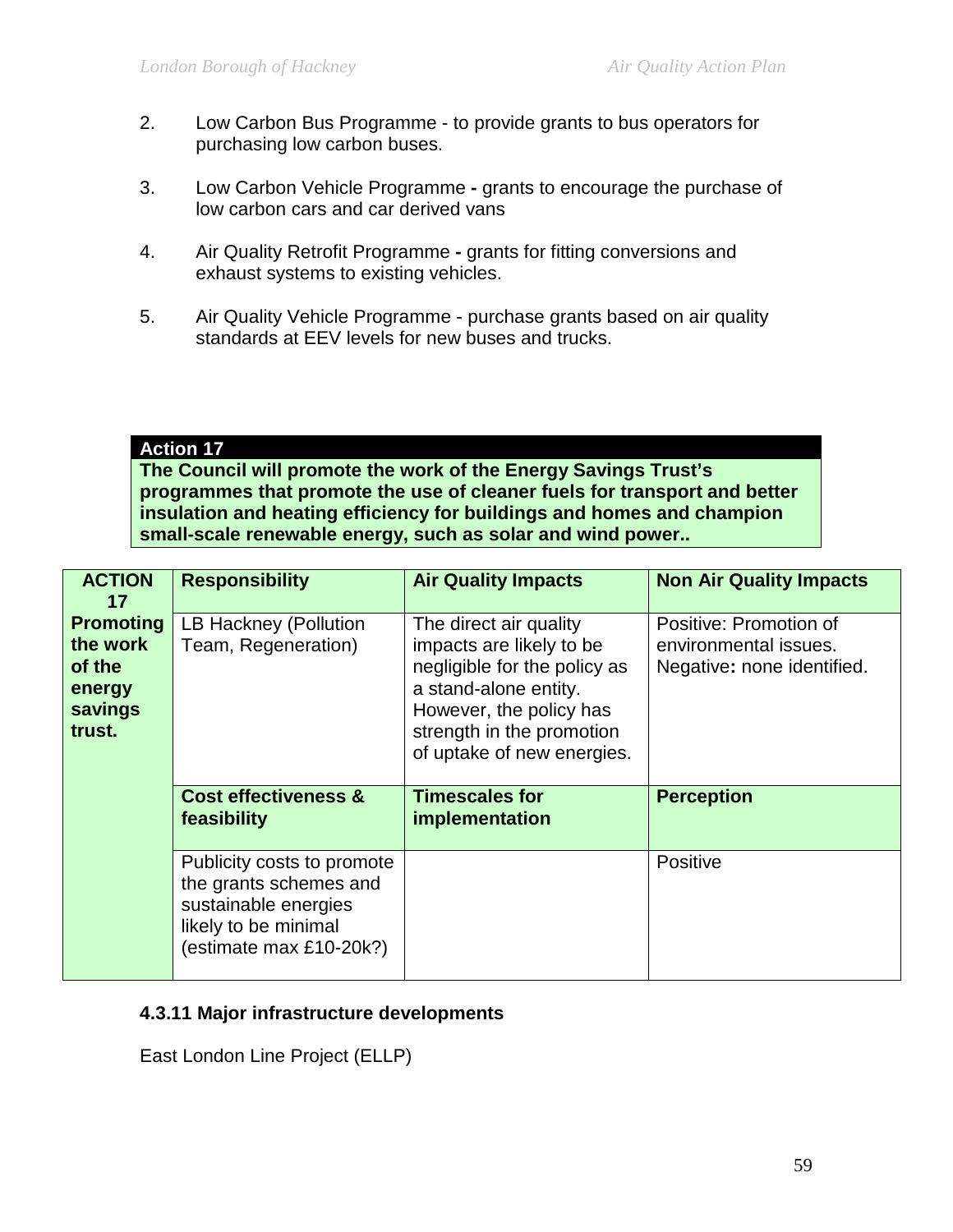- 2. Low Carbon Bus Programme to provide grants to bus operators for purchasing low carbon buses.
- 3. Low Carbon Vehicle Programme **-** grants to encourage the purchase of low carbon cars and car derived vans
- 4. Air Quality Retrofit Programme **-** grants for fitting conversions and exhaust systems to existing vehicles.
- 5. Air Quality Vehicle Programme purchase grants based on air quality standards at EEV levels for new buses and trucks.

#### **Action 17**

**The Council will promote the work of the Energy Savings Trust's programmes that promote the use of cleaner fuels for transport and better insulation and heating efficiency for buildings and homes and champion small-scale renewable energy, such as solar and wind power..** 

| <b>ACTION</b><br>17                                                   | <b>Responsibility</b>                                                                                                           | <b>Air Quality Impacts</b>                                                                                                                                                                        | <b>Non Air Quality Impacts</b>                                                |
|-----------------------------------------------------------------------|---------------------------------------------------------------------------------------------------------------------------------|---------------------------------------------------------------------------------------------------------------------------------------------------------------------------------------------------|-------------------------------------------------------------------------------|
| <b>Promoting</b><br>the work<br>of the<br>energy<br>savings<br>trust. | LB Hackney (Pollution<br>Team, Regeneration)                                                                                    | The direct air quality<br>impacts are likely to be<br>negligible for the policy as<br>a stand-alone entity.<br>However, the policy has<br>strength in the promotion<br>of uptake of new energies. | Positive: Promotion of<br>environmental issues.<br>Negative: none identified. |
|                                                                       | <b>Cost effectiveness &amp;</b><br>feasibility                                                                                  | <b>Timescales for</b><br>implementation                                                                                                                                                           | <b>Perception</b>                                                             |
|                                                                       | Publicity costs to promote<br>the grants schemes and<br>sustainable energies<br>likely to be minimal<br>(estimate max £10-20k?) |                                                                                                                                                                                                   | Positive                                                                      |

### **4.3.11 Major infrastructure developments**

East London Line Project (ELLP)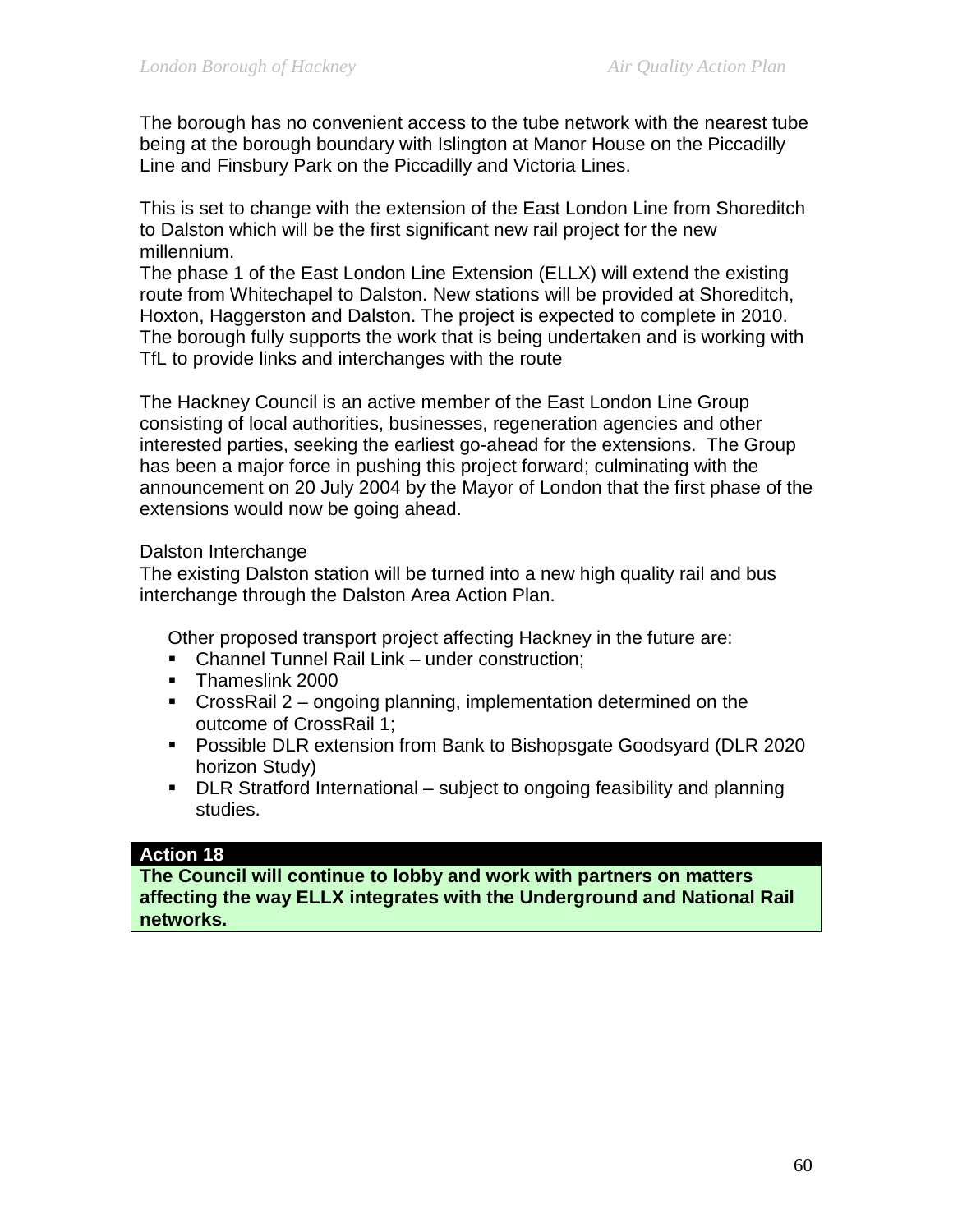The borough has no convenient access to the tube network with the nearest tube being at the borough boundary with Islington at Manor House on the Piccadilly Line and Finsbury Park on the Piccadilly and Victoria Lines.

This is set to change with the extension of the East London Line from Shoreditch to Dalston which will be the first significant new rail project for the new millennium.

The phase 1 of the East London Line Extension (ELLX) will extend the existing route from Whitechapel to Dalston. New stations will be provided at Shoreditch, Hoxton, Haggerston and Dalston. The project is expected to complete in 2010. The borough fully supports the work that is being undertaken and is working with TfL to provide links and interchanges with the route

The Hackney Council is an active member of the East London Line Group consisting of local authorities, businesses, regeneration agencies and other interested parties, seeking the earliest go-ahead for the extensions. The Group has been a major force in pushing this project forward; culminating with the announcement on 20 July 2004 by the Mayor of London that the first phase of the extensions would now be going ahead.

#### Dalston Interchange

The existing Dalston station will be turned into a new high quality rail and bus interchange through the Dalston Area Action Plan.

Other proposed transport project affecting Hackney in the future are:

- **Channel Tunnel Rail Link under construction;**
- **Thameslink 2000**
- CrossRail 2 ongoing planning, implementation determined on the outcome of CrossRail 1;
- **Possible DLR extension from Bank to Bishopsgate Goodsyard (DLR 2020)** horizon Study)
- **DLR Stratford International subject to ongoing feasibility and planning** studies.

#### **Action 18**

**The Council will continue to lobby and work with partners on matters affecting the way ELLX integrates with the Underground and National Rail networks.**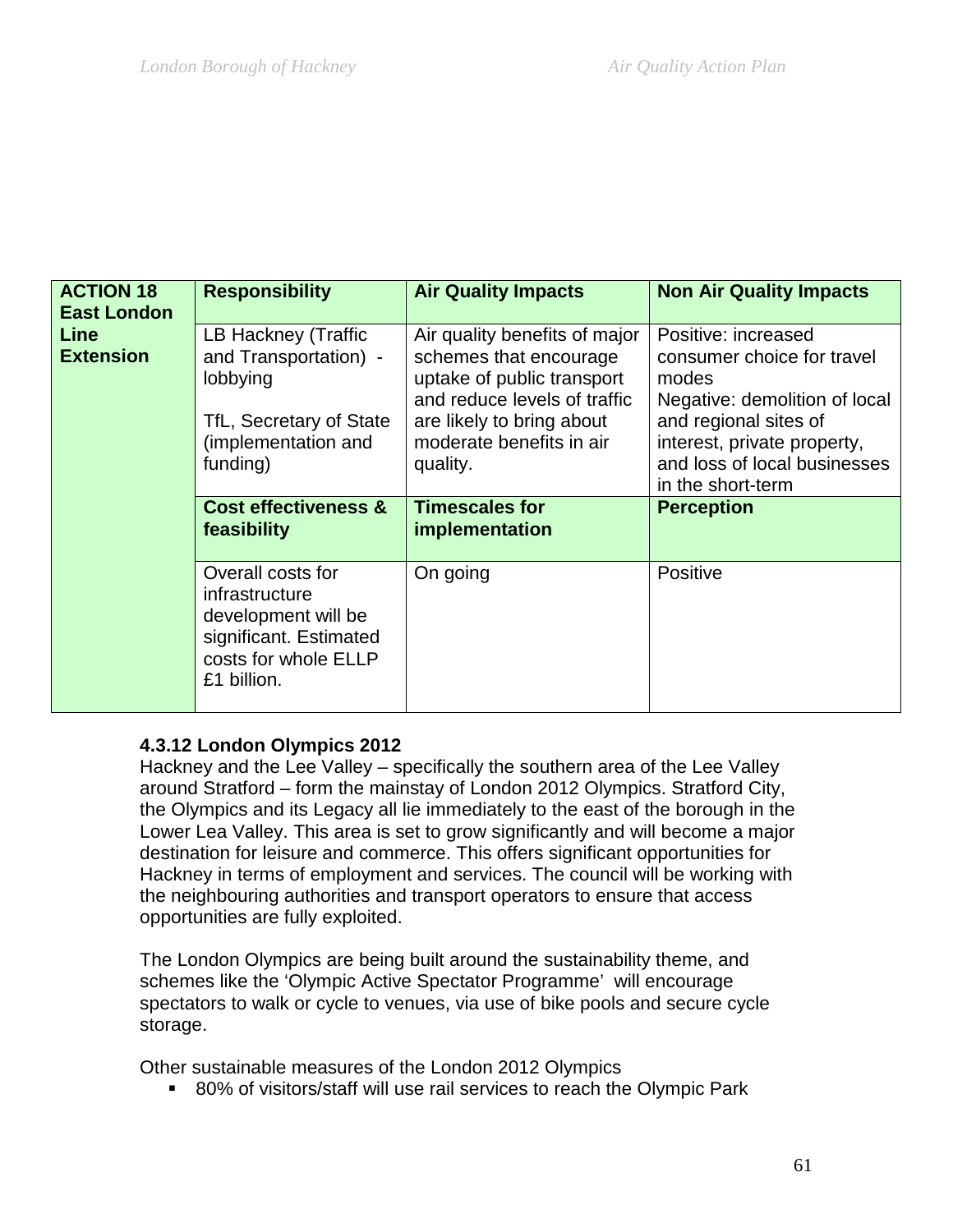| <b>ACTION 18</b><br><b>East London</b> | <b>Responsibility</b>                                                                                                                                                    | <b>Air Quality Impacts</b>                                                                                                                                                                                                            | <b>Non Air Quality Impacts</b>                                                                                                                                                                                                |
|----------------------------------------|--------------------------------------------------------------------------------------------------------------------------------------------------------------------------|---------------------------------------------------------------------------------------------------------------------------------------------------------------------------------------------------------------------------------------|-------------------------------------------------------------------------------------------------------------------------------------------------------------------------------------------------------------------------------|
| Line<br><b>Extension</b>               | LB Hackney (Traffic<br>and Transportation) -<br>lobbying<br>TfL, Secretary of State<br>(implementation and<br>funding)<br><b>Cost effectiveness &amp;</b><br>feasibility | Air quality benefits of major<br>schemes that encourage<br>uptake of public transport<br>and reduce levels of traffic<br>are likely to bring about<br>moderate benefits in air<br>quality.<br><b>Timescales for</b><br>implementation | Positive: increased<br>consumer choice for travel<br>modes<br>Negative: demolition of local<br>and regional sites of<br>interest, private property,<br>and loss of local businesses<br>in the short-term<br><b>Perception</b> |
|                                        | Overall costs for<br>infrastructure<br>development will be<br>significant. Estimated<br>costs for whole ELLP<br>£1 billion.                                              | On going                                                                                                                                                                                                                              | Positive                                                                                                                                                                                                                      |

### **4.3.12 London Olympics 2012**

Hackney and the Lee Valley – specifically the southern area of the Lee Valley around Stratford – form the mainstay of London 2012 Olympics. Stratford City, the Olympics and its Legacy all lie immediately to the east of the borough in the Lower Lea Valley. This area is set to grow significantly and will become a major destination for leisure and commerce. This offers significant opportunities for Hackney in terms of employment and services. The council will be working with the neighbouring authorities and transport operators to ensure that access opportunities are fully exploited.

The London Olympics are being built around the sustainability theme, and schemes like the 'Olympic Active Spectator Programme' will encourage spectators to walk or cycle to venues, via use of bike pools and secure cycle storage.

Other sustainable measures of the London 2012 Olympics

■ 80% of visitors/staff will use rail services to reach the Olympic Park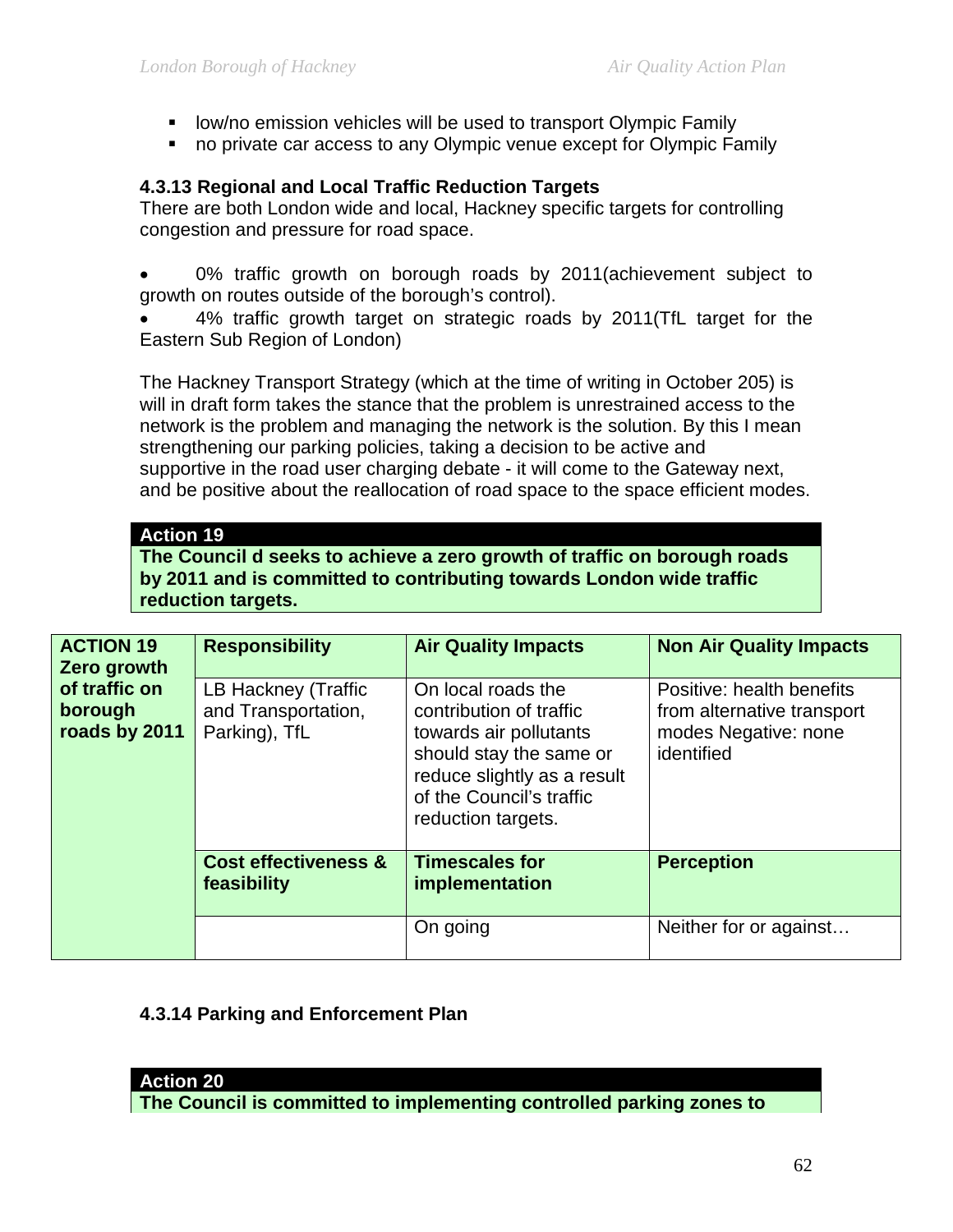- **-** low/no emission vehicles will be used to transport Olympic Family
- no private car access to any Olympic venue except for Olympic Family

### **4.3.13 Regional and Local Traffic Reduction Targets**

There are both London wide and local, Hackney specific targets for controlling congestion and pressure for road space.

0% traffic growth on borough roads by 2011(achievement subject to growth on routes outside of the borough's control).

• 4% traffic growth target on strategic roads by 2011(TfL target for the Eastern Sub Region of London)

The Hackney Transport Strategy (which at the time of writing in October 205) is will in draft form takes the stance that the problem is unrestrained access to the network is the problem and managing the network is the solution. By this I mean strengthening our parking policies, taking a decision to be active and supportive in the road user charging debate - it will come to the Gateway next, and be positive about the reallocation of road space to the space efficient modes.

### **Action 19**

**The Council d seeks to achieve a zero growth of traffic on borough roads by 2011 and is committed to contributing towards London wide traffic reduction targets.** 

| <b>ACTION 19</b><br>Zero growth           | <b>Responsibility</b>                                       | <b>Air Quality Impacts</b>                                                                                                                                                          | <b>Non Air Quality Impacts</b>                                                                |
|-------------------------------------------|-------------------------------------------------------------|-------------------------------------------------------------------------------------------------------------------------------------------------------------------------------------|-----------------------------------------------------------------------------------------------|
| of traffic on<br>borough<br>roads by 2011 | LB Hackney (Traffic<br>and Transportation,<br>Parking), TfL | On local roads the<br>contribution of traffic<br>towards air pollutants<br>should stay the same or<br>reduce slightly as a result<br>of the Council's traffic<br>reduction targets. | Positive: health benefits<br>from alternative transport<br>modes Negative: none<br>identified |
|                                           | <b>Cost effectiveness &amp;</b><br>feasibility              | <b>Timescales for</b><br>implementation                                                                                                                                             | <b>Perception</b>                                                                             |
|                                           |                                                             | On going                                                                                                                                                                            | Neither for or against                                                                        |

### **4.3.14 Parking and Enforcement Plan**

#### **Action 20**

**The Council is committed to implementing controlled parking zones to**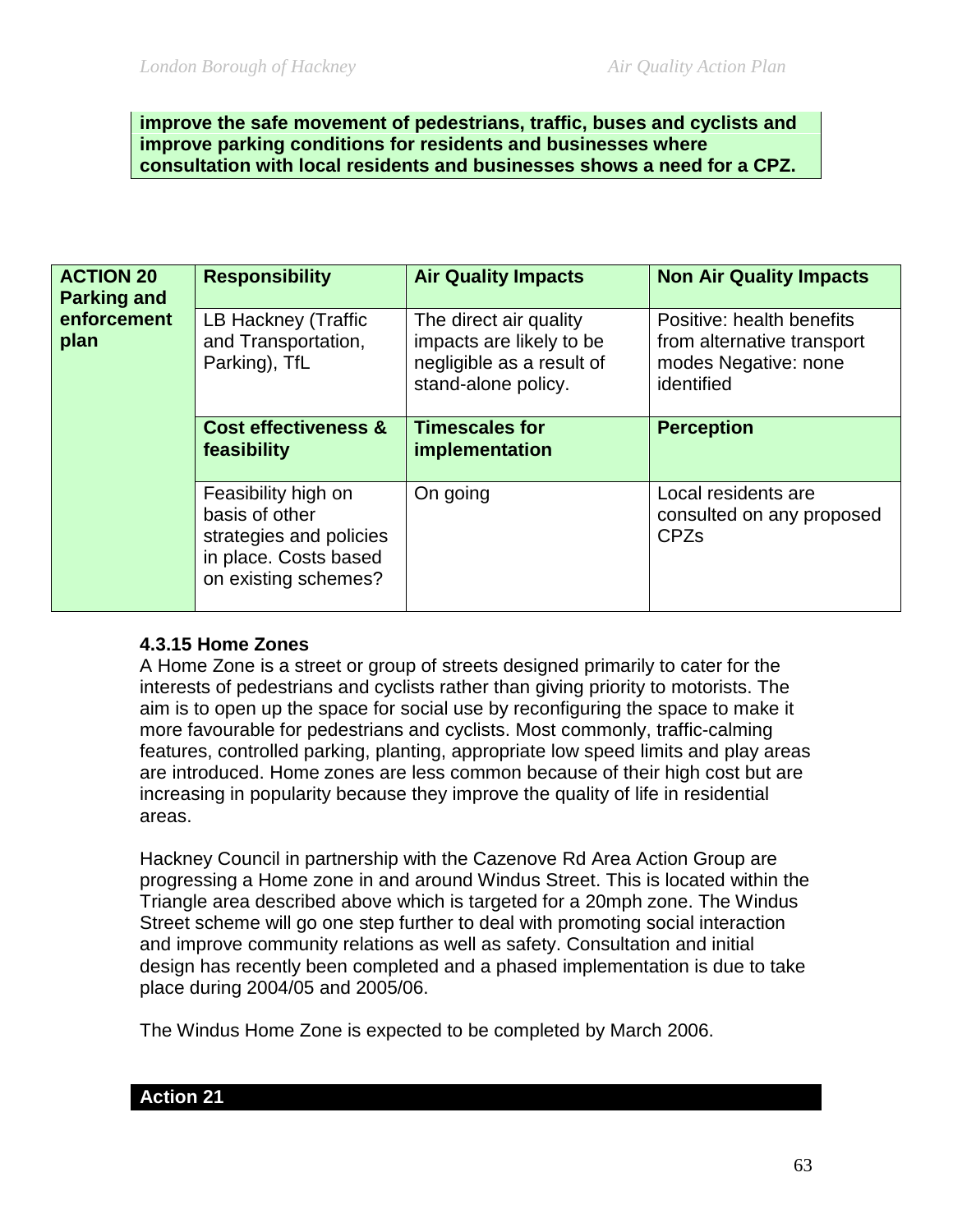**improve the safe movement of pedestrians, traffic, buses and cyclists and improve parking conditions for residents and businesses where consultation with local residents and businesses shows a need for a CPZ.**

| <b>ACTION 20</b><br><b>Parking and</b><br>enforcement<br>plan | <b>Responsibility</b>                                                                                             | <b>Air Quality Impacts</b>                                                                             | <b>Non Air Quality Impacts</b>                                                                |
|---------------------------------------------------------------|-------------------------------------------------------------------------------------------------------------------|--------------------------------------------------------------------------------------------------------|-----------------------------------------------------------------------------------------------|
|                                                               | LB Hackney (Traffic<br>and Transportation,<br>Parking), TfL                                                       | The direct air quality<br>impacts are likely to be<br>negligible as a result of<br>stand-alone policy. | Positive: health benefits<br>from alternative transport<br>modes Negative: none<br>identified |
|                                                               | <b>Cost effectiveness &amp;</b><br>feasibility                                                                    | <b>Timescales for</b><br>implementation                                                                | <b>Perception</b>                                                                             |
|                                                               | Feasibility high on<br>basis of other<br>strategies and policies<br>in place. Costs based<br>on existing schemes? | On going                                                                                               | Local residents are<br>consulted on any proposed<br><b>CPZs</b>                               |

#### **4.3.15 Home Zones**

A Home Zone is a street or group of streets designed primarily to cater for the interests of pedestrians and cyclists rather than giving priority to motorists. The aim is to open up the space for social use by reconfiguring the space to make it more favourable for pedestrians and cyclists. Most commonly, traffic-calming features, controlled parking, planting, appropriate low speed limits and play areas are introduced. Home zones are less common because of their high cost but are increasing in popularity because they improve the quality of life in residential areas.

Hackney Council in partnership with the Cazenove Rd Area Action Group are progressing a Home zone in and around Windus Street. This is located within the Triangle area described above which is targeted for a 20mph zone. The Windus Street scheme will go one step further to deal with promoting social interaction and improve community relations as well as safety. Consultation and initial design has recently been completed and a phased implementation is due to take place during 2004/05 and 2005/06.

The Windus Home Zone is expected to be completed by March 2006.

| 'λ | ahom |  |  |
|----|------|--|--|
|    |      |  |  |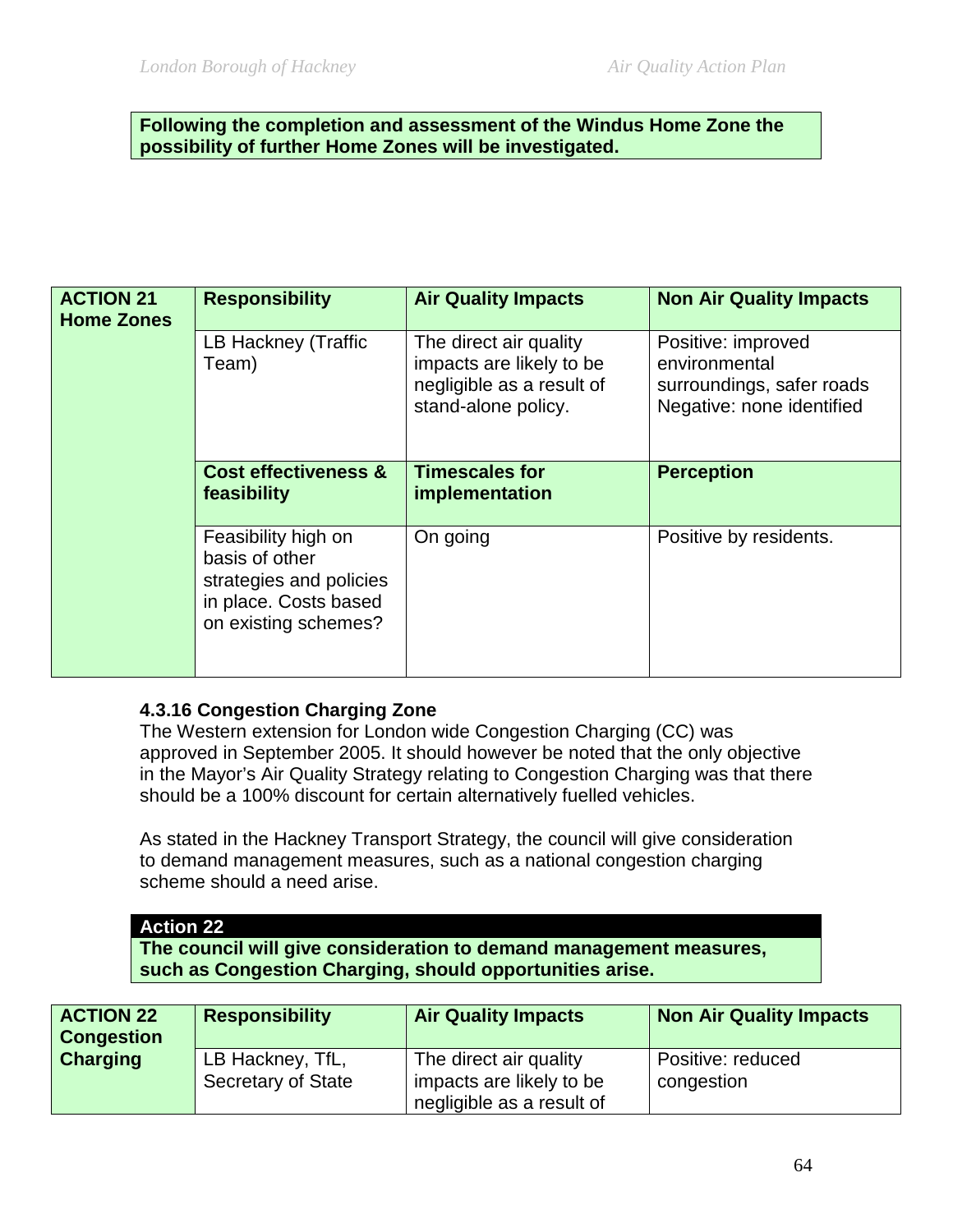#### **Following the completion and assessment of the Windus Home Zone the possibility of further Home Zones will be investigated.**

| <b>ACTION 21</b><br><b>Home Zones</b> | <b>Responsibility</b>                                                                                             | <b>Air Quality Impacts</b>                                                                             | <b>Non Air Quality Impacts</b>                                                                |
|---------------------------------------|-------------------------------------------------------------------------------------------------------------------|--------------------------------------------------------------------------------------------------------|-----------------------------------------------------------------------------------------------|
|                                       | LB Hackney (Traffic<br>Team)                                                                                      | The direct air quality<br>impacts are likely to be<br>negligible as a result of<br>stand-alone policy. | Positive: improved<br>environmental<br>surroundings, safer roads<br>Negative: none identified |
|                                       | <b>Cost effectiveness &amp;</b><br>feasibility                                                                    | <b>Timescales for</b><br>implementation                                                                | <b>Perception</b>                                                                             |
|                                       | Feasibility high on<br>basis of other<br>strategies and policies<br>in place. Costs based<br>on existing schemes? | On going                                                                                               | Positive by residents.                                                                        |

#### **4.3.16 Congestion Charging Zone**

The Western extension for London wide Congestion Charging (CC) was approved in September 2005. It should however be noted that the only objective in the Mayor's Air Quality Strategy relating to Congestion Charging was that there should be a 100% discount for certain alternatively fuelled vehicles.

As stated in the Hackney Transport Strategy, the council will give consideration to demand management measures, such as a national congestion charging scheme should a need arise.

# **Action 22**

**The council will give consideration to demand management measures, such as Congestion Charging, should opportunities arise.** 

| <b>ACTION 22</b><br><b>Congestion</b> | <b>Responsibility</b>                         | <b>Air Quality Impacts</b>                         | <b>Non Air Quality Impacts</b>  |
|---------------------------------------|-----------------------------------------------|----------------------------------------------------|---------------------------------|
| <b>Charging</b>                       | LB Hackney, TfL,<br><b>Secretary of State</b> | The direct air quality<br>impacts are likely to be | Positive: reduced<br>congestion |
|                                       |                                               | negligible as a result of                          |                                 |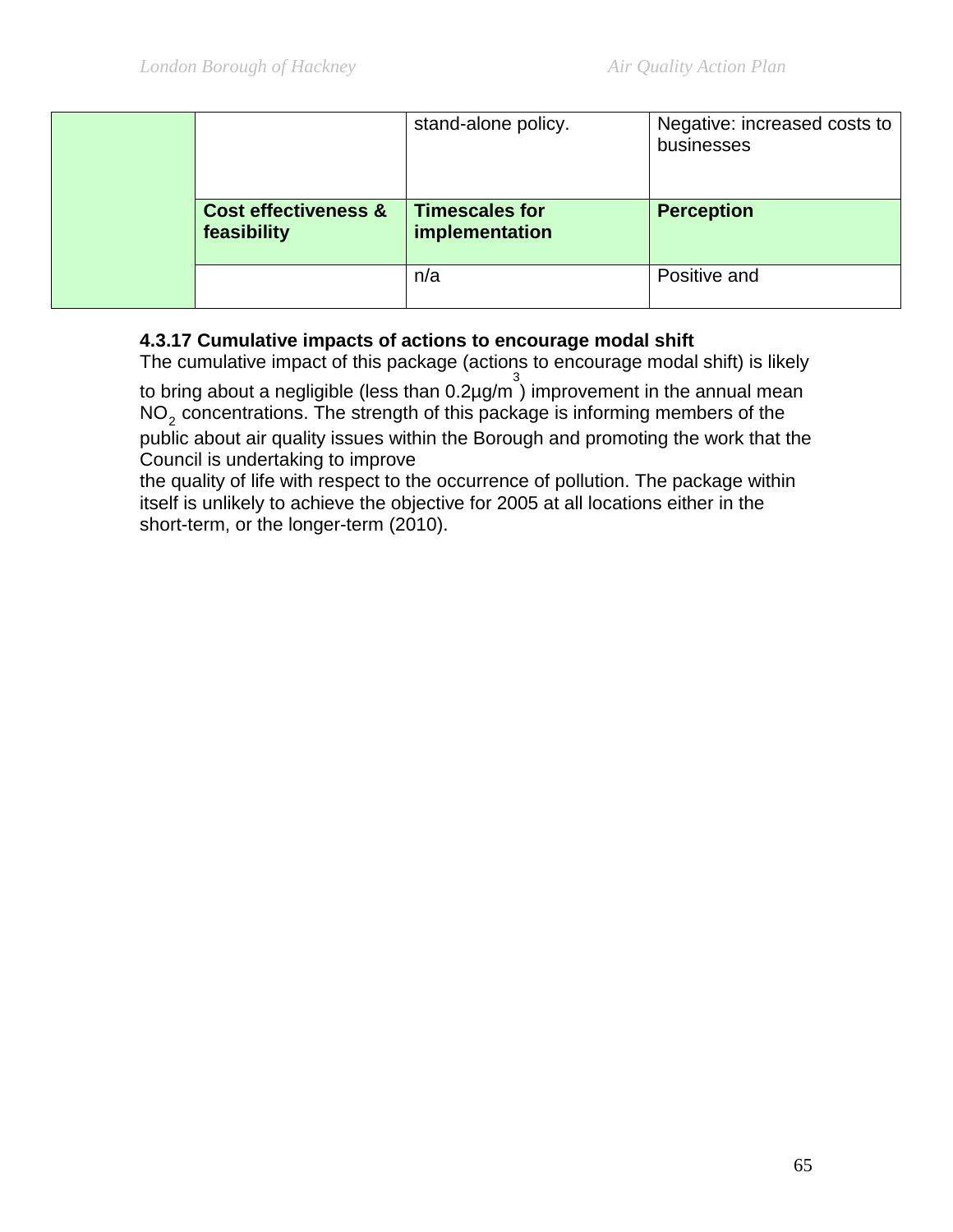|  |                                                | stand-alone policy.                     | Negative: increased costs to<br>businesses |
|--|------------------------------------------------|-----------------------------------------|--------------------------------------------|
|  | <b>Cost effectiveness &amp;</b><br>feasibility | <b>Timescales for</b><br>implementation | <b>Perception</b>                          |
|  |                                                | n/a                                     | Positive and                               |

# **4.3.17 Cumulative impacts of actions to encourage modal shift**

The cumulative impact of this package (actions to encourage modal shift) is likely to bring about a negligible (less than  $0.2 \mu$ g/m<sup>3</sup>) improvement in the annual mean  $NO<sub>2</sub>$  concentrations. The strength of this package is informing members of the public about air quality issues within the Borough and promoting the work that the Council is undertaking to improve

the quality of life with respect to the occurrence of pollution. The package within itself is unlikely to achieve the objective for 2005 at all locations either in the short-term, or the longer-term (2010).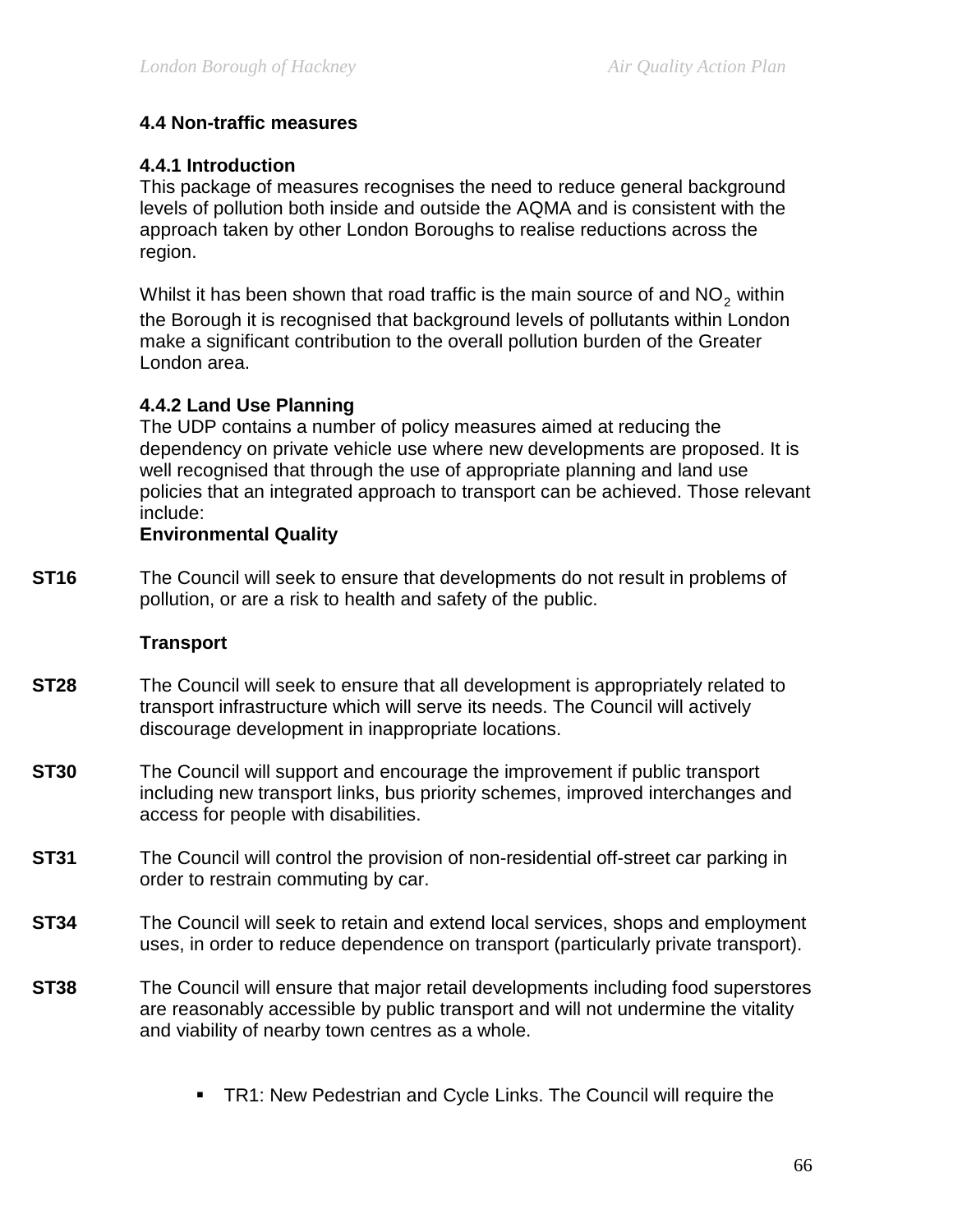### **4.4 Non-traffic measures**

### **4.4.1 Introduction**

This package of measures recognises the need to reduce general background levels of pollution both inside and outside the AQMA and is consistent with the approach taken by other London Boroughs to realise reductions across the region.

Whilst it has been shown that road traffic is the main source of and  $NO<sub>2</sub>$  within the Borough it is recognised that background levels of pollutants within London make a significant contribution to the overall pollution burden of the Greater London area.

### **4.4.2 Land Use Planning**

The UDP contains a number of policy measures aimed at reducing the dependency on private vehicle use where new developments are proposed. It is well recognised that through the use of appropriate planning and land use policies that an integrated approach to transport can be achieved. Those relevant include:

#### **Environmental Quality**

**ST16** The Council will seek to ensure that developments do not result in problems of pollution, or are a risk to health and safety of the public.

#### **Transport**

- **ST28** The Council will seek to ensure that all development is appropriately related to transport infrastructure which will serve its needs. The Council will actively discourage development in inappropriate locations.
- **ST30** The Council will support and encourage the improvement if public transport including new transport links, bus priority schemes, improved interchanges and access for people with disabilities.
- **ST31** The Council will control the provision of non-residential off-street car parking in order to restrain commuting by car.
- **ST34** The Council will seek to retain and extend local services, shops and employment uses, in order to reduce dependence on transport (particularly private transport).
- **ST38** The Council will ensure that major retail developments including food superstores are reasonably accessible by public transport and will not undermine the vitality and viability of nearby town centres as a whole.
	- **TR1: New Pedestrian and Cycle Links. The Council will require the**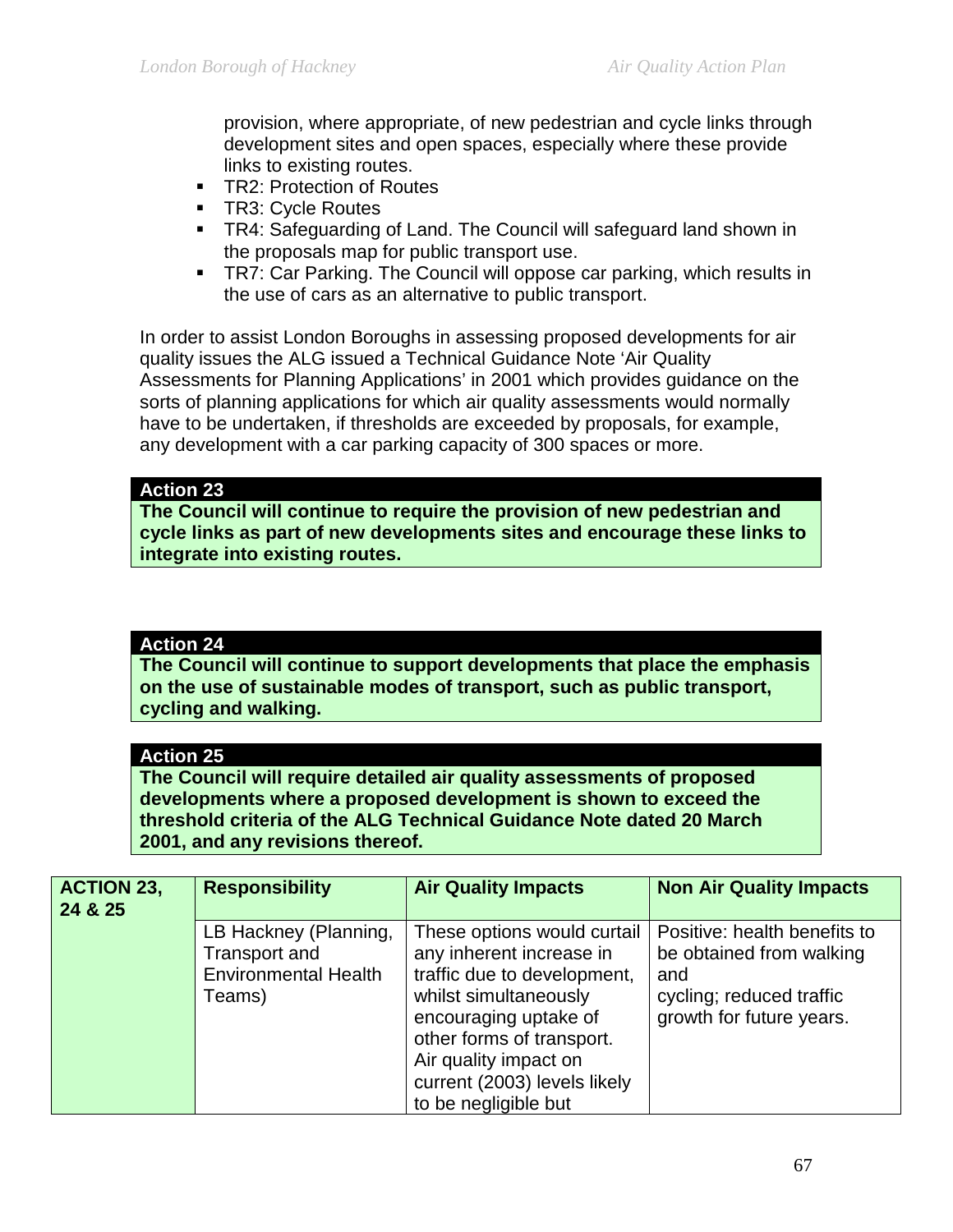provision, where appropriate, of new pedestrian and cycle links through development sites and open spaces, especially where these provide links to existing routes.

- **TR2: Protection of Routes**
- **TR3: Cycle Routes**
- **TR4: Safeguarding of Land. The Council will safeguard land shown in** the proposals map for public transport use.
- **TR7: Car Parking. The Council will oppose car parking, which results in** the use of cars as an alternative to public transport.

In order to assist London Boroughs in assessing proposed developments for air quality issues the ALG issued a Technical Guidance Note 'Air Quality Assessments for Planning Applications' in 2001 which provides guidance on the sorts of planning applications for which air quality assessments would normally have to be undertaken, if thresholds are exceeded by proposals, for example, any development with a car parking capacity of 300 spaces or more.

#### **Action 23**

**The Council will continue to require the provision of new pedestrian and cycle links as part of new developments sites and encourage these links to integrate into existing routes.** 

### **Action 24**

**The Council will continue to support developments that place the emphasis on the use of sustainable modes of transport, such as public transport, cycling and walking.** 

#### **Action 25**

**The Council will require detailed air quality assessments of proposed developments where a proposed development is shown to exceed the threshold criteria of the ALG Technical Guidance Note dated 20 March 2001, and any revisions thereof.** 

| <b>ACTION 23,</b><br>24 & 25 | <b>Responsibility</b>                                                           | <b>Air Quality Impacts</b>                                                                                                                                                                                                                             | <b>Non Air Quality Impacts</b>                                                                                          |
|------------------------------|---------------------------------------------------------------------------------|--------------------------------------------------------------------------------------------------------------------------------------------------------------------------------------------------------------------------------------------------------|-------------------------------------------------------------------------------------------------------------------------|
|                              | LB Hackney (Planning,<br>Transport and<br><b>Environmental Health</b><br>Teams) | These options would curtail<br>any inherent increase in<br>traffic due to development,<br>whilst simultaneously<br>encouraging uptake of<br>other forms of transport.<br>Air quality impact on<br>current (2003) levels likely<br>to be negligible but | Positive: health benefits to<br>be obtained from walking<br>and<br>cycling; reduced traffic<br>growth for future years. |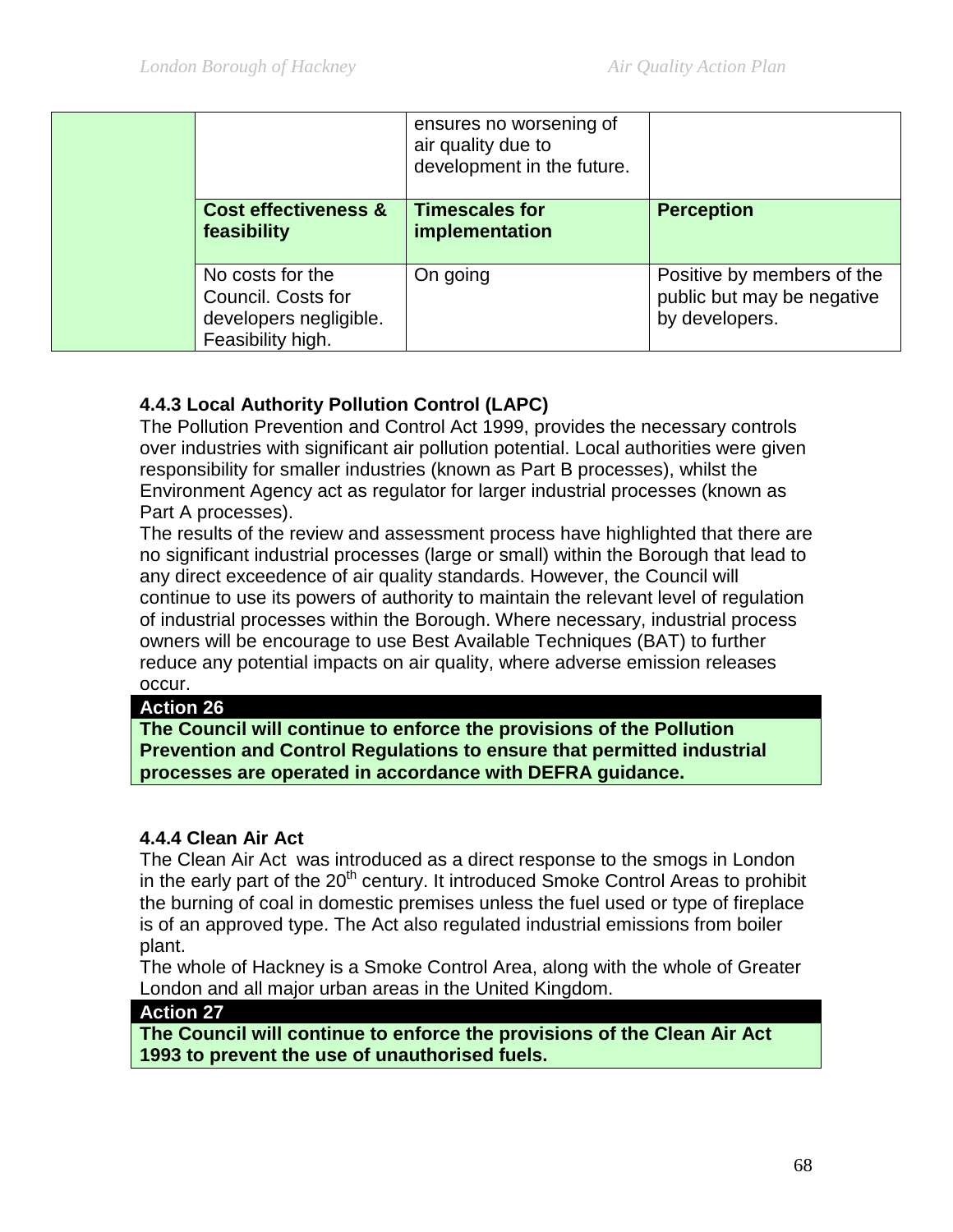|  |                                                                                       | ensures no worsening of<br>air quality due to<br>development in the future. |                                                                            |
|--|---------------------------------------------------------------------------------------|-----------------------------------------------------------------------------|----------------------------------------------------------------------------|
|  | <b>Cost effectiveness &amp;</b><br>feasibility                                        | <b>Timescales for</b><br>implementation                                     | <b>Perception</b>                                                          |
|  | No costs for the<br>Council. Costs for<br>developers negligible.<br>Feasibility high. | On going                                                                    | Positive by members of the<br>public but may be negative<br>by developers. |

# **4.4.3 Local Authority Pollution Control (LAPC)**

The Pollution Prevention and Control Act 1999, provides the necessary controls over industries with significant air pollution potential. Local authorities were given responsibility for smaller industries (known as Part B processes), whilst the Environment Agency act as regulator for larger industrial processes (known as Part A processes).

The results of the review and assessment process have highlighted that there are no significant industrial processes (large or small) within the Borough that lead to any direct exceedence of air quality standards. However, the Council will continue to use its powers of authority to maintain the relevant level of regulation of industrial processes within the Borough. Where necessary, industrial process owners will be encourage to use Best Available Techniques (BAT) to further reduce any potential impacts on air quality, where adverse emission releases occur.

#### **Action 26**

**The Council will continue to enforce the provisions of the Pollution Prevention and Control Regulations to ensure that permitted industrial processes are operated in accordance with DEFRA guidance.** 

### **4.4.4 Clean Air Act**

The Clean Air Act was introduced as a direct response to the smogs in London in the early part of the 20<sup>th</sup> century. It introduced Smoke Control Areas to prohibit the burning of coal in domestic premises unless the fuel used or type of fireplace is of an approved type. The Act also regulated industrial emissions from boiler plant.

The whole of Hackney is a Smoke Control Area, along with the whole of Greater London and all major urban areas in the United Kingdom.

#### **Action 27**

**The Council will continue to enforce the provisions of the Clean Air Act 1993 to prevent the use of unauthorised fuels.**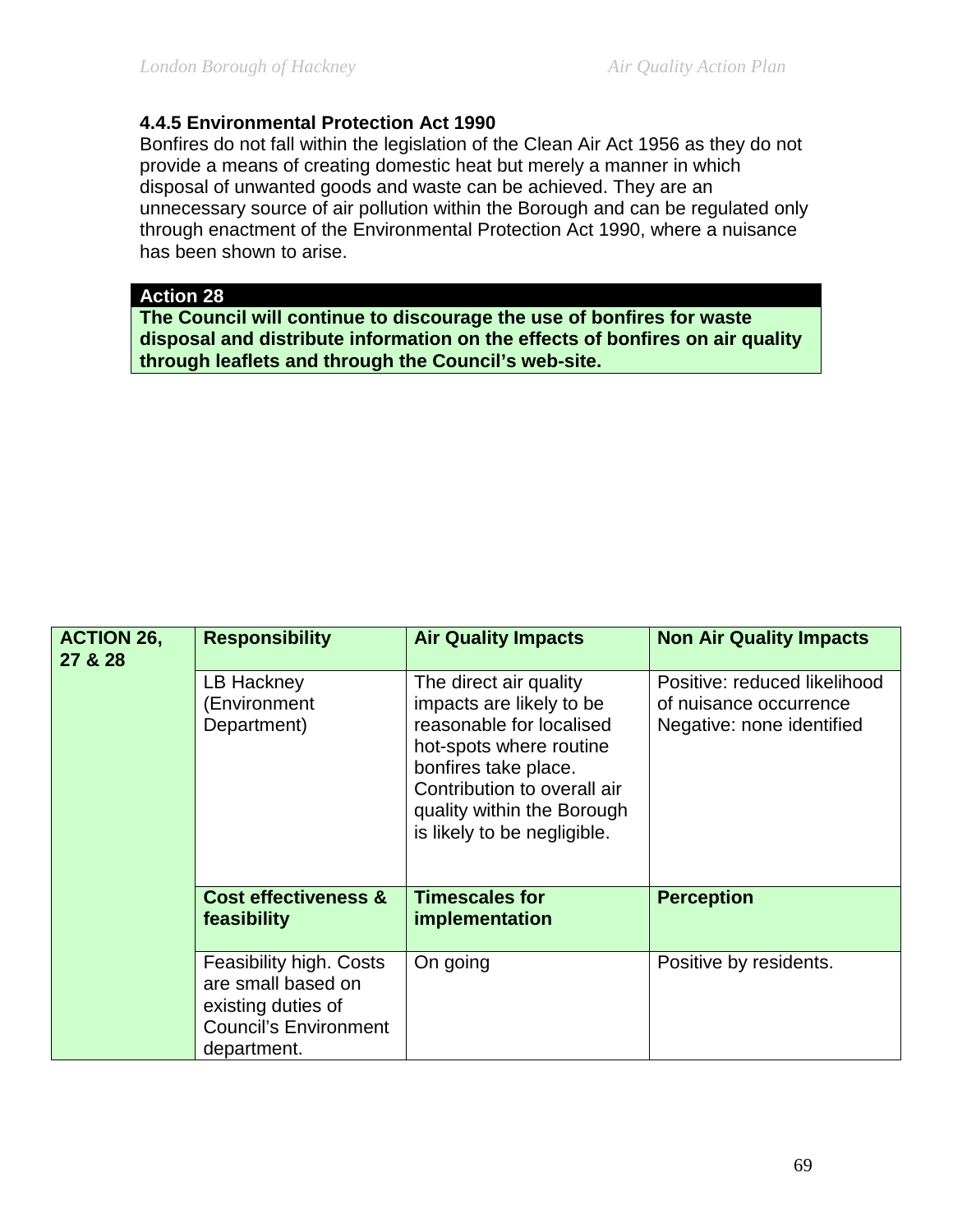### **4.4.5 Environmental Protection Act 1990**

Bonfires do not fall within the legislation of the Clean Air Act 1956 as they do not provide a means of creating domestic heat but merely a manner in which disposal of unwanted goods and waste can be achieved. They are an unnecessary source of air pollution within the Borough and can be regulated only through enactment of the Environmental Protection Act 1990, where a nuisance has been shown to arise.

#### **Action 28**

**The Council will continue to discourage the use of bonfires for waste disposal and distribute information on the effects of bonfires on air quality through leaflets and through the Council's web-site.** 

| <b>ACTION 26,</b><br>27 & 28 | <b>Responsibility</b>                                                                                              | <b>Air Quality Impacts</b>                                                                                                                                                                                                    | <b>Non Air Quality Impacts</b>                                                      |
|------------------------------|--------------------------------------------------------------------------------------------------------------------|-------------------------------------------------------------------------------------------------------------------------------------------------------------------------------------------------------------------------------|-------------------------------------------------------------------------------------|
|                              | LB Hackney<br>(Environment<br>Department)                                                                          | The direct air quality<br>impacts are likely to be<br>reasonable for localised<br>hot-spots where routine<br>bonfires take place.<br>Contribution to overall air<br>quality within the Borough<br>is likely to be negligible. | Positive: reduced likelihood<br>of nuisance occurrence<br>Negative: none identified |
|                              | <b>Cost effectiveness &amp;</b><br>feasibility                                                                     | <b>Timescales for</b><br>implementation                                                                                                                                                                                       | <b>Perception</b>                                                                   |
|                              | Feasibility high. Costs<br>are small based on<br>existing duties of<br><b>Council's Environment</b><br>department. | On going                                                                                                                                                                                                                      | Positive by residents.                                                              |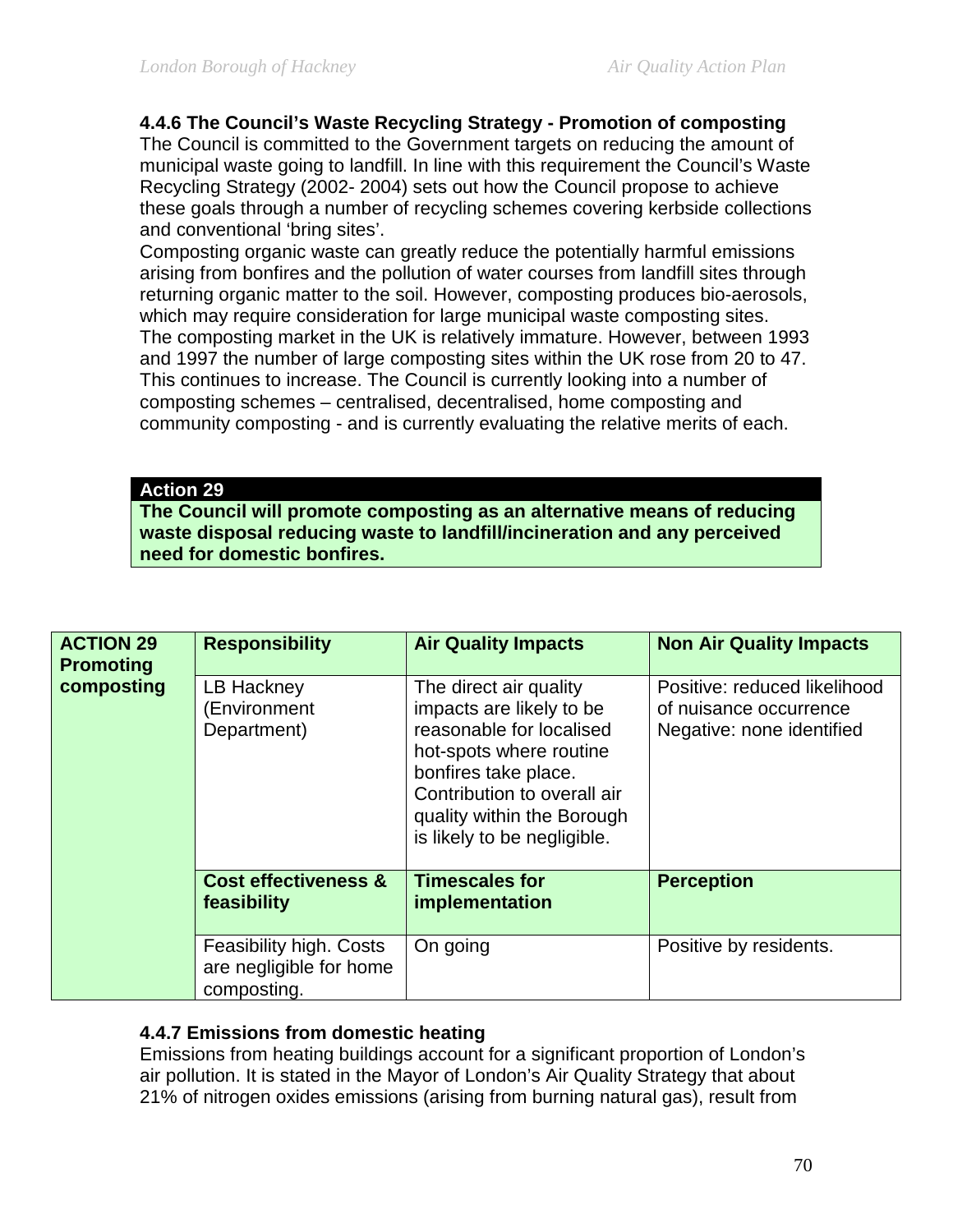# **4.4.6 The Council's Waste Recycling Strategy - Promotion of composting**

The Council is committed to the Government targets on reducing the amount of municipal waste going to landfill. In line with this requirement the Council's Waste Recycling Strategy (2002- 2004) sets out how the Council propose to achieve these goals through a number of recycling schemes covering kerbside collections and conventional 'bring sites'.

Composting organic waste can greatly reduce the potentially harmful emissions arising from bonfires and the pollution of water courses from landfill sites through returning organic matter to the soil. However, composting produces bio-aerosols, which may require consideration for large municipal waste composting sites. The composting market in the UK is relatively immature. However, between 1993 and 1997 the number of large composting sites within the UK rose from 20 to 47. This continues to increase. The Council is currently looking into a number of composting schemes – centralised, decentralised, home composting and community composting - and is currently evaluating the relative merits of each.

#### **Action 29**

**The Council will promote composting as an alternative means of reducing waste disposal reducing waste to landfill/incineration and any perceived need for domestic bonfires.** 

| <b>ACTION 29</b><br><b>Promoting</b><br>composting | <b>Responsibility</b>                                             | <b>Air Quality Impacts</b>                                                                                                                                                                                                    | <b>Non Air Quality Impacts</b>                                                      |
|----------------------------------------------------|-------------------------------------------------------------------|-------------------------------------------------------------------------------------------------------------------------------------------------------------------------------------------------------------------------------|-------------------------------------------------------------------------------------|
|                                                    | LB Hackney<br>(Environment<br>Department)                         | The direct air quality<br>impacts are likely to be<br>reasonable for localised<br>hot-spots where routine<br>bonfires take place.<br>Contribution to overall air<br>quality within the Borough<br>is likely to be negligible. | Positive: reduced likelihood<br>of nuisance occurrence<br>Negative: none identified |
|                                                    | <b>Cost effectiveness &amp;</b><br>feasibility                    | <b>Timescales for</b><br>implementation                                                                                                                                                                                       | <b>Perception</b>                                                                   |
|                                                    | Feasibility high. Costs<br>are negligible for home<br>composting. | On going                                                                                                                                                                                                                      | Positive by residents.                                                              |

### **4.4.7 Emissions from domestic heating**

Emissions from heating buildings account for a significant proportion of London's air pollution. It is stated in the Mayor of London's Air Quality Strategy that about 21% of nitrogen oxides emissions (arising from burning natural gas), result from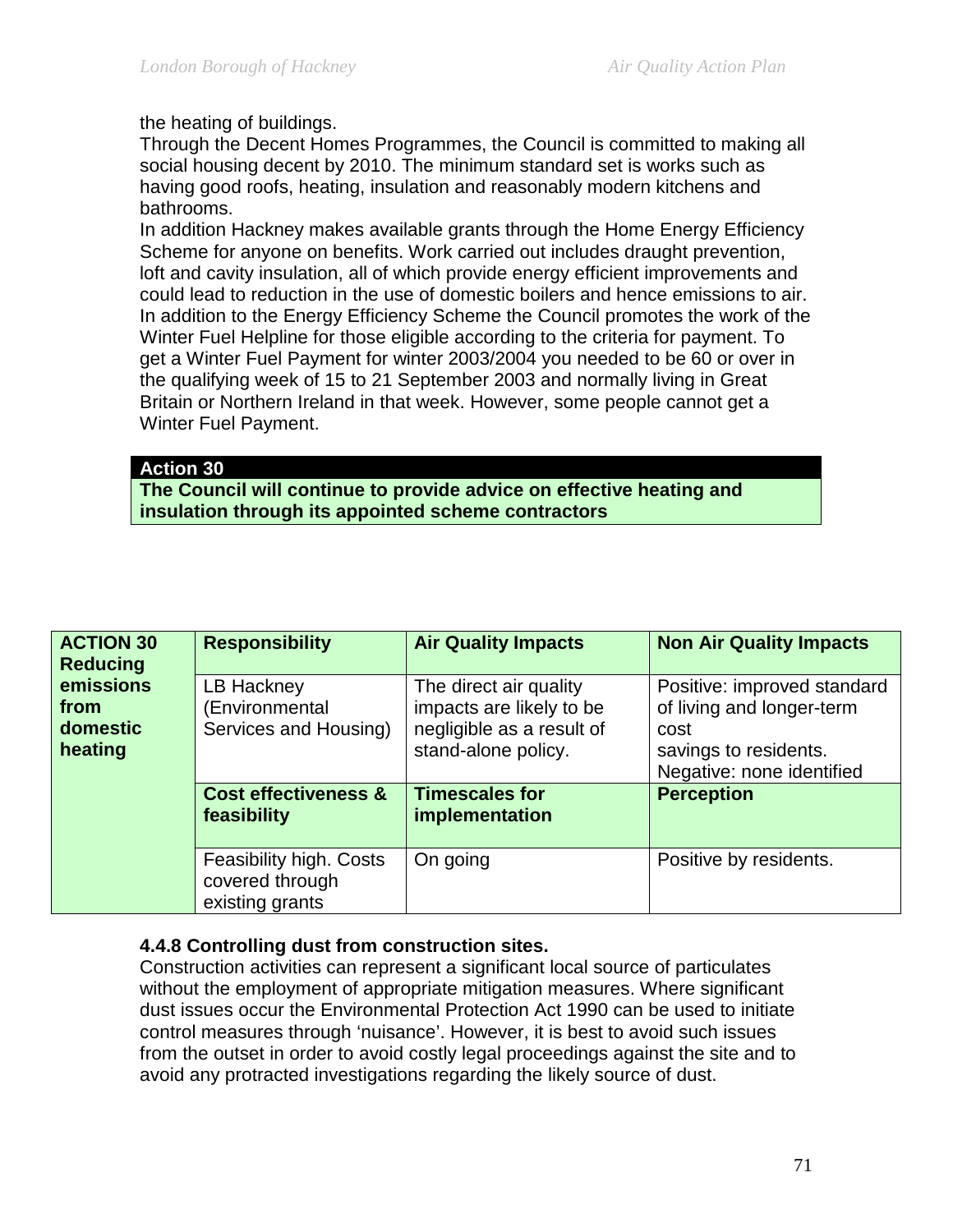the heating of buildings.

Through the Decent Homes Programmes, the Council is committed to making all social housing decent by 2010. The minimum standard set is works such as having good roofs, heating, insulation and reasonably modern kitchens and bathrooms.

In addition Hackney makes available grants through the Home Energy Efficiency Scheme for anyone on benefits. Work carried out includes draught prevention, loft and cavity insulation, all of which provide energy efficient improvements and could lead to reduction in the use of domestic boilers and hence emissions to air. In addition to the Energy Efficiency Scheme the Council promotes the work of the Winter Fuel Helpline for those eligible according to the criteria for payment. To get a Winter Fuel Payment for winter 2003/2004 you needed to be 60 or over in the qualifying week of 15 to 21 September 2003 and normally living in Great Britain or Northern Ireland in that week. However, some people cannot get a Winter Fuel Payment.

### **Action 30**

**The Council will continue to provide advice on effective heating and insulation through its appointed scheme contractors**

| <b>ACTION 30</b><br><b>Reducing</b> | <b>Responsibility</b>                                         | <b>Air Quality Impacts</b>                         | <b>Non Air Quality Impacts</b>                             |
|-------------------------------------|---------------------------------------------------------------|----------------------------------------------------|------------------------------------------------------------|
| emissions<br>from                   | LB Hackney<br>(Environmental                                  | The direct air quality<br>impacts are likely to be | Positive: improved standard<br>of living and longer-term   |
| domestic<br>heating                 | Services and Housing)                                         | negligible as a result of<br>stand-alone policy.   | cost<br>savings to residents.<br>Negative: none identified |
|                                     | <b>Cost effectiveness &amp;</b><br>feasibility                | <b>Timescales for</b><br>implementation            | <b>Perception</b>                                          |
|                                     | Feasibility high. Costs<br>covered through<br>existing grants | On going                                           | Positive by residents.                                     |

### **4.4.8 Controlling dust from construction sites.**

Construction activities can represent a significant local source of particulates without the employment of appropriate mitigation measures. Where significant dust issues occur the Environmental Protection Act 1990 can be used to initiate control measures through 'nuisance'. However, it is best to avoid such issues from the outset in order to avoid costly legal proceedings against the site and to avoid any protracted investigations regarding the likely source of dust.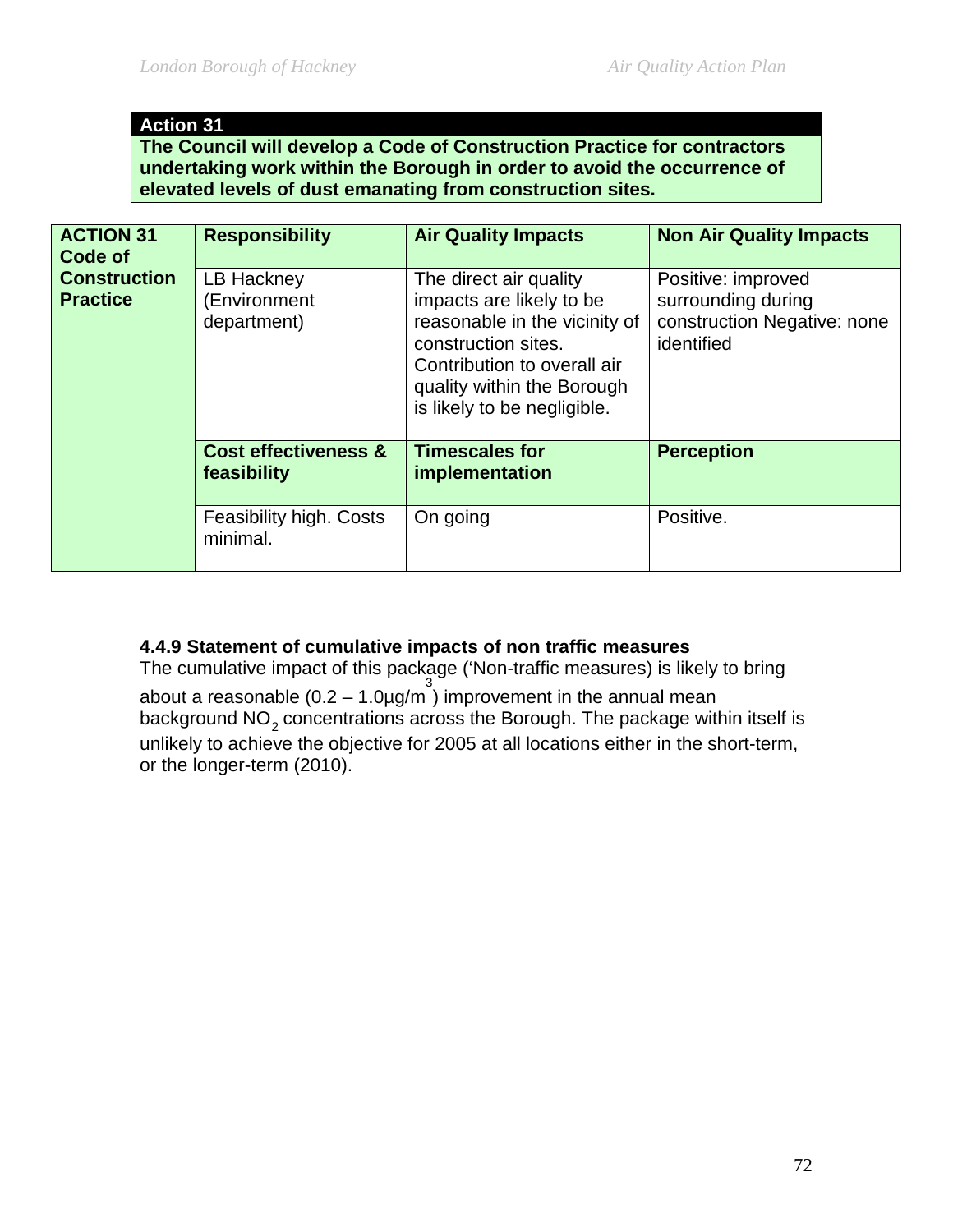### **Action 31**

**The Council will develop a Code of Construction Practice for contractors undertaking work within the Borough in order to avoid the occurrence of elevated levels of dust emanating from construction sites.**

| <b>ACTION 31</b><br>Code of<br><b>Construction</b><br><b>Practice</b> | <b>Responsibility</b>                          | <b>Air Quality Impacts</b>                                                                                                                                                                             | <b>Non Air Quality Impacts</b>                                                        |
|-----------------------------------------------------------------------|------------------------------------------------|--------------------------------------------------------------------------------------------------------------------------------------------------------------------------------------------------------|---------------------------------------------------------------------------------------|
|                                                                       | LB Hackney<br>(Environment<br>department)      | The direct air quality<br>impacts are likely to be<br>reasonable in the vicinity of<br>construction sites.<br>Contribution to overall air<br>quality within the Borough<br>is likely to be negligible. | Positive: improved<br>surrounding during<br>construction Negative: none<br>identified |
|                                                                       | <b>Cost effectiveness &amp;</b><br>feasibility | <b>Timescales for</b><br>implementation                                                                                                                                                                | <b>Perception</b>                                                                     |
|                                                                       | Feasibility high. Costs<br>minimal.            | On going                                                                                                                                                                                               | Positive.                                                                             |

### **4.4.9 Statement of cumulative impacts of non traffic measures**

The cumulative impact of this package ('Non-traffic measures) is likely to bring about a reasonable  $(0.2 - 1.0 \mu g/m^3)$  improvement in the annual mean background NO<sub>2</sub> concentrations across the Borough. The package within itself is unlikely to achieve the objective for 2005 at all locations either in the short-term, or the longer-term (2010).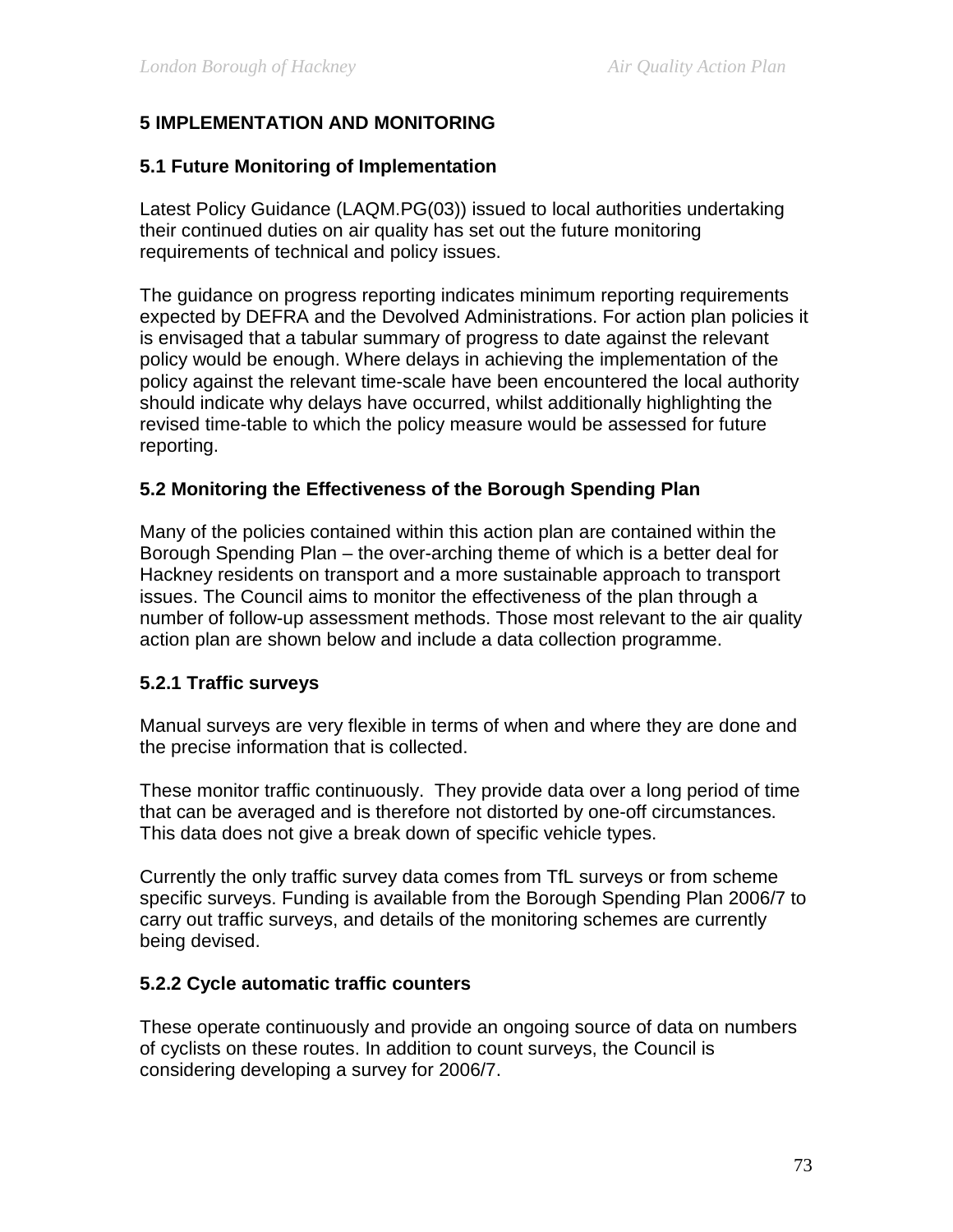## **5 IMPLEMENTATION AND MONITORING**

#### **5.1 Future Monitoring of Implementation**

Latest Policy Guidance (LAQM.PG(03)) issued to local authorities undertaking their continued duties on air quality has set out the future monitoring requirements of technical and policy issues.

The guidance on progress reporting indicates minimum reporting requirements expected by DEFRA and the Devolved Administrations. For action plan policies it is envisaged that a tabular summary of progress to date against the relevant policy would be enough. Where delays in achieving the implementation of the policy against the relevant time-scale have been encountered the local authority should indicate why delays have occurred, whilst additionally highlighting the revised time-table to which the policy measure would be assessed for future reporting.

#### **5.2 Monitoring the Effectiveness of the Borough Spending Plan**

Many of the policies contained within this action plan are contained within the Borough Spending Plan – the over-arching theme of which is a better deal for Hackney residents on transport and a more sustainable approach to transport issues. The Council aims to monitor the effectiveness of the plan through a number of follow-up assessment methods. Those most relevant to the air quality action plan are shown below and include a data collection programme.

#### **5.2.1 Traffic surveys**

Manual surveys are very flexible in terms of when and where they are done and the precise information that is collected.

These monitor traffic continuously. They provide data over a long period of time that can be averaged and is therefore not distorted by one-off circumstances. This data does not give a break down of specific vehicle types.

Currently the only traffic survey data comes from TfL surveys or from scheme specific surveys. Funding is available from the Borough Spending Plan 2006/7 to carry out traffic surveys, and details of the monitoring schemes are currently being devised.

#### **5.2.2 Cycle automatic traffic counters**

These operate continuously and provide an ongoing source of data on numbers of cyclists on these routes. In addition to count surveys, the Council is considering developing a survey for 2006/7.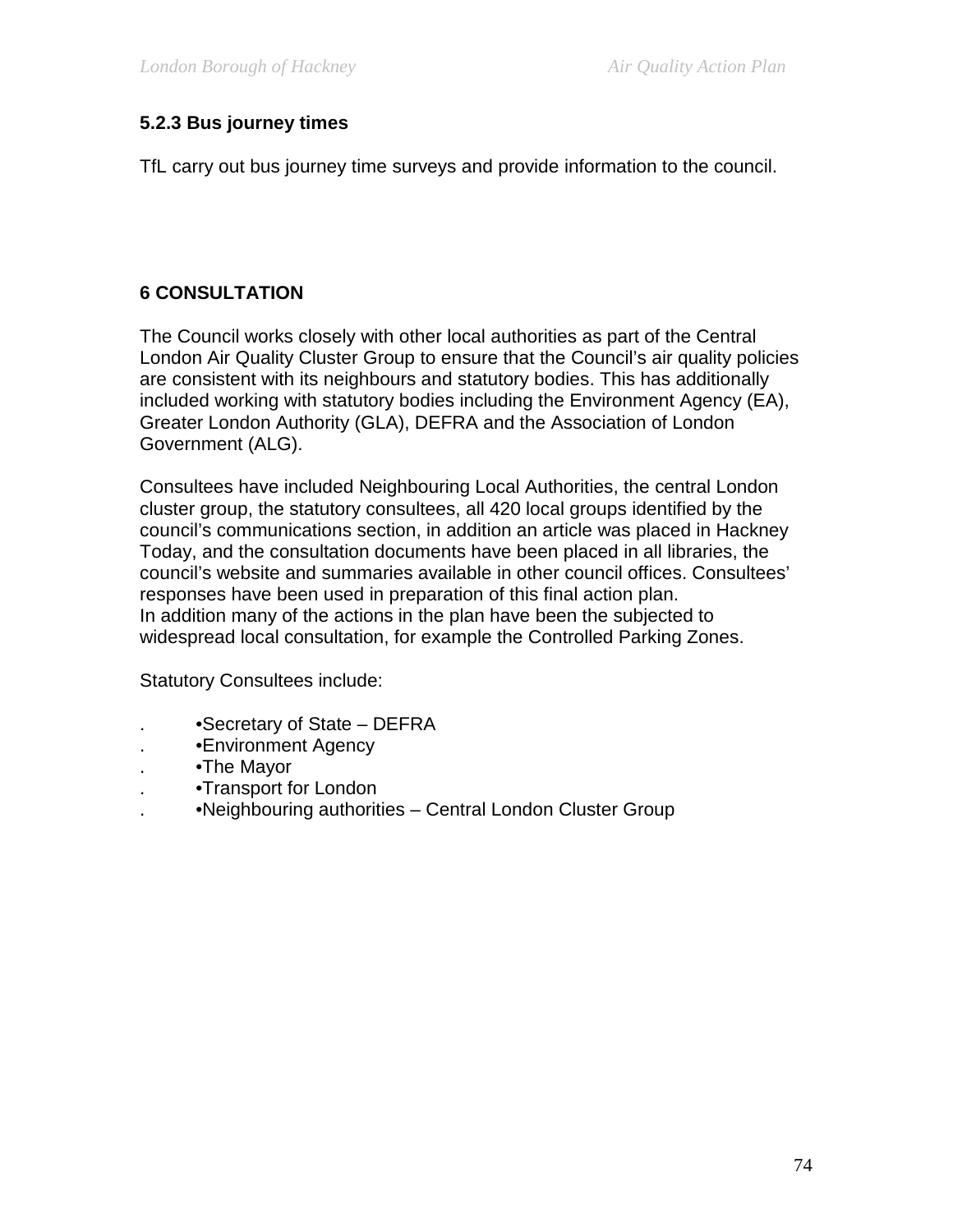#### **5.2.3 Bus journey times**

TfL carry out bus journey time surveys and provide information to the council.

### **6 CONSULTATION**

The Council works closely with other local authorities as part of the Central London Air Quality Cluster Group to ensure that the Council's air quality policies are consistent with its neighbours and statutory bodies. This has additionally included working with statutory bodies including the Environment Agency (EA), Greater London Authority (GLA), DEFRA and the Association of London Government (ALG).

Consultees have included Neighbouring Local Authorities, the central London cluster group, the statutory consultees, all 420 local groups identified by the council's communications section, in addition an article was placed in Hackney Today, and the consultation documents have been placed in all libraries, the council's website and summaries available in other council offices. Consultees' responses have been used in preparation of this final action plan. In addition many of the actions in the plan have been the subjected to widespread local consultation, for example the Controlled Parking Zones.

Statutory Consultees include:

- . •Secretary of State DEFRA
- . •Environment Agency
- . •The Mayor
- . •Transport for London
- . •Neighbouring authorities Central London Cluster Group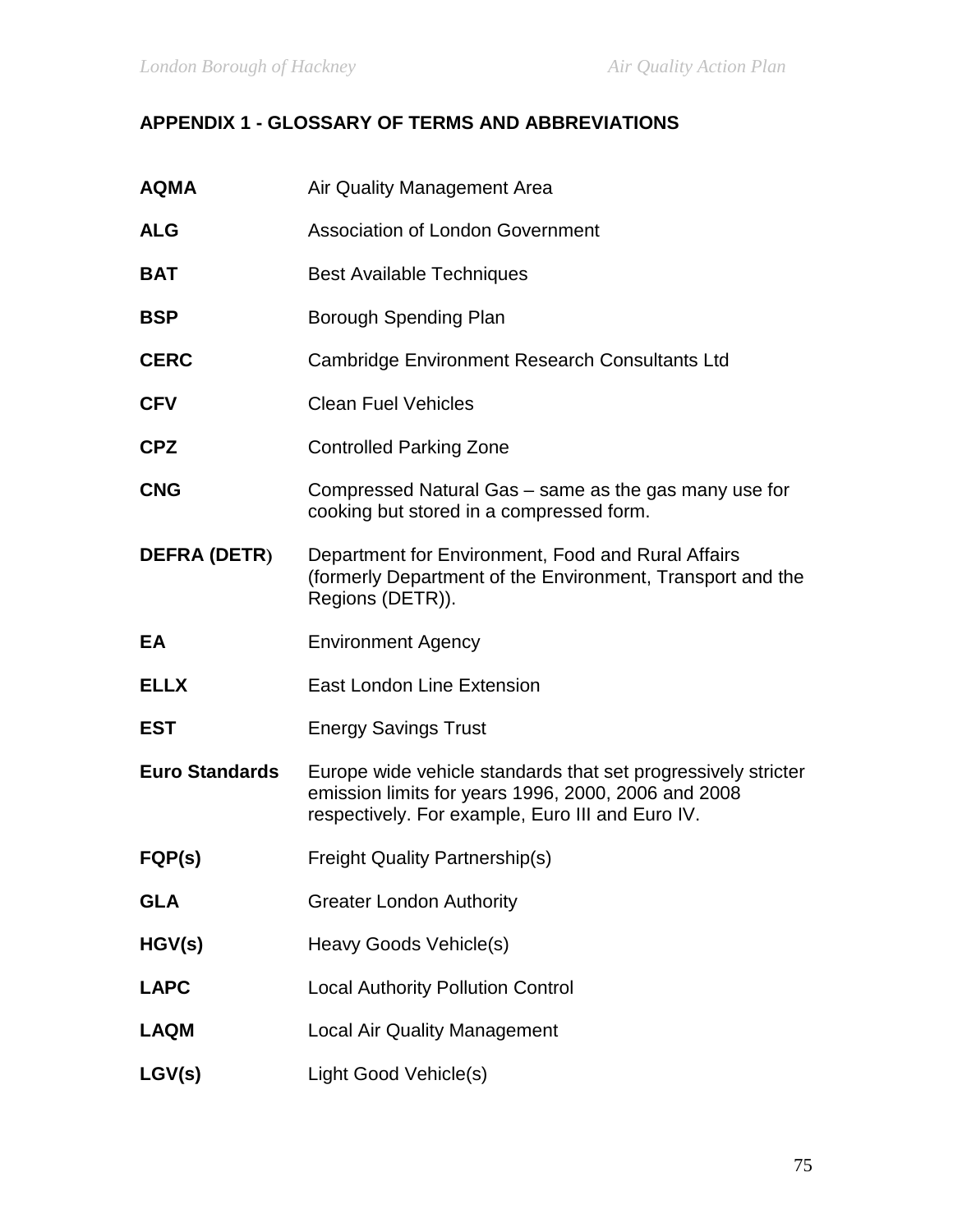# **APPENDIX 1 - GLOSSARY OF TERMS AND ABBREVIATIONS**

| <b>AQMA</b>           | Air Quality Management Area                                                                                                                                              |
|-----------------------|--------------------------------------------------------------------------------------------------------------------------------------------------------------------------|
| <b>ALG</b>            | <b>Association of London Government</b>                                                                                                                                  |
| <b>BAT</b>            | <b>Best Available Techniques</b>                                                                                                                                         |
| <b>BSP</b>            | Borough Spending Plan                                                                                                                                                    |
| <b>CERC</b>           | Cambridge Environment Research Consultants Ltd                                                                                                                           |
| <b>CFV</b>            | <b>Clean Fuel Vehicles</b>                                                                                                                                               |
| <b>CPZ</b>            | <b>Controlled Parking Zone</b>                                                                                                                                           |
| <b>CNG</b>            | Compressed Natural Gas – same as the gas many use for<br>cooking but stored in a compressed form.                                                                        |
| <b>DEFRA (DETR)</b>   | Department for Environment, Food and Rural Affairs<br>(formerly Department of the Environment, Transport and the<br>Regions (DETR)).                                     |
| EA                    | <b>Environment Agency</b>                                                                                                                                                |
| <b>ELLX</b>           | <b>East London Line Extension</b>                                                                                                                                        |
| <b>EST</b>            | <b>Energy Savings Trust</b>                                                                                                                                              |
| <b>Euro Standards</b> | Europe wide vehicle standards that set progressively stricter<br>emission limits for years 1996, 2000, 2006 and 2008<br>respectively. For example, Euro III and Euro IV. |
| FQP(s)                | <b>Freight Quality Partnership(s)</b>                                                                                                                                    |
| <b>GLA</b>            | <b>Greater London Authority</b>                                                                                                                                          |
| HGV(s)                | Heavy Goods Vehicle(s)                                                                                                                                                   |
| <b>LAPC</b>           | <b>Local Authority Pollution Control</b>                                                                                                                                 |
| <b>LAQM</b>           | <b>Local Air Quality Management</b>                                                                                                                                      |
| LGV(s)                | Light Good Vehicle(s)                                                                                                                                                    |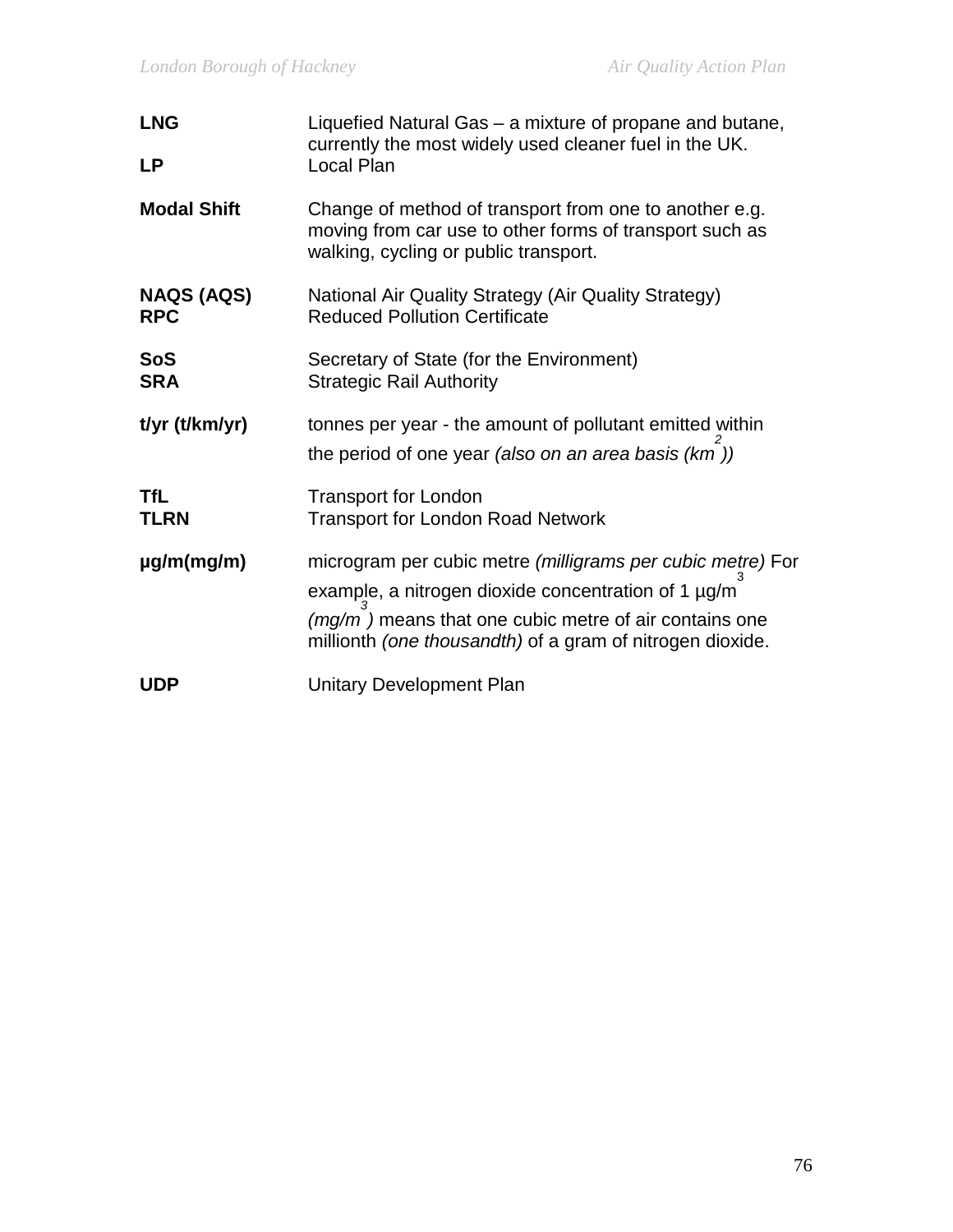| <b>LNG</b>                      | Liquefied Natural Gas – a mixture of propane and butane,<br>currently the most widely used cleaner fuel in the UK.                                                                                                                        |  |  |
|---------------------------------|-------------------------------------------------------------------------------------------------------------------------------------------------------------------------------------------------------------------------------------------|--|--|
| <b>LP</b>                       | Local Plan                                                                                                                                                                                                                                |  |  |
| <b>Modal Shift</b>              | Change of method of transport from one to another e.g.<br>moving from car use to other forms of transport such as<br>walking, cycling or public transport.                                                                                |  |  |
| <b>NAQS (AQS)</b><br><b>RPC</b> | National Air Quality Strategy (Air Quality Strategy)<br><b>Reduced Pollution Certificate</b>                                                                                                                                              |  |  |
| <b>SoS</b><br><b>SRA</b>        | Secretary of State (for the Environment)<br><b>Strategic Rail Authority</b>                                                                                                                                                               |  |  |
| t/yr (t/km/yr)                  | tonnes per year - the amount of pollutant emitted within<br>the period of one year (also on an area basis (km))                                                                                                                           |  |  |
| <b>TfL</b><br><b>TLRN</b>       | <b>Transport for London</b><br><b>Transport for London Road Network</b>                                                                                                                                                                   |  |  |
| $\mu$ g/m(mg/m)                 | microgram per cubic metre (milligrams per cubic metre) For<br>example, a nitrogen dioxide concentration of 1 µg/m<br>$(mg/m)$ means that one cubic metre of air contains one<br>millionth (one thousandth) of a gram of nitrogen dioxide. |  |  |
| <b>UDP</b>                      | <b>Unitary Development Plan</b>                                                                                                                                                                                                           |  |  |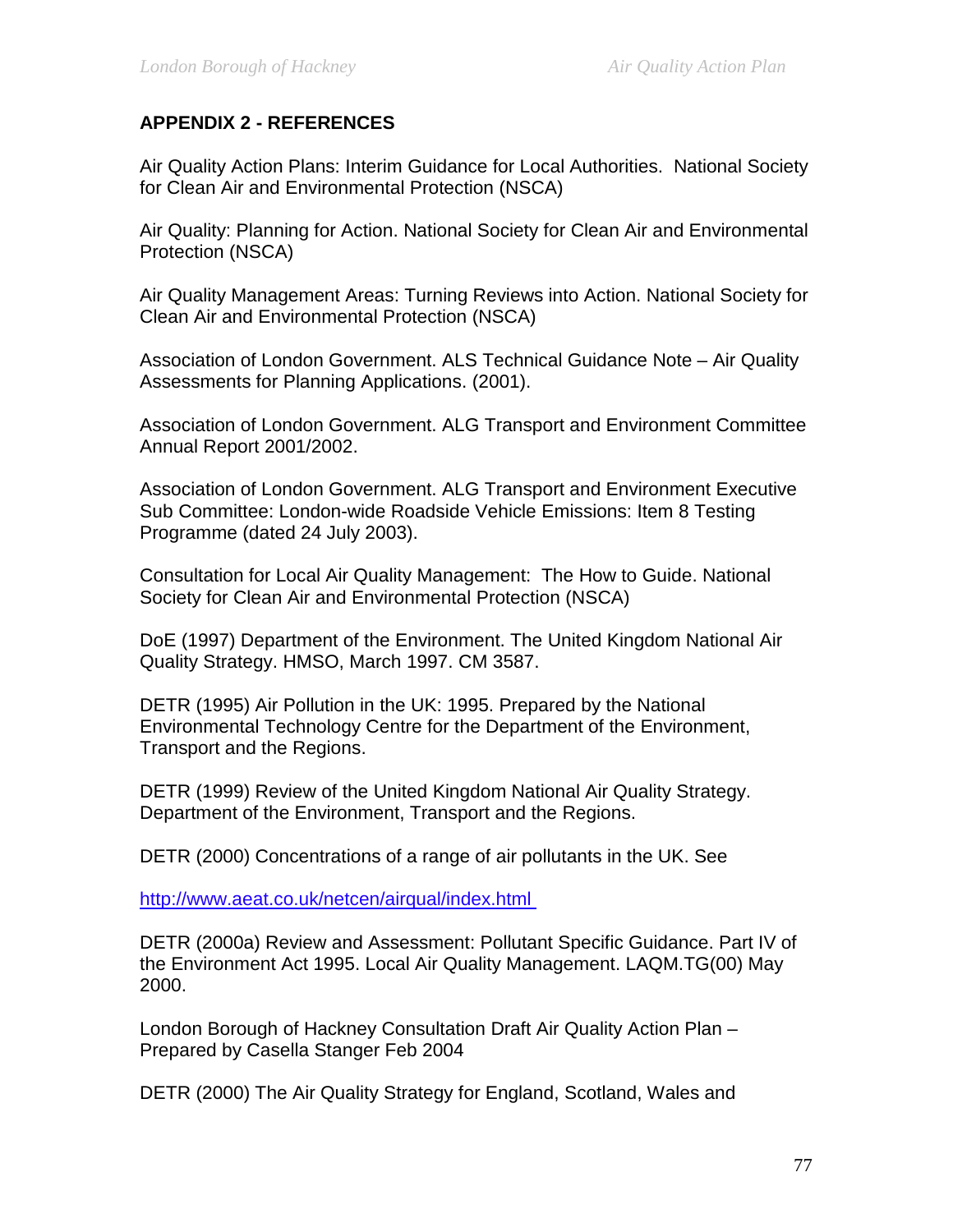### **APPENDIX 2 - REFERENCES**

Air Quality Action Plans: Interim Guidance for Local Authorities. National Society for Clean Air and Environmental Protection (NSCA)

Air Quality: Planning for Action. National Society for Clean Air and Environmental Protection (NSCA)

Air Quality Management Areas: Turning Reviews into Action. National Society for Clean Air and Environmental Protection (NSCA)

Association of London Government. ALS Technical Guidance Note – Air Quality Assessments for Planning Applications. (2001).

Association of London Government. ALG Transport and Environment Committee Annual Report 2001/2002.

Association of London Government. ALG Transport and Environment Executive Sub Committee: London-wide Roadside Vehicle Emissions: Item 8 Testing Programme (dated 24 July 2003).

Consultation for Local Air Quality Management: The How to Guide. National Society for Clean Air and Environmental Protection (NSCA)

DoE (1997) Department of the Environment. The United Kingdom National Air Quality Strategy. HMSO, March 1997. CM 3587.

DETR (1995) Air Pollution in the UK: 1995. Prepared by the National Environmental Technology Centre for the Department of the Environment, Transport and the Regions.

DETR (1999) Review of the United Kingdom National Air Quality Strategy. Department of the Environment, Transport and the Regions.

DETR (2000) Concentrations of a range of air pollutants in the UK. See

<http://www.aeat.co.uk/netcen/airqual/index.html>

DETR (2000a) Review and Assessment: Pollutant Specific Guidance. Part IV of the Environment Act 1995. Local Air Quality Management. LAQM.TG(00) May 2000.

London Borough of Hackney Consultation Draft Air Quality Action Plan – Prepared by Casella Stanger Feb 2004

DETR (2000) The Air Quality Strategy for England, Scotland, Wales and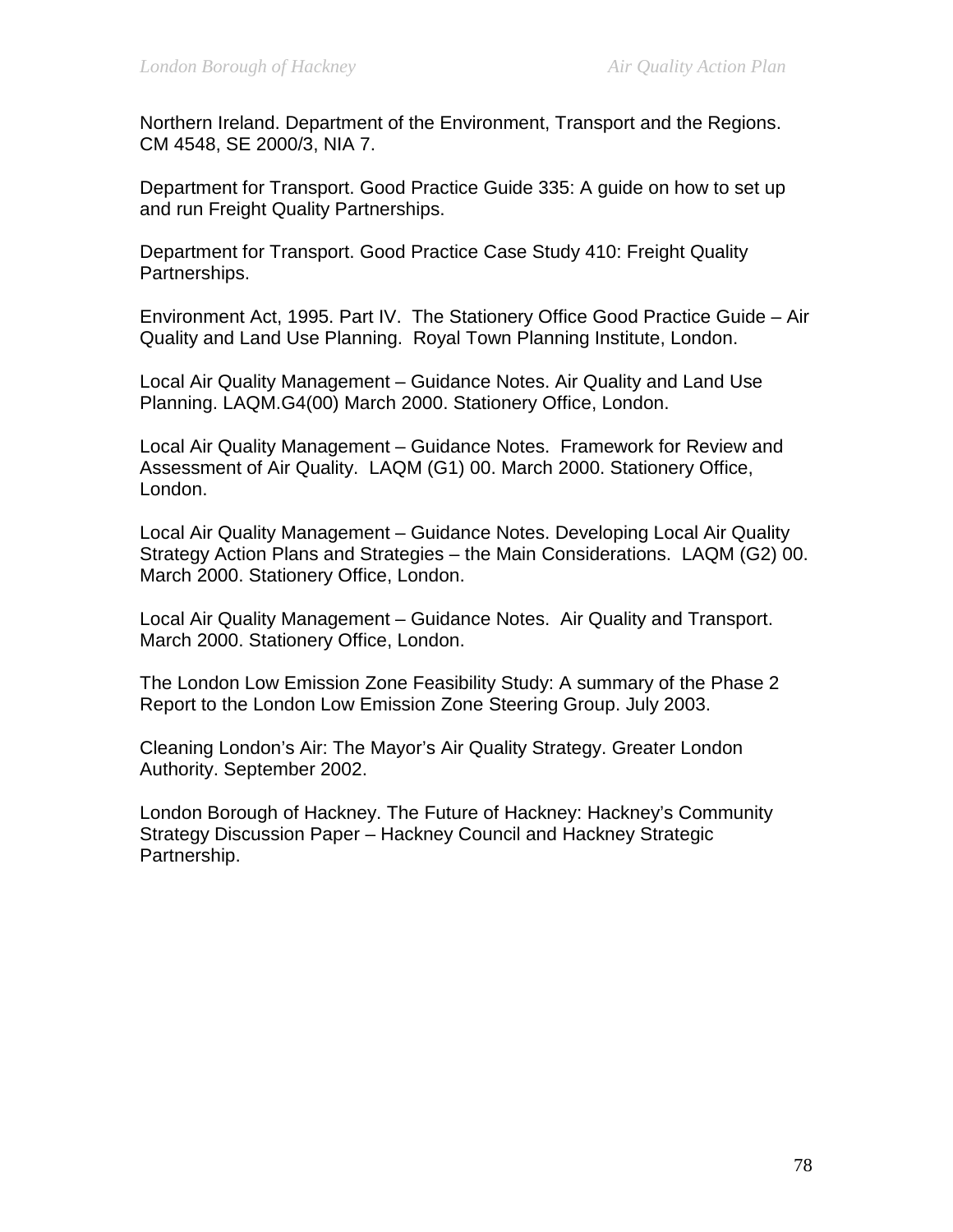Northern Ireland. Department of the Environment, Transport and the Regions. CM 4548, SE 2000/3, NIA 7.

Department for Transport. Good Practice Guide 335: A guide on how to set up and run Freight Quality Partnerships.

Department for Transport. Good Practice Case Study 410: Freight Quality Partnerships.

Environment Act, 1995. Part IV. The Stationery Office Good Practice Guide – Air Quality and Land Use Planning. Royal Town Planning Institute, London.

Local Air Quality Management – Guidance Notes. Air Quality and Land Use Planning. LAQM.G4(00) March 2000. Stationery Office, London.

Local Air Quality Management – Guidance Notes. Framework for Review and Assessment of Air Quality. LAQM (G1) 00. March 2000. Stationery Office, London.

Local Air Quality Management – Guidance Notes. Developing Local Air Quality Strategy Action Plans and Strategies – the Main Considerations. LAQM (G2) 00. March 2000. Stationery Office, London.

Local Air Quality Management – Guidance Notes. Air Quality and Transport. March 2000. Stationery Office, London.

The London Low Emission Zone Feasibility Study: A summary of the Phase 2 Report to the London Low Emission Zone Steering Group. July 2003.

Cleaning London's Air: The Mayor's Air Quality Strategy. Greater London Authority. September 2002.

London Borough of Hackney. The Future of Hackney: Hackney's Community Strategy Discussion Paper – Hackney Council and Hackney Strategic Partnership.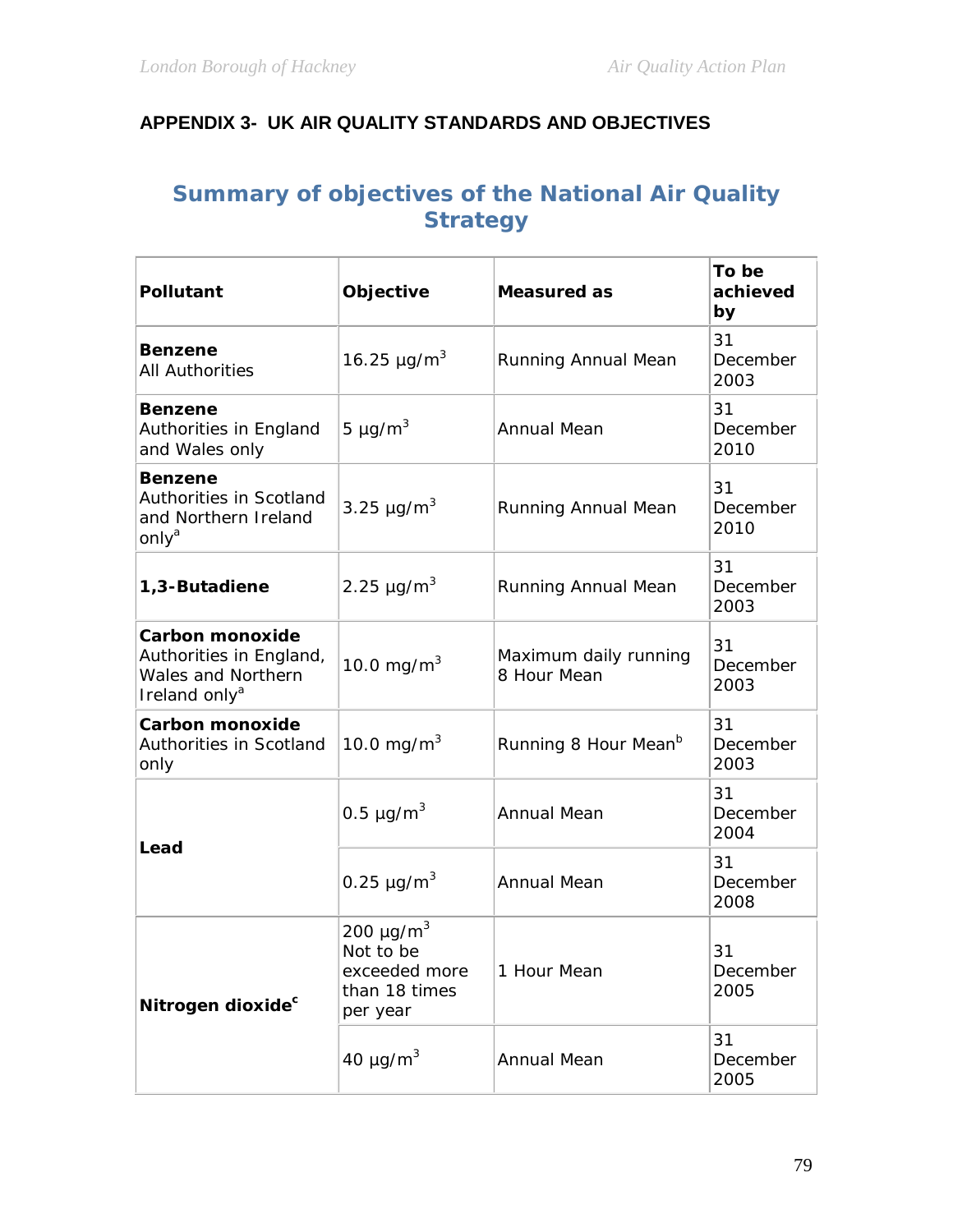# **APPENDIX 3- UK AIR QUALITY STANDARDS AND OBJECTIVES**

# **Summary of objectives of the National Air Quality Strategy**

| <b>Pollutant</b>                                                                                     | Objective                                                                             | <b>Measured as</b>                   | To be<br>achieved<br>by |
|------------------------------------------------------------------------------------------------------|---------------------------------------------------------------------------------------|--------------------------------------|-------------------------|
| <b>Benzene</b><br><b>All Authorities</b>                                                             | 16.25 $\mu$ g/m <sup>3</sup><br>Running Annual Mean                                   |                                      | 31<br>December<br>2003  |
| <b>Benzene</b><br>Authorities in England<br>and Wales only                                           | 5 $\mu$ g/m <sup>3</sup>                                                              | <b>Annual Mean</b>                   | 31<br>December<br>2010  |
| <b>Benzene</b><br>Authorities in Scotland<br>and Northern Ireland<br>only <sup>a</sup>               | 3.25 $\mu$ g/m <sup>3</sup>                                                           | Running Annual Mean                  | 31<br>December<br>2010  |
| 1,3-Butadiene                                                                                        | 2.25 $\mu$ g/m <sup>3</sup>                                                           | Running Annual Mean                  | 31<br>December<br>2003  |
| <b>Carbon monoxide</b><br>Authorities in England,<br>Wales and Northern<br>Ireland only <sup>a</sup> | 10.0 mg/m <sup>3</sup>                                                                | Maximum daily running<br>8 Hour Mean | 31<br>December<br>2003  |
| <b>Carbon monoxide</b><br>Authorities in Scotland<br>only                                            | 10.0 mg/m <sup>3</sup>                                                                | Running 8 Hour Mean <sup>b</sup>     | 31<br>December<br>2003  |
| Lead                                                                                                 | 0.5 $\mu$ g/m <sup>3</sup>                                                            | <b>Annual Mean</b>                   | 31<br>December<br>2004  |
|                                                                                                      | 0.25 $\mu$ g/m <sup>3</sup>                                                           | <b>Annual Mean</b>                   | 31<br>December<br>2008  |
| Nitrogen dioxide <sup>c</sup>                                                                        | 200 $\mu$ g/m <sup>3</sup><br>Not to be<br>exceeded more<br>than 18 times<br>per year | 1 Hour Mean                          | 31<br>December<br>2005  |
|                                                                                                      | 40 $\mu$ g/m <sup>3</sup>                                                             | <b>Annual Mean</b>                   | 31<br>December<br>2005  |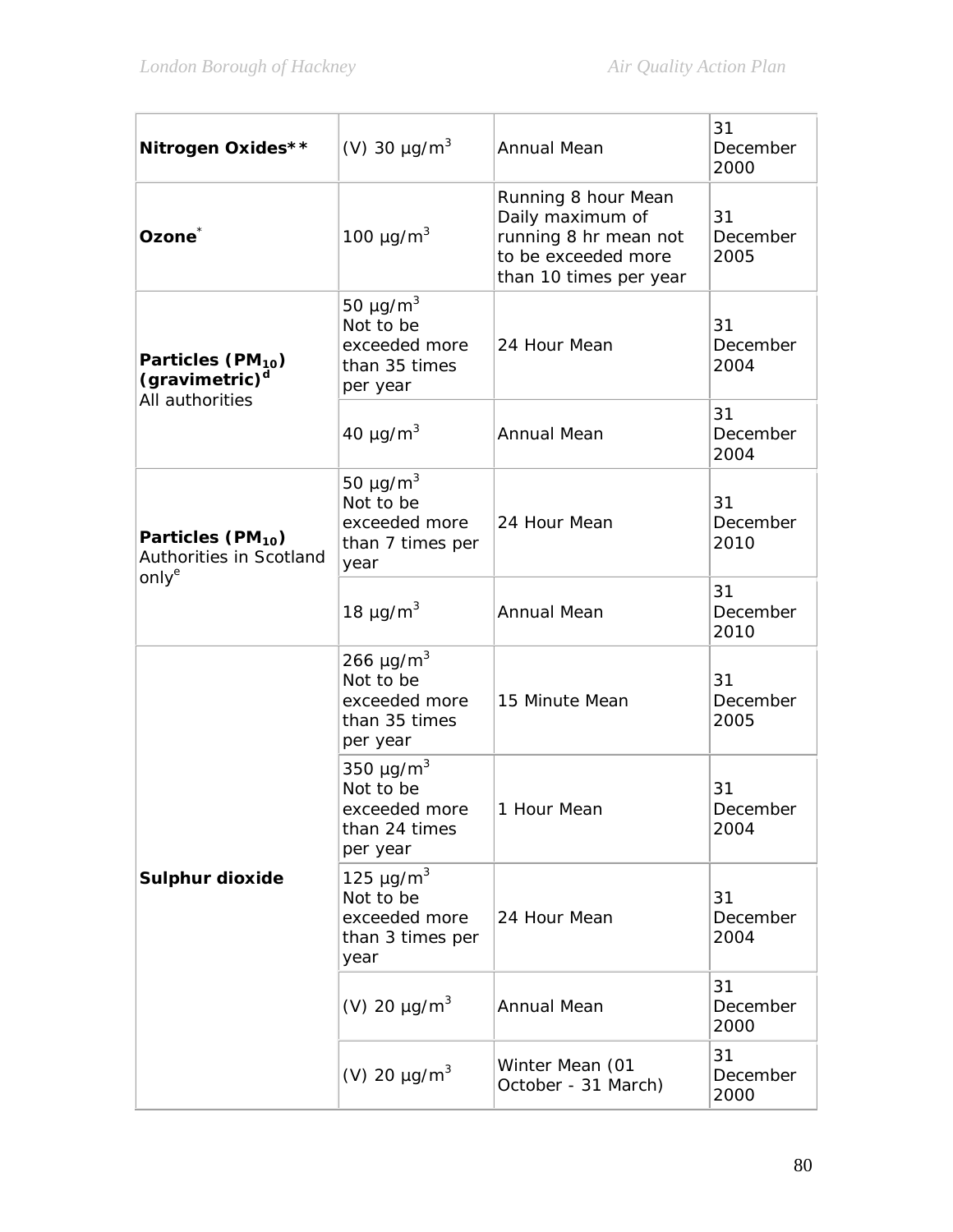| Nitrogen Oxides**                                                              | (V) 30 $\mu$ g/m <sup>3</sup>                                                         | <b>Annual Mean</b>                                                                                                | 31<br>December<br>2000 |
|--------------------------------------------------------------------------------|---------------------------------------------------------------------------------------|-------------------------------------------------------------------------------------------------------------------|------------------------|
| Ozone <sup>*</sup>                                                             | 100 $\mu$ g/m <sup>3</sup>                                                            | Running 8 hour Mean<br>Daily maximum of<br>running 8 hr mean not<br>to be exceeded more<br>than 10 times per year | 31<br>December<br>2005 |
| Particles (PM <sub>10</sub> )<br>(gravimetric) <sup>d</sup><br>All authorities | 50 $\mu$ g/m <sup>3</sup><br>Not to be<br>exceeded more<br>than 35 times<br>per year  | 24 Hour Mean                                                                                                      | 31<br>December<br>2004 |
|                                                                                | 40 $\mu$ g/m <sup>3</sup>                                                             | <b>Annual Mean</b>                                                                                                | 31<br>December<br>2004 |
| Particles (PM <sub>10</sub> )<br>Authorities in Scotland<br>only <sup>e</sup>  | 50 $\mu$ g/m <sup>3</sup><br>Not to be<br>exceeded more<br>than 7 times per<br>year   | 24 Hour Mean                                                                                                      | 31<br>December<br>2010 |
|                                                                                | 18 $\mu$ g/m <sup>3</sup>                                                             | <b>Annual Mean</b>                                                                                                | 31<br>December<br>2010 |
|                                                                                | 266 $\mu$ g/m <sup>3</sup><br>Not to be<br>exceeded more<br>than 35 times<br>per year | 15 Minute Mean                                                                                                    | 31<br>December<br>2005 |
|                                                                                | 350 $\mu$ g/m <sup>3</sup><br>Not to be<br>exceeded more<br>than 24 times<br>per year | 1 Hour Mean                                                                                                       | 31<br>December<br>2004 |
| <b>Sulphur dioxide</b>                                                         | 125 $\mu$ g/m <sup>3</sup><br>Not to be<br>exceeded more<br>than 3 times per<br>year  | 24 Hour Mean                                                                                                      | 31<br>December<br>2004 |
|                                                                                | (V) 20 $\mu$ g/m <sup>3</sup>                                                         | <b>Annual Mean</b>                                                                                                | 31<br>December<br>2000 |
|                                                                                | (V) 20 $\mu$ g/m <sup>3</sup>                                                         | Winter Mean (01<br>October - 31 March)                                                                            | 31<br>December<br>2000 |